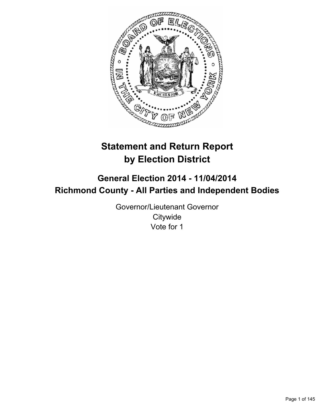

# **Statement and Return Report by Election District**

## **General Election 2014 - 11/04/2014 Richmond County - All Parties and Independent Bodies**

Governor/Lieutenant Governor **Citywide** Vote for 1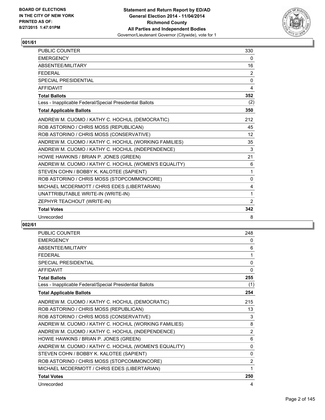

| PUBLIC COUNTER                                           | 330               |
|----------------------------------------------------------|-------------------|
| <b>EMERGENCY</b>                                         | 0                 |
| ABSENTEE/MILITARY                                        | 16                |
| <b>FEDERAL</b>                                           | 2                 |
| <b>SPECIAL PRESIDENTIAL</b>                              | 0                 |
| <b>AFFIDAVIT</b>                                         | 4                 |
| <b>Total Ballots</b>                                     | 352               |
| Less - Inapplicable Federal/Special Presidential Ballots | (2)               |
| <b>Total Applicable Ballots</b>                          | 350               |
| ANDREW M. CUOMO / KATHY C. HOCHUL (DEMOCRATIC)           | 212               |
| ROB ASTORINO / CHRIS MOSS (REPUBLICAN)                   | 45                |
| ROB ASTORINO / CHRIS MOSS (CONSERVATIVE)                 | $12 \overline{ }$ |
| ANDREW M. CUOMO / KATHY C. HOCHUL (WORKING FAMILIES)     | 35                |
| ANDREW M. CUOMO / KATHY C. HOCHUL (INDEPENDENCE)         | 3                 |
| HOWIE HAWKINS / BRIAN P. JONES (GREEN)                   | 21                |
| ANDREW M. CUOMO / KATHY C. HOCHUL (WOMEN'S EQUALITY)     | 6                 |
| STEVEN COHN / BOBBY K. KALOTEE (SAPIENT)                 | 1                 |
| ROB ASTORINO / CHRIS MOSS (STOPCOMMONCORE)               | 0                 |
| MICHAEL MCDERMOTT / CHRIS EDES (LIBERTARIAN)             | 4                 |
| UNATTRIBUTABLE WRITE-IN (WRITE-IN)                       | 1                 |
| ZEPHYR TEACHOUT (WRITE-IN)                               | 2                 |
| <b>Total Votes</b>                                       | 342               |
| Unrecorded                                               | 8                 |

| ANDREW M. CUOMO / KATHY C. HOCHUL (INDEPENDENCE)<br>HOWIE HAWKINS / BRIAN P. JONES (GREEN) | 2            |
|--------------------------------------------------------------------------------------------|--------------|
| ANDREW M. CUOMO / KATHY C. HOCHUL (WORKING FAMILIES)                                       | 8            |
| ROB ASTORINO / CHRIS MOSS (CONSERVATIVE)                                                   | 3            |
| ROB ASTORINO / CHRIS MOSS (REPUBLICAN)                                                     | 13           |
| ANDREW M. CUOMO / KATHY C. HOCHUL (DEMOCRATIC)                                             | 215          |
| <b>Total Applicable Ballots</b>                                                            | 254          |
| Less - Inapplicable Federal/Special Presidential Ballots                                   | (1)          |
| <b>Total Ballots</b>                                                                       | 255          |
| <b>AFFIDAVIT</b>                                                                           | $\mathbf{0}$ |
| <b>SPECIAL PRESIDENTIAL</b>                                                                | $\mathbf{0}$ |
| <b>FEDERAL</b>                                                                             | 1            |
| ABSENTEE/MILITARY                                                                          | 6            |
| <b>EMERGENCY</b>                                                                           | 0            |
| <b>PUBLIC COUNTER</b>                                                                      | 248          |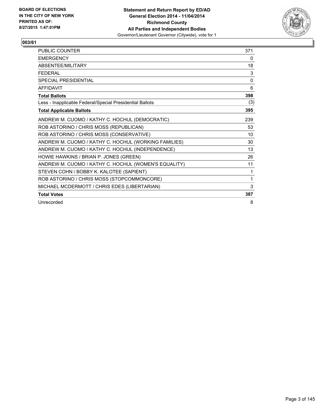

| <b>PUBLIC COUNTER</b>                                    | 371      |
|----------------------------------------------------------|----------|
| <b>EMERGENCY</b>                                         | 0        |
| ABSENTEE/MILITARY                                        | 18       |
| <b>FEDERAL</b>                                           | 3        |
| <b>SPECIAL PRESIDENTIAL</b>                              | $\Omega$ |
| <b>AFFIDAVIT</b>                                         | 6        |
| <b>Total Ballots</b>                                     | 398      |
| Less - Inapplicable Federal/Special Presidential Ballots | (3)      |
| <b>Total Applicable Ballots</b>                          | 395      |
| ANDREW M. CUOMO / KATHY C. HOCHUL (DEMOCRATIC)           | 239      |
| ROB ASTORINO / CHRIS MOSS (REPUBLICAN)                   | 53       |
| ROB ASTORINO / CHRIS MOSS (CONSERVATIVE)                 | 10       |
| ANDREW M. CUOMO / KATHY C. HOCHUL (WORKING FAMILIES)     | 30       |
| ANDREW M. CUOMO / KATHY C. HOCHUL (INDEPENDENCE)         | 13       |
| HOWIE HAWKINS / BRIAN P. JONES (GREEN)                   | 26       |
| ANDREW M. CUOMO / KATHY C. HOCHUL (WOMEN'S EQUALITY)     | 11       |
| STEVEN COHN / BOBBY K. KALOTEE (SAPIENT)                 | 1        |
| ROB ASTORINO / CHRIS MOSS (STOPCOMMONCORE)               | 1        |
| MICHAEL MCDERMOTT / CHRIS EDES (LIBERTARIAN)             | 3        |
| <b>Total Votes</b>                                       | 387      |
| Unrecorded                                               | 8        |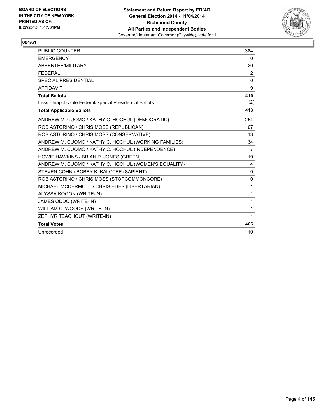

| <b>PUBLIC COUNTER</b>                                    | 384            |
|----------------------------------------------------------|----------------|
| <b>EMERGENCY</b>                                         | $\mathbf{0}$   |
| ABSENTEE/MILITARY                                        | 20             |
| <b>FEDERAL</b>                                           | 2              |
| <b>SPECIAL PRESIDENTIAL</b>                              | 0              |
| <b>AFFIDAVIT</b>                                         | 9              |
| <b>Total Ballots</b>                                     | 415            |
| Less - Inapplicable Federal/Special Presidential Ballots | (2)            |
| <b>Total Applicable Ballots</b>                          | 413            |
| ANDREW M. CUOMO / KATHY C. HOCHUL (DEMOCRATIC)           | 254            |
| ROB ASTORINO / CHRIS MOSS (REPUBLICAN)                   | 67             |
| ROB ASTORINO / CHRIS MOSS (CONSERVATIVE)                 | 13             |
| ANDREW M. CUOMO / KATHY C. HOCHUL (WORKING FAMILIES)     | 34             |
| ANDREW M. CUOMO / KATHY C. HOCHUL (INDEPENDENCE)         | $\overline{7}$ |
| HOWIE HAWKINS / BRIAN P. JONES (GREEN)                   | 19             |
| ANDREW M. CUOMO / KATHY C. HOCHUL (WOMEN'S EQUALITY)     | 4              |
| STEVEN COHN / BOBBY K. KALOTEE (SAPIENT)                 | $\mathbf 0$    |
| ROB ASTORINO / CHRIS MOSS (STOPCOMMONCORE)               | 0              |
| MICHAEL MCDERMOTT / CHRIS EDES (LIBERTARIAN)             | $\mathbf{1}$   |
| ALYSSA KOGON (WRITE-IN)                                  | 1              |
| JAMES ODDO (WRITE-IN)                                    | $\mathbf{1}$   |
| WILLIAM C. WOODS (WRITE-IN)                              | 1              |
| ZEPHYR TEACHOUT (WRITE-IN)                               | 1              |
| <b>Total Votes</b>                                       | 403            |
| Unrecorded                                               | 10             |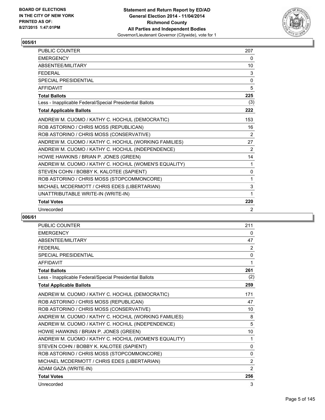

| PUBLIC COUNTER                                           | 207          |
|----------------------------------------------------------|--------------|
| <b>EMERGENCY</b>                                         | 0            |
| ABSENTEE/MILITARY                                        | 10           |
| <b>FEDERAL</b>                                           | 3            |
| <b>SPECIAL PRESIDENTIAL</b>                              | $\Omega$     |
| <b>AFFIDAVIT</b>                                         | 5            |
| <b>Total Ballots</b>                                     | 225          |
| Less - Inapplicable Federal/Special Presidential Ballots | (3)          |
| <b>Total Applicable Ballots</b>                          | 222          |
| ANDREW M. CUOMO / KATHY C. HOCHUL (DEMOCRATIC)           | 153          |
| ROB ASTORINO / CHRIS MOSS (REPUBLICAN)                   | 16           |
| ROB ASTORINO / CHRIS MOSS (CONSERVATIVE)                 | 2            |
| ANDREW M. CUOMO / KATHY C. HOCHUL (WORKING FAMILIES)     | 27           |
| ANDREW M. CUOMO / KATHY C. HOCHUL (INDEPENDENCE)         | 2            |
| HOWIE HAWKINS / BRIAN P. JONES (GREEN)                   | 14           |
| ANDREW M. CUOMO / KATHY C. HOCHUL (WOMEN'S EQUALITY)     | 1            |
| STEVEN COHN / BOBBY K. KALOTEE (SAPIENT)                 | $\mathbf{0}$ |
| ROB ASTORINO / CHRIS MOSS (STOPCOMMONCORE)               | 1            |
| MICHAEL MCDERMOTT / CHRIS EDES (LIBERTARIAN)             | 3            |
| UNATTRIBUTABLE WRITE-IN (WRITE-IN)                       | 1            |
| <b>Total Votes</b>                                       | 220          |
| Unrecorded                                               | 2            |

| <b>PUBLIC COUNTER</b>                                    | 211            |
|----------------------------------------------------------|----------------|
| <b>EMERGENCY</b>                                         | 0              |
| ABSENTEE/MILITARY                                        | 47             |
| <b>FEDERAL</b>                                           | 2              |
| <b>SPECIAL PRESIDENTIAL</b>                              | 0              |
| <b>AFFIDAVIT</b>                                         | 1              |
| <b>Total Ballots</b>                                     | 261            |
| Less - Inapplicable Federal/Special Presidential Ballots | (2)            |
| <b>Total Applicable Ballots</b>                          | 259            |
| ANDREW M. CUOMO / KATHY C. HOCHUL (DEMOCRATIC)           | 171            |
| ROB ASTORINO / CHRIS MOSS (REPUBLICAN)                   | 47             |
| ROB ASTORINO / CHRIS MOSS (CONSERVATIVE)                 | 10             |
| ANDREW M. CUOMO / KATHY C. HOCHUL (WORKING FAMILIES)     | 8              |
| ANDREW M. CUOMO / KATHY C. HOCHUL (INDEPENDENCE)         | 5              |
| HOWIE HAWKINS / BRIAN P. JONES (GREEN)                   | 10             |
| ANDREW M. CUOMO / KATHY C. HOCHUL (WOMEN'S EQUALITY)     | $\mathbf 1$    |
| STEVEN COHN / BOBBY K. KALOTEE (SAPIENT)                 | 0              |
| ROB ASTORINO / CHRIS MOSS (STOPCOMMONCORE)               | 0              |
| MICHAEL MCDERMOTT / CHRIS EDES (LIBERTARIAN)             | 2              |
| ADAM GAZA (WRITE-IN)                                     | $\overline{2}$ |
| <b>Total Votes</b>                                       | 256            |
| Unrecorded                                               | 3              |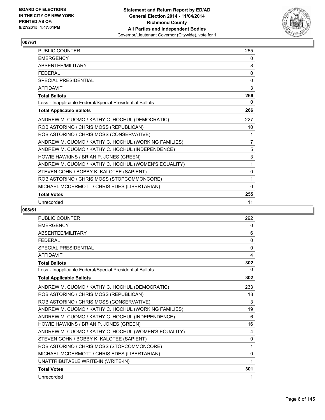

| <b>PUBLIC COUNTER</b>                                    | 255            |
|----------------------------------------------------------|----------------|
| <b>EMERGENCY</b>                                         | 0              |
| ABSENTEE/MILITARY                                        | 8              |
| <b>FEDERAL</b>                                           | 0              |
| <b>SPECIAL PRESIDENTIAL</b>                              | $\mathbf{0}$   |
| <b>AFFIDAVIT</b>                                         | 3              |
| <b>Total Ballots</b>                                     | 266            |
| Less - Inapplicable Federal/Special Presidential Ballots | 0              |
| <b>Total Applicable Ballots</b>                          | 266            |
| ANDREW M. CUOMO / KATHY C. HOCHUL (DEMOCRATIC)           | 227            |
| ROB ASTORINO / CHRIS MOSS (REPUBLICAN)                   | 10             |
| ROB ASTORINO / CHRIS MOSS (CONSERVATIVE)                 | 1              |
| ANDREW M. CUOMO / KATHY C. HOCHUL (WORKING FAMILIES)     | $\overline{7}$ |
| ANDREW M. CUOMO / KATHY C. HOCHUL (INDEPENDENCE)         | 5              |
| HOWIE HAWKINS / BRIAN P. JONES (GREEN)                   | 3              |
| ANDREW M. CUOMO / KATHY C. HOCHUL (WOMEN'S EQUALITY)     | 1              |
| STEVEN COHN / BOBBY K. KALOTEE (SAPIENT)                 | 0              |
| ROB ASTORINO / CHRIS MOSS (STOPCOMMONCORE)               | 1              |
| MICHAEL MCDERMOTT / CHRIS EDES (LIBERTARIAN)             | $\mathbf{0}$   |
| <b>Total Votes</b>                                       | 255            |
| Unrecorded                                               | 11             |

| <b>PUBLIC COUNTER</b>                                    | 292          |
|----------------------------------------------------------|--------------|
| <b>EMERGENCY</b>                                         | 0            |
| <b>ABSENTEF/MILITARY</b>                                 | 6            |
| <b>FEDERAL</b>                                           | 0            |
| <b>SPECIAL PRESIDENTIAL</b>                              | $\mathbf{0}$ |
| <b>AFFIDAVIT</b>                                         | 4            |
| <b>Total Ballots</b>                                     | 302          |
| Less - Inapplicable Federal/Special Presidential Ballots | 0            |
| <b>Total Applicable Ballots</b>                          | 302          |
| ANDREW M. CUOMO / KATHY C. HOCHUL (DEMOCRATIC)           | 233          |
| ROB ASTORINO / CHRIS MOSS (REPUBLICAN)                   | 18           |
| ROB ASTORINO / CHRIS MOSS (CONSERVATIVE)                 | 3            |
| ANDREW M. CUOMO / KATHY C. HOCHUL (WORKING FAMILIES)     | 19           |
| ANDREW M. CUOMO / KATHY C. HOCHUL (INDEPENDENCE)         | 6            |
| HOWIE HAWKINS / BRIAN P. JONES (GREEN)                   | 16           |
| ANDREW M. CUOMO / KATHY C. HOCHUL (WOMEN'S EQUALITY)     | 4            |
| STEVEN COHN / BOBBY K. KALOTEE (SAPIENT)                 | 0            |
| ROB ASTORINO / CHRIS MOSS (STOPCOMMONCORE)               | 1            |
| MICHAEL MCDERMOTT / CHRIS EDES (LIBERTARIAN)             | 0            |
| UNATTRIBUTABLE WRITE-IN (WRITE-IN)                       | 1            |
| <b>Total Votes</b>                                       | 301          |
| Unrecorded                                               | 1            |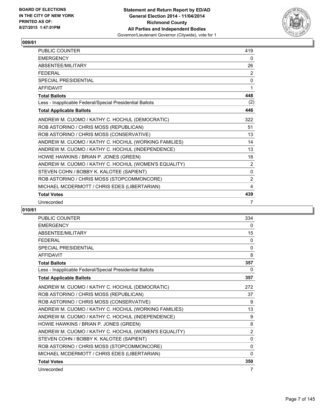

| <b>PUBLIC COUNTER</b>                                    | 419 |
|----------------------------------------------------------|-----|
| <b>EMERGENCY</b>                                         | 0   |
| ABSENTEE/MILITARY                                        | 26  |
| <b>FEDERAL</b>                                           | 2   |
| <b>SPECIAL PRESIDENTIAL</b>                              | 0   |
| <b>AFFIDAVIT</b>                                         | 1   |
| <b>Total Ballots</b>                                     | 448 |
| Less - Inapplicable Federal/Special Presidential Ballots | (2) |
| <b>Total Applicable Ballots</b>                          | 446 |
| ANDREW M. CUOMO / KATHY C. HOCHUL (DEMOCRATIC)           | 322 |
| ROB ASTORINO / CHRIS MOSS (REPUBLICAN)                   | 51  |
| ROB ASTORINO / CHRIS MOSS (CONSERVATIVE)                 | 13  |
| ANDREW M. CUOMO / KATHY C. HOCHUL (WORKING FAMILIES)     | 14  |
| ANDREW M. CUOMO / KATHY C. HOCHUL (INDEPENDENCE)         | 13  |
| HOWIE HAWKINS / BRIAN P. JONES (GREEN)                   | 18  |
| ANDREW M. CUOMO / KATHY C. HOCHUL (WOMEN'S EQUALITY)     | 2   |
| STEVEN COHN / BOBBY K. KALOTEE (SAPIENT)                 | 0   |
| ROB ASTORINO / CHRIS MOSS (STOPCOMMONCORE)               | 2   |
| MICHAEL MCDERMOTT / CHRIS EDES (LIBERTARIAN)             | 4   |
| <b>Total Votes</b>                                       | 439 |
| Unrecorded                                               | 7   |

| PUBLIC COUNTER                                           | 334            |
|----------------------------------------------------------|----------------|
| <b>EMERGENCY</b>                                         | 0              |
| <b>ABSENTEE/MILITARY</b>                                 | 15             |
| <b>FEDERAL</b>                                           | $\mathbf{0}$   |
| <b>SPECIAL PRESIDENTIAL</b>                              | 0              |
| <b>AFFIDAVIT</b>                                         | 8              |
| <b>Total Ballots</b>                                     | 357            |
| Less - Inapplicable Federal/Special Presidential Ballots | 0              |
| <b>Total Applicable Ballots</b>                          | 357            |
| ANDREW M. CUOMO / KATHY C. HOCHUL (DEMOCRATIC)           | 272            |
| ROB ASTORINO / CHRIS MOSS (REPUBLICAN)                   | 37             |
| ROB ASTORINO / CHRIS MOSS (CONSERVATIVE)                 | 9              |
| ANDREW M. CUOMO / KATHY C. HOCHUL (WORKING FAMILIES)     | 13             |
| ANDREW M. CUOMO / KATHY C. HOCHUL (INDEPENDENCE)         | 9              |
| HOWIE HAWKINS / BRIAN P. JONES (GREEN)                   | 8              |
| ANDREW M. CUOMO / KATHY C. HOCHUL (WOMEN'S EQUALITY)     | $\overline{2}$ |
| STEVEN COHN / BOBBY K. KALOTEE (SAPIENT)                 | 0              |
| ROB ASTORINO / CHRIS MOSS (STOPCOMMONCORE)               | $\mathbf{0}$   |
| MICHAEL MCDERMOTT / CHRIS EDES (LIBERTARIAN)             | 0              |
| <b>Total Votes</b>                                       | 350            |
| Unrecorded                                               | 7              |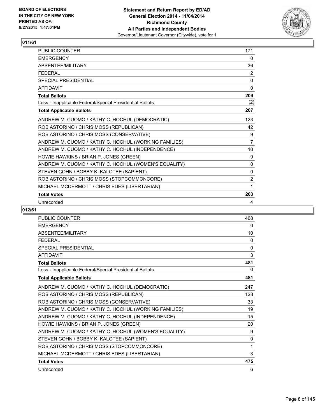

| PUBLIC COUNTER                                           | 171            |
|----------------------------------------------------------|----------------|
| <b>EMERGENCY</b>                                         | 0              |
| ABSENTEE/MILITARY                                        | 36             |
| <b>FEDERAL</b>                                           | 2              |
| <b>SPECIAL PRESIDENTIAL</b>                              | 0              |
| <b>AFFIDAVIT</b>                                         | $\Omega$       |
| <b>Total Ballots</b>                                     | 209            |
| Less - Inapplicable Federal/Special Presidential Ballots | (2)            |
| <b>Total Applicable Ballots</b>                          | 207            |
| ANDREW M. CUOMO / KATHY C. HOCHUL (DEMOCRATIC)           | 123            |
| ROB ASTORINO / CHRIS MOSS (REPUBLICAN)                   | 42             |
| ROB ASTORINO / CHRIS MOSS (CONSERVATIVE)                 | 9              |
| ANDREW M. CUOMO / KATHY C. HOCHUL (WORKING FAMILIES)     | $\overline{7}$ |
| ANDREW M. CUOMO / KATHY C. HOCHUL (INDEPENDENCE)         | 10             |
| HOWIE HAWKINS / BRIAN P. JONES (GREEN)                   | 9              |
| ANDREW M. CUOMO / KATHY C. HOCHUL (WOMEN'S EQUALITY)     | $\mathbf{0}$   |
| STEVEN COHN / BOBBY K. KALOTEE (SAPIENT)                 | 0              |
| ROB ASTORINO / CHRIS MOSS (STOPCOMMONCORE)               | 2              |
| MICHAEL MCDERMOTT / CHRIS EDES (LIBERTARIAN)             | 1              |
| <b>Total Votes</b>                                       | 203            |
| Unrecorded                                               | 4              |

| PUBLIC COUNTER                                           | 468      |
|----------------------------------------------------------|----------|
| <b>EMERGENCY</b>                                         | 0        |
| <b>ABSENTEE/MILITARY</b>                                 | 10       |
| <b>FEDERAL</b>                                           | $\Omega$ |
| <b>SPECIAL PRESIDENTIAL</b>                              | 0        |
| <b>AFFIDAVIT</b>                                         | 3        |
| <b>Total Ballots</b>                                     | 481      |
| Less - Inapplicable Federal/Special Presidential Ballots | 0        |
| <b>Total Applicable Ballots</b>                          | 481      |
| ANDREW M. CUOMO / KATHY C. HOCHUL (DEMOCRATIC)           | 247      |
| ROB ASTORINO / CHRIS MOSS (REPUBLICAN)                   | 128      |
| ROB ASTORINO / CHRIS MOSS (CONSERVATIVE)                 | 33       |
| ANDREW M. CUOMO / KATHY C. HOCHUL (WORKING FAMILIES)     | 19       |
| ANDREW M. CUOMO / KATHY C. HOCHUL (INDEPENDENCE)         | 15       |
| HOWIE HAWKINS / BRIAN P. JONES (GREEN)                   | 20       |
| ANDREW M. CUOMO / KATHY C. HOCHUL (WOMEN'S EQUALITY)     | 9        |
| STEVEN COHN / BOBBY K. KALOTEE (SAPIENT)                 | 0        |
| ROB ASTORINO / CHRIS MOSS (STOPCOMMONCORE)               | 1        |
| MICHAEL MCDERMOTT / CHRIS EDES (LIBERTARIAN)             | 3        |
| <b>Total Votes</b>                                       | 475      |
| Unrecorded                                               | 6        |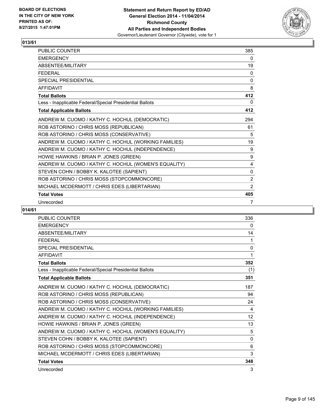

| <b>PUBLIC COUNTER</b>                                    | 385          |
|----------------------------------------------------------|--------------|
| <b>EMERGENCY</b>                                         | 0            |
| ABSENTEE/MILITARY                                        | 19           |
| <b>FEDERAL</b>                                           | 0            |
| <b>SPECIAL PRESIDENTIAL</b>                              | $\mathbf{0}$ |
| <b>AFFIDAVIT</b>                                         | 8            |
| <b>Total Ballots</b>                                     | 412          |
| Less - Inapplicable Federal/Special Presidential Ballots | 0            |
| <b>Total Applicable Ballots</b>                          | 412          |
| ANDREW M. CUOMO / KATHY C. HOCHUL (DEMOCRATIC)           | 294          |
| ROB ASTORINO / CHRIS MOSS (REPUBLICAN)                   | 61           |
| ROB ASTORINO / CHRIS MOSS (CONSERVATIVE)                 | 5            |
| ANDREW M. CUOMO / KATHY C. HOCHUL (WORKING FAMILIES)     | 19           |
| ANDREW M. CUOMO / KATHY C. HOCHUL (INDEPENDENCE)         | 9            |
| HOWIE HAWKINS / BRIAN P. JONES (GREEN)                   | 9            |
| ANDREW M. CUOMO / KATHY C. HOCHUL (WOMEN'S EQUALITY)     | 4            |
| STEVEN COHN / BOBBY K. KALOTEE (SAPIENT)                 | 0            |
| ROB ASTORINO / CHRIS MOSS (STOPCOMMONCORE)               | 2            |
| MICHAEL MCDERMOTT / CHRIS EDES (LIBERTARIAN)             | 2            |
| <b>Total Votes</b>                                       | 405          |
| Unrecorded                                               | 7            |

| <b>PUBLIC COUNTER</b>                                    | 336 |
|----------------------------------------------------------|-----|
| <b>EMERGENCY</b>                                         | 0   |
| ABSENTEE/MILITARY                                        | 14  |
| <b>FEDERAL</b>                                           | 1   |
| <b>SPECIAL PRESIDENTIAL</b>                              | 0   |
| <b>AFFIDAVIT</b>                                         | 1   |
| <b>Total Ballots</b>                                     | 352 |
| Less - Inapplicable Federal/Special Presidential Ballots | (1) |
| <b>Total Applicable Ballots</b>                          | 351 |
| ANDREW M. CUOMO / KATHY C. HOCHUL (DEMOCRATIC)           | 187 |
| ROB ASTORINO / CHRIS MOSS (REPUBLICAN)                   | 94  |
| ROB ASTORINO / CHRIS MOSS (CONSERVATIVE)                 | 24  |
| ANDREW M. CUOMO / KATHY C. HOCHUL (WORKING FAMILIES)     | 4   |
| ANDREW M. CUOMO / KATHY C. HOCHUL (INDEPENDENCE)         | 12  |
| HOWIE HAWKINS / BRIAN P. JONES (GREEN)                   | 13  |
| ANDREW M. CUOMO / KATHY C. HOCHUL (WOMEN'S EQUALITY)     | 5   |
| STEVEN COHN / BOBBY K. KALOTEE (SAPIENT)                 | 0   |
| ROB ASTORINO / CHRIS MOSS (STOPCOMMONCORE)               | 6   |
| MICHAEL MCDERMOTT / CHRIS EDES (LIBERTARIAN)             | 3   |
| <b>Total Votes</b>                                       | 348 |
| Unrecorded                                               | 3   |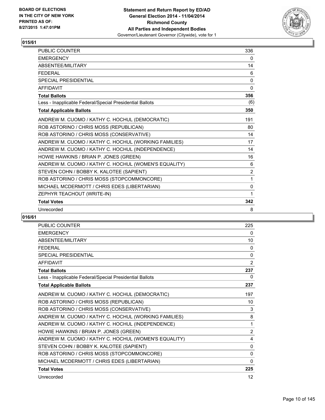

| <b>PUBLIC COUNTER</b>                                    | 336            |
|----------------------------------------------------------|----------------|
| <b>EMERGENCY</b>                                         | 0              |
| <b>ABSENTFF/MILITARY</b>                                 | 14             |
| <b>FFDFRAL</b>                                           | 6              |
| <b>SPECIAL PRESIDENTIAL</b>                              | 0              |
| <b>AFFIDAVIT</b>                                         | $\mathbf{0}$   |
| <b>Total Ballots</b>                                     | 356            |
| Less - Inapplicable Federal/Special Presidential Ballots | (6)            |
| <b>Total Applicable Ballots</b>                          | 350            |
| ANDREW M. CUOMO / KATHY C. HOCHUL (DEMOCRATIC)           | 191            |
| ROB ASTORINO / CHRIS MOSS (REPUBLICAN)                   | 80             |
| ROB ASTORINO / CHRIS MOSS (CONSERVATIVE)                 | 14             |
| ANDREW M. CUOMO / KATHY C. HOCHUL (WORKING FAMILIES)     | 17             |
| ANDREW M. CUOMO / KATHY C. HOCHUL (INDEPENDENCE)         | 14             |
| HOWIE HAWKINS / BRIAN P. JONES (GREEN)                   | 16             |
| ANDREW M. CUOMO / KATHY C. HOCHUL (WOMEN'S EQUALITY)     | 6              |
| STEVEN COHN / BOBBY K. KALOTEE (SAPIENT)                 | $\overline{2}$ |
| ROB ASTORINO / CHRIS MOSS (STOPCOMMONCORE)               | 1              |
| MICHAEL MCDERMOTT / CHRIS EDES (LIBERTARIAN)             | 0              |
| ZEPHYR TEACHOUT (WRITE-IN)                               | 1              |
| <b>Total Votes</b>                                       | 342            |
| Unrecorded                                               | 8              |

| PUBLIC COUNTER                                           | 225            |
|----------------------------------------------------------|----------------|
| <b>EMERGENCY</b>                                         | 0              |
| <b>ABSENTEE/MILITARY</b>                                 | 10             |
| <b>FFDFRAL</b>                                           | 0              |
| <b>SPECIAL PRESIDENTIAL</b>                              | 0              |
| <b>AFFIDAVIT</b>                                         | $\overline{2}$ |
| <b>Total Ballots</b>                                     | 237            |
| Less - Inapplicable Federal/Special Presidential Ballots | 0              |
| <b>Total Applicable Ballots</b>                          | 237            |
| ANDREW M. CUOMO / KATHY C. HOCHUL (DEMOCRATIC)           | 197            |
| ROB ASTORINO / CHRIS MOSS (REPUBLICAN)                   | 10             |
| ROB ASTORINO / CHRIS MOSS (CONSERVATIVE)                 | 3              |
| ANDREW M. CUOMO / KATHY C. HOCHUL (WORKING FAMILIES)     | 8              |
| ANDREW M. CUOMO / KATHY C. HOCHUL (INDEPENDENCE)         | 1              |
| HOWIE HAWKINS / BRIAN P. JONES (GREEN)                   | 2              |
| ANDREW M. CUOMO / KATHY C. HOCHUL (WOMEN'S EQUALITY)     | 4              |
| STEVEN COHN / BOBBY K. KALOTEE (SAPIENT)                 | 0              |
| ROB ASTORINO / CHRIS MOSS (STOPCOMMONCORE)               | 0              |
| MICHAEL MCDERMOTT / CHRIS EDES (LIBERTARIAN)             | $\mathbf{0}$   |
| <b>Total Votes</b>                                       | 225            |
| Unrecorded                                               | 12             |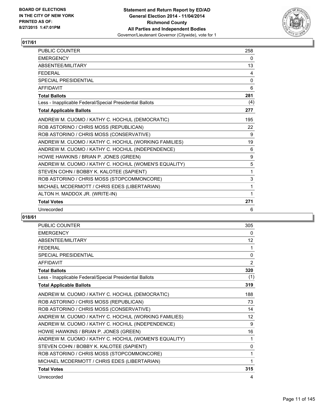

| PUBLIC COUNTER                                           | 258 |
|----------------------------------------------------------|-----|
| <b>FMFRGFNCY</b>                                         | 0   |
| ABSENTEE/MILITARY                                        | 13  |
| <b>FEDERAL</b>                                           | 4   |
| <b>SPECIAL PRESIDENTIAL</b>                              | 0   |
| <b>AFFIDAVIT</b>                                         | 6   |
| <b>Total Ballots</b>                                     | 281 |
| Less - Inapplicable Federal/Special Presidential Ballots | (4) |
| <b>Total Applicable Ballots</b>                          | 277 |
| ANDREW M. CUOMO / KATHY C. HOCHUL (DEMOCRATIC)           | 195 |
| ROB ASTORINO / CHRIS MOSS (REPUBLICAN)                   | 22  |
| ROB ASTORINO / CHRIS MOSS (CONSERVATIVE)                 | 9   |
| ANDREW M. CUOMO / KATHY C. HOCHUL (WORKING FAMILIES)     | 19  |
| ANDREW M. CUOMO / KATHY C. HOCHUL (INDEPENDENCE)         | 6   |
| HOWIE HAWKINS / BRIAN P. JONES (GREEN)                   | 9   |
| ANDREW M. CUOMO / KATHY C. HOCHUL (WOMEN'S EQUALITY)     | 5   |
| STEVEN COHN / BOBBY K. KALOTEE (SAPIENT)                 | 1   |
| ROB ASTORINO / CHRIS MOSS (STOPCOMMONCORE)               | 3   |
| MICHAEL MCDERMOTT / CHRIS EDES (LIBERTARIAN)             | 1   |
| ALTON H. MADDOX JR. (WRITE-IN)                           | 1   |
| <b>Total Votes</b>                                       | 271 |
| Unrecorded                                               | 6   |

| PUBLIC COUNTER                                           | 305            |
|----------------------------------------------------------|----------------|
| <b>EMERGENCY</b>                                         | 0              |
| <b>ABSENTEE/MILITARY</b>                                 | 12             |
| <b>FFDFRAL</b>                                           | 1              |
| <b>SPECIAL PRESIDENTIAL</b>                              | 0              |
| <b>AFFIDAVIT</b>                                         | $\overline{2}$ |
| <b>Total Ballots</b>                                     | 320            |
| Less - Inapplicable Federal/Special Presidential Ballots | (1)            |
| <b>Total Applicable Ballots</b>                          | 319            |
| ANDREW M. CUOMO / KATHY C. HOCHUL (DEMOCRATIC)           | 188            |
| ROB ASTORINO / CHRIS MOSS (REPUBLICAN)                   | 73             |
| ROB ASTORINO / CHRIS MOSS (CONSERVATIVE)                 | 14             |
| ANDREW M. CUOMO / KATHY C. HOCHUL (WORKING FAMILIES)     | 12             |
| ANDREW M. CUOMO / KATHY C. HOCHUL (INDEPENDENCE)         | 9              |
| HOWIE HAWKINS / BRIAN P. JONES (GREEN)                   | 16             |
| ANDREW M. CUOMO / KATHY C. HOCHUL (WOMEN'S EQUALITY)     | 1              |
| STEVEN COHN / BOBBY K. KALOTEE (SAPIENT)                 | 0              |
| ROB ASTORINO / CHRIS MOSS (STOPCOMMONCORE)               | 1              |
| MICHAEL MCDERMOTT / CHRIS EDES (LIBERTARIAN)             | 1              |
| <b>Total Votes</b>                                       | 315            |
| Unrecorded                                               | 4              |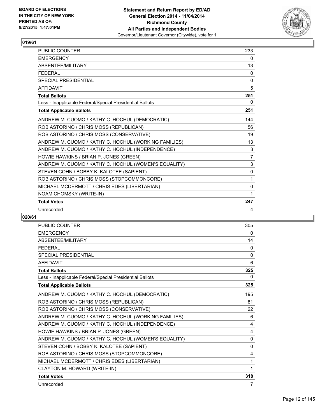

| PUBLIC COUNTER                                           | 233            |
|----------------------------------------------------------|----------------|
| <b>EMERGENCY</b>                                         | 0              |
| <b>ABSENTFF/MILITARY</b>                                 | 13             |
| <b>FFDFRAL</b>                                           | 0              |
| <b>SPECIAL PRESIDENTIAL</b>                              | 0              |
| <b>AFFIDAVIT</b>                                         | 5              |
| <b>Total Ballots</b>                                     | 251            |
| Less - Inapplicable Federal/Special Presidential Ballots | 0              |
| <b>Total Applicable Ballots</b>                          | 251            |
| ANDREW M. CUOMO / KATHY C. HOCHUL (DEMOCRATIC)           | 144            |
| ROB ASTORINO / CHRIS MOSS (REPUBLICAN)                   | 56             |
| ROB ASTORINO / CHRIS MOSS (CONSERVATIVE)                 | 19             |
| ANDREW M. CUOMO / KATHY C. HOCHUL (WORKING FAMILIES)     | 13             |
| ANDREW M. CUOMO / KATHY C. HOCHUL (INDEPENDENCE)         | 3              |
| HOWIE HAWKINS / BRIAN P. JONES (GREEN)                   | $\overline{7}$ |
| ANDREW M. CUOMO / KATHY C. HOCHUL (WOMEN'S EQUALITY)     | 3              |
| STEVEN COHN / BOBBY K. KALOTEE (SAPIENT)                 | $\Omega$       |
| ROB ASTORINO / CHRIS MOSS (STOPCOMMONCORE)               | 1              |
| MICHAEL MCDERMOTT / CHRIS EDES (LIBERTARIAN)             | 0              |
| NOAM CHOMSKY (WRITE-IN)                                  | 1              |
| <b>Total Votes</b>                                       | 247            |
| Unrecorded                                               | 4              |

| <b>PUBLIC COUNTER</b>                                    | 305          |
|----------------------------------------------------------|--------------|
| <b>EMERGENCY</b>                                         | 0            |
| ABSENTEE/MILITARY                                        | 14           |
| <b>FEDERAL</b>                                           | 0            |
| <b>SPECIAL PRESIDENTIAL</b>                              | $\mathbf{0}$ |
| <b>AFFIDAVIT</b>                                         | 6            |
| <b>Total Ballots</b>                                     | 325          |
| Less - Inapplicable Federal/Special Presidential Ballots | $\Omega$     |
| <b>Total Applicable Ballots</b>                          | 325          |
| ANDREW M. CUOMO / KATHY C. HOCHUL (DEMOCRATIC)           | 195          |
| ROB ASTORINO / CHRIS MOSS (REPUBLICAN)                   | 81           |
| ROB ASTORINO / CHRIS MOSS (CONSERVATIVE)                 | 22           |
| ANDREW M. CUOMO / KATHY C. HOCHUL (WORKING FAMILIES)     | 6            |
| ANDREW M. CUOMO / KATHY C. HOCHUL (INDEPENDENCE)         | 4            |
| HOWIE HAWKINS / BRIAN P. JONES (GREEN)                   | 4            |
| ANDREW M. CUOMO / KATHY C. HOCHUL (WOMEN'S EQUALITY)     | $\mathbf{0}$ |
| STEVEN COHN / BOBBY K. KALOTEE (SAPIENT)                 | 0            |
| ROB ASTORINO / CHRIS MOSS (STOPCOMMONCORE)               | 4            |
| MICHAEL MCDERMOTT / CHRIS EDES (LIBERTARIAN)             | 1            |
| CLAYTON M. HOWARD (WRITE-IN)                             | 1            |
| <b>Total Votes</b>                                       | 318          |
| Unrecorded                                               | 7            |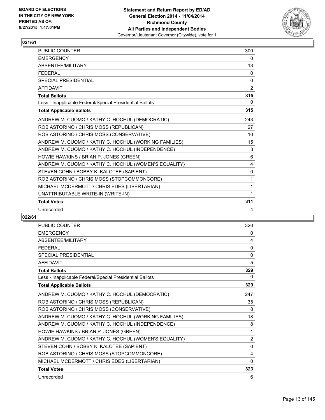

| <b>PUBLIC COUNTER</b>                                    | 300            |
|----------------------------------------------------------|----------------|
| <b>FMFRGFNCY</b>                                         | 0              |
| ABSENTEE/MILITARY                                        | 13             |
| <b>FEDERAL</b>                                           | 0              |
| <b>SPECIAL PRESIDENTIAL</b>                              | $\Omega$       |
| <b>AFFIDAVIT</b>                                         | $\overline{2}$ |
| <b>Total Ballots</b>                                     | 315            |
| Less - Inapplicable Federal/Special Presidential Ballots | 0              |
| <b>Total Applicable Ballots</b>                          | 315            |
| ANDREW M. CUOMO / KATHY C. HOCHUL (DEMOCRATIC)           | 243            |
| ROB ASTORINO / CHRIS MOSS (REPUBLICAN)                   | 27             |
| ROB ASTORINO / CHRIS MOSS (CONSERVATIVE)                 | 10             |
| ANDREW M. CUOMO / KATHY C. HOCHUL (WORKING FAMILIES)     | 15             |
| ANDREW M. CUOMO / KATHY C. HOCHUL (INDEPENDENCE)         | 3              |
| HOWIE HAWKINS / BRIAN P. JONES (GREEN)                   | 6              |
| ANDREW M. CUOMO / KATHY C. HOCHUL (WOMEN'S EQUALITY)     | 4              |
| STEVEN COHN / BOBBY K. KALOTEE (SAPIENT)                 | 0              |
| ROB ASTORINO / CHRIS MOSS (STOPCOMMONCORE)               | 1              |
| MICHAEL MCDERMOTT / CHRIS EDES (LIBERTARIAN)             | 1              |
| UNATTRIBUTABLE WRITE-IN (WRITE-IN)                       | 1              |
| <b>Total Votes</b>                                       | 311            |
| Unrecorded                                               | 4              |

| <b>PUBLIC COUNTER</b>                                    | 320          |
|----------------------------------------------------------|--------------|
| <b>EMERGENCY</b>                                         | 0            |
| <b>ABSENTEE/MILITARY</b>                                 | 4            |
| <b>FFDFRAL</b>                                           | 0            |
| <b>SPECIAL PRESIDENTIAL</b>                              | $\mathbf{0}$ |
| <b>AFFIDAVIT</b>                                         | 5            |
| <b>Total Ballots</b>                                     | 329          |
| Less - Inapplicable Federal/Special Presidential Ballots | 0            |
| <b>Total Applicable Ballots</b>                          | 329          |
| ANDREW M. CUOMO / KATHY C. HOCHUL (DEMOCRATIC)           | 247          |
| ROB ASTORINO / CHRIS MOSS (REPUBLICAN)                   | 35           |
| ROB ASTORINO / CHRIS MOSS (CONSERVATIVE)                 | 8            |
| ANDREW M. CUOMO / KATHY C. HOCHUL (WORKING FAMILIES)     | 18           |
| ANDREW M. CUOMO / KATHY C. HOCHUL (INDEPENDENCE)         | 8            |
| HOWIE HAWKINS / BRIAN P. JONES (GREEN)                   | 1            |
| ANDREW M. CUOMO / KATHY C. HOCHUL (WOMEN'S EQUALITY)     | 2            |
| STEVEN COHN / BOBBY K. KALOTEE (SAPIENT)                 | $\mathbf{0}$ |
| ROB ASTORINO / CHRIS MOSS (STOPCOMMONCORE)               | 4            |
| MICHAEL MCDERMOTT / CHRIS EDES (LIBERTARIAN)             | $\Omega$     |
| <b>Total Votes</b>                                       | 323          |
| Unrecorded                                               | 6            |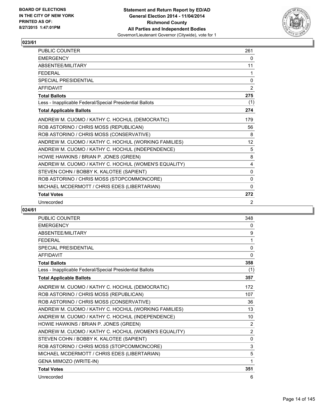

| <b>PUBLIC COUNTER</b>                                    | 261          |
|----------------------------------------------------------|--------------|
| <b>EMERGENCY</b>                                         | 0            |
| ABSENTEE/MILITARY                                        | 11           |
| <b>FEDERAL</b>                                           | 1            |
| <b>SPECIAL PRESIDENTIAL</b>                              | 0            |
| <b>AFFIDAVIT</b>                                         | 2            |
| <b>Total Ballots</b>                                     | 275          |
| Less - Inapplicable Federal/Special Presidential Ballots | (1)          |
| <b>Total Applicable Ballots</b>                          | 274          |
| ANDREW M. CUOMO / KATHY C. HOCHUL (DEMOCRATIC)           | 179          |
| ROB ASTORINO / CHRIS MOSS (REPUBLICAN)                   | 56           |
| ROB ASTORINO / CHRIS MOSS (CONSERVATIVE)                 | 8            |
| ANDREW M. CUOMO / KATHY C. HOCHUL (WORKING FAMILIES)     | 12           |
| ANDREW M. CUOMO / KATHY C. HOCHUL (INDEPENDENCE)         | 5            |
| HOWIE HAWKINS / BRIAN P. JONES (GREEN)                   | 8            |
| ANDREW M. CUOMO / KATHY C. HOCHUL (WOMEN'S EQUALITY)     | 4            |
| STEVEN COHN / BOBBY K. KALOTEE (SAPIENT)                 | $\mathbf{0}$ |
| ROB ASTORINO / CHRIS MOSS (STOPCOMMONCORE)               | $\Omega$     |
| MICHAEL MCDERMOTT / CHRIS EDES (LIBERTARIAN)             | $\Omega$     |
| <b>Total Votes</b>                                       | 272          |
| Unrecorded                                               | 2            |

| <b>PUBLIC COUNTER</b>                                    | 348            |
|----------------------------------------------------------|----------------|
| <b>EMERGENCY</b>                                         | $\mathbf{0}$   |
| <b>ABSENTEF/MILITARY</b>                                 | 9              |
| <b>FEDERAL</b>                                           | 1              |
| <b>SPECIAL PRESIDENTIAL</b>                              | $\mathbf{0}$   |
| <b>AFFIDAVIT</b>                                         | 0              |
| <b>Total Ballots</b>                                     | 358            |
| Less - Inapplicable Federal/Special Presidential Ballots | (1)            |
| <b>Total Applicable Ballots</b>                          | 357            |
| ANDREW M. CUOMO / KATHY C. HOCHUL (DEMOCRATIC)           | 172            |
| ROB ASTORINO / CHRIS MOSS (REPUBLICAN)                   | 107            |
| ROB ASTORINO / CHRIS MOSS (CONSERVATIVE)                 | 36             |
| ANDREW M. CUOMO / KATHY C. HOCHUL (WORKING FAMILIES)     | 13             |
| ANDREW M. CUOMO / KATHY C. HOCHUL (INDEPENDENCE)         | 10             |
| HOWIE HAWKINS / BRIAN P. JONES (GREEN)                   | $\overline{2}$ |
| ANDREW M. CUOMO / KATHY C. HOCHUL (WOMEN'S EQUALITY)     | $\overline{2}$ |
| STEVEN COHN / BOBBY K. KALOTEE (SAPIENT)                 | 0              |
| ROB ASTORINO / CHRIS MOSS (STOPCOMMONCORE)               | 3              |
| MICHAEL MCDERMOTT / CHRIS EDES (LIBERTARIAN)             | 5              |
| GENA MIMOZO (WRITE-IN)                                   | 1              |
| <b>Total Votes</b>                                       | 351            |
| Unrecorded                                               | 6              |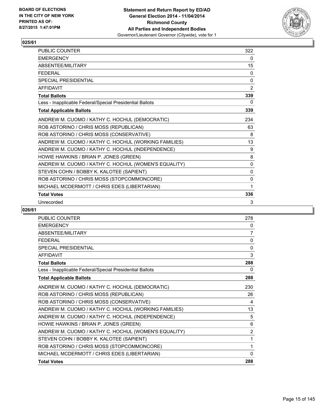

| <b>PUBLIC COUNTER</b>                                    | 322          |
|----------------------------------------------------------|--------------|
| <b>EMERGENCY</b>                                         | 0            |
| ABSENTEE/MILITARY                                        | 15           |
| <b>FEDERAL</b>                                           | 0            |
| <b>SPECIAL PRESIDENTIAL</b>                              | $\mathbf{0}$ |
| <b>AFFIDAVIT</b>                                         | 2            |
| <b>Total Ballots</b>                                     | 339          |
| Less - Inapplicable Federal/Special Presidential Ballots | 0            |
| <b>Total Applicable Ballots</b>                          | 339          |
| ANDREW M. CUOMO / KATHY C. HOCHUL (DEMOCRATIC)           | 234          |
| ROB ASTORINO / CHRIS MOSS (REPUBLICAN)                   | 63           |
| ROB ASTORINO / CHRIS MOSS (CONSERVATIVE)                 | 8            |
| ANDREW M. CUOMO / KATHY C. HOCHUL (WORKING FAMILIES)     | 13           |
| ANDREW M. CUOMO / KATHY C. HOCHUL (INDEPENDENCE)         | 9            |
| HOWIE HAWKINS / BRIAN P. JONES (GREEN)                   | 8            |
| ANDREW M. CUOMO / KATHY C. HOCHUL (WOMEN'S EQUALITY)     | $\mathbf{0}$ |
| STEVEN COHN / BOBBY K. KALOTEE (SAPIENT)                 | 0            |
| ROB ASTORINO / CHRIS MOSS (STOPCOMMONCORE)               | 0            |
| MICHAEL MCDERMOTT / CHRIS EDES (LIBERTARIAN)             | 1            |
| <b>Total Votes</b>                                       | 336          |
| Unrecorded                                               | 3            |

| PUBLIC COUNTER                                           | 278            |
|----------------------------------------------------------|----------------|
| <b>EMERGENCY</b>                                         | 0              |
| <b>ABSENTEE/MILITARY</b>                                 | 7              |
| <b>FEDERAL</b>                                           | 0              |
| SPECIAL PRESIDENTIAL                                     | 0              |
| <b>AFFIDAVIT</b>                                         | 3              |
| <b>Total Ballots</b>                                     | 288            |
| Less - Inapplicable Federal/Special Presidential Ballots | 0              |
| <b>Total Applicable Ballots</b>                          | 288            |
| ANDREW M. CUOMO / KATHY C. HOCHUL (DEMOCRATIC)           | 230            |
| ROB ASTORINO / CHRIS MOSS (REPUBLICAN)                   | 26             |
| ROB ASTORINO / CHRIS MOSS (CONSERVATIVE)                 | 4              |
| ANDREW M. CUOMO / KATHY C. HOCHUL (WORKING FAMILIES)     | 13             |
| ANDREW M. CUOMO / KATHY C. HOCHUL (INDEPENDENCE)         | 5              |
| HOWIE HAWKINS / BRIAN P. JONES (GREEN)                   | 6              |
| ANDREW M. CUOMO / KATHY C. HOCHUL (WOMEN'S EQUALITY)     | $\overline{2}$ |
| STEVEN COHN / BOBBY K. KALOTEE (SAPIENT)                 | 1              |
| ROB ASTORINO / CHRIS MOSS (STOPCOMMONCORE)               | 1              |
| MICHAEL MCDERMOTT / CHRIS EDES (LIBERTARIAN)             | $\mathbf{0}$   |
| <b>Total Votes</b>                                       | 288            |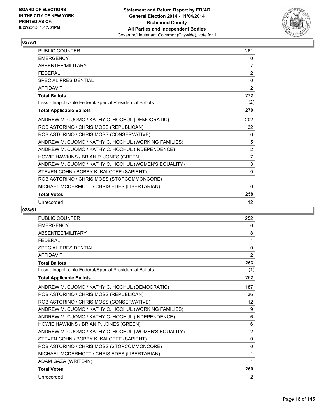

| PUBLIC COUNTER                                           | 261            |
|----------------------------------------------------------|----------------|
| <b>EMERGENCY</b>                                         | 0              |
| ABSENTEE/MILITARY                                        | 7              |
| <b>FEDERAL</b>                                           | $\overline{2}$ |
| <b>SPECIAL PRESIDENTIAL</b>                              | 0              |
| <b>AFFIDAVIT</b>                                         | 2              |
| <b>Total Ballots</b>                                     | 272            |
| Less - Inapplicable Federal/Special Presidential Ballots | (2)            |
| <b>Total Applicable Ballots</b>                          | 270            |
| ANDREW M. CUOMO / KATHY C. HOCHUL (DEMOCRATIC)           | 202            |
| ROB ASTORINO / CHRIS MOSS (REPUBLICAN)                   | 32             |
| ROB ASTORINO / CHRIS MOSS (CONSERVATIVE)                 | 6              |
| ANDREW M. CUOMO / KATHY C. HOCHUL (WORKING FAMILIES)     | 5              |
| ANDREW M. CUOMO / KATHY C. HOCHUL (INDEPENDENCE)         | 2              |
| HOWIE HAWKINS / BRIAN P. JONES (GREEN)                   | $\overline{7}$ |
| ANDREW M. CUOMO / KATHY C. HOCHUL (WOMEN'S EQUALITY)     | 3              |
| STEVEN COHN / BOBBY K. KALOTEE (SAPIENT)                 | 0              |
| ROB ASTORINO / CHRIS MOSS (STOPCOMMONCORE)               | 1              |
| MICHAEL MCDERMOTT / CHRIS EDES (LIBERTARIAN)             | $\mathbf{0}$   |
| <b>Total Votes</b>                                       | 258            |
| Unrecorded                                               | 12             |

| <b>PUBLIC COUNTER</b>                                    | 252            |
|----------------------------------------------------------|----------------|
| <b>EMERGENCY</b>                                         | 0              |
| <b>ABSENTEF/MILITARY</b>                                 | 8              |
| <b>FEDERAL</b>                                           | 1              |
| <b>SPECIAL PRESIDENTIAL</b>                              | $\mathbf{0}$   |
| <b>AFFIDAVIT</b>                                         | $\overline{2}$ |
| <b>Total Ballots</b>                                     | 263            |
| Less - Inapplicable Federal/Special Presidential Ballots | (1)            |
| <b>Total Applicable Ballots</b>                          | 262            |
| ANDREW M. CUOMO / KATHY C. HOCHUL (DEMOCRATIC)           | 187            |
| ROB ASTORINO / CHRIS MOSS (REPUBLICAN)                   | 36             |
| ROB ASTORINO / CHRIS MOSS (CONSERVATIVE)                 | 12             |
| ANDREW M. CUOMO / KATHY C. HOCHUL (WORKING FAMILIES)     | 9              |
| ANDREW M. CUOMO / KATHY C. HOCHUL (INDEPENDENCE)         | 6              |
| HOWIE HAWKINS / BRIAN P. JONES (GREEN)                   | 6              |
| ANDREW M. CUOMO / KATHY C. HOCHUL (WOMEN'S EQUALITY)     | $\overline{2}$ |
| STEVEN COHN / BOBBY K. KALOTEE (SAPIENT)                 | 0              |
| ROB ASTORINO / CHRIS MOSS (STOPCOMMONCORE)               | 0              |
| MICHAEL MCDERMOTT / CHRIS EDES (LIBERTARIAN)             | 1              |
| ADAM GAZA (WRITE-IN)                                     | 1              |
| <b>Total Votes</b>                                       | 260            |
| Unrecorded                                               | 2              |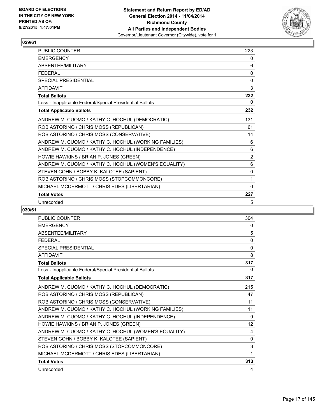

| PUBLIC COUNTER                                           | 223            |
|----------------------------------------------------------|----------------|
| <b>EMERGENCY</b>                                         | 0              |
| ABSENTEE/MILITARY                                        | 6              |
| <b>FEDERAL</b>                                           | 0              |
| <b>SPECIAL PRESIDENTIAL</b>                              | 0              |
| <b>AFFIDAVIT</b>                                         | 3              |
| <b>Total Ballots</b>                                     | 232            |
| Less - Inapplicable Federal/Special Presidential Ballots | 0              |
| <b>Total Applicable Ballots</b>                          | 232            |
| ANDREW M. CUOMO / KATHY C. HOCHUL (DEMOCRATIC)           | 131            |
| ROB ASTORINO / CHRIS MOSS (REPUBLICAN)                   | 61             |
| ROB ASTORINO / CHRIS MOSS (CONSERVATIVE)                 | 14             |
| ANDREW M. CUOMO / KATHY C. HOCHUL (WORKING FAMILIES)     | 6              |
| ANDREW M. CUOMO / KATHY C. HOCHUL (INDEPENDENCE)         | 6              |
| HOWIE HAWKINS / BRIAN P. JONES (GREEN)                   | $\overline{2}$ |
| ANDREW M. CUOMO / KATHY C. HOCHUL (WOMEN'S EQUALITY)     | 6              |
| STEVEN COHN / BOBBY K. KALOTEE (SAPIENT)                 | $\mathbf{0}$   |
| ROB ASTORINO / CHRIS MOSS (STOPCOMMONCORE)               | 1              |
| MICHAEL MCDERMOTT / CHRIS EDES (LIBERTARIAN)             | $\mathbf{0}$   |
| <b>Total Votes</b>                                       | 227            |
| Unrecorded                                               | 5              |

| <b>PUBLIC COUNTER</b>                                    | 304             |
|----------------------------------------------------------|-----------------|
| <b>EMERGENCY</b>                                         | 0               |
| ABSENTEE/MILITARY                                        | 5               |
| <b>FFDFRAL</b>                                           | 0               |
| <b>SPECIAL PRESIDENTIAL</b>                              | 0               |
| <b>AFFIDAVIT</b>                                         | 8               |
| <b>Total Ballots</b>                                     | 317             |
| Less - Inapplicable Federal/Special Presidential Ballots | 0               |
| <b>Total Applicable Ballots</b>                          | 317             |
| ANDREW M. CUOMO / KATHY C. HOCHUL (DEMOCRATIC)           | 215             |
| ROB ASTORINO / CHRIS MOSS (REPUBLICAN)                   | 47              |
| ROB ASTORINO / CHRIS MOSS (CONSERVATIVE)                 | 11              |
| ANDREW M. CUOMO / KATHY C. HOCHUL (WORKING FAMILIES)     | 11              |
| ANDREW M. CUOMO / KATHY C. HOCHUL (INDEPENDENCE)         | 9               |
| HOWIE HAWKINS / BRIAN P. JONES (GREEN)                   | 12 <sup>°</sup> |
| ANDREW M. CUOMO / KATHY C. HOCHUL (WOMEN'S EQUALITY)     | 4               |
| STEVEN COHN / BOBBY K. KALOTEE (SAPIENT)                 | 0               |
| ROB ASTORINO / CHRIS MOSS (STOPCOMMONCORE)               | 3               |
| MICHAEL MCDERMOTT / CHRIS EDES (LIBERTARIAN)             | 1               |
| <b>Total Votes</b>                                       | 313             |
| Unrecorded                                               | 4               |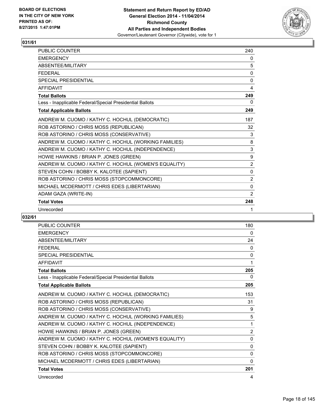

| <b>PUBLIC COUNTER</b>                                    | 240            |
|----------------------------------------------------------|----------------|
| <b>FMFRGFNCY</b>                                         | 0              |
| ABSENTEE/MILITARY                                        | 5              |
| <b>FEDERAL</b>                                           | $\mathbf{0}$   |
| <b>SPECIAL PRESIDENTIAL</b>                              | $\Omega$       |
| <b>AFFIDAVIT</b>                                         | 4              |
| <b>Total Ballots</b>                                     | 249            |
| Less - Inapplicable Federal/Special Presidential Ballots | 0              |
| <b>Total Applicable Ballots</b>                          | 249            |
| ANDREW M. CUOMO / KATHY C. HOCHUL (DEMOCRATIC)           | 187            |
| ROB ASTORINO / CHRIS MOSS (REPUBLICAN)                   | 32             |
| ROB ASTORINO / CHRIS MOSS (CONSERVATIVE)                 | 3              |
| ANDREW M. CUOMO / KATHY C. HOCHUL (WORKING FAMILIES)     | 8              |
| ANDREW M. CUOMO / KATHY C. HOCHUL (INDEPENDENCE)         | 3              |
| HOWIE HAWKINS / BRIAN P. JONES (GREEN)                   | 9              |
| ANDREW M. CUOMO / KATHY C. HOCHUL (WOMEN'S EQUALITY)     | $\overline{2}$ |
| STEVEN COHN / BOBBY K. KALOTEE (SAPIENT)                 | $\mathbf{0}$   |
| ROB ASTORINO / CHRIS MOSS (STOPCOMMONCORE)               | 2              |
| MICHAEL MCDERMOTT / CHRIS EDES (LIBERTARIAN)             | 0              |
| ADAM GAZA (WRITE-IN)                                     | 2              |
| <b>Total Votes</b>                                       | 248            |
| Unrecorded                                               | 1              |

| <b>PUBLIC COUNTER</b>                                    | 180            |
|----------------------------------------------------------|----------------|
| <b>EMERGENCY</b>                                         | 0              |
| ABSENTEE/MILITARY                                        | 24             |
| <b>FEDERAL</b>                                           | 0              |
| <b>SPECIAL PRESIDENTIAL</b>                              | $\mathbf{0}$   |
| <b>AFFIDAVIT</b>                                         | 1              |
| <b>Total Ballots</b>                                     | 205            |
| Less - Inapplicable Federal/Special Presidential Ballots | 0              |
| <b>Total Applicable Ballots</b>                          | 205            |
| ANDREW M. CUOMO / KATHY C. HOCHUL (DEMOCRATIC)           | 153            |
| ROB ASTORINO / CHRIS MOSS (REPUBLICAN)                   | 31             |
| ROB ASTORINO / CHRIS MOSS (CONSERVATIVE)                 | 9              |
| ANDREW M. CUOMO / KATHY C. HOCHUL (WORKING FAMILIES)     | 5              |
| ANDREW M. CUOMO / KATHY C. HOCHUL (INDEPENDENCE)         | 1              |
| HOWIE HAWKINS / BRIAN P. JONES (GREEN)                   | $\overline{2}$ |
| ANDREW M. CUOMO / KATHY C. HOCHUL (WOMEN'S EQUALITY)     | $\mathbf{0}$   |
| STEVEN COHN / BOBBY K. KALOTEE (SAPIENT)                 | $\mathbf{0}$   |
| ROB ASTORINO / CHRIS MOSS (STOPCOMMONCORE)               | $\mathbf{0}$   |
| MICHAEL MCDERMOTT / CHRIS EDES (LIBERTARIAN)             | $\mathbf{0}$   |
| <b>Total Votes</b>                                       | 201            |
| Unrecorded                                               | 4              |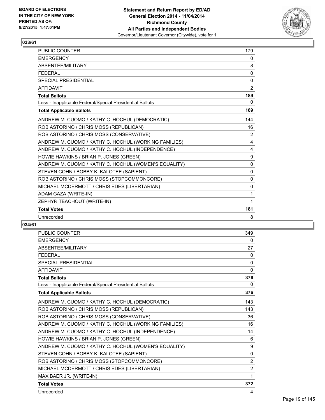

| <b>PUBLIC COUNTER</b>                                    | 179            |
|----------------------------------------------------------|----------------|
| <b>EMERGENCY</b>                                         | 0              |
| ABSENTEE/MILITARY                                        | 8              |
| <b>FEDERAL</b>                                           | 0              |
| <b>SPECIAL PRESIDENTIAL</b>                              | $\mathbf{0}$   |
| <b>AFFIDAVIT</b>                                         | 2              |
| <b>Total Ballots</b>                                     | 189            |
| Less - Inapplicable Federal/Special Presidential Ballots | $\Omega$       |
| <b>Total Applicable Ballots</b>                          | 189            |
| ANDREW M. CUOMO / KATHY C. HOCHUL (DEMOCRATIC)           | 144            |
| ROB ASTORINO / CHRIS MOSS (REPUBLICAN)                   | 16             |
| ROB ASTORINO / CHRIS MOSS (CONSERVATIVE)                 | $\overline{2}$ |
| ANDREW M. CUOMO / KATHY C. HOCHUL (WORKING FAMILIES)     | 4              |
| ANDREW M. CUOMO / KATHY C. HOCHUL (INDEPENDENCE)         | 4              |
| HOWIE HAWKINS / BRIAN P. JONES (GREEN)                   | 9              |
| ANDREW M. CUOMO / KATHY C. HOCHUL (WOMEN'S EQUALITY)     | $\Omega$       |
| STEVEN COHN / BOBBY K. KALOTEE (SAPIENT)                 | 0              |
| ROB ASTORINO / CHRIS MOSS (STOPCOMMONCORE)               | 0              |
| MICHAEL MCDERMOTT / CHRIS EDES (LIBERTARIAN)             | $\mathbf{0}$   |
| ADAM GAZA (WRITE-IN)                                     | 1              |
| ZEPHYR TEACHOUT (WRITE-IN)                               | 1              |
| <b>Total Votes</b>                                       | 181            |
| Unrecorded                                               | 8              |

| <b>PUBLIC COUNTER</b>                                    | 349            |
|----------------------------------------------------------|----------------|
| <b>EMERGENCY</b>                                         | 0              |
| ABSENTEE/MILITARY                                        | 27             |
| <b>FEDERAL</b>                                           | $\Omega$       |
| <b>SPECIAL PRESIDENTIAL</b>                              | $\mathbf{0}$   |
| <b>AFFIDAVIT</b>                                         | $\mathbf{0}$   |
| <b>Total Ballots</b>                                     | 376            |
| Less - Inapplicable Federal/Special Presidential Ballots | 0              |
| <b>Total Applicable Ballots</b>                          | 376            |
| ANDREW M. CUOMO / KATHY C. HOCHUL (DEMOCRATIC)           | 143            |
| ROB ASTORINO / CHRIS MOSS (REPUBLICAN)                   | 143            |
| ROB ASTORINO / CHRIS MOSS (CONSERVATIVE)                 | 36             |
| ANDREW M. CUOMO / KATHY C. HOCHUL (WORKING FAMILIES)     | 16             |
| ANDREW M. CUOMO / KATHY C. HOCHUL (INDEPENDENCE)         | 14             |
| HOWIE HAWKINS / BRIAN P. JONES (GREEN)                   | 6              |
| ANDREW M. CUOMO / KATHY C. HOCHUL (WOMEN'S EQUALITY)     | 9              |
| STEVEN COHN / BOBBY K. KALOTEE (SAPIENT)                 | $\mathbf{0}$   |
| ROB ASTORINO / CHRIS MOSS (STOPCOMMONCORE)               | $\overline{2}$ |
| MICHAEL MCDERMOTT / CHRIS EDES (LIBERTARIAN)             | $\overline{2}$ |
| MAX BAER JR. (WRITE-IN)                                  | 1              |
| <b>Total Votes</b>                                       | 372            |
| Unrecorded                                               | 4              |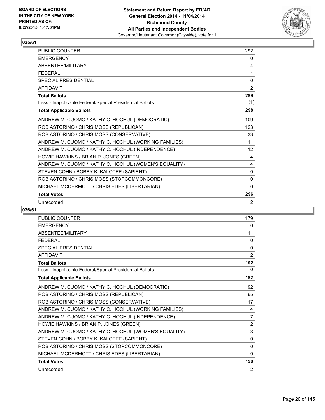

| <b>PUBLIC COUNTER</b>                                    | 292               |
|----------------------------------------------------------|-------------------|
| <b>EMERGENCY</b>                                         | 0                 |
| ABSENTEE/MILITARY                                        | 4                 |
| <b>FEDERAL</b>                                           | 1                 |
| <b>SPECIAL PRESIDENTIAL</b>                              | $\mathbf 0$       |
| <b>AFFIDAVIT</b>                                         | 2                 |
| <b>Total Ballots</b>                                     | 299               |
| Less - Inapplicable Federal/Special Presidential Ballots | (1)               |
| <b>Total Applicable Ballots</b>                          | 298               |
| ANDREW M. CUOMO / KATHY C. HOCHUL (DEMOCRATIC)           | 109               |
| ROB ASTORINO / CHRIS MOSS (REPUBLICAN)                   | 123               |
| ROB ASTORINO / CHRIS MOSS (CONSERVATIVE)                 | 33                |
| ANDREW M. CUOMO / KATHY C. HOCHUL (WORKING FAMILIES)     | 11                |
| ANDREW M. CUOMO / KATHY C. HOCHUL (INDEPENDENCE)         | $12 \overline{ }$ |
| HOWIE HAWKINS / BRIAN P. JONES (GREEN)                   | 4                 |
| ANDREW M. CUOMO / KATHY C. HOCHUL (WOMEN'S EQUALITY)     | 4                 |
| STEVEN COHN / BOBBY K. KALOTEE (SAPIENT)                 | 0                 |
| ROB ASTORINO / CHRIS MOSS (STOPCOMMONCORE)               | 0                 |
| MICHAEL MCDERMOTT / CHRIS EDES (LIBERTARIAN)             | $\mathbf{0}$      |
| <b>Total Votes</b>                                       | 296               |
| Unrecorded                                               | 2                 |

| <b>PUBLIC COUNTER</b>                                    | 179            |
|----------------------------------------------------------|----------------|
| <b>EMERGENCY</b>                                         | 0              |
| ABSENTEE/MILITARY                                        | 11             |
| <b>FFDFRAL</b>                                           | 0              |
| <b>SPECIAL PRESIDENTIAL</b>                              | 0              |
| <b>AFFIDAVIT</b>                                         | 2              |
| <b>Total Ballots</b>                                     | 192            |
| Less - Inapplicable Federal/Special Presidential Ballots | 0              |
| <b>Total Applicable Ballots</b>                          | 192            |
| ANDREW M. CUOMO / KATHY C. HOCHUL (DEMOCRATIC)           | 92             |
| ROB ASTORINO / CHRIS MOSS (REPUBLICAN)                   | 65             |
| ROB ASTORINO / CHRIS MOSS (CONSERVATIVE)                 | 17             |
| ANDREW M. CUOMO / KATHY C. HOCHUL (WORKING FAMILIES)     | 4              |
| ANDREW M. CUOMO / KATHY C. HOCHUL (INDEPENDENCE)         | 7              |
| HOWIE HAWKINS / BRIAN P. JONES (GREEN)                   | $\overline{2}$ |
| ANDREW M. CUOMO / KATHY C. HOCHUL (WOMEN'S EQUALITY)     | 3              |
| STEVEN COHN / BOBBY K. KALOTEE (SAPIENT)                 | 0              |
| ROB ASTORINO / CHRIS MOSS (STOPCOMMONCORE)               | 0              |
| MICHAEL MCDERMOTT / CHRIS EDES (LIBERTARIAN)             | $\mathbf{0}$   |
| <b>Total Votes</b>                                       | 190            |
| Unrecorded                                               | 2              |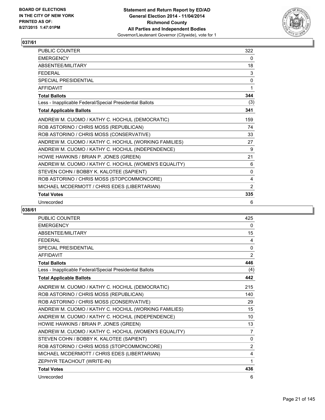

| <b>PUBLIC COUNTER</b>                                    | 322          |
|----------------------------------------------------------|--------------|
| <b>EMERGENCY</b>                                         | 0            |
| ABSENTEE/MILITARY                                        | 18           |
| <b>FEDERAL</b>                                           | 3            |
| <b>SPECIAL PRESIDENTIAL</b>                              | $\mathbf{0}$ |
| <b>AFFIDAVIT</b>                                         | 1            |
| <b>Total Ballots</b>                                     | 344          |
| Less - Inapplicable Federal/Special Presidential Ballots | (3)          |
| <b>Total Applicable Ballots</b>                          | 341          |
| ANDREW M. CUOMO / KATHY C. HOCHUL (DEMOCRATIC)           | 159          |
| ROB ASTORINO / CHRIS MOSS (REPUBLICAN)                   | 74           |
| ROB ASTORINO / CHRIS MOSS (CONSERVATIVE)                 | 33           |
| ANDREW M. CUOMO / KATHY C. HOCHUL (WORKING FAMILIES)     | 27           |
| ANDREW M. CUOMO / KATHY C. HOCHUL (INDEPENDENCE)         | 9            |
| HOWIE HAWKINS / BRIAN P. JONES (GREEN)                   | 21           |
| ANDREW M. CUOMO / KATHY C. HOCHUL (WOMEN'S EQUALITY)     | 6            |
| STEVEN COHN / BOBBY K. KALOTEE (SAPIENT)                 | $\mathbf{0}$ |
| ROB ASTORINO / CHRIS MOSS (STOPCOMMONCORE)               | 4            |
| MICHAEL MCDERMOTT / CHRIS EDES (LIBERTARIAN)             | 2            |
| <b>Total Votes</b>                                       | 335          |
| Unrecorded                                               | 6            |

| <b>PUBLIC COUNTER</b>                                    | 425          |
|----------------------------------------------------------|--------------|
| <b>EMERGENCY</b>                                         | $\mathbf{0}$ |
| <b>ABSENTEE/MILITARY</b>                                 | 15           |
| <b>FEDERAL</b>                                           | 4            |
| SPECIAL PRESIDENTIAL                                     | 0            |
| <b>AFFIDAVIT</b>                                         | 2            |
| <b>Total Ballots</b>                                     | 446          |
| Less - Inapplicable Federal/Special Presidential Ballots | (4)          |
| <b>Total Applicable Ballots</b>                          | 442          |
| ANDREW M. CUOMO / KATHY C. HOCHUL (DEMOCRATIC)           | 215          |
| ROB ASTORINO / CHRIS MOSS (REPUBLICAN)                   | 140          |
| ROB ASTORINO / CHRIS MOSS (CONSERVATIVE)                 | 29           |
| ANDREW M. CUOMO / KATHY C. HOCHUL (WORKING FAMILIES)     | 15           |
| ANDREW M. CUOMO / KATHY C. HOCHUL (INDEPENDENCE)         | 10           |
| HOWIE HAWKINS / BRIAN P. JONES (GREEN)                   | 13           |
| ANDREW M. CUOMO / KATHY C. HOCHUL (WOMEN'S EQUALITY)     | 7            |
| STEVEN COHN / BOBBY K. KALOTEE (SAPIENT)                 | 0            |
| ROB ASTORINO / CHRIS MOSS (STOPCOMMONCORE)               | 2            |
| MICHAEL MCDERMOTT / CHRIS EDES (LIBERTARIAN)             | 4            |
| ZEPHYR TEACHOUT (WRITE-IN)                               | 1            |
| <b>Total Votes</b>                                       | 436          |
| Unrecorded                                               | 6            |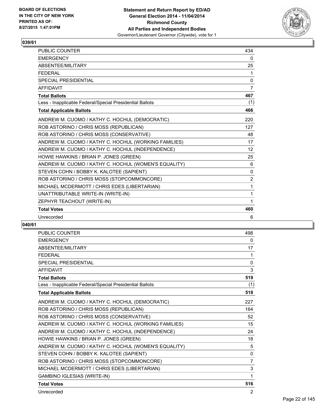

| <b>PUBLIC COUNTER</b>                                    | 434            |
|----------------------------------------------------------|----------------|
| <b>EMERGENCY</b>                                         | 0              |
| <b>ABSENTEE/MILITARY</b>                                 | 25             |
| <b>FEDERAL</b>                                           | 1              |
| <b>SPECIAL PRESIDENTIAL</b>                              | 0              |
| <b>AFFIDAVIT</b>                                         | 7              |
| <b>Total Ballots</b>                                     | 467            |
| Less - Inapplicable Federal/Special Presidential Ballots | (1)            |
| <b>Total Applicable Ballots</b>                          | 466            |
| ANDREW M. CUOMO / KATHY C. HOCHUL (DEMOCRATIC)           | 220            |
| ROB ASTORINO / CHRIS MOSS (REPUBLICAN)                   | 127            |
| ROB ASTORINO / CHRIS MOSS (CONSERVATIVE)                 | 48             |
| ANDREW M. CUOMO / KATHY C. HOCHUL (WORKING FAMILIES)     | 17             |
| ANDREW M. CUOMO / KATHY C. HOCHUL (INDEPENDENCE)         | 12             |
| HOWIE HAWKINS / BRIAN P. JONES (GREEN)                   | 25             |
| ANDREW M. CUOMO / KATHY C. HOCHUL (WOMEN'S EQUALITY)     | 6              |
| STEVEN COHN / BOBBY K. KALOTEE (SAPIENT)                 | 0              |
| ROB ASTORINO / CHRIS MOSS (STOPCOMMONCORE)               | $\overline{2}$ |
| MICHAEL MCDERMOTT / CHRIS EDES (LIBERTARIAN)             | 1              |
| UNATTRIBUTABLE WRITE-IN (WRITE-IN)                       | 1              |
| ZEPHYR TEACHOUT (WRITE-IN)                               | 1              |
| <b>Total Votes</b>                                       | 460            |
| Unrecorded                                               | 6              |

| <b>PUBLIC COUNTER</b>                                    | 498            |
|----------------------------------------------------------|----------------|
| <b>EMERGENCY</b>                                         | 0              |
| <b>ABSENTEE/MILITARY</b>                                 | 17             |
| <b>FFDFRAL</b>                                           | 1              |
| <b>SPECIAL PRESIDENTIAL</b>                              | 0              |
| <b>AFFIDAVIT</b>                                         | 3              |
| <b>Total Ballots</b>                                     | 519            |
| Less - Inapplicable Federal/Special Presidential Ballots | (1)            |
| <b>Total Applicable Ballots</b>                          | 518            |
| ANDREW M. CUOMO / KATHY C. HOCHUL (DEMOCRATIC)           | 227            |
| ROB ASTORINO / CHRIS MOSS (REPUBLICAN)                   | 164            |
| ROB ASTORINO / CHRIS MOSS (CONSERVATIVE)                 | 52             |
| ANDREW M. CUOMO / KATHY C. HOCHUL (WORKING FAMILIES)     | 15             |
| ANDREW M. CUOMO / KATHY C. HOCHUL (INDEPENDENCE)         | 24             |
| HOWIE HAWKINS / BRIAN P. JONES (GREEN)                   | 18             |
| ANDREW M. CUOMO / KATHY C. HOCHUL (WOMEN'S EQUALITY)     | 5              |
| STEVEN COHN / BOBBY K. KALOTEE (SAPIENT)                 | $\mathbf{0}$   |
| ROB ASTORINO / CHRIS MOSS (STOPCOMMONCORE)               | $\overline{7}$ |
| MICHAEL MCDERMOTT / CHRIS EDES (LIBERTARIAN)             | 3              |
| GAMBINO IGLESIAS (WRITE-IN)                              | $\mathbf 1$    |
| <b>Total Votes</b>                                       | 516            |
| Unrecorded                                               | $\overline{2}$ |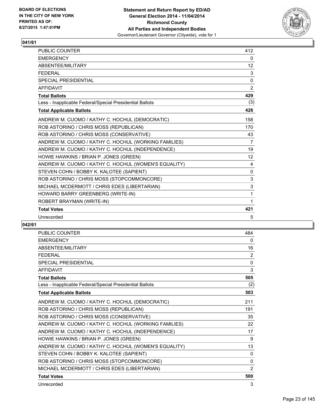

| PUBLIC COUNTER                                           | 412               |
|----------------------------------------------------------|-------------------|
| <b>EMERGENCY</b>                                         | $\mathbf{0}$      |
| ABSENTEE/MILITARY                                        | $12 \overline{ }$ |
| <b>FEDERAL</b>                                           | 3                 |
| <b>SPECIAL PRESIDENTIAL</b>                              | 0                 |
| <b>AFFIDAVIT</b>                                         | 2                 |
| <b>Total Ballots</b>                                     | 429               |
| Less - Inapplicable Federal/Special Presidential Ballots | (3)               |
| <b>Total Applicable Ballots</b>                          | 426               |
| ANDREW M. CUOMO / KATHY C. HOCHUL (DEMOCRATIC)           | 158               |
| ROB ASTORINO / CHRIS MOSS (REPUBLICAN)                   | 170               |
| ROB ASTORINO / CHRIS MOSS (CONSERVATIVE)                 | 43                |
| ANDREW M. CUOMO / KATHY C. HOCHUL (WORKING FAMILIES)     | 7                 |
| ANDREW M. CUOMO / KATHY C. HOCHUL (INDEPENDENCE)         | 19                |
| HOWIE HAWKINS / BRIAN P. JONES (GREEN)                   | 12                |
| ANDREW M. CUOMO / KATHY C. HOCHUL (WOMEN'S EQUALITY)     | 4                 |
| STEVEN COHN / BOBBY K. KALOTEE (SAPIENT)                 | $\mathbf{0}$      |
| ROB ASTORINO / CHRIS MOSS (STOPCOMMONCORE)               | $\mathsf 3$       |
| MICHAEL MCDERMOTT / CHRIS EDES (LIBERTARIAN)             | 3                 |
| HOWARD BARRY GREENBERG (WRITE-IN)                        | 1                 |
| ROBERT BRAYMAN (WRITE-IN)                                | 1                 |
| <b>Total Votes</b>                                       | 421               |
| Unrecorded                                               | 5                 |

| <b>PUBLIC COUNTER</b>                                    | 484            |
|----------------------------------------------------------|----------------|
| <b>EMERGENCY</b>                                         | 0              |
| ABSENTEE/MILITARY                                        | 16             |
| <b>FEDERAL</b>                                           | 2              |
| <b>SPECIAL PRESIDENTIAL</b>                              | 0              |
| <b>AFFIDAVIT</b>                                         | 3              |
| <b>Total Ballots</b>                                     | 505            |
| Less - Inapplicable Federal/Special Presidential Ballots | (2)            |
| <b>Total Applicable Ballots</b>                          | 503            |
| ANDREW M. CUOMO / KATHY C. HOCHUL (DEMOCRATIC)           | 211            |
| ROB ASTORINO / CHRIS MOSS (REPUBLICAN)                   | 191            |
| ROB ASTORINO / CHRIS MOSS (CONSERVATIVE)                 | 35             |
| ANDREW M. CUOMO / KATHY C. HOCHUL (WORKING FAMILIES)     | 22             |
| ANDREW M. CUOMO / KATHY C. HOCHUL (INDEPENDENCE)         | 17             |
| HOWIE HAWKINS / BRIAN P. JONES (GREEN)                   | 9              |
| ANDREW M. CUOMO / KATHY C. HOCHUL (WOMEN'S EQUALITY)     | 13             |
| STEVEN COHN / BOBBY K. KALOTEE (SAPIENT)                 | $\Omega$       |
| ROB ASTORINO / CHRIS MOSS (STOPCOMMONCORE)               | 0              |
| MICHAEL MCDERMOTT / CHRIS EDES (LIBERTARIAN)             | $\overline{2}$ |
| <b>Total Votes</b>                                       | 500            |
| Unrecorded                                               | 3              |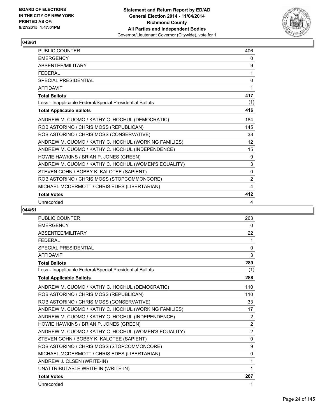

| PUBLIC COUNTER                                           | 406         |
|----------------------------------------------------------|-------------|
| <b>EMERGENCY</b>                                         | 0           |
| ABSENTEE/MILITARY                                        | 9           |
| <b>FEDERAL</b>                                           | 1           |
| <b>SPECIAL PRESIDENTIAL</b>                              | $\mathbf 0$ |
| <b>AFFIDAVIT</b>                                         | 1           |
| <b>Total Ballots</b>                                     | 417         |
| Less - Inapplicable Federal/Special Presidential Ballots | (1)         |
| <b>Total Applicable Ballots</b>                          | 416         |
| ANDREW M. CUOMO / KATHY C. HOCHUL (DEMOCRATIC)           | 184         |
| ROB ASTORINO / CHRIS MOSS (REPUBLICAN)                   | 145         |
| ROB ASTORINO / CHRIS MOSS (CONSERVATIVE)                 | 38          |
| ANDREW M. CUOMO / KATHY C. HOCHUL (WORKING FAMILIES)     | 12          |
| ANDREW M. CUOMO / KATHY C. HOCHUL (INDEPENDENCE)         | 15          |
| HOWIE HAWKINS / BRIAN P. JONES (GREEN)                   | 9           |
| ANDREW M. CUOMO / KATHY C. HOCHUL (WOMEN'S EQUALITY)     | 3           |
| STEVEN COHN / BOBBY K. KALOTEE (SAPIENT)                 | 0           |
| ROB ASTORINO / CHRIS MOSS (STOPCOMMONCORE)               | 2           |
| MICHAEL MCDERMOTT / CHRIS EDES (LIBERTARIAN)             | 4           |
| <b>Total Votes</b>                                       | 412         |
| Unrecorded                                               | 4           |

| PUBLIC COUNTER                                           | 263            |
|----------------------------------------------------------|----------------|
| <b>EMERGENCY</b>                                         | 0              |
| <b>ABSENTEE/MILITARY</b>                                 | 22             |
| <b>FEDERAL</b>                                           | 1              |
| SPECIAL PRESIDENTIAL                                     | $\Omega$       |
| <b>AFFIDAVIT</b>                                         | 3              |
| <b>Total Ballots</b>                                     | 289            |
| Less - Inapplicable Federal/Special Presidential Ballots | (1)            |
| <b>Total Applicable Ballots</b>                          | 288            |
| ANDREW M. CUOMO / KATHY C. HOCHUL (DEMOCRATIC)           | 110            |
| ROB ASTORINO / CHRIS MOSS (REPUBLICAN)                   | 110            |
| ROB ASTORINO / CHRIS MOSS (CONSERVATIVE)                 | 33             |
| ANDREW M. CUOMO / KATHY C. HOCHUL (WORKING FAMILIES)     | 17             |
| ANDREW M. CUOMO / KATHY C. HOCHUL (INDEPENDENCE)         | 2              |
| HOWIE HAWKINS / BRIAN P. JONES (GREEN)                   | $\overline{2}$ |
| ANDREW M. CUOMO / KATHY C. HOCHUL (WOMEN'S EQUALITY)     | $\overline{2}$ |
| STEVEN COHN / BOBBY K. KALOTEE (SAPIENT)                 | 0              |
| ROB ASTORINO / CHRIS MOSS (STOPCOMMONCORE)               | 9              |
| MICHAEL MCDERMOTT / CHRIS EDES (LIBERTARIAN)             | 0              |
| ANDREW J. OLSEN (WRITE-IN)                               | 1              |
| UNATTRIBUTABLE WRITE-IN (WRITE-IN)                       | 1              |
| <b>Total Votes</b>                                       | 287            |
| Unrecorded                                               | 1              |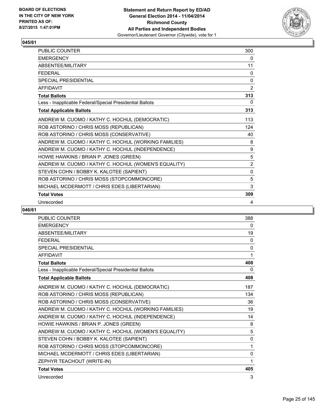

| PUBLIC COUNTER                                           | 300            |
|----------------------------------------------------------|----------------|
| <b>EMERGENCY</b>                                         | 0              |
| ABSENTEE/MILITARY                                        | 11             |
| <b>FEDERAL</b>                                           | 0              |
| <b>SPECIAL PRESIDENTIAL</b>                              | $\mathbf{0}$   |
| <b>AFFIDAVIT</b>                                         | 2              |
| <b>Total Ballots</b>                                     | 313            |
| Less - Inapplicable Federal/Special Presidential Ballots | 0              |
| <b>Total Applicable Ballots</b>                          | 313            |
| ANDREW M. CUOMO / KATHY C. HOCHUL (DEMOCRATIC)           | 113            |
| ROB ASTORINO / CHRIS MOSS (REPUBLICAN)                   | 124            |
| ROB ASTORINO / CHRIS MOSS (CONSERVATIVE)                 | 40             |
| ANDREW M. CUOMO / KATHY C. HOCHUL (WORKING FAMILIES)     | 8              |
| ANDREW M. CUOMO / KATHY C. HOCHUL (INDEPENDENCE)         | 9              |
| HOWIE HAWKINS / BRIAN P. JONES (GREEN)                   | 5              |
| ANDREW M. CUOMO / KATHY C. HOCHUL (WOMEN'S EQUALITY)     | $\overline{2}$ |
| STEVEN COHN / BOBBY K. KALOTEE (SAPIENT)                 | $\mathbf{0}$   |
| ROB ASTORINO / CHRIS MOSS (STOPCOMMONCORE)               | 5              |
| MICHAEL MCDERMOTT / CHRIS EDES (LIBERTARIAN)             | 3              |
| <b>Total Votes</b>                                       | 309            |
| Unrecorded                                               | 4              |

| <b>PUBLIC COUNTER</b>                                    | 388          |
|----------------------------------------------------------|--------------|
| <b>EMERGENCY</b>                                         | $\mathbf{0}$ |
| <b>ABSENTEE/MILITARY</b>                                 | 19           |
| <b>FEDERAL</b>                                           | 0            |
| SPECIAL PRESIDENTIAL                                     | 0            |
| <b>AFFIDAVIT</b>                                         | 1            |
| <b>Total Ballots</b>                                     | 408          |
| Less - Inapplicable Federal/Special Presidential Ballots | 0            |
| <b>Total Applicable Ballots</b>                          | 408          |
| ANDREW M. CUOMO / KATHY C. HOCHUL (DEMOCRATIC)           | 187          |
| ROB ASTORINO / CHRIS MOSS (REPUBLICAN)                   | 134          |
| ROB ASTORINO / CHRIS MOSS (CONSERVATIVE)                 | 36           |
| ANDREW M. CUOMO / KATHY C. HOCHUL (WORKING FAMILIES)     | 19           |
| ANDREW M. CUOMO / KATHY C. HOCHUL (INDEPENDENCE)         | 14           |
| HOWIE HAWKINS / BRIAN P. JONES (GREEN)                   | 8            |
| ANDREW M. CUOMO / KATHY C. HOCHUL (WOMEN'S EQUALITY)     | 5            |
| STEVEN COHN / BOBBY K. KALOTEE (SAPIENT)                 | 0            |
| ROB ASTORINO / CHRIS MOSS (STOPCOMMONCORE)               | 1            |
| MICHAEL MCDERMOTT / CHRIS EDES (LIBERTARIAN)             | 0            |
| ZEPHYR TEACHOUT (WRITE-IN)                               | 1            |
| <b>Total Votes</b>                                       | 405          |
| Unrecorded                                               | 3            |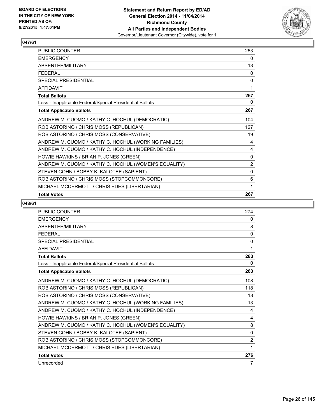

| PUBLIC COUNTER                                           | 253            |
|----------------------------------------------------------|----------------|
| <b>EMERGENCY</b>                                         | 0              |
| ABSENTEE/MILITARY                                        | 13             |
| <b>FFDFRAL</b>                                           | 0              |
| <b>SPECIAL PRESIDENTIAL</b>                              | 0              |
| AFFIDAVIT                                                | 1              |
| <b>Total Ballots</b>                                     | 267            |
| Less - Inapplicable Federal/Special Presidential Ballots | 0              |
| <b>Total Applicable Ballots</b>                          | 267            |
| ANDREW M. CUOMO / KATHY C. HOCHUL (DEMOCRATIC)           | 104            |
| ROB ASTORINO / CHRIS MOSS (REPUBLICAN)                   | 127            |
| ROB ASTORINO / CHRIS MOSS (CONSERVATIVE)                 | 19             |
| ANDREW M. CUOMO / KATHY C. HOCHUL (WORKING FAMILIES)     | 4              |
| ANDREW M. CUOMO / KATHY C. HOCHUL (INDEPENDENCE)         | 4              |
| HOWIE HAWKINS / BRIAN P. JONES (GREEN)                   | 0              |
| ANDREW M. CUOMO / KATHY C. HOCHUL (WOMEN'S EQUALITY)     | $\overline{2}$ |
| STEVEN COHN / BOBBY K. KALOTEE (SAPIENT)                 | $\mathbf{0}$   |
| ROB ASTORINO / CHRIS MOSS (STOPCOMMONCORE)               | 6              |
| MICHAEL MCDERMOTT / CHRIS EDES (LIBERTARIAN)             | 1              |
| <b>Total Votes</b>                                       | 267            |

| PUBLIC COUNTER                                           | 274            |
|----------------------------------------------------------|----------------|
| <b>EMERGENCY</b>                                         | 0              |
| ABSENTEE/MILITARY                                        | 8              |
| <b>FFDFRAI</b>                                           | $\mathbf{0}$   |
| <b>SPECIAL PRESIDENTIAL</b>                              | 0              |
| <b>AFFIDAVIT</b>                                         | 1              |
| <b>Total Ballots</b>                                     | 283            |
| Less - Inapplicable Federal/Special Presidential Ballots | 0              |
| <b>Total Applicable Ballots</b>                          | 283            |
| ANDREW M. CUOMO / KATHY C. HOCHUL (DEMOCRATIC)           | 108            |
| ROB ASTORINO / CHRIS MOSS (REPUBLICAN)                   | 118            |
| ROB ASTORINO / CHRIS MOSS (CONSERVATIVE)                 | 18             |
| ANDREW M. CUOMO / KATHY C. HOCHUL (WORKING FAMILIES)     | 13             |
| ANDREW M. CUOMO / KATHY C. HOCHUL (INDEPENDENCE)         | 4              |
| HOWIE HAWKINS / BRIAN P. JONES (GREEN)                   | 4              |
| ANDREW M. CUOMO / KATHY C. HOCHUL (WOMEN'S EQUALITY)     | 8              |
| STEVEN COHN / BOBBY K. KALOTEE (SAPIENT)                 | $\Omega$       |
| ROB ASTORINO / CHRIS MOSS (STOPCOMMONCORE)               | $\overline{2}$ |
| MICHAEL MCDERMOTT / CHRIS EDES (LIBERTARIAN)             | 1              |
| <b>Total Votes</b>                                       | 276            |
| Unrecorded                                               | 7              |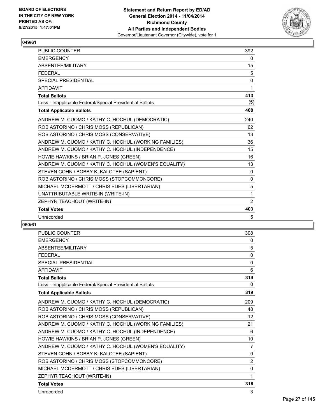

| <b>PUBLIC COUNTER</b>                                    | 392          |
|----------------------------------------------------------|--------------|
| <b>EMERGENCY</b>                                         | $\mathbf{0}$ |
| ABSENTEE/MILITARY                                        | 15           |
| <b>FFDFRAL</b>                                           | 5            |
| <b>SPECIAL PRESIDENTIAL</b>                              | 0            |
| <b>AFFIDAVIT</b>                                         | 1            |
| <b>Total Ballots</b>                                     | 413          |
| Less - Inapplicable Federal/Special Presidential Ballots | (5)          |
| <b>Total Applicable Ballots</b>                          | 408          |
| ANDREW M. CUOMO / KATHY C. HOCHUL (DEMOCRATIC)           | 240          |
| ROB ASTORINO / CHRIS MOSS (REPUBLICAN)                   | 62           |
| ROB ASTORINO / CHRIS MOSS (CONSERVATIVE)                 | 13           |
| ANDREW M. CUOMO / KATHY C. HOCHUL (WORKING FAMILIES)     | 36           |
| ANDREW M. CUOMO / KATHY C. HOCHUL (INDEPENDENCE)         | 15           |
| HOWIE HAWKINS / BRIAN P. JONES (GREEN)                   | 16           |
| ANDREW M. CUOMO / KATHY C. HOCHUL (WOMEN'S EQUALITY)     | 13           |
| STEVEN COHN / BOBBY K. KALOTEE (SAPIENT)                 | $\mathbf{0}$ |
| ROB ASTORINO / CHRIS MOSS (STOPCOMMONCORE)               | 0            |
| MICHAEL MCDERMOTT / CHRIS EDES (LIBERTARIAN)             | 5            |
| UNATTRIBUTABLE WRITE-IN (WRITE-IN)                       | 1            |
| ZEPHYR TEACHOUT (WRITE-IN)                               | 2            |
| <b>Total Votes</b>                                       | 403          |
| Unrecorded                                               | 5            |

| <b>PUBLIC COUNTER</b>                                    | 308            |
|----------------------------------------------------------|----------------|
| <b>EMERGENCY</b>                                         | 0              |
| <b>ABSENTEE/MILITARY</b>                                 | 5              |
| <b>FFDFRAL</b>                                           | 0              |
| <b>SPECIAL PRESIDENTIAL</b>                              | $\mathbf{0}$   |
| <b>AFFIDAVIT</b>                                         | 6              |
| <b>Total Ballots</b>                                     | 319            |
| Less - Inapplicable Federal/Special Presidential Ballots | 0              |
| <b>Total Applicable Ballots</b>                          | 319            |
| ANDREW M. CUOMO / KATHY C. HOCHUL (DEMOCRATIC)           | 209            |
| ROB ASTORINO / CHRIS MOSS (REPUBLICAN)                   | 48             |
| ROB ASTORINO / CHRIS MOSS (CONSERVATIVE)                 | 12             |
| ANDREW M. CUOMO / KATHY C. HOCHUL (WORKING FAMILIES)     | 21             |
| ANDREW M. CUOMO / KATHY C. HOCHUL (INDEPENDENCE)         | 6              |
| HOWIE HAWKINS / BRIAN P. JONES (GREEN)                   | 10             |
| ANDREW M. CUOMO / KATHY C. HOCHUL (WOMEN'S EQUALITY)     | 7              |
| STEVEN COHN / BOBBY K. KALOTEE (SAPIENT)                 | $\mathbf{0}$   |
| ROB ASTORINO / CHRIS MOSS (STOPCOMMONCORE)               | $\overline{2}$ |
| MICHAEL MCDERMOTT / CHRIS EDES (LIBERTARIAN)             | 0              |
| ZEPHYR TEACHOUT (WRITE-IN)                               | 1              |
| <b>Total Votes</b>                                       | 316            |
| Unrecorded                                               | 3              |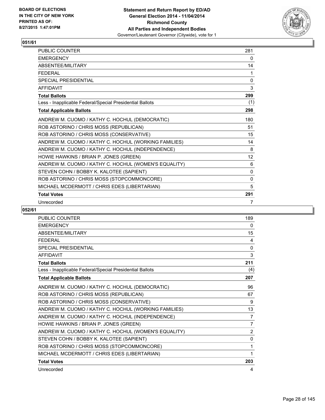

| <b>PUBLIC COUNTER</b>                                    | 281          |
|----------------------------------------------------------|--------------|
| <b>EMERGENCY</b>                                         | 0            |
| ABSENTEE/MILITARY                                        | 14           |
| <b>FEDERAL</b>                                           | 1            |
| <b>SPECIAL PRESIDENTIAL</b>                              | $\mathbf{0}$ |
| <b>AFFIDAVIT</b>                                         | 3            |
| <b>Total Ballots</b>                                     | 299          |
| Less - Inapplicable Federal/Special Presidential Ballots | (1)          |
| <b>Total Applicable Ballots</b>                          | 298          |
| ANDREW M. CUOMO / KATHY C. HOCHUL (DEMOCRATIC)           | 180          |
| ROB ASTORINO / CHRIS MOSS (REPUBLICAN)                   | 51           |
| ROB ASTORINO / CHRIS MOSS (CONSERVATIVE)                 | 15           |
| ANDREW M. CUOMO / KATHY C. HOCHUL (WORKING FAMILIES)     | 14           |
| ANDREW M. CUOMO / KATHY C. HOCHUL (INDEPENDENCE)         | 8            |
| HOWIE HAWKINS / BRIAN P. JONES (GREEN)                   | 12           |
| ANDREW M. CUOMO / KATHY C. HOCHUL (WOMEN'S EQUALITY)     | 6            |
| STEVEN COHN / BOBBY K. KALOTEE (SAPIENT)                 | $\mathbf{0}$ |
| ROB ASTORINO / CHRIS MOSS (STOPCOMMONCORE)               | $\mathbf{0}$ |
| MICHAEL MCDERMOTT / CHRIS EDES (LIBERTARIAN)             | 5            |
| <b>Total Votes</b>                                       | 291          |
| Unrecorded                                               | 7            |

| PUBLIC COUNTER                                           | 189            |
|----------------------------------------------------------|----------------|
| <b>EMERGENCY</b>                                         | 0              |
| ABSENTEE/MILITARY                                        | 15             |
| <b>FEDERAL</b>                                           | 4              |
| <b>SPECIAL PRESIDENTIAL</b>                              | 0              |
| <b>AFFIDAVIT</b>                                         | 3              |
| <b>Total Ballots</b>                                     | 211            |
| Less - Inapplicable Federal/Special Presidential Ballots | (4)            |
| <b>Total Applicable Ballots</b>                          | 207            |
| ANDREW M. CUOMO / KATHY C. HOCHUL (DEMOCRATIC)           | 96             |
| ROB ASTORINO / CHRIS MOSS (REPUBLICAN)                   | 67             |
| ROB ASTORINO / CHRIS MOSS (CONSERVATIVE)                 | 9              |
| ANDREW M. CUOMO / KATHY C. HOCHUL (WORKING FAMILIES)     | 13             |
| ANDREW M. CUOMO / KATHY C. HOCHUL (INDEPENDENCE)         | 7              |
| HOWIE HAWKINS / BRIAN P. JONES (GREEN)                   | $\overline{7}$ |
| ANDREW M. CUOMO / KATHY C. HOCHUL (WOMEN'S EQUALITY)     | $\overline{2}$ |
| STEVEN COHN / BOBBY K. KALOTEE (SAPIENT)                 | 0              |
| ROB ASTORINO / CHRIS MOSS (STOPCOMMONCORE)               | 1              |
| MICHAEL MCDERMOTT / CHRIS EDES (LIBERTARIAN)             | 1              |
| <b>Total Votes</b>                                       | 203            |
| Unrecorded                                               | 4              |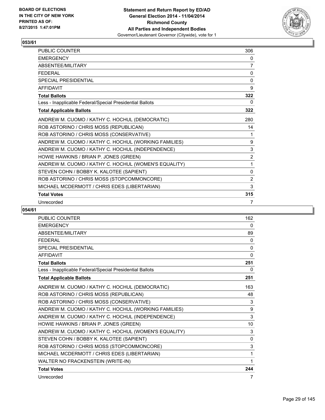

| <b>PUBLIC COUNTER</b>                                    | 306            |
|----------------------------------------------------------|----------------|
| <b>EMERGENCY</b>                                         | 0              |
| ABSENTEE/MILITARY                                        | 7              |
| <b>FEDERAL</b>                                           | 0              |
| <b>SPECIAL PRESIDENTIAL</b>                              | 0              |
| <b>AFFIDAVIT</b>                                         | 9              |
| <b>Total Ballots</b>                                     | 322            |
| Less - Inapplicable Federal/Special Presidential Ballots | 0              |
| <b>Total Applicable Ballots</b>                          | 322            |
| ANDREW M. CUOMO / KATHY C. HOCHUL (DEMOCRATIC)           | 280            |
| ROB ASTORINO / CHRIS MOSS (REPUBLICAN)                   | 14             |
| ROB ASTORINO / CHRIS MOSS (CONSERVATIVE)                 | 1              |
| ANDREW M. CUOMO / KATHY C. HOCHUL (WORKING FAMILIES)     | 9              |
| ANDREW M. CUOMO / KATHY C. HOCHUL (INDEPENDENCE)         | 3              |
| HOWIE HAWKINS / BRIAN P. JONES (GREEN)                   | $\overline{2}$ |
| ANDREW M. CUOMO / KATHY C. HOCHUL (WOMEN'S EQUALITY)     | 1              |
| STEVEN COHN / BOBBY K. KALOTEE (SAPIENT)                 | 0              |
| ROB ASTORINO / CHRIS MOSS (STOPCOMMONCORE)               | 2              |
| MICHAEL MCDERMOTT / CHRIS EDES (LIBERTARIAN)             | 3              |
| <b>Total Votes</b>                                       | 315            |
| Unrecorded                                               | 7              |

| PUBLIC COUNTER                                           | 162          |
|----------------------------------------------------------|--------------|
| <b>EMERGENCY</b>                                         | 0            |
| ABSENTEE/MILITARY                                        | 89           |
| <b>FEDERAL</b>                                           | 0            |
| SPECIAL PRESIDENTIAL                                     | $\mathbf{0}$ |
| <b>AFFIDAVIT</b>                                         | $\mathbf{0}$ |
| <b>Total Ballots</b>                                     | 251          |
| Less - Inapplicable Federal/Special Presidential Ballots | 0            |
| <b>Total Applicable Ballots</b>                          | 251          |
| ANDREW M. CUOMO / KATHY C. HOCHUL (DEMOCRATIC)           | 163          |
| ROB ASTORINO / CHRIS MOSS (REPUBLICAN)                   | 48           |
| ROB ASTORINO / CHRIS MOSS (CONSERVATIVE)                 | 3            |
| ANDREW M. CUOMO / KATHY C. HOCHUL (WORKING FAMILIES)     | 9            |
| ANDREW M. CUOMO / KATHY C. HOCHUL (INDEPENDENCE)         | 3            |
| HOWIE HAWKINS / BRIAN P. JONES (GREEN)                   | 10           |
| ANDREW M. CUOMO / KATHY C. HOCHUL (WOMEN'S EQUALITY)     | 3            |
| STEVEN COHN / BOBBY K. KALOTEE (SAPIENT)                 | 0            |
| ROB ASTORINO / CHRIS MOSS (STOPCOMMONCORE)               | 3            |
| MICHAEL MCDERMOTT / CHRIS EDES (LIBERTARIAN)             | 1            |
| WALTER NO FRACKENSTEIN (WRITE-IN)                        | 1            |
| <b>Total Votes</b>                                       | 244          |
| Unrecorded                                               | 7            |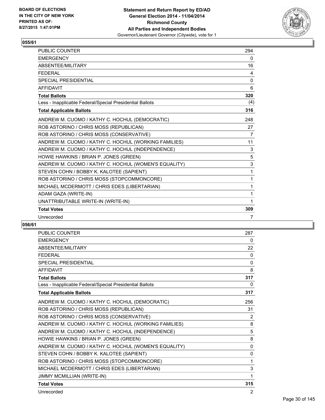

| <b>PUBLIC COUNTER</b>                                    | 294          |
|----------------------------------------------------------|--------------|
| <b>EMERGENCY</b>                                         | $\mathbf{0}$ |
| ABSENTEE/MILITARY                                        | 16           |
| <b>FFDFRAL</b>                                           | 4            |
| <b>SPECIAL PRESIDENTIAL</b>                              | $\mathbf 0$  |
| <b>AFFIDAVIT</b>                                         | 6            |
| <b>Total Ballots</b>                                     | 320          |
| Less - Inapplicable Federal/Special Presidential Ballots | (4)          |
| <b>Total Applicable Ballots</b>                          | 316          |
| ANDREW M. CUOMO / KATHY C. HOCHUL (DEMOCRATIC)           | 248          |
| ROB ASTORINO / CHRIS MOSS (REPUBLICAN)                   | 27           |
| ROB ASTORINO / CHRIS MOSS (CONSERVATIVE)                 | 7            |
| ANDREW M. CUOMO / KATHY C. HOCHUL (WORKING FAMILIES)     | 11           |
| ANDREW M. CUOMO / KATHY C. HOCHUL (INDEPENDENCE)         | 3            |
| HOWIE HAWKINS / BRIAN P. JONES (GREEN)                   | 5            |
| ANDREW M. CUOMO / KATHY C. HOCHUL (WOMEN'S EQUALITY)     | 3            |
| STEVEN COHN / BOBBY K. KALOTEE (SAPIENT)                 | 1            |
| ROB ASTORINO / CHRIS MOSS (STOPCOMMONCORE)               | 1            |
| MICHAEL MCDERMOTT / CHRIS EDES (LIBERTARIAN)             | 1            |
| ADAM GAZA (WRITE-IN)                                     | 1            |
| UNATTRIBUTABLE WRITE-IN (WRITE-IN)                       |              |
| <b>Total Votes</b>                                       | 309          |
| Unrecorded                                               | 7            |

| <b>PUBLIC COUNTER</b>                                    | 287            |
|----------------------------------------------------------|----------------|
| <b>EMERGENCY</b>                                         | 0              |
| ABSENTEE/MILITARY                                        | 22             |
| <b>FFDFRAL</b>                                           | $\Omega$       |
| <b>SPECIAL PRESIDENTIAL</b>                              | 0              |
| <b>AFFIDAVIT</b>                                         | 8              |
| <b>Total Ballots</b>                                     | 317            |
| Less - Inapplicable Federal/Special Presidential Ballots | 0              |
| <b>Total Applicable Ballots</b>                          | 317            |
| ANDREW M. CUOMO / KATHY C. HOCHUL (DEMOCRATIC)           | 256            |
| ROB ASTORINO / CHRIS MOSS (REPUBLICAN)                   | 31             |
| ROB ASTORINO / CHRIS MOSS (CONSERVATIVE)                 | 2              |
| ANDREW M. CUOMO / KATHY C. HOCHUL (WORKING FAMILIES)     | 8              |
| ANDREW M. CUOMO / KATHY C. HOCHUL (INDEPENDENCE)         | 5              |
| HOWIE HAWKINS / BRIAN P. JONES (GREEN)                   | 8              |
| ANDREW M. CUOMO / KATHY C. HOCHUL (WOMEN'S EQUALITY)     | 0              |
| STEVEN COHN / BOBBY K. KALOTEE (SAPIENT)                 | $\mathbf{0}$   |
| ROB ASTORINO / CHRIS MOSS (STOPCOMMONCORE)               | 1              |
| MICHAEL MCDERMOTT / CHRIS EDES (LIBERTARIAN)             | 3              |
| JIMMY MCMILLIAN (WRITE-IN)                               | 1              |
| <b>Total Votes</b>                                       | 315            |
| Unrecorded                                               | $\overline{2}$ |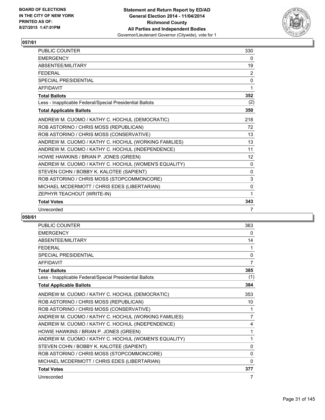

| PUBLIC COUNTER                                           | 330          |
|----------------------------------------------------------|--------------|
| <b>FMFRGFNCY</b>                                         | 0            |
| ABSENTEE/MILITARY                                        | 19           |
| <b>FEDERAL</b>                                           | 2            |
| <b>SPECIAL PRESIDENTIAL</b>                              | $\mathbf{0}$ |
| <b>AFFIDAVIT</b>                                         | 1            |
| <b>Total Ballots</b>                                     | 352          |
| Less - Inapplicable Federal/Special Presidential Ballots | (2)          |
| <b>Total Applicable Ballots</b>                          | 350          |
| ANDREW M. CUOMO / KATHY C. HOCHUL (DEMOCRATIC)           | 218          |
| ROB ASTORINO / CHRIS MOSS (REPUBLICAN)                   | 72           |
| ROB ASTORINO / CHRIS MOSS (CONSERVATIVE)                 | 13           |
| ANDREW M. CUOMO / KATHY C. HOCHUL (WORKING FAMILIES)     | 13           |
| ANDREW M. CUOMO / KATHY C. HOCHUL (INDEPENDENCE)         | 11           |
| HOWIE HAWKINS / BRIAN P. JONES (GREEN)                   | 12           |
| ANDREW M. CUOMO / KATHY C. HOCHUL (WOMEN'S EQUALITY)     | $\mathbf{0}$ |
| STEVEN COHN / BOBBY K. KALOTEE (SAPIENT)                 | $\mathbf{0}$ |
| ROB ASTORINO / CHRIS MOSS (STOPCOMMONCORE)               | 3            |
| MICHAEL MCDERMOTT / CHRIS EDES (LIBERTARIAN)             | 0            |
| ZEPHYR TEACHOUT (WRITE-IN)                               | 1            |
| <b>Total Votes</b>                                       | 343          |
| Unrecorded                                               | 7            |

| PUBLIC COUNTER                                           | 363            |
|----------------------------------------------------------|----------------|
| <b>EMERGENCY</b>                                         | 0              |
| ABSENTEE/MILITARY                                        | 14             |
| <b>FEDERAL</b>                                           | 1              |
| <b>SPECIAL PRESIDENTIAL</b>                              | 0              |
| <b>AFFIDAVIT</b>                                         | 7              |
| <b>Total Ballots</b>                                     | 385            |
| Less - Inapplicable Federal/Special Presidential Ballots | (1)            |
| <b>Total Applicable Ballots</b>                          | 384            |
| ANDREW M. CUOMO / KATHY C. HOCHUL (DEMOCRATIC)           | 353            |
| ROB ASTORINO / CHRIS MOSS (REPUBLICAN)                   | 10             |
| ROB ASTORINO / CHRIS MOSS (CONSERVATIVE)                 | 1              |
| ANDREW M. CUOMO / KATHY C. HOCHUL (WORKING FAMILIES)     | $\overline{7}$ |
| ANDREW M. CUOMO / KATHY C. HOCHUL (INDEPENDENCE)         | 4              |
| HOWIE HAWKINS / BRIAN P. JONES (GREEN)                   | 1              |
| ANDREW M. CUOMO / KATHY C. HOCHUL (WOMEN'S EQUALITY)     | 1              |
| STEVEN COHN / BOBBY K. KALOTEE (SAPIENT)                 | 0              |
| ROB ASTORINO / CHRIS MOSS (STOPCOMMONCORE)               | 0              |
| MICHAEL MCDERMOTT / CHRIS EDES (LIBERTARIAN)             | 0              |
| <b>Total Votes</b>                                       | 377            |
| Unrecorded                                               | 7              |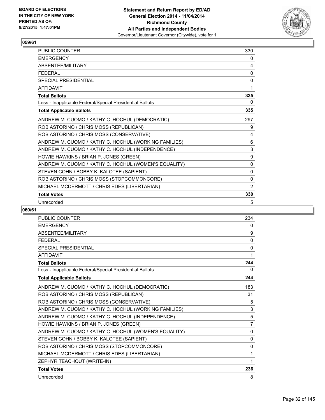

| PUBLIC COUNTER                                           | 330          |
|----------------------------------------------------------|--------------|
| <b>EMERGENCY</b>                                         | 0            |
| ABSENTEE/MILITARY                                        | 4            |
| <b>FEDERAL</b>                                           | 0            |
| <b>SPECIAL PRESIDENTIAL</b>                              | 0            |
| <b>AFFIDAVIT</b>                                         | 1            |
| <b>Total Ballots</b>                                     | 335          |
| Less - Inapplicable Federal/Special Presidential Ballots | 0            |
| <b>Total Applicable Ballots</b>                          | 335          |
| ANDREW M. CUOMO / KATHY C. HOCHUL (DEMOCRATIC)           | 297          |
| ROB ASTORINO / CHRIS MOSS (REPUBLICAN)                   | 9            |
| ROB ASTORINO / CHRIS MOSS (CONSERVATIVE)                 | 4            |
| ANDREW M. CUOMO / KATHY C. HOCHUL (WORKING FAMILIES)     | 6            |
| ANDREW M. CUOMO / KATHY C. HOCHUL (INDEPENDENCE)         | 3            |
| HOWIE HAWKINS / BRIAN P. JONES (GREEN)                   | 9            |
| ANDREW M. CUOMO / KATHY C. HOCHUL (WOMEN'S EQUALITY)     | $\mathbf{0}$ |
| STEVEN COHN / BOBBY K. KALOTEE (SAPIENT)                 | $\mathbf{0}$ |
| ROB ASTORINO / CHRIS MOSS (STOPCOMMONCORE)               | 0            |
| MICHAEL MCDERMOTT / CHRIS EDES (LIBERTARIAN)             | 2            |
| <b>Total Votes</b>                                       | 330          |
| Unrecorded                                               | 5            |

| <b>PUBLIC COUNTER</b>                                    | 234            |
|----------------------------------------------------------|----------------|
| <b>EMERGENCY</b>                                         | $\mathbf{0}$   |
| <b>ABSENTEE/MILITARY</b>                                 | 9              |
| <b>FEDERAL</b>                                           | 0              |
| SPECIAL PRESIDENTIAL                                     | $\mathbf{0}$   |
| <b>AFFIDAVIT</b>                                         | 1              |
| <b>Total Ballots</b>                                     | 244            |
| Less - Inapplicable Federal/Special Presidential Ballots | 0              |
| <b>Total Applicable Ballots</b>                          | 244            |
| ANDREW M. CUOMO / KATHY C. HOCHUL (DEMOCRATIC)           | 183            |
| ROB ASTORINO / CHRIS MOSS (REPUBLICAN)                   | 31             |
| ROB ASTORINO / CHRIS MOSS (CONSERVATIVE)                 | 5              |
| ANDREW M. CUOMO / KATHY C. HOCHUL (WORKING FAMILIES)     | 3              |
| ANDREW M. CUOMO / KATHY C. HOCHUL (INDEPENDENCE)         | 5              |
| HOWIE HAWKINS / BRIAN P. JONES (GREEN)                   | $\overline{7}$ |
| ANDREW M. CUOMO / KATHY C. HOCHUL (WOMEN'S EQUALITY)     | 0              |
| STEVEN COHN / BOBBY K. KALOTEE (SAPIENT)                 | $\mathbf{0}$   |
| ROB ASTORINO / CHRIS MOSS (STOPCOMMONCORE)               | $\mathbf{0}$   |
| MICHAEL MCDERMOTT / CHRIS EDES (LIBERTARIAN)             | 1              |
| ZEPHYR TEACHOUT (WRITE-IN)                               | 1              |
| <b>Total Votes</b>                                       | 236            |
| Unrecorded                                               | 8              |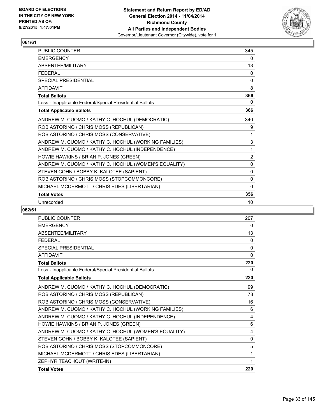

| <b>PUBLIC COUNTER</b>                                    | 345            |
|----------------------------------------------------------|----------------|
| <b>EMERGENCY</b>                                         | 0              |
| ABSENTEE/MILITARY                                        | 13             |
| <b>FFDFRAL</b>                                           | 0              |
| <b>SPECIAL PRESIDENTIAL</b>                              | $\mathbf{0}$   |
| <b>AFFIDAVIT</b>                                         | 8              |
| <b>Total Ballots</b>                                     | 366            |
| Less - Inapplicable Federal/Special Presidential Ballots | 0              |
| <b>Total Applicable Ballots</b>                          | 366            |
| ANDREW M. CUOMO / KATHY C. HOCHUL (DEMOCRATIC)           | 340            |
| ROB ASTORINO / CHRIS MOSS (REPUBLICAN)                   | 9              |
| ROB ASTORINO / CHRIS MOSS (CONSERVATIVE)                 | 1              |
| ANDREW M. CUOMO / KATHY C. HOCHUL (WORKING FAMILIES)     | 3              |
| ANDREW M. CUOMO / KATHY C. HOCHUL (INDEPENDENCE)         | 1              |
| HOWIE HAWKINS / BRIAN P. JONES (GREEN)                   | $\overline{2}$ |
| ANDREW M. CUOMO / KATHY C. HOCHUL (WOMEN'S EQUALITY)     | $\Omega$       |
| STEVEN COHN / BOBBY K. KALOTEE (SAPIENT)                 | $\mathbf{0}$   |
| ROB ASTORINO / CHRIS MOSS (STOPCOMMONCORE)               | 0              |
| MICHAEL MCDERMOTT / CHRIS EDES (LIBERTARIAN)             | 0              |
| <b>Total Votes</b>                                       | 356            |
| Unrecorded                                               | 10             |

| PUBLIC COUNTER                                           | 207          |
|----------------------------------------------------------|--------------|
| <b>EMERGENCY</b>                                         | 0            |
| <b>ABSENTEE/MILITARY</b>                                 | 13           |
| <b>FFDFRAI</b>                                           | 0            |
| <b>SPECIAL PRESIDENTIAL</b>                              | 0            |
| <b>AFFIDAVIT</b>                                         | $\mathbf{0}$ |
| <b>Total Ballots</b>                                     | 220          |
| Less - Inapplicable Federal/Special Presidential Ballots | 0            |
| <b>Total Applicable Ballots</b>                          | 220          |
| ANDREW M. CUOMO / KATHY C. HOCHUL (DEMOCRATIC)           | 99           |
| ROB ASTORINO / CHRIS MOSS (REPUBLICAN)                   | 78           |
| ROB ASTORINO / CHRIS MOSS (CONSERVATIVE)                 | 16           |
| ANDREW M. CUOMO / KATHY C. HOCHUL (WORKING FAMILIES)     | 6            |
| ANDREW M. CUOMO / KATHY C. HOCHUL (INDEPENDENCE)         | 4            |
| HOWIE HAWKINS / BRIAN P. JONES (GREEN)                   | 6            |
| ANDREW M. CUOMO / KATHY C. HOCHUL (WOMEN'S EQUALITY)     | 4            |
| STEVEN COHN / BOBBY K. KALOTEE (SAPIENT)                 | 0            |
| ROB ASTORINO / CHRIS MOSS (STOPCOMMONCORE)               | 5            |
| MICHAEL MCDERMOTT / CHRIS EDES (LIBERTARIAN)             | 1            |
| ZEPHYR TEACHOUT (WRITE-IN)                               | 1            |
| <b>Total Votes</b>                                       | 220          |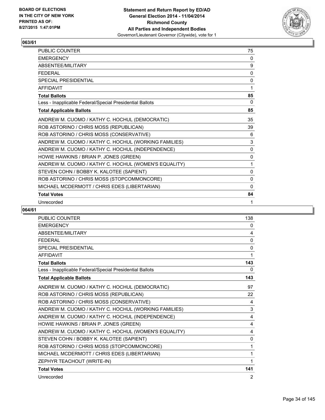

| <b>PUBLIC COUNTER</b>                                    | 75       |
|----------------------------------------------------------|----------|
| <b>EMERGENCY</b>                                         | 0        |
| ABSENTEE/MILITARY                                        | 9        |
| <b>FEDERAL</b>                                           | 0        |
| <b>SPECIAL PRESIDENTIAL</b>                              | 0        |
| <b>AFFIDAVIT</b>                                         | 1        |
| <b>Total Ballots</b>                                     | 85       |
| Less - Inapplicable Federal/Special Presidential Ballots | 0        |
| <b>Total Applicable Ballots</b>                          | 85       |
| ANDREW M. CUOMO / KATHY C. HOCHUL (DEMOCRATIC)           | 35       |
| ROB ASTORINO / CHRIS MOSS (REPUBLICAN)                   | 39       |
| ROB ASTORINO / CHRIS MOSS (CONSERVATIVE)                 | 6        |
| ANDREW M. CUOMO / KATHY C. HOCHUL (WORKING FAMILIES)     | 3        |
| ANDREW M. CUOMO / KATHY C. HOCHUL (INDEPENDENCE)         | $\Omega$ |
| HOWIE HAWKINS / BRIAN P. JONES (GREEN)                   | 0        |
| ANDREW M. CUOMO / KATHY C. HOCHUL (WOMEN'S EQUALITY)     | 1        |
| STEVEN COHN / BOBBY K. KALOTEE (SAPIENT)                 | 0        |
| ROB ASTORINO / CHRIS MOSS (STOPCOMMONCORE)               | $\Omega$ |
| MICHAEL MCDERMOTT / CHRIS EDES (LIBERTARIAN)             | 0        |
| <b>Total Votes</b>                                       | 84       |
| Unrecorded                                               | 1        |

| <b>PUBLIC COUNTER</b>                                    | 138          |
|----------------------------------------------------------|--------------|
| <b>EMERGENCY</b>                                         | 0            |
| <b>ABSENTEE/MILITARY</b>                                 | 4            |
| <b>FEDERAL</b>                                           | $\mathbf{0}$ |
| SPECIAL PRESIDENTIAL                                     | $\mathbf{0}$ |
| <b>AFFIDAVIT</b>                                         | 1            |
| <b>Total Ballots</b>                                     | 143          |
| Less - Inapplicable Federal/Special Presidential Ballots | 0            |
| <b>Total Applicable Ballots</b>                          | 143          |
| ANDREW M. CUOMO / KATHY C. HOCHUL (DEMOCRATIC)           | 97           |
| ROB ASTORINO / CHRIS MOSS (REPUBLICAN)                   | 22           |
| ROB ASTORINO / CHRIS MOSS (CONSERVATIVE)                 | 4            |
| ANDREW M. CUOMO / KATHY C. HOCHUL (WORKING FAMILIES)     | 3            |
| ANDREW M. CUOMO / KATHY C. HOCHUL (INDEPENDENCE)         | 4            |
| HOWIE HAWKINS / BRIAN P. JONES (GREEN)                   | 4            |
| ANDREW M. CUOMO / KATHY C. HOCHUL (WOMEN'S EQUALITY)     | 4            |
| STEVEN COHN / BOBBY K. KALOTEE (SAPIENT)                 | $\mathbf{0}$ |
| ROB ASTORINO / CHRIS MOSS (STOPCOMMONCORE)               | 1            |
| MICHAEL MCDERMOTT / CHRIS EDES (LIBERTARIAN)             | 1            |
| ZEPHYR TEACHOUT (WRITE-IN)                               | 1            |
| <b>Total Votes</b>                                       | 141          |
| Unrecorded                                               | 2            |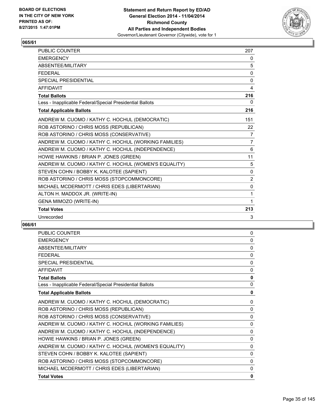

| <b>PUBLIC COUNTER</b>                                    | 207            |
|----------------------------------------------------------|----------------|
| <b>EMERGENCY</b>                                         | 0              |
| ABSENTEE/MILITARY                                        | 5              |
| <b>FEDERAL</b>                                           | $\Omega$       |
| <b>SPECIAL PRESIDENTIAL</b>                              | 0              |
| <b>AFFIDAVIT</b>                                         | 4              |
| <b>Total Ballots</b>                                     | 216            |
| Less - Inapplicable Federal/Special Presidential Ballots | 0              |
| <b>Total Applicable Ballots</b>                          | 216            |
| ANDREW M. CUOMO / KATHY C. HOCHUL (DEMOCRATIC)           | 151            |
| ROB ASTORINO / CHRIS MOSS (REPUBLICAN)                   | 22             |
| ROB ASTORINO / CHRIS MOSS (CONSERVATIVE)                 | 7              |
| ANDREW M. CUOMO / KATHY C. HOCHUL (WORKING FAMILIES)     | $\overline{7}$ |
| ANDREW M. CUOMO / KATHY C. HOCHUL (INDEPENDENCE)         | 6              |
| HOWIE HAWKINS / BRIAN P. JONES (GREEN)                   | 11             |
| ANDREW M. CUOMO / KATHY C. HOCHUL (WOMEN'S EQUALITY)     | 5              |
| STEVEN COHN / BOBBY K. KALOTEE (SAPIENT)                 | 0              |
| ROB ASTORINO / CHRIS MOSS (STOPCOMMONCORE)               | 2              |
| MICHAEL MCDERMOTT / CHRIS EDES (LIBERTARIAN)             | 0              |
| ALTON H. MADDOX JR. (WRITE-IN)                           | 1              |
| GENA MIMOZO (WRITE-IN)                                   | 1              |
| <b>Total Votes</b>                                       | 213            |
| Unrecorded                                               | 3              |

| <b>PUBLIC COUNTER</b>                                    | $\mathbf{0}$ |
|----------------------------------------------------------|--------------|
| <b>EMERGENCY</b>                                         | 0            |
| ABSENTEE/MILITARY                                        | $\mathbf{0}$ |
| <b>FEDERAL</b>                                           | $\mathbf{0}$ |
| <b>SPECIAL PRESIDENTIAL</b>                              | $\mathbf{0}$ |
| <b>AFFIDAVIT</b>                                         | $\mathbf{0}$ |
| <b>Total Ballots</b>                                     | 0            |
| Less - Inapplicable Federal/Special Presidential Ballots | $\mathbf{0}$ |
| <b>Total Applicable Ballots</b>                          | 0            |
| ANDREW M. CUOMO / KATHY C. HOCHUL (DEMOCRATIC)           | 0            |
| ROB ASTORINO / CHRIS MOSS (REPUBLICAN)                   | 0            |
| ROB ASTORINO / CHRIS MOSS (CONSERVATIVE)                 | $\mathbf{0}$ |
| ANDREW M. CUOMO / KATHY C. HOCHUL (WORKING FAMILIES)     | $\mathbf{0}$ |
| ANDREW M. CUOMO / KATHY C. HOCHUL (INDEPENDENCE)         | $\mathbf{0}$ |
| HOWIE HAWKINS / BRIAN P. JONES (GREEN)                   | $\mathbf{0}$ |
| ANDREW M. CUOMO / KATHY C. HOCHUL (WOMEN'S EQUALITY)     | $\mathbf{0}$ |
| STEVEN COHN / BOBBY K. KALOTEE (SAPIENT)                 | $\mathbf{0}$ |
| ROB ASTORINO / CHRIS MOSS (STOPCOMMONCORE)               | $\mathbf{0}$ |
| MICHAEL MCDERMOTT / CHRIS EDES (LIBERTARIAN)             | 0            |
| <b>Total Votes</b>                                       | 0            |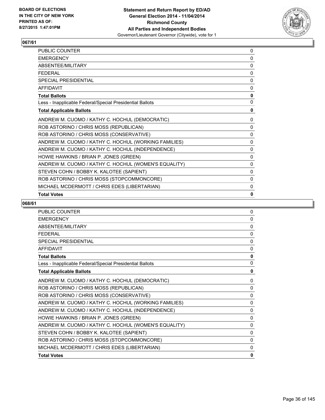

| PUBLIC COUNTER                                           | 0            |
|----------------------------------------------------------|--------------|
| <b>EMERGENCY</b>                                         | 0            |
| ABSENTEE/MILITARY                                        | 0            |
| <b>FFDFRAI</b>                                           | 0            |
| <b>SPECIAL PRESIDENTIAL</b>                              | $\mathbf{0}$ |
| AFFIDAVIT                                                | 0            |
| <b>Total Ballots</b>                                     | $\mathbf 0$  |
| Less - Inapplicable Federal/Special Presidential Ballots | $\mathbf{0}$ |
| <b>Total Applicable Ballots</b>                          | 0            |
| ANDREW M. CUOMO / KATHY C. HOCHUL (DEMOCRATIC)           | $\Omega$     |
| ROB ASTORINO / CHRIS MOSS (REPUBLICAN)                   | 0            |
| ROB ASTORINO / CHRIS MOSS (CONSERVATIVE)                 | $\Omega$     |
| ANDREW M. CUOMO / KATHY C. HOCHUL (WORKING FAMILIES)     | $\Omega$     |
| ANDREW M. CUOMO / KATHY C. HOCHUL (INDEPENDENCE)         | $\mathbf{0}$ |
| HOWIE HAWKINS / BRIAN P. JONES (GREEN)                   | 0            |
| ANDREW M. CUOMO / KATHY C. HOCHUL (WOMEN'S EQUALITY)     | 0            |
| STEVEN COHN / BOBBY K. KALOTEE (SAPIENT)                 | 0            |
| ROB ASTORINO / CHRIS MOSS (STOPCOMMONCORE)               | $\Omega$     |
| MICHAEL MCDERMOTT / CHRIS EDES (LIBERTARIAN)             | 0            |
| <b>Total Votes</b>                                       | 0            |

| <b>PUBLIC COUNTER</b>                                    | 0            |
|----------------------------------------------------------|--------------|
| <b>EMERGENCY</b>                                         | $\Omega$     |
| ABSENTEE/MILITARY                                        | $\Omega$     |
| <b>FFDFRAL</b>                                           | $\mathbf{0}$ |
| SPECIAL PRESIDENTIAL                                     | $\Omega$     |
| <b>AFFIDAVIT</b>                                         | 0            |
| <b>Total Ballots</b>                                     | $\mathbf{0}$ |
| Less - Inapplicable Federal/Special Presidential Ballots | $\mathbf{0}$ |
| <b>Total Applicable Ballots</b>                          | 0            |
| ANDREW M. CUOMO / KATHY C. HOCHUL (DEMOCRATIC)           | $\mathbf{0}$ |
| ROB ASTORINO / CHRIS MOSS (REPUBLICAN)                   | $\mathbf{0}$ |
| ROB ASTORINO / CHRIS MOSS (CONSERVATIVE)                 | $\mathbf{0}$ |
| ANDREW M. CUOMO / KATHY C. HOCHUL (WORKING FAMILIES)     | $\mathbf{0}$ |
| ANDREW M. CUOMO / KATHY C. HOCHUL (INDEPENDENCE)         | $\Omega$     |
| HOWIE HAWKINS / BRIAN P. JONES (GREEN)                   | $\Omega$     |
| ANDREW M. CUOMO / KATHY C. HOCHUL (WOMEN'S EQUALITY)     | $\mathbf{0}$ |
| STEVEN COHN / BOBBY K. KALOTEE (SAPIENT)                 | 0            |
| ROB ASTORINO / CHRIS MOSS (STOPCOMMONCORE)               | $\mathbf{0}$ |
| MICHAEL MCDERMOTT / CHRIS EDES (LIBERTARIAN)             | $\mathbf{0}$ |
| <b>Total Votes</b>                                       | 0            |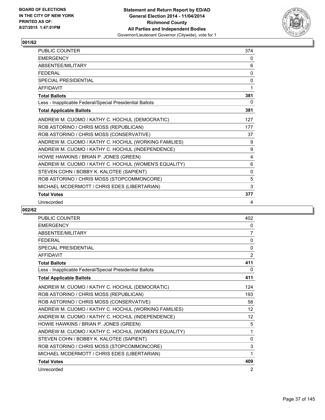

| <b>PUBLIC COUNTER</b>                                    | 374          |
|----------------------------------------------------------|--------------|
| <b>EMERGENCY</b>                                         | 0            |
| ABSENTEE/MILITARY                                        | 6            |
| <b>FEDERAL</b>                                           | 0            |
| <b>SPECIAL PRESIDENTIAL</b>                              | 0            |
| <b>AFFIDAVIT</b>                                         | 1            |
| <b>Total Ballots</b>                                     | 381          |
| Less - Inapplicable Federal/Special Presidential Ballots | 0            |
| <b>Total Applicable Ballots</b>                          | 381          |
| ANDREW M. CUOMO / KATHY C. HOCHUL (DEMOCRATIC)           | 127          |
| ROB ASTORINO / CHRIS MOSS (REPUBLICAN)                   | 177          |
| ROB ASTORINO / CHRIS MOSS (CONSERVATIVE)                 | 37           |
| ANDREW M. CUOMO / KATHY C. HOCHUL (WORKING FAMILIES)     | 9            |
| ANDREW M. CUOMO / KATHY C. HOCHUL (INDEPENDENCE)         | 9            |
| HOWIE HAWKINS / BRIAN P. JONES (GREEN)                   | 4            |
| ANDREW M. CUOMO / KATHY C. HOCHUL (WOMEN'S EQUALITY)     | 6            |
| STEVEN COHN / BOBBY K. KALOTEE (SAPIENT)                 | $\mathbf{0}$ |
| ROB ASTORINO / CHRIS MOSS (STOPCOMMONCORE)               | 5            |
| MICHAEL MCDERMOTT / CHRIS EDES (LIBERTARIAN)             | 3            |
| <b>Total Votes</b>                                       | 377          |
| Unrecorded                                               | 4            |

| <b>PUBLIC COUNTER</b>                                    | 402               |
|----------------------------------------------------------|-------------------|
| <b>EMERGENCY</b>                                         | 0                 |
| ABSENTEE/MILITARY                                        | $\overline{7}$    |
| <b>FFDFRAL</b>                                           | $\mathbf{0}$      |
| <b>SPECIAL PRESIDENTIAL</b>                              | 0                 |
| <b>AFFIDAVIT</b>                                         | 2                 |
| <b>Total Ballots</b>                                     | 411               |
| Less - Inapplicable Federal/Special Presidential Ballots | 0                 |
| <b>Total Applicable Ballots</b>                          | 411               |
| ANDREW M. CUOMO / KATHY C. HOCHUL (DEMOCRATIC)           | 124               |
| ROB ASTORINO / CHRIS MOSS (REPUBLICAN)                   | 193               |
| ROB ASTORINO / CHRIS MOSS (CONSERVATIVE)                 | 58                |
| ANDREW M. CUOMO / KATHY C. HOCHUL (WORKING FAMILIES)     | 12                |
| ANDREW M. CUOMO / KATHY C. HOCHUL (INDEPENDENCE)         | $12 \overline{ }$ |
| HOWIE HAWKINS / BRIAN P. JONES (GREEN)                   | 5                 |
| ANDREW M. CUOMO / KATHY C. HOCHUL (WOMEN'S EQUALITY)     | 1                 |
| STEVEN COHN / BOBBY K. KALOTEE (SAPIENT)                 | 0                 |
| ROB ASTORINO / CHRIS MOSS (STOPCOMMONCORE)               | 3                 |
| MICHAEL MCDERMOTT / CHRIS EDES (LIBERTARIAN)             | 1                 |
| <b>Total Votes</b>                                       | 409               |
| Unrecorded                                               | 2                 |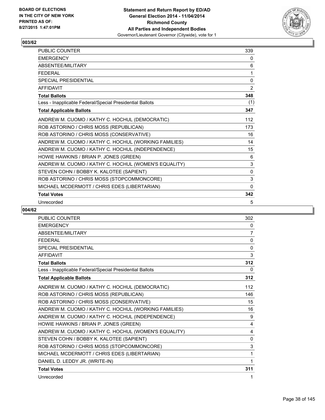

| PUBLIC COUNTER                                           | 339            |
|----------------------------------------------------------|----------------|
| <b>EMERGENCY</b>                                         | 0              |
| ABSENTEE/MILITARY                                        | 6              |
| <b>FEDERAL</b>                                           | 1              |
| <b>SPECIAL PRESIDENTIAL</b>                              | $\mathbf{0}$   |
| <b>AFFIDAVIT</b>                                         | $\overline{2}$ |
| <b>Total Ballots</b>                                     | 348            |
| Less - Inapplicable Federal/Special Presidential Ballots | (1)            |
| <b>Total Applicable Ballots</b>                          | 347            |
| ANDREW M. CUOMO / KATHY C. HOCHUL (DEMOCRATIC)           | 112            |
| ROB ASTORINO / CHRIS MOSS (REPUBLICAN)                   | 173            |
| ROB ASTORINO / CHRIS MOSS (CONSERVATIVE)                 | 16             |
| ANDREW M. CUOMO / KATHY C. HOCHUL (WORKING FAMILIES)     | 14             |
| ANDREW M. CUOMO / KATHY C. HOCHUL (INDEPENDENCE)         | 15             |
| HOWIE HAWKINS / BRIAN P. JONES (GREEN)                   | 6              |
| ANDREW M. CUOMO / KATHY C. HOCHUL (WOMEN'S EQUALITY)     | 3              |
| STEVEN COHN / BOBBY K. KALOTEE (SAPIENT)                 | 0              |
| ROB ASTORINO / CHRIS MOSS (STOPCOMMONCORE)               | 3              |
| MICHAEL MCDERMOTT / CHRIS EDES (LIBERTARIAN)             | $\Omega$       |
| <b>Total Votes</b>                                       | 342            |
| Unrecorded                                               | 5              |

| <b>PUBLIC COUNTER</b>                                    | 302          |
|----------------------------------------------------------|--------------|
| <b>EMERGENCY</b>                                         | 0            |
| <b>ABSENTEF/MILITARY</b>                                 | 7            |
| <b>FEDERAL</b>                                           | 0            |
| <b>SPECIAL PRESIDENTIAL</b>                              | $\mathbf{0}$ |
| <b>AFFIDAVIT</b>                                         | 3            |
| <b>Total Ballots</b>                                     | 312          |
| Less - Inapplicable Federal/Special Presidential Ballots | 0            |
| <b>Total Applicable Ballots</b>                          | 312          |
| ANDREW M. CUOMO / KATHY C. HOCHUL (DEMOCRATIC)           | 112          |
| ROB ASTORINO / CHRIS MOSS (REPUBLICAN)                   | 146          |
| ROB ASTORINO / CHRIS MOSS (CONSERVATIVE)                 | 15           |
| ANDREW M. CUOMO / KATHY C. HOCHUL (WORKING FAMILIES)     | 16           |
| ANDREW M. CUOMO / KATHY C. HOCHUL (INDEPENDENCE)         | 9            |
| HOWIE HAWKINS / BRIAN P. JONES (GREEN)                   | 4            |
| ANDREW M. CUOMO / KATHY C. HOCHUL (WOMEN'S EQUALITY)     | 4            |
| STEVEN COHN / BOBBY K. KALOTEE (SAPIENT)                 | 0            |
| ROB ASTORINO / CHRIS MOSS (STOPCOMMONCORE)               | 3            |
| MICHAEL MCDERMOTT / CHRIS EDES (LIBERTARIAN)             | 1            |
| DANIEL D. LEDDY JR. (WRITE-IN)                           | 1            |
| <b>Total Votes</b>                                       | 311          |
| Unrecorded                                               | 1            |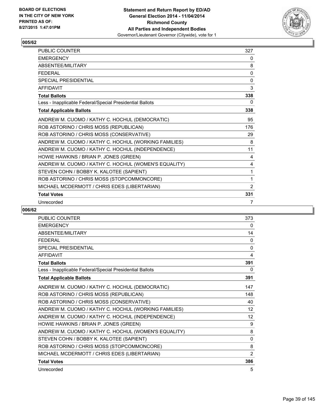

| <b>PUBLIC COUNTER</b>                                    | 327 |
|----------------------------------------------------------|-----|
| <b>EMERGENCY</b>                                         | 0   |
| ABSENTEE/MILITARY                                        | 8   |
| <b>FEDERAL</b>                                           | 0   |
| <b>SPECIAL PRESIDENTIAL</b>                              | 0   |
| <b>AFFIDAVIT</b>                                         | 3   |
| <b>Total Ballots</b>                                     | 338 |
| Less - Inapplicable Federal/Special Presidential Ballots | 0   |
| <b>Total Applicable Ballots</b>                          | 338 |
| ANDREW M. CUOMO / KATHY C. HOCHUL (DEMOCRATIC)           | 95  |
| ROB ASTORINO / CHRIS MOSS (REPUBLICAN)                   | 176 |
| ROB ASTORINO / CHRIS MOSS (CONSERVATIVE)                 | 29  |
| ANDREW M. CUOMO / KATHY C. HOCHUL (WORKING FAMILIES)     | 8   |
| ANDREW M. CUOMO / KATHY C. HOCHUL (INDEPENDENCE)         | 11  |
| HOWIE HAWKINS / BRIAN P. JONES (GREEN)                   | 4   |
| ANDREW M. CUOMO / KATHY C. HOCHUL (WOMEN'S EQUALITY)     | 4   |
| STEVEN COHN / BOBBY K. KALOTEE (SAPIENT)                 | 1   |
| ROB ASTORINO / CHRIS MOSS (STOPCOMMONCORE)               | 1   |
| MICHAEL MCDERMOTT / CHRIS EDES (LIBERTARIAN)             | 2   |
| <b>Total Votes</b>                                       | 331 |
| Unrecorded                                               | 7   |

| PUBLIC COUNTER                                           | 373               |
|----------------------------------------------------------|-------------------|
| <b>EMERGENCY</b>                                         | 0                 |
| ABSENTEE/MILITARY                                        | 14                |
| <b>FEDERAL</b>                                           | $\Omega$          |
| <b>SPECIAL PRESIDENTIAL</b>                              | 0                 |
| <b>AFFIDAVIT</b>                                         | 4                 |
| <b>Total Ballots</b>                                     | 391               |
| Less - Inapplicable Federal/Special Presidential Ballots | 0                 |
| <b>Total Applicable Ballots</b>                          | 391               |
| ANDREW M. CUOMO / KATHY C. HOCHUL (DEMOCRATIC)           | 147               |
| ROB ASTORINO / CHRIS MOSS (REPUBLICAN)                   | 148               |
| ROB ASTORINO / CHRIS MOSS (CONSERVATIVE)                 | 40                |
| ANDREW M. CUOMO / KATHY C. HOCHUL (WORKING FAMILIES)     | 12                |
| ANDREW M. CUOMO / KATHY C. HOCHUL (INDEPENDENCE)         | $12 \overline{ }$ |
| HOWIE HAWKINS / BRIAN P. JONES (GREEN)                   | 9                 |
| ANDREW M. CUOMO / KATHY C. HOCHUL (WOMEN'S EQUALITY)     | 8                 |
| STEVEN COHN / BOBBY K. KALOTEE (SAPIENT)                 | 0                 |
| ROB ASTORINO / CHRIS MOSS (STOPCOMMONCORE)               | 8                 |
| MICHAEL MCDERMOTT / CHRIS EDES (LIBERTARIAN)             | $\overline{2}$    |
| <b>Total Votes</b>                                       | 386               |
| Unrecorded                                               | 5                 |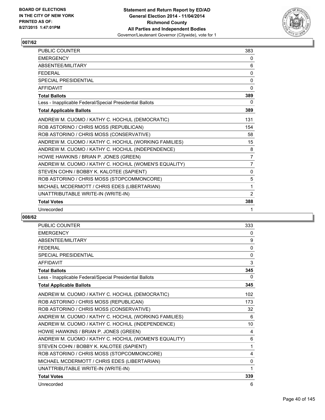

| <b>PUBLIC COUNTER</b>                                    | 383            |
|----------------------------------------------------------|----------------|
| <b>FMFRGFNCY</b>                                         | 0              |
| ABSENTEE/MILITARY                                        | 6              |
| <b>FFDFRAL</b>                                           | $\mathbf{0}$   |
| SPECIAL PRESIDENTIAL                                     | 0              |
| <b>AFFIDAVIT</b>                                         | 0              |
| <b>Total Ballots</b>                                     | 389            |
| Less - Inapplicable Federal/Special Presidential Ballots | 0              |
| <b>Total Applicable Ballots</b>                          | 389            |
| ANDREW M. CUOMO / KATHY C. HOCHUL (DEMOCRATIC)           | 131            |
| ROB ASTORINO / CHRIS MOSS (REPUBLICAN)                   | 154            |
| ROB ASTORINO / CHRIS MOSS (CONSERVATIVE)                 | 58             |
| ANDREW M. CUOMO / KATHY C. HOCHUL (WORKING FAMILIES)     | 15             |
| ANDREW M. CUOMO / KATHY C. HOCHUL (INDEPENDENCE)         | 8              |
| HOWIE HAWKINS / BRIAN P. JONES (GREEN)                   | 7              |
| ANDREW M. CUOMO / KATHY C. HOCHUL (WOMEN'S EQUALITY)     | $\overline{7}$ |
| STEVEN COHN / BOBBY K. KALOTEE (SAPIENT)                 | $\mathbf{0}$   |
| ROB ASTORINO / CHRIS MOSS (STOPCOMMONCORE)               | 5              |
| MICHAEL MCDERMOTT / CHRIS EDES (LIBERTARIAN)             | 1              |
| UNATTRIBUTABLE WRITE-IN (WRITE-IN)                       | 2              |
| <b>Total Votes</b>                                       | 388            |
| Unrecorded                                               | 1              |

| <b>PUBLIC COUNTER</b>                                    | 333 |
|----------------------------------------------------------|-----|
| <b>EMERGENCY</b>                                         | 0   |
| <b>ABSENTEE/MILITARY</b>                                 | 9   |
| <b>FFDFRAL</b>                                           | 0   |
| SPECIAL PRESIDENTIAL                                     | 0   |
| <b>AFFIDAVIT</b>                                         | 3   |
| <b>Total Ballots</b>                                     | 345 |
| Less - Inapplicable Federal/Special Presidential Ballots | 0   |
| <b>Total Applicable Ballots</b>                          | 345 |
| ANDREW M. CUOMO / KATHY C. HOCHUL (DEMOCRATIC)           | 102 |
| ROB ASTORINO / CHRIS MOSS (REPUBLICAN)                   | 173 |
| ROB ASTORINO / CHRIS MOSS (CONSERVATIVE)                 | 32  |
| ANDREW M. CUOMO / KATHY C. HOCHUL (WORKING FAMILIES)     | 6   |
| ANDREW M. CUOMO / KATHY C. HOCHUL (INDEPENDENCE)         | 10  |
| HOWIE HAWKINS / BRIAN P. JONES (GREEN)                   | 4   |
| ANDREW M. CUOMO / KATHY C. HOCHUL (WOMEN'S EQUALITY)     | 6   |
| STEVEN COHN / BOBBY K. KALOTEE (SAPIENT)                 | 1   |
| ROB ASTORINO / CHRIS MOSS (STOPCOMMONCORE)               | 4   |
| MICHAEL MCDERMOTT / CHRIS EDES (LIBERTARIAN)             | 0   |
| UNATTRIBUTABLE WRITE-IN (WRITE-IN)                       | 1   |
| <b>Total Votes</b>                                       | 339 |
| Unrecorded                                               | 6   |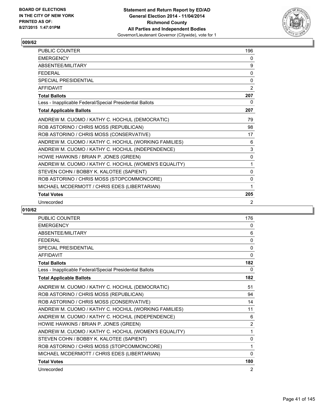

| <b>PUBLIC COUNTER</b>                                    | 196            |
|----------------------------------------------------------|----------------|
| <b>EMERGENCY</b>                                         | 0              |
| ABSENTEE/MILITARY                                        | 9              |
| <b>FFDFRAL</b>                                           | 0              |
| SPECIAL PRESIDENTIAL                                     | $\Omega$       |
| <b>AFFIDAVIT</b>                                         | $\overline{2}$ |
| <b>Total Ballots</b>                                     | 207            |
| Less - Inapplicable Federal/Special Presidential Ballots | 0              |
| <b>Total Applicable Ballots</b>                          | 207            |
| ANDREW M. CUOMO / KATHY C. HOCHUL (DEMOCRATIC)           | 79             |
| ROB ASTORINO / CHRIS MOSS (REPUBLICAN)                   | 98             |
| ROB ASTORINO / CHRIS MOSS (CONSERVATIVE)                 | 17             |
| ANDREW M. CUOMO / KATHY C. HOCHUL (WORKING FAMILIES)     | 6              |
| ANDREW M. CUOMO / KATHY C. HOCHUL (INDEPENDENCE)         | 3              |
| HOWIE HAWKINS / BRIAN P. JONES (GREEN)                   | 0              |
| ANDREW M. CUOMO / KATHY C. HOCHUL (WOMEN'S EQUALITY)     | 1              |
| STEVEN COHN / BOBBY K. KALOTEE (SAPIENT)                 | $\Omega$       |
| ROB ASTORINO / CHRIS MOSS (STOPCOMMONCORE)               | 0              |
| MICHAEL MCDERMOTT / CHRIS EDES (LIBERTARIAN)             | 1              |
| <b>Total Votes</b>                                       | 205            |
| Unrecorded                                               | $\overline{2}$ |

| PUBLIC COUNTER                                           | 176            |
|----------------------------------------------------------|----------------|
| <b>EMERGENCY</b>                                         | 0              |
| ABSENTEE/MILITARY                                        | 6              |
| <b>FEDERAL</b>                                           | $\mathbf{0}$   |
| <b>SPECIAL PRESIDENTIAL</b>                              | $\mathbf 0$    |
| <b>AFFIDAVIT</b>                                         | $\mathbf{0}$   |
| <b>Total Ballots</b>                                     | 182            |
| Less - Inapplicable Federal/Special Presidential Ballots | 0              |
| <b>Total Applicable Ballots</b>                          | 182            |
| ANDREW M. CUOMO / KATHY C. HOCHUL (DEMOCRATIC)           | 51             |
| ROB ASTORINO / CHRIS MOSS (REPUBLICAN)                   | 94             |
| ROB ASTORINO / CHRIS MOSS (CONSERVATIVE)                 | 14             |
| ANDREW M. CUOMO / KATHY C. HOCHUL (WORKING FAMILIES)     | 11             |
| ANDREW M. CUOMO / KATHY C. HOCHUL (INDEPENDENCE)         | 6              |
| HOWIE HAWKINS / BRIAN P. JONES (GREEN)                   | $\overline{2}$ |
| ANDREW M. CUOMO / KATHY C. HOCHUL (WOMEN'S EQUALITY)     | 1              |
| STEVEN COHN / BOBBY K. KALOTEE (SAPIENT)                 | 0              |
| ROB ASTORINO / CHRIS MOSS (STOPCOMMONCORE)               | 1              |
| MICHAEL MCDERMOTT / CHRIS EDES (LIBERTARIAN)             | 0              |
| <b>Total Votes</b>                                       | 180            |
| Unrecorded                                               | 2              |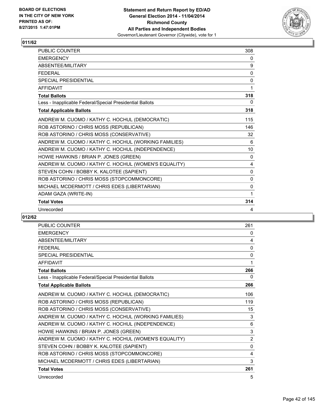

| <b>PUBLIC COUNTER</b>                                    | 308      |
|----------------------------------------------------------|----------|
| <b>EMERGENCY</b>                                         | 0        |
| <b>ABSENTFF/MILITARY</b>                                 | 9        |
| <b>FFDFRAL</b>                                           | 0        |
| <b>SPECIAL PRESIDENTIAL</b>                              | 0        |
| <b>AFFIDAVIT</b>                                         | 1        |
| <b>Total Ballots</b>                                     | 318      |
| Less - Inapplicable Federal/Special Presidential Ballots | 0        |
| <b>Total Applicable Ballots</b>                          | 318      |
| ANDREW M. CUOMO / KATHY C. HOCHUL (DEMOCRATIC)           | 115      |
| ROB ASTORINO / CHRIS MOSS (REPUBLICAN)                   | 146      |
| ROB ASTORINO / CHRIS MOSS (CONSERVATIVE)                 | 32       |
| ANDREW M. CUOMO / KATHY C. HOCHUL (WORKING FAMILIES)     | 6        |
| ANDREW M. CUOMO / KATHY C. HOCHUL (INDEPENDENCE)         | 10       |
| HOWIE HAWKINS / BRIAN P. JONES (GREEN)                   | $\Omega$ |
| ANDREW M. CUOMO / KATHY C. HOCHUL (WOMEN'S EQUALITY)     | 4        |
| STEVEN COHN / BOBBY K. KALOTEE (SAPIENT)                 | $\Omega$ |
| ROB ASTORINO / CHRIS MOSS (STOPCOMMONCORE)               | 0        |
| MICHAEL MCDERMOTT / CHRIS EDES (LIBERTARIAN)             | 0        |
| ADAM GAZA (WRITE-IN)                                     | 1        |
| <b>Total Votes</b>                                       | 314      |
| Unrecorded                                               | 4        |

| <b>PUBLIC COUNTER</b>                                    | 261            |
|----------------------------------------------------------|----------------|
| <b>EMERGENCY</b>                                         | 0              |
| <b>ABSENTEE/MILITARY</b>                                 | 4              |
| <b>FFDFRAL</b>                                           | $\Omega$       |
| <b>SPECIAL PRESIDENTIAL</b>                              | $\mathbf{0}$   |
| <b>AFFIDAVIT</b>                                         | 1              |
| <b>Total Ballots</b>                                     | 266            |
| Less - Inapplicable Federal/Special Presidential Ballots | 0              |
| <b>Total Applicable Ballots</b>                          | 266            |
| ANDREW M. CUOMO / KATHY C. HOCHUL (DEMOCRATIC)           | 106            |
| ROB ASTORINO / CHRIS MOSS (REPUBLICAN)                   | 119            |
| ROB ASTORINO / CHRIS MOSS (CONSERVATIVE)                 | 15             |
| ANDREW M. CUOMO / KATHY C. HOCHUL (WORKING FAMILIES)     | 3              |
| ANDREW M. CUOMO / KATHY C. HOCHUL (INDEPENDENCE)         | 6              |
| HOWIE HAWKINS / BRIAN P. JONES (GREEN)                   | 3              |
| ANDREW M. CUOMO / KATHY C. HOCHUL (WOMEN'S EQUALITY)     | $\overline{2}$ |
| STEVEN COHN / BOBBY K. KALOTEE (SAPIENT)                 | 0              |
| ROB ASTORINO / CHRIS MOSS (STOPCOMMONCORE)               | 4              |
| MICHAEL MCDERMOTT / CHRIS EDES (LIBERTARIAN)             | 3              |
| <b>Total Votes</b>                                       | 261            |
| Unrecorded                                               | 5              |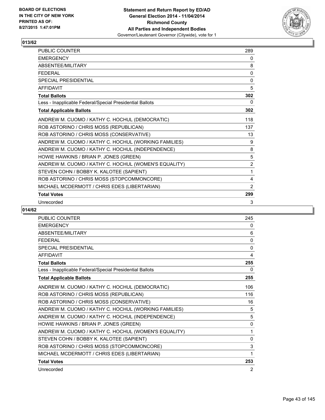

| <b>PUBLIC COUNTER</b>                                    | 289            |
|----------------------------------------------------------|----------------|
| <b>EMERGENCY</b>                                         | 0              |
| ABSENTEE/MILITARY                                        | 8              |
| <b>FEDERAL</b>                                           | 0              |
| <b>SPECIAL PRESIDENTIAL</b>                              | 0              |
| <b>AFFIDAVIT</b>                                         | 5              |
| <b>Total Ballots</b>                                     | 302            |
| Less - Inapplicable Federal/Special Presidential Ballots | 0              |
| <b>Total Applicable Ballots</b>                          | 302            |
| ANDREW M. CUOMO / KATHY C. HOCHUL (DEMOCRATIC)           | 118            |
| ROB ASTORINO / CHRIS MOSS (REPUBLICAN)                   | 137            |
| ROB ASTORINO / CHRIS MOSS (CONSERVATIVE)                 | 13             |
| ANDREW M. CUOMO / KATHY C. HOCHUL (WORKING FAMILIES)     | 9              |
| ANDREW M. CUOMO / KATHY C. HOCHUL (INDEPENDENCE)         | 8              |
| HOWIE HAWKINS / BRIAN P. JONES (GREEN)                   | 5              |
| ANDREW M. CUOMO / KATHY C. HOCHUL (WOMEN'S EQUALITY)     | $\overline{2}$ |
| STEVEN COHN / BOBBY K. KALOTEE (SAPIENT)                 | 1              |
| ROB ASTORINO / CHRIS MOSS (STOPCOMMONCORE)               | 4              |
| MICHAEL MCDERMOTT / CHRIS EDES (LIBERTARIAN)             | 2              |
| <b>Total Votes</b>                                       | 299            |
| Unrecorded                                               | 3              |

| <b>PUBLIC COUNTER</b>                                    | 245          |
|----------------------------------------------------------|--------------|
| <b>EMERGENCY</b>                                         | 0            |
| ABSENTEE/MILITARY                                        | 6            |
| <b>FEDERAL</b>                                           | $\mathbf{0}$ |
| <b>SPECIAL PRESIDENTIAL</b>                              | 0            |
| <b>AFFIDAVIT</b>                                         | 4            |
| <b>Total Ballots</b>                                     | 255          |
| Less - Inapplicable Federal/Special Presidential Ballots | 0            |
| <b>Total Applicable Ballots</b>                          | 255          |
| ANDREW M. CUOMO / KATHY C. HOCHUL (DEMOCRATIC)           | 106          |
| ROB ASTORINO / CHRIS MOSS (REPUBLICAN)                   | 116          |
| ROB ASTORINO / CHRIS MOSS (CONSERVATIVE)                 | 16           |
| ANDREW M. CUOMO / KATHY C. HOCHUL (WORKING FAMILIES)     | 5            |
| ANDREW M. CUOMO / KATHY C. HOCHUL (INDEPENDENCE)         | 5            |
| HOWIE HAWKINS / BRIAN P. JONES (GREEN)                   | 0            |
| ANDREW M. CUOMO / KATHY C. HOCHUL (WOMEN'S EQUALITY)     | 1            |
| STEVEN COHN / BOBBY K. KALOTEE (SAPIENT)                 | 0            |
| ROB ASTORINO / CHRIS MOSS (STOPCOMMONCORE)               | 3            |
| MICHAEL MCDERMOTT / CHRIS EDES (LIBERTARIAN)             | 1            |
| <b>Total Votes</b>                                       | 253          |
| Unrecorded                                               | 2            |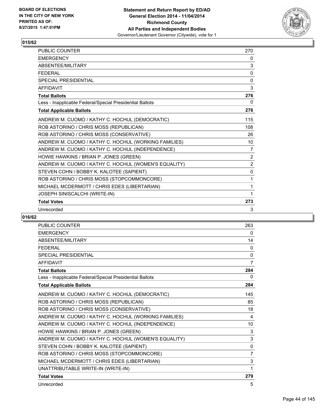

| PUBLIC COUNTER                                           | 270            |
|----------------------------------------------------------|----------------|
| <b>EMERGENCY</b>                                         | 0              |
| ABSENTEE/MILITARY                                        | 3              |
| <b>FFDFRAL</b>                                           | $\Omega$       |
| <b>SPECIAL PRESIDENTIAL</b>                              | 0              |
| <b>AFFIDAVIT</b>                                         | 3              |
| <b>Total Ballots</b>                                     | 276            |
| Less - Inapplicable Federal/Special Presidential Ballots | 0              |
| <b>Total Applicable Ballots</b>                          | 276            |
| ANDREW M. CUOMO / KATHY C. HOCHUL (DEMOCRATIC)           | 115            |
| ROB ASTORINO / CHRIS MOSS (REPUBLICAN)                   | 108            |
| ROB ASTORINO / CHRIS MOSS (CONSERVATIVE)                 | 26             |
| ANDREW M. CUOMO / KATHY C. HOCHUL (WORKING FAMILIES)     | 10             |
| ANDREW M. CUOMO / KATHY C. HOCHUL (INDEPENDENCE)         | $\overline{7}$ |
| HOWIE HAWKINS / BRIAN P. JONES (GREEN)                   | $\overline{2}$ |
| ANDREW M. CUOMO / KATHY C. HOCHUL (WOMEN'S EQUALITY)     | $\overline{2}$ |
| STEVEN COHN / BOBBY K. KALOTEE (SAPIENT)                 | 0              |
| ROB ASTORINO / CHRIS MOSS (STOPCOMMONCORE)               | 1              |
| MICHAEL MCDERMOTT / CHRIS EDES (LIBERTARIAN)             | 1              |
| JOSEPH SINISCALCHI (WRITE-IN)                            | 1              |
| <b>Total Votes</b>                                       | 273            |
| Unrecorded                                               | 3              |

| <b>PUBLIC COUNTER</b>                                    | 263            |
|----------------------------------------------------------|----------------|
| <b>EMERGENCY</b>                                         | 0              |
| <b>ABSENTEE/MILITARY</b>                                 | 14             |
| <b>FFDFRAI</b>                                           | $\mathbf{0}$   |
| <b>SPECIAL PRESIDENTIAL</b>                              | 0              |
| <b>AFFIDAVIT</b>                                         | $\overline{7}$ |
| <b>Total Ballots</b>                                     | 284            |
| Less - Inapplicable Federal/Special Presidential Ballots | 0              |
| <b>Total Applicable Ballots</b>                          | 284            |
| ANDREW M. CUOMO / KATHY C. HOCHUL (DEMOCRATIC)           | 145            |
| ROB ASTORINO / CHRIS MOSS (REPUBLICAN)                   | 85             |
| ROB ASTORINO / CHRIS MOSS (CONSERVATIVE)                 | 18             |
| ANDREW M. CUOMO / KATHY C. HOCHUL (WORKING FAMILIES)     | 4              |
| ANDREW M. CUOMO / KATHY C. HOCHUL (INDEPENDENCE)         | 10             |
| HOWIE HAWKINS / BRIAN P. JONES (GREEN)                   | 3              |
| ANDREW M. CUOMO / KATHY C. HOCHUL (WOMEN'S EQUALITY)     | 3              |
| STEVEN COHN / BOBBY K. KALOTEE (SAPIENT)                 | 0              |
| ROB ASTORINO / CHRIS MOSS (STOPCOMMONCORE)               | $\overline{7}$ |
| MICHAEL MCDERMOTT / CHRIS EDES (LIBERTARIAN)             | 3              |
| UNATTRIBUTABLE WRITE-IN (WRITE-IN)                       | 1              |
| <b>Total Votes</b>                                       | 279            |
| Unrecorded                                               | 5              |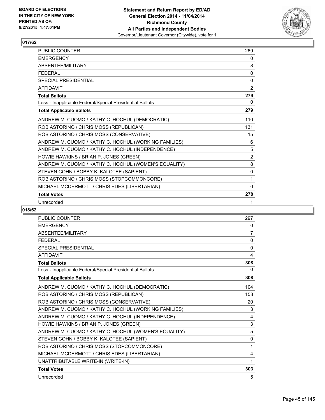

| <b>PUBLIC COUNTER</b>                                    | 269            |
|----------------------------------------------------------|----------------|
| <b>EMERGENCY</b>                                         | 0              |
| ABSENTEE/MILITARY                                        | 8              |
| <b>FFDFRAL</b>                                           | 0              |
| SPECIAL PRESIDENTIAL                                     | $\Omega$       |
| <b>AFFIDAVIT</b>                                         | 2              |
| <b>Total Ballots</b>                                     | 279            |
| Less - Inapplicable Federal/Special Presidential Ballots | 0              |
| <b>Total Applicable Ballots</b>                          | 279            |
| ANDREW M. CUOMO / KATHY C. HOCHUL (DEMOCRATIC)           | 110            |
| ROB ASTORINO / CHRIS MOSS (REPUBLICAN)                   | 131            |
| ROB ASTORINO / CHRIS MOSS (CONSERVATIVE)                 | 15             |
| ANDREW M. CUOMO / KATHY C. HOCHUL (WORKING FAMILIES)     | 6              |
| ANDREW M. CUOMO / KATHY C. HOCHUL (INDEPENDENCE)         | 5              |
| HOWIE HAWKINS / BRIAN P. JONES (GREEN)                   | $\overline{2}$ |
| ANDREW M. CUOMO / KATHY C. HOCHUL (WOMEN'S EQUALITY)     | 8              |
| STEVEN COHN / BOBBY K. KALOTEE (SAPIENT)                 | $\mathbf{0}$   |
| ROB ASTORINO / CHRIS MOSS (STOPCOMMONCORE)               | 1              |
| MICHAEL MCDERMOTT / CHRIS EDES (LIBERTARIAN)             | $\mathbf{0}$   |
| <b>Total Votes</b>                                       | 278            |
| Unrecorded                                               | 1              |

| <b>PUBLIC COUNTER</b>                                    | 297          |
|----------------------------------------------------------|--------------|
| <b>EMERGENCY</b>                                         | 0            |
| <b>ABSENTEE/MILITARY</b>                                 | 7            |
| <b>FEDERAL</b>                                           | $\mathbf{0}$ |
| <b>SPECIAL PRESIDENTIAL</b>                              | 0            |
| <b>AFFIDAVIT</b>                                         | 4            |
| <b>Total Ballots</b>                                     | 308          |
| Less - Inapplicable Federal/Special Presidential Ballots | 0            |
| <b>Total Applicable Ballots</b>                          | 308          |
| ANDREW M. CUOMO / KATHY C. HOCHUL (DEMOCRATIC)           | 104          |
| ROB ASTORINO / CHRIS MOSS (REPUBLICAN)                   | 158          |
| ROB ASTORINO / CHRIS MOSS (CONSERVATIVE)                 | 20           |
| ANDREW M. CUOMO / KATHY C. HOCHUL (WORKING FAMILIES)     | 3            |
| ANDREW M. CUOMO / KATHY C. HOCHUL (INDEPENDENCE)         | 4            |
| HOWIE HAWKINS / BRIAN P. JONES (GREEN)                   | 3            |
| ANDREW M. CUOMO / KATHY C. HOCHUL (WOMEN'S EQUALITY)     | 5            |
| STEVEN COHN / BOBBY K. KALOTEE (SAPIENT)                 | 0            |
| ROB ASTORINO / CHRIS MOSS (STOPCOMMONCORE)               | 1            |
| MICHAEL MCDERMOTT / CHRIS EDES (LIBERTARIAN)             | 4            |
| UNATTRIBUTABLE WRITE-IN (WRITE-IN)                       | 1            |
| <b>Total Votes</b>                                       | 303          |
| Unrecorded                                               | 5            |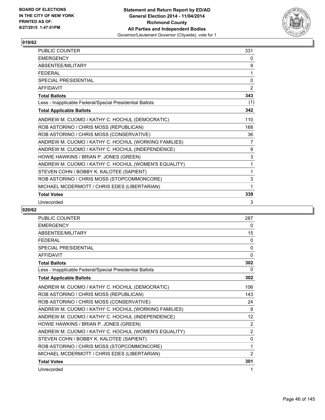

| PUBLIC COUNTER                                           | 331            |
|----------------------------------------------------------|----------------|
| <b>EMERGENCY</b>                                         | 0              |
| ABSENTEE/MILITARY                                        | 9              |
| <b>FEDERAL</b>                                           | 1              |
| <b>SPECIAL PRESIDENTIAL</b>                              | $\Omega$       |
| <b>AFFIDAVIT</b>                                         | 2              |
| <b>Total Ballots</b>                                     | 343            |
| Less - Inapplicable Federal/Special Presidential Ballots | (1)            |
| <b>Total Applicable Ballots</b>                          | 342            |
| ANDREW M. CUOMO / KATHY C. HOCHUL (DEMOCRATIC)           | 110            |
| ROB ASTORINO / CHRIS MOSS (REPUBLICAN)                   | 168            |
| ROB ASTORINO / CHRIS MOSS (CONSERVATIVE)                 | 36             |
| ANDREW M. CUOMO / KATHY C. HOCHUL (WORKING FAMILIES)     | $\overline{7}$ |
| ANDREW M. CUOMO / KATHY C. HOCHUL (INDEPENDENCE)         | 9              |
| HOWIE HAWKINS / BRIAN P. JONES (GREEN)                   | 3              |
| ANDREW M. CUOMO / KATHY C. HOCHUL (WOMEN'S EQUALITY)     | 1              |
| STEVEN COHN / BOBBY K. KALOTEE (SAPIENT)                 | 1              |
| ROB ASTORINO / CHRIS MOSS (STOPCOMMONCORE)               | 3              |
| MICHAEL MCDERMOTT / CHRIS EDES (LIBERTARIAN)             | 1              |
| <b>Total Votes</b>                                       | 339            |
| Unrecorded                                               | 3              |

| PUBLIC COUNTER                                           | 287            |
|----------------------------------------------------------|----------------|
| <b>EMERGENCY</b>                                         | 0              |
| <b>ABSENTEE/MILITARY</b>                                 | 15             |
| <b>FEDERAL</b>                                           | 0              |
| <b>SPECIAL PRESIDENTIAL</b>                              | 0              |
| <b>AFFIDAVIT</b>                                         | $\Omega$       |
| <b>Total Ballots</b>                                     | 302            |
| Less - Inapplicable Federal/Special Presidential Ballots | 0              |
| <b>Total Applicable Ballots</b>                          | 302            |
| ANDREW M. CUOMO / KATHY C. HOCHUL (DEMOCRATIC)           | 106            |
| ROB ASTORINO / CHRIS MOSS (REPUBLICAN)                   | 143            |
| ROB ASTORINO / CHRIS MOSS (CONSERVATIVE)                 | 24             |
| ANDREW M. CUOMO / KATHY C. HOCHUL (WORKING FAMILIES)     | 9              |
| ANDREW M. CUOMO / KATHY C. HOCHUL (INDEPENDENCE)         | 12             |
| HOWIE HAWKINS / BRIAN P. JONES (GREEN)                   | 2              |
| ANDREW M. CUOMO / KATHY C. HOCHUL (WOMEN'S EQUALITY)     | $\overline{2}$ |
| STEVEN COHN / BOBBY K. KALOTEE (SAPIENT)                 | 0              |
| ROB ASTORINO / CHRIS MOSS (STOPCOMMONCORE)               | 1              |
| MICHAEL MCDERMOTT / CHRIS EDES (LIBERTARIAN)             | 2              |
| <b>Total Votes</b>                                       | 301            |
| Unrecorded                                               | 1              |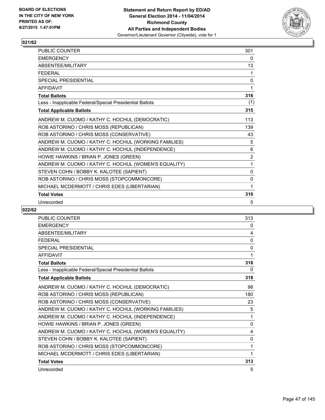

| <b>PUBLIC COUNTER</b>                                    | 301            |
|----------------------------------------------------------|----------------|
| <b>EMERGENCY</b>                                         | 0              |
| ABSENTEE/MILITARY                                        | 13             |
| <b>FEDERAL</b>                                           | 1              |
| <b>SPECIAL PRESIDENTIAL</b>                              | $\mathbf 0$    |
| <b>AFFIDAVIT</b>                                         | 1              |
| <b>Total Ballots</b>                                     | 316            |
| Less - Inapplicable Federal/Special Presidential Ballots | (1)            |
| <b>Total Applicable Ballots</b>                          | 315            |
| ANDREW M. CUOMO / KATHY C. HOCHUL (DEMOCRATIC)           | 113            |
| ROB ASTORINO / CHRIS MOSS (REPUBLICAN)                   | 139            |
| ROB ASTORINO / CHRIS MOSS (CONSERVATIVE)                 | 43             |
| ANDREW M. CUOMO / KATHY C. HOCHUL (WORKING FAMILIES)     | 5              |
| ANDREW M. CUOMO / KATHY C. HOCHUL (INDEPENDENCE)         | 6              |
| HOWIE HAWKINS / BRIAN P. JONES (GREEN)                   | $\overline{2}$ |
| ANDREW M. CUOMO / KATHY C. HOCHUL (WOMEN'S EQUALITY)     | 1              |
| STEVEN COHN / BOBBY K. KALOTEE (SAPIENT)                 | $\mathbf{0}$   |
| ROB ASTORINO / CHRIS MOSS (STOPCOMMONCORE)               | 0              |
| MICHAEL MCDERMOTT / CHRIS EDES (LIBERTARIAN)             | 1              |
| <b>Total Votes</b>                                       | 310            |
| Unrecorded                                               | 5              |

| PUBLIC COUNTER                                           | 313         |
|----------------------------------------------------------|-------------|
| <b>EMERGENCY</b>                                         | 0           |
| ABSENTEE/MILITARY                                        | 4           |
| <b>FEDERAL</b>                                           | $\Omega$    |
| <b>SPECIAL PRESIDENTIAL</b>                              | 0           |
| <b>AFFIDAVIT</b>                                         | 1           |
| <b>Total Ballots</b>                                     | 318         |
| Less - Inapplicable Federal/Special Presidential Ballots | 0           |
| <b>Total Applicable Ballots</b>                          | 318         |
| ANDREW M. CUOMO / KATHY C. HOCHUL (DEMOCRATIC)           | 98          |
| ROB ASTORINO / CHRIS MOSS (REPUBLICAN)                   | 180         |
| ROB ASTORINO / CHRIS MOSS (CONSERVATIVE)                 | 23          |
| ANDREW M. CUOMO / KATHY C. HOCHUL (WORKING FAMILIES)     | 5           |
| ANDREW M. CUOMO / KATHY C. HOCHUL (INDEPENDENCE)         | 1           |
| HOWIE HAWKINS / BRIAN P. JONES (GREEN)                   | $\mathbf 0$ |
| ANDREW M. CUOMO / KATHY C. HOCHUL (WOMEN'S EQUALITY)     | 4           |
| STEVEN COHN / BOBBY K. KALOTEE (SAPIENT)                 | 0           |
| ROB ASTORINO / CHRIS MOSS (STOPCOMMONCORE)               | 1           |
| MICHAEL MCDERMOTT / CHRIS EDES (LIBERTARIAN)             | 1           |
| <b>Total Votes</b>                                       | 313         |
| Unrecorded                                               | 5           |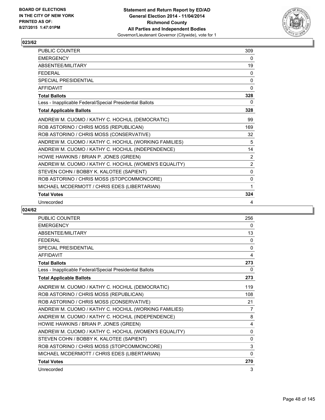

| PUBLIC COUNTER                                           | 309            |
|----------------------------------------------------------|----------------|
| <b>EMERGENCY</b>                                         | 0              |
| ABSENTEE/MILITARY                                        | 19             |
| <b>FEDERAL</b>                                           | 0              |
| <b>SPECIAL PRESIDENTIAL</b>                              | $\Omega$       |
| <b>AFFIDAVIT</b>                                         | $\Omega$       |
| <b>Total Ballots</b>                                     | 328            |
| Less - Inapplicable Federal/Special Presidential Ballots | 0              |
| <b>Total Applicable Ballots</b>                          | 328            |
| ANDREW M. CUOMO / KATHY C. HOCHUL (DEMOCRATIC)           | 99             |
| ROB ASTORINO / CHRIS MOSS (REPUBLICAN)                   | 169            |
| ROB ASTORINO / CHRIS MOSS (CONSERVATIVE)                 | 32             |
| ANDREW M. CUOMO / KATHY C. HOCHUL (WORKING FAMILIES)     | 5              |
| ANDREW M. CUOMO / KATHY C. HOCHUL (INDEPENDENCE)         | 14             |
| HOWIE HAWKINS / BRIAN P. JONES (GREEN)                   | $\overline{2}$ |
| ANDREW M. CUOMO / KATHY C. HOCHUL (WOMEN'S EQUALITY)     | $\overline{2}$ |
| STEVEN COHN / BOBBY K. KALOTEE (SAPIENT)                 | $\mathbf{0}$   |
| ROB ASTORINO / CHRIS MOSS (STOPCOMMONCORE)               | 0              |
| MICHAEL MCDERMOTT / CHRIS EDES (LIBERTARIAN)             | 1              |
| <b>Total Votes</b>                                       | 324            |
| Unrecorded                                               | 4              |

| <b>PUBLIC COUNTER</b>                                    | 256 |
|----------------------------------------------------------|-----|
| <b>EMERGENCY</b>                                         | 0   |
| ABSENTEE/MILITARY                                        | 13  |
| <b>FEDERAL</b>                                           | 0   |
| <b>SPECIAL PRESIDENTIAL</b>                              | 0   |
| <b>AFFIDAVIT</b>                                         | 4   |
| <b>Total Ballots</b>                                     | 273 |
| Less - Inapplicable Federal/Special Presidential Ballots | 0   |
| <b>Total Applicable Ballots</b>                          | 273 |
| ANDREW M. CUOMO / KATHY C. HOCHUL (DEMOCRATIC)           | 119 |
| ROB ASTORINO / CHRIS MOSS (REPUBLICAN)                   | 108 |
| ROB ASTORINO / CHRIS MOSS (CONSERVATIVE)                 | 21  |
| ANDREW M. CUOMO / KATHY C. HOCHUL (WORKING FAMILIES)     | 7   |
| ANDREW M. CUOMO / KATHY C. HOCHUL (INDEPENDENCE)         | 8   |
| HOWIE HAWKINS / BRIAN P. JONES (GREEN)                   | 4   |
| ANDREW M. CUOMO / KATHY C. HOCHUL (WOMEN'S EQUALITY)     | 0   |
| STEVEN COHN / BOBBY K. KALOTEE (SAPIENT)                 | 0   |
| ROB ASTORINO / CHRIS MOSS (STOPCOMMONCORE)               | 3   |
| MICHAEL MCDERMOTT / CHRIS EDES (LIBERTARIAN)             | 0   |
| <b>Total Votes</b>                                       | 270 |
| Unrecorded                                               | 3   |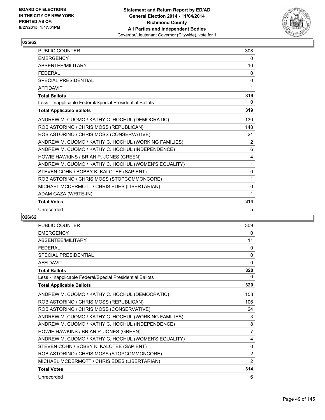

| <b>PUBLIC COUNTER</b>                                    | 308 |
|----------------------------------------------------------|-----|
| <b>EMERGENCY</b>                                         | 0   |
| ABSENTEE/MILITARY                                        | 10  |
| <b>FFDFRAL</b>                                           | 0   |
| <b>SPECIAL PRESIDENTIAL</b>                              | 0   |
| <b>AFFIDAVIT</b>                                         | 1   |
| <b>Total Ballots</b>                                     | 319 |
| Less - Inapplicable Federal/Special Presidential Ballots | 0   |
| <b>Total Applicable Ballots</b>                          | 319 |
| ANDREW M. CUOMO / KATHY C. HOCHUL (DEMOCRATIC)           | 130 |
| ROB ASTORINO / CHRIS MOSS (REPUBLICAN)                   | 148 |
| ROB ASTORINO / CHRIS MOSS (CONSERVATIVE)                 | 21  |
| ANDREW M. CUOMO / KATHY C. HOCHUL (WORKING FAMILIES)     | 2   |
| ANDREW M. CUOMO / KATHY C. HOCHUL (INDEPENDENCE)         | 6   |
| HOWIE HAWKINS / BRIAN P. JONES (GREEN)                   | 4   |
| ANDREW M. CUOMO / KATHY C. HOCHUL (WOMEN'S EQUALITY)     | 1   |
| STEVEN COHN / BOBBY K. KALOTEE (SAPIENT)                 | 0   |
| ROB ASTORINO / CHRIS MOSS (STOPCOMMONCORE)               | 1   |
| MICHAEL MCDERMOTT / CHRIS EDES (LIBERTARIAN)             | 0   |
| ADAM GAZA (WRITE-IN)                                     | 1   |
| <b>Total Votes</b>                                       | 314 |
| Unrecorded                                               | 5   |

| <b>PUBLIC COUNTER</b>                                    | 309            |
|----------------------------------------------------------|----------------|
| <b>EMERGENCY</b>                                         | 0              |
| <b>ABSENTEE/MILITARY</b>                                 | 11             |
| <b>FEDERAL</b>                                           | $\Omega$       |
| <b>SPECIAL PRESIDENTIAL</b>                              | 0              |
| <b>AFFIDAVIT</b>                                         | $\Omega$       |
| <b>Total Ballots</b>                                     | 320            |
| Less - Inapplicable Federal/Special Presidential Ballots | 0              |
| <b>Total Applicable Ballots</b>                          | 320            |
| ANDREW M. CUOMO / KATHY C. HOCHUL (DEMOCRATIC)           | 158            |
| ROB ASTORINO / CHRIS MOSS (REPUBLICAN)                   | 106            |
| ROB ASTORINO / CHRIS MOSS (CONSERVATIVE)                 | 24             |
| ANDREW M. CUOMO / KATHY C. HOCHUL (WORKING FAMILIES)     | 3              |
| ANDREW M. CUOMO / KATHY C. HOCHUL (INDEPENDENCE)         | 8              |
| HOWIE HAWKINS / BRIAN P. JONES (GREEN)                   | $\overline{7}$ |
| ANDREW M. CUOMO / KATHY C. HOCHUL (WOMEN'S EQUALITY)     | 4              |
| STEVEN COHN / BOBBY K. KALOTEE (SAPIENT)                 | $\mathbf{0}$   |
| ROB ASTORINO / CHRIS MOSS (STOPCOMMONCORE)               | 2              |
| MICHAEL MCDERMOTT / CHRIS EDES (LIBERTARIAN)             | 2              |
| <b>Total Votes</b>                                       | 314            |
| Unrecorded                                               | 6              |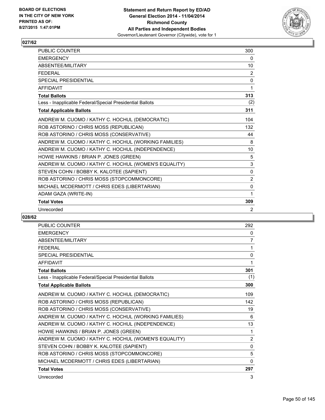

| PUBLIC COUNTER                                           | 300      |
|----------------------------------------------------------|----------|
| <b>EMERGENCY</b>                                         | 0        |
| ABSENTEE/MILITARY                                        | 10       |
| <b>FFDFRAL</b>                                           | 2        |
| <b>SPECIAL PRESIDENTIAL</b>                              | $\Omega$ |
| <b>AFFIDAVIT</b>                                         | 1        |
| <b>Total Ballots</b>                                     | 313      |
| Less - Inapplicable Federal/Special Presidential Ballots | (2)      |
| <b>Total Applicable Ballots</b>                          | 311      |
| ANDREW M. CUOMO / KATHY C. HOCHUL (DEMOCRATIC)           | 104      |
| ROB ASTORINO / CHRIS MOSS (REPUBLICAN)                   | 132      |
| ROB ASTORINO / CHRIS MOSS (CONSERVATIVE)                 | 44       |
| ANDREW M. CUOMO / KATHY C. HOCHUL (WORKING FAMILIES)     | 8        |
| ANDREW M. CUOMO / KATHY C. HOCHUL (INDEPENDENCE)         | 10       |
| HOWIE HAWKINS / BRIAN P. JONES (GREEN)                   | 5        |
| ANDREW M. CUOMO / KATHY C. HOCHUL (WOMEN'S EQUALITY)     | 3        |
| STEVEN COHN / BOBBY K. KALOTEE (SAPIENT)                 | $\Omega$ |
| ROB ASTORINO / CHRIS MOSS (STOPCOMMONCORE)               | 2        |
| MICHAEL MCDERMOTT / CHRIS EDES (LIBERTARIAN)             | 0        |
| ADAM GAZA (WRITE-IN)                                     | 1        |
| <b>Total Votes</b>                                       | 309      |
| Unrecorded                                               | 2        |

| <b>PUBLIC COUNTER</b>                                    | 292          |
|----------------------------------------------------------|--------------|
| <b>EMERGENCY</b>                                         | 0            |
| <b>ABSENTEE/MILITARY</b>                                 | 7            |
| <b>FEDERAL</b>                                           | 1            |
| <b>SPECIAL PRESIDENTIAL</b>                              | 0            |
| <b>AFFIDAVIT</b>                                         | 1            |
| <b>Total Ballots</b>                                     | 301          |
| Less - Inapplicable Federal/Special Presidential Ballots | (1)          |
| <b>Total Applicable Ballots</b>                          | 300          |
| ANDREW M. CUOMO / KATHY C. HOCHUL (DEMOCRATIC)           | 109          |
| ROB ASTORINO / CHRIS MOSS (REPUBLICAN)                   | 142          |
| ROB ASTORINO / CHRIS MOSS (CONSERVATIVE)                 | 19           |
| ANDREW M. CUOMO / KATHY C. HOCHUL (WORKING FAMILIES)     | 6            |
| ANDREW M. CUOMO / KATHY C. HOCHUL (INDEPENDENCE)         | 13           |
| HOWIE HAWKINS / BRIAN P. JONES (GREEN)                   | 1            |
| ANDREW M. CUOMO / KATHY C. HOCHUL (WOMEN'S EQUALITY)     | 2            |
| STEVEN COHN / BOBBY K. KALOTEE (SAPIENT)                 | 0            |
| ROB ASTORINO / CHRIS MOSS (STOPCOMMONCORE)               | 5            |
| MICHAEL MCDERMOTT / CHRIS EDES (LIBERTARIAN)             | $\mathbf{0}$ |
| <b>Total Votes</b>                                       | 297          |
| Unrecorded                                               | 3            |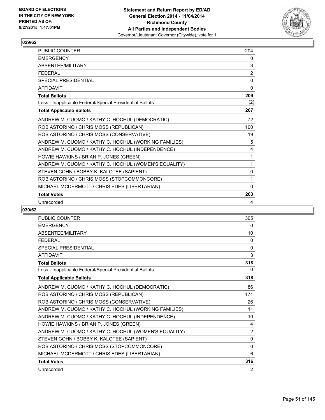

| PUBLIC COUNTER                                           | 204      |
|----------------------------------------------------------|----------|
| <b>EMERGENCY</b>                                         | 0        |
| ABSENTEE/MILITARY                                        | 3        |
| <b>FFDFRAL</b>                                           | 2        |
| <b>SPECIAL PRESIDENTIAL</b>                              | $\Omega$ |
| <b>AFFIDAVIT</b>                                         | $\Omega$ |
| <b>Total Ballots</b>                                     | 209      |
| Less - Inapplicable Federal/Special Presidential Ballots | (2)      |
| <b>Total Applicable Ballots</b>                          | 207      |
| ANDREW M. CUOMO / KATHY C. HOCHUL (DEMOCRATIC)           | 72       |
| ROB ASTORINO / CHRIS MOSS (REPUBLICAN)                   | 100      |
| ROB ASTORINO / CHRIS MOSS (CONSERVATIVE)                 | 19       |
| ANDREW M. CUOMO / KATHY C. HOCHUL (WORKING FAMILIES)     | 5        |
| ANDREW M. CUOMO / KATHY C. HOCHUL (INDEPENDENCE)         | 4        |
| HOWIE HAWKINS / BRIAN P. JONES (GREEN)                   | 1        |
| ANDREW M. CUOMO / KATHY C. HOCHUL (WOMEN'S EQUALITY)     | 1        |
| STEVEN COHN / BOBBY K. KALOTEE (SAPIENT)                 | 0        |
| ROB ASTORINO / CHRIS MOSS (STOPCOMMONCORE)               | 1        |
| MICHAEL MCDERMOTT / CHRIS EDES (LIBERTARIAN)             | $\Omega$ |
| <b>Total Votes</b>                                       | 203      |
| Unrecorded                                               | 4        |

| <b>PUBLIC COUNTER</b>                                    | 305            |
|----------------------------------------------------------|----------------|
| <b>EMERGENCY</b>                                         | 0              |
| ABSENTEE/MILITARY                                        | 10             |
| <b>FEDERAL</b>                                           | 0              |
| <b>SPECIAL PRESIDENTIAL</b>                              | $\mathbf{0}$   |
| <b>AFFIDAVIT</b>                                         | 3              |
| <b>Total Ballots</b>                                     | 318            |
| Less - Inapplicable Federal/Special Presidential Ballots | 0              |
| <b>Total Applicable Ballots</b>                          | 318            |
| ANDREW M. CUOMO / KATHY C. HOCHUL (DEMOCRATIC)           | 86             |
| ROB ASTORINO / CHRIS MOSS (REPUBLICAN)                   | 171            |
| ROB ASTORINO / CHRIS MOSS (CONSERVATIVE)                 | 26             |
| ANDREW M. CUOMO / KATHY C. HOCHUL (WORKING FAMILIES)     | 11             |
| ANDREW M. CUOMO / KATHY C. HOCHUL (INDEPENDENCE)         | 10             |
| HOWIE HAWKINS / BRIAN P. JONES (GREEN)                   | 4              |
| ANDREW M. CUOMO / KATHY C. HOCHUL (WOMEN'S EQUALITY)     | $\overline{2}$ |
| STEVEN COHN / BOBBY K. KALOTEE (SAPIENT)                 | 0              |
| ROB ASTORINO / CHRIS MOSS (STOPCOMMONCORE)               | $\Omega$       |
| MICHAEL MCDERMOTT / CHRIS EDES (LIBERTARIAN)             | 6              |
| <b>Total Votes</b>                                       | 316            |
| Unrecorded                                               | 2              |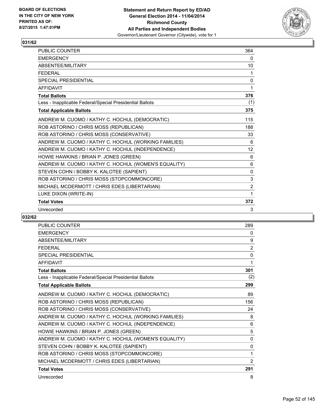

| <b>PUBLIC COUNTER</b>                                    | 364            |
|----------------------------------------------------------|----------------|
| <b>EMERGENCY</b>                                         | 0              |
| ABSENTEE/MILITARY                                        | 10             |
| <b>FFDFRAL</b>                                           | 1              |
| <b>SPECIAL PRESIDENTIAL</b>                              | 0              |
| <b>AFFIDAVIT</b>                                         | 1              |
| <b>Total Ballots</b>                                     | 376            |
| Less - Inapplicable Federal/Special Presidential Ballots | (1)            |
| <b>Total Applicable Ballots</b>                          | 375            |
| ANDREW M. CUOMO / KATHY C. HOCHUL (DEMOCRATIC)           | 115            |
| ROB ASTORINO / CHRIS MOSS (REPUBLICAN)                   | 188            |
| ROB ASTORINO / CHRIS MOSS (CONSERVATIVE)                 | 33             |
| ANDREW M. CUOMO / KATHY C. HOCHUL (WORKING FAMILIES)     | 6              |
| ANDREW M. CUOMO / KATHY C. HOCHUL (INDEPENDENCE)         | 12             |
| HOWIE HAWKINS / BRIAN P. JONES (GREEN)                   | 6              |
| ANDREW M. CUOMO / KATHY C. HOCHUL (WOMEN'S EQUALITY)     | 6              |
| STEVEN COHN / BOBBY K. KALOTEE (SAPIENT)                 | $\mathbf{0}$   |
| ROB ASTORINO / CHRIS MOSS (STOPCOMMONCORE)               | 3              |
| MICHAEL MCDERMOTT / CHRIS EDES (LIBERTARIAN)             | $\overline{2}$ |
| LUKE DIXON (WRITE-IN)                                    | 1              |
| <b>Total Votes</b>                                       | 372            |
| Unrecorded                                               | 3              |

| <b>PUBLIC COUNTER</b>                                    | 289            |
|----------------------------------------------------------|----------------|
| <b>EMERGENCY</b>                                         | 0              |
| <b>ABSENTEE/MILITARY</b>                                 | 9              |
| <b>FEDERAL</b>                                           | $\overline{2}$ |
| <b>SPECIAL PRESIDENTIAL</b>                              | $\mathbf{0}$   |
| <b>AFFIDAVIT</b>                                         | 1              |
| <b>Total Ballots</b>                                     | 301            |
| Less - Inapplicable Federal/Special Presidential Ballots | (2)            |
| <b>Total Applicable Ballots</b>                          | 299            |
| ANDREW M. CUOMO / KATHY C. HOCHUL (DEMOCRATIC)           | 89             |
| ROB ASTORINO / CHRIS MOSS (REPUBLICAN)                   | 156            |
| ROB ASTORINO / CHRIS MOSS (CONSERVATIVE)                 | 24             |
| ANDREW M. CUOMO / KATHY C. HOCHUL (WORKING FAMILIES)     | 8              |
| ANDREW M. CUOMO / KATHY C. HOCHUL (INDEPENDENCE)         | 6              |
| HOWIE HAWKINS / BRIAN P. JONES (GREEN)                   | 5              |
| ANDREW M. CUOMO / KATHY C. HOCHUL (WOMEN'S EQUALITY)     | $\mathbf{0}$   |
| STEVEN COHN / BOBBY K. KALOTEE (SAPIENT)                 | 0              |
| ROB ASTORINO / CHRIS MOSS (STOPCOMMONCORE)               | 1              |
| MICHAEL MCDERMOTT / CHRIS EDES (LIBERTARIAN)             | 2              |
| <b>Total Votes</b>                                       | 291            |
| Unrecorded                                               | 8              |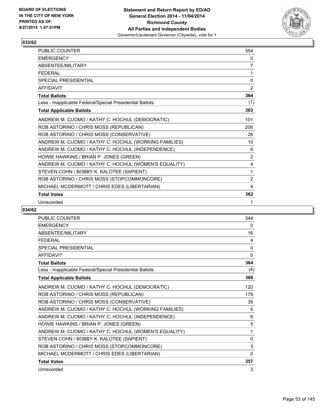

| PUBLIC COUNTER                                           | 354            |
|----------------------------------------------------------|----------------|
| <b>EMERGENCY</b>                                         | 0              |
| ABSENTEE/MILITARY                                        | 7              |
| <b>FEDERAL</b>                                           | 1              |
| <b>SPECIAL PRESIDENTIAL</b>                              | $\mathbf{0}$   |
| <b>AFFIDAVIT</b>                                         | 2              |
| <b>Total Ballots</b>                                     | 364            |
| Less - Inapplicable Federal/Special Presidential Ballots | (1)            |
| <b>Total Applicable Ballots</b>                          | 363            |
| ANDREW M. CUOMO / KATHY C. HOCHUL (DEMOCRATIC)           | 101            |
| ROB ASTORINO / CHRIS MOSS (REPUBLICAN)                   | 206            |
| ROB ASTORINO / CHRIS MOSS (CONSERVATIVE)                 | 26             |
| ANDREW M. CUOMO / KATHY C. HOCHUL (WORKING FAMILIES)     | 10             |
| ANDREW M. CUOMO / KATHY C. HOCHUL (INDEPENDENCE)         | 6              |
| HOWIE HAWKINS / BRIAN P. JONES (GREEN)                   | $\overline{2}$ |
| ANDREW M. CUOMO / KATHY C. HOCHUL (WOMEN'S EQUALITY)     | 4              |
| STEVEN COHN / BOBBY K. KALOTEE (SAPIENT)                 | 1              |
| ROB ASTORINO / CHRIS MOSS (STOPCOMMONCORE)               | 2              |
| MICHAEL MCDERMOTT / CHRIS EDES (LIBERTARIAN)             | 4              |
| <b>Total Votes</b>                                       | 362            |
| Unrecorded                                               | 1              |

| <b>PUBLIC COUNTER</b>                                    | 344          |
|----------------------------------------------------------|--------------|
| <b>EMERGENCY</b>                                         | 0            |
| <b>ABSENTEE/MILITARY</b>                                 | 16           |
| <b>FFDFRAL</b>                                           | 4            |
| <b>SPECIAL PRESIDENTIAL</b>                              | 0            |
| <b>AFFIDAVIT</b>                                         | $\mathbf{0}$ |
| <b>Total Ballots</b>                                     | 364          |
| Less - Inapplicable Federal/Special Presidential Ballots | (4)          |
| <b>Total Applicable Ballots</b>                          | 360          |
| ANDREW M. CUOMO / KATHY C. HOCHUL (DEMOCRATIC)           | 120          |
| ROB ASTORINO / CHRIS MOSS (REPUBLICAN)                   | 178          |
| ROB ASTORINO / CHRIS MOSS (CONSERVATIVE)                 | 39           |
| ANDREW M. CUOMO / KATHY C. HOCHUL (WORKING FAMILIES)     | 5            |
| ANDREW M. CUOMO / KATHY C. HOCHUL (INDEPENDENCE)         | 6            |
| HOWIE HAWKINS / BRIAN P. JONES (GREEN)                   | 5            |
| ANDREW M. CUOMO / KATHY C. HOCHUL (WOMEN'S EQUALITY)     | 1            |
| STEVEN COHN / BOBBY K. KALOTEE (SAPIENT)                 | 0            |
| ROB ASTORINO / CHRIS MOSS (STOPCOMMONCORE)               | 3            |
| MICHAEL MCDERMOTT / CHRIS EDES (LIBERTARIAN)             | $\mathbf{0}$ |
| <b>Total Votes</b>                                       | 357          |
| Unrecorded                                               | 3            |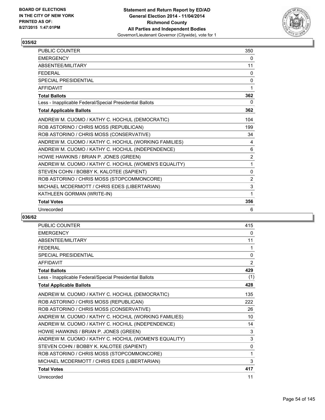

| <b>PUBLIC COUNTER</b>                                    | 350            |
|----------------------------------------------------------|----------------|
| <b>FMFRGFNCY</b>                                         | 0              |
| ABSENTEE/MILITARY                                        | 11             |
| <b>FEDERAL</b>                                           | $\mathbf{0}$   |
| <b>SPECIAL PRESIDENTIAL</b>                              | 0              |
| <b>AFFIDAVIT</b>                                         | 1              |
| <b>Total Ballots</b>                                     | 362            |
| Less - Inapplicable Federal/Special Presidential Ballots | 0              |
| <b>Total Applicable Ballots</b>                          | 362            |
| ANDREW M. CUOMO / KATHY C. HOCHUL (DEMOCRATIC)           | 104            |
| ROB ASTORINO / CHRIS MOSS (REPUBLICAN)                   | 199            |
| ROB ASTORINO / CHRIS MOSS (CONSERVATIVE)                 | 34             |
| ANDREW M. CUOMO / KATHY C. HOCHUL (WORKING FAMILIES)     | 4              |
| ANDREW M. CUOMO / KATHY C. HOCHUL (INDEPENDENCE)         | 6              |
| HOWIE HAWKINS / BRIAN P. JONES (GREEN)                   | $\overline{2}$ |
| ANDREW M. CUOMO / KATHY C. HOCHUL (WOMEN'S EQUALITY)     | 1              |
| STEVEN COHN / BOBBY K. KALOTEE (SAPIENT)                 | $\Omega$       |
| ROB ASTORINO / CHRIS MOSS (STOPCOMMONCORE)               | 2              |
| MICHAEL MCDERMOTT / CHRIS EDES (LIBERTARIAN)             | 3              |
| KATHLEEN GORMAN (WRITE-IN)                               | 1              |
| <b>Total Votes</b>                                       | 356            |
| Unrecorded                                               | 6              |

| <b>PUBLIC COUNTER</b>                                    | 415 |
|----------------------------------------------------------|-----|
| <b>EMERGENCY</b>                                         | 0   |
| <b>ABSENTEE/MILITARY</b>                                 | 11  |
| <b>FFDFRAL</b>                                           | 1   |
| <b>SPECIAL PRESIDENTIAL</b>                              | 0   |
| <b>AFFIDAVIT</b>                                         | 2   |
| <b>Total Ballots</b>                                     | 429 |
| Less - Inapplicable Federal/Special Presidential Ballots | (1) |
| <b>Total Applicable Ballots</b>                          | 428 |
| ANDREW M. CUOMO / KATHY C. HOCHUL (DEMOCRATIC)           | 135 |
| ROB ASTORINO / CHRIS MOSS (REPUBLICAN)                   | 222 |
| ROB ASTORINO / CHRIS MOSS (CONSERVATIVE)                 | 26  |
| ANDREW M. CUOMO / KATHY C. HOCHUL (WORKING FAMILIES)     | 10  |
| ANDREW M. CUOMO / KATHY C. HOCHUL (INDEPENDENCE)         | 14  |
| HOWIE HAWKINS / BRIAN P. JONES (GREEN)                   | 3   |
| ANDREW M. CUOMO / KATHY C. HOCHUL (WOMEN'S EQUALITY)     | 3   |
| STEVEN COHN / BOBBY K. KALOTEE (SAPIENT)                 | 0   |
| ROB ASTORINO / CHRIS MOSS (STOPCOMMONCORE)               | 1   |
| MICHAEL MCDERMOTT / CHRIS EDES (LIBERTARIAN)             | 3   |
| <b>Total Votes</b>                                       | 417 |
| Unrecorded                                               | 11  |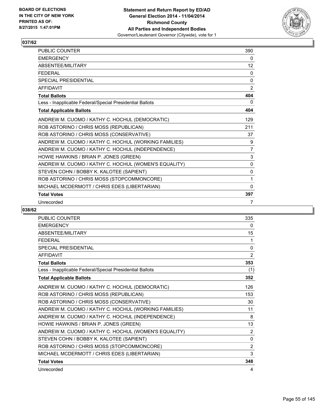

| <b>PUBLIC COUNTER</b>                                    | 390          |
|----------------------------------------------------------|--------------|
| <b>EMERGENCY</b>                                         | 0            |
| ABSENTEE/MILITARY                                        | 12           |
| <b>FEDERAL</b>                                           | 0            |
| <b>SPECIAL PRESIDENTIAL</b>                              | $\mathbf{0}$ |
| <b>AFFIDAVIT</b>                                         | 2            |
| <b>Total Ballots</b>                                     | 404          |
| Less - Inapplicable Federal/Special Presidential Ballots | 0            |
| <b>Total Applicable Ballots</b>                          | 404          |
| ANDREW M. CUOMO / KATHY C. HOCHUL (DEMOCRATIC)           | 129          |
| ROB ASTORINO / CHRIS MOSS (REPUBLICAN)                   | 211          |
| ROB ASTORINO / CHRIS MOSS (CONSERVATIVE)                 | 37           |
| ANDREW M. CUOMO / KATHY C. HOCHUL (WORKING FAMILIES)     | 9            |
| ANDREW M. CUOMO / KATHY C. HOCHUL (INDEPENDENCE)         | 7            |
| HOWIE HAWKINS / BRIAN P. JONES (GREEN)                   | 3            |
| ANDREW M. CUOMO / KATHY C. HOCHUL (WOMEN'S EQUALITY)     | $\mathbf{0}$ |
| STEVEN COHN / BOBBY K. KALOTEE (SAPIENT)                 | $\mathbf{0}$ |
| ROB ASTORINO / CHRIS MOSS (STOPCOMMONCORE)               | 1            |
| MICHAEL MCDERMOTT / CHRIS EDES (LIBERTARIAN)             | $\mathbf{0}$ |
| <b>Total Votes</b>                                       | 397          |
| Unrecorded                                               | 7            |

| PUBLIC COUNTER                                           | 335            |
|----------------------------------------------------------|----------------|
| <b>EMERGENCY</b>                                         | 0              |
| <b>ABSENTEE/MILITARY</b>                                 | 15             |
| <b>FEDERAL</b>                                           | 1              |
| <b>SPECIAL PRESIDENTIAL</b>                              | 0              |
| <b>AFFIDAVIT</b>                                         | 2              |
| <b>Total Ballots</b>                                     | 353            |
| Less - Inapplicable Federal/Special Presidential Ballots | (1)            |
| <b>Total Applicable Ballots</b>                          | 352            |
| ANDREW M. CUOMO / KATHY C. HOCHUL (DEMOCRATIC)           | 126            |
| ROB ASTORINO / CHRIS MOSS (REPUBLICAN)                   | 153            |
| ROB ASTORINO / CHRIS MOSS (CONSERVATIVE)                 | 30             |
| ANDREW M. CUOMO / KATHY C. HOCHUL (WORKING FAMILIES)     | 11             |
| ANDREW M. CUOMO / KATHY C. HOCHUL (INDEPENDENCE)         | 8              |
| HOWIE HAWKINS / BRIAN P. JONES (GREEN)                   | 13             |
| ANDREW M. CUOMO / KATHY C. HOCHUL (WOMEN'S EQUALITY)     | $\overline{2}$ |
| STEVEN COHN / BOBBY K. KALOTEE (SAPIENT)                 | 0              |
| ROB ASTORINO / CHRIS MOSS (STOPCOMMONCORE)               | 2              |
| MICHAEL MCDERMOTT / CHRIS EDES (LIBERTARIAN)             | 3              |
| <b>Total Votes</b>                                       | 348            |
| Unrecorded                                               | 4              |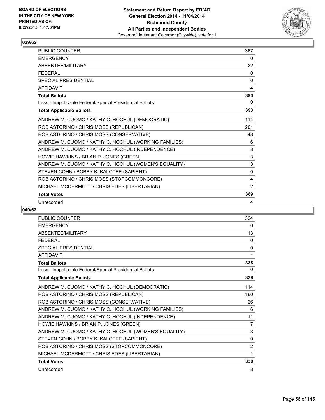

| <b>PUBLIC COUNTER</b>                                    | 367          |
|----------------------------------------------------------|--------------|
| <b>EMERGENCY</b>                                         | 0            |
| ABSENTEE/MILITARY                                        | 22           |
| <b>FEDERAL</b>                                           | 0            |
| <b>SPECIAL PRESIDENTIAL</b>                              | $\mathbf{0}$ |
| <b>AFFIDAVIT</b>                                         | 4            |
| <b>Total Ballots</b>                                     | 393          |
| Less - Inapplicable Federal/Special Presidential Ballots | 0            |
| <b>Total Applicable Ballots</b>                          | 393          |
| ANDREW M. CUOMO / KATHY C. HOCHUL (DEMOCRATIC)           | 114          |
| ROB ASTORINO / CHRIS MOSS (REPUBLICAN)                   | 201          |
| ROB ASTORINO / CHRIS MOSS (CONSERVATIVE)                 | 48           |
| ANDREW M. CUOMO / KATHY C. HOCHUL (WORKING FAMILIES)     | 6            |
| ANDREW M. CUOMO / KATHY C. HOCHUL (INDEPENDENCE)         | 8            |
| HOWIE HAWKINS / BRIAN P. JONES (GREEN)                   | 3            |
| ANDREW M. CUOMO / KATHY C. HOCHUL (WOMEN'S EQUALITY)     | 3            |
| STEVEN COHN / BOBBY K. KALOTEE (SAPIENT)                 | 0            |
| ROB ASTORINO / CHRIS MOSS (STOPCOMMONCORE)               | 4            |
| MICHAEL MCDERMOTT / CHRIS EDES (LIBERTARIAN)             | 2            |
| <b>Total Votes</b>                                       | 389          |
| Unrecorded                                               | 4            |

| <b>PUBLIC COUNTER</b>                                    | 324            |
|----------------------------------------------------------|----------------|
| <b>EMERGENCY</b>                                         | 0              |
| ABSENTEE/MILITARY                                        | 13             |
| <b>FEDERAL</b>                                           | 0              |
| <b>SPECIAL PRESIDENTIAL</b>                              | 0              |
| <b>AFFIDAVIT</b>                                         | 1              |
| <b>Total Ballots</b>                                     | 338            |
| Less - Inapplicable Federal/Special Presidential Ballots | 0              |
| <b>Total Applicable Ballots</b>                          | 338            |
| ANDREW M. CUOMO / KATHY C. HOCHUL (DEMOCRATIC)           | 114            |
| ROB ASTORINO / CHRIS MOSS (REPUBLICAN)                   | 160            |
| ROB ASTORINO / CHRIS MOSS (CONSERVATIVE)                 | 26             |
| ANDREW M. CUOMO / KATHY C. HOCHUL (WORKING FAMILIES)     | 6              |
| ANDREW M. CUOMO / KATHY C. HOCHUL (INDEPENDENCE)         | 11             |
| HOWIE HAWKINS / BRIAN P. JONES (GREEN)                   | $\overline{7}$ |
| ANDREW M. CUOMO / KATHY C. HOCHUL (WOMEN'S EQUALITY)     | 3              |
| STEVEN COHN / BOBBY K. KALOTEE (SAPIENT)                 | 0              |
| ROB ASTORINO / CHRIS MOSS (STOPCOMMONCORE)               | $\overline{2}$ |
| MICHAEL MCDERMOTT / CHRIS EDES (LIBERTARIAN)             | 1              |
| <b>Total Votes</b>                                       | 330            |
| Unrecorded                                               | 8              |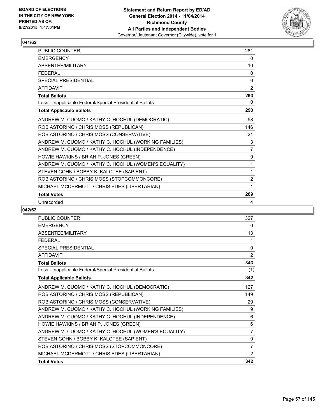

| PUBLIC COUNTER                                           | 281            |
|----------------------------------------------------------|----------------|
| <b>EMERGENCY</b>                                         | 0              |
| ABSENTEE/MILITARY                                        | 10             |
| <b>FEDERAL</b>                                           | 0              |
| <b>SPECIAL PRESIDENTIAL</b>                              | $\Omega$       |
| <b>AFFIDAVIT</b>                                         | 2              |
| <b>Total Ballots</b>                                     | 293            |
| Less - Inapplicable Federal/Special Presidential Ballots | 0              |
| <b>Total Applicable Ballots</b>                          | 293            |
| ANDREW M. CUOMO / KATHY C. HOCHUL (DEMOCRATIC)           | 98             |
| ROB ASTORINO / CHRIS MOSS (REPUBLICAN)                   | 146            |
| ROB ASTORINO / CHRIS MOSS (CONSERVATIVE)                 | 21             |
| ANDREW M. CUOMO / KATHY C. HOCHUL (WORKING FAMILIES)     | 3              |
| ANDREW M. CUOMO / KATHY C. HOCHUL (INDEPENDENCE)         | $\overline{7}$ |
| HOWIE HAWKINS / BRIAN P. JONES (GREEN)                   | 9              |
| ANDREW M. CUOMO / KATHY C. HOCHUL (WOMEN'S EQUALITY)     | 1              |
| STEVEN COHN / BOBBY K. KALOTEE (SAPIENT)                 | 1              |
| ROB ASTORINO / CHRIS MOSS (STOPCOMMONCORE)               | 2              |
| MICHAEL MCDERMOTT / CHRIS EDES (LIBERTARIAN)             | 1              |
| <b>Total Votes</b>                                       | 289            |
| Unrecorded                                               | 4              |

| <b>PUBLIC COUNTER</b>                                    | 327            |
|----------------------------------------------------------|----------------|
| <b>EMERGENCY</b>                                         | 0              |
| ABSENTEE/MILITARY                                        | 13             |
| <b>FFDFRAL</b>                                           | 1              |
| <b>SPECIAL PRESIDENTIAL</b>                              | 0              |
| <b>AFFIDAVIT</b>                                         | $\overline{2}$ |
| <b>Total Ballots</b>                                     | 343            |
| Less - Inapplicable Federal/Special Presidential Ballots | (1)            |
| <b>Total Applicable Ballots</b>                          | 342            |
| ANDREW M. CUOMO / KATHY C. HOCHUL (DEMOCRATIC)           | 127            |
| ROB ASTORINO / CHRIS MOSS (REPUBLICAN)                   | 149            |
| ROB ASTORINO / CHRIS MOSS (CONSERVATIVE)                 | 29             |
| ANDREW M. CUOMO / KATHY C. HOCHUL (WORKING FAMILIES)     | 9              |
| ANDREW M. CUOMO / KATHY C. HOCHUL (INDEPENDENCE)         | 6              |
| HOWIE HAWKINS / BRIAN P. JONES (GREEN)                   | 6              |
| ANDREW M. CUOMO / KATHY C. HOCHUL (WOMEN'S EQUALITY)     | $\overline{7}$ |
| STEVEN COHN / BOBBY K. KALOTEE (SAPIENT)                 | 0              |
| ROB ASTORINO / CHRIS MOSS (STOPCOMMONCORE)               | $\overline{7}$ |
| MICHAEL MCDERMOTT / CHRIS EDES (LIBERTARIAN)             | 2              |
| <b>Total Votes</b>                                       | 342            |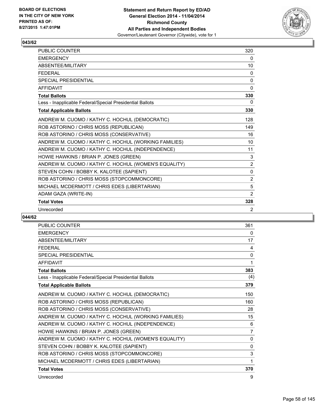

| <b>PUBLIC COUNTER</b>                                    | 320            |
|----------------------------------------------------------|----------------|
| <b>EMERGENCY</b>                                         | 0              |
| ABSENTEE/MILITARY                                        | 10             |
| <b>FEDERAL</b>                                           | 0              |
| <b>SPECIAL PRESIDENTIAL</b>                              | 0              |
| <b>AFFIDAVIT</b>                                         | 0              |
| <b>Total Ballots</b>                                     | 330            |
| Less - Inapplicable Federal/Special Presidential Ballots | 0              |
| <b>Total Applicable Ballots</b>                          | 330            |
| ANDREW M. CUOMO / KATHY C. HOCHUL (DEMOCRATIC)           | 128            |
| ROB ASTORINO / CHRIS MOSS (REPUBLICAN)                   | 149            |
| ROB ASTORINO / CHRIS MOSS (CONSERVATIVE)                 | 16             |
| ANDREW M. CUOMO / KATHY C. HOCHUL (WORKING FAMILIES)     | 10             |
| ANDREW M. CUOMO / KATHY C. HOCHUL (INDEPENDENCE)         | 11             |
| HOWIE HAWKINS / BRIAN P. JONES (GREEN)                   | 3              |
| ANDREW M. CUOMO / KATHY C. HOCHUL (WOMEN'S EQUALITY)     | $\overline{2}$ |
| STEVEN COHN / BOBBY K. KALOTEE (SAPIENT)                 | 0              |
| ROB ASTORINO / CHRIS MOSS (STOPCOMMONCORE)               | $\overline{2}$ |
| MICHAEL MCDERMOTT / CHRIS EDES (LIBERTARIAN)             | 5              |
| ADAM GAZA (WRITE-IN)                                     | 2              |
| <b>Total Votes</b>                                       | 328            |
| Unrecorded                                               | $\overline{2}$ |

| <b>PUBLIC COUNTER</b>                                    | 361 |
|----------------------------------------------------------|-----|
| <b>EMERGENCY</b>                                         | 0   |
| <b>ABSENTEE/MILITARY</b>                                 | 17  |
| <b>FEDERAL</b>                                           | 4   |
| <b>SPECIAL PRESIDENTIAL</b>                              | 0   |
| <b>AFFIDAVIT</b>                                         | 1   |
| <b>Total Ballots</b>                                     | 383 |
| Less - Inapplicable Federal/Special Presidential Ballots | (4) |
| <b>Total Applicable Ballots</b>                          | 379 |
| ANDREW M. CUOMO / KATHY C. HOCHUL (DEMOCRATIC)           | 150 |
| ROB ASTORINO / CHRIS MOSS (REPUBLICAN)                   | 160 |
| ROB ASTORINO / CHRIS MOSS (CONSERVATIVE)                 | 28  |
| ANDREW M. CUOMO / KATHY C. HOCHUL (WORKING FAMILIES)     | 15  |
| ANDREW M. CUOMO / KATHY C. HOCHUL (INDEPENDENCE)         | 6   |
| HOWIE HAWKINS / BRIAN P. JONES (GREEN)                   | 7   |
| ANDREW M. CUOMO / KATHY C. HOCHUL (WOMEN'S EQUALITY)     | 0   |
| STEVEN COHN / BOBBY K. KALOTEE (SAPIENT)                 | 0   |
| ROB ASTORINO / CHRIS MOSS (STOPCOMMONCORE)               | 3   |
| MICHAEL MCDERMOTT / CHRIS EDES (LIBERTARIAN)             | 1   |
| <b>Total Votes</b>                                       | 370 |
| Unrecorded                                               | 9   |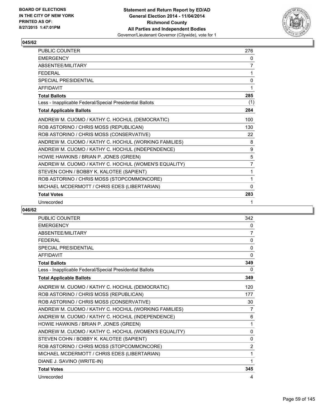

| <b>PUBLIC COUNTER</b>                                    | 276            |
|----------------------------------------------------------|----------------|
| <b>EMERGENCY</b>                                         | 0              |
| ABSENTEE/MILITARY                                        | 7              |
| <b>FEDERAL</b>                                           | 1              |
| <b>SPECIAL PRESIDENTIAL</b>                              | 0              |
| <b>AFFIDAVIT</b>                                         | 1              |
| <b>Total Ballots</b>                                     | 285            |
| Less - Inapplicable Federal/Special Presidential Ballots | (1)            |
| <b>Total Applicable Ballots</b>                          | 284            |
| ANDREW M. CUOMO / KATHY C. HOCHUL (DEMOCRATIC)           | 100            |
| ROB ASTORINO / CHRIS MOSS (REPUBLICAN)                   | 130            |
| ROB ASTORINO / CHRIS MOSS (CONSERVATIVE)                 | 22             |
| ANDREW M. CUOMO / KATHY C. HOCHUL (WORKING FAMILIES)     | 8              |
| ANDREW M. CUOMO / KATHY C. HOCHUL (INDEPENDENCE)         | 9              |
| HOWIE HAWKINS / BRIAN P. JONES (GREEN)                   | 5              |
| ANDREW M. CUOMO / KATHY C. HOCHUL (WOMEN'S EQUALITY)     | $\overline{7}$ |
| STEVEN COHN / BOBBY K. KALOTEE (SAPIENT)                 | 1              |
| ROB ASTORINO / CHRIS MOSS (STOPCOMMONCORE)               | 1              |
| MICHAEL MCDERMOTT / CHRIS EDES (LIBERTARIAN)             | $\mathbf{0}$   |
| <b>Total Votes</b>                                       | 283            |
| Unrecorded                                               | 1              |

| <b>PUBLIC COUNTER</b>                                    | 342            |
|----------------------------------------------------------|----------------|
| <b>EMERGENCY</b>                                         | 0              |
| <b>ABSENTEF/MILITARY</b>                                 | 7              |
| <b>FEDERAL</b>                                           | 0              |
| <b>SPECIAL PRESIDENTIAL</b>                              | $\mathbf{0}$   |
| <b>AFFIDAVIT</b>                                         | 0              |
| <b>Total Ballots</b>                                     | 349            |
| Less - Inapplicable Federal/Special Presidential Ballots | 0              |
| <b>Total Applicable Ballots</b>                          | 349            |
| ANDREW M. CUOMO / KATHY C. HOCHUL (DEMOCRATIC)           | 120            |
| ROB ASTORINO / CHRIS MOSS (REPUBLICAN)                   | 177            |
| ROB ASTORINO / CHRIS MOSS (CONSERVATIVE)                 | 30             |
| ANDREW M. CUOMO / KATHY C. HOCHUL (WORKING FAMILIES)     | 7              |
| ANDREW M. CUOMO / KATHY C. HOCHUL (INDEPENDENCE)         | 6              |
| HOWIE HAWKINS / BRIAN P. JONES (GREEN)                   | 1              |
| ANDREW M. CUOMO / KATHY C. HOCHUL (WOMEN'S EQUALITY)     | $\mathbf{0}$   |
| STEVEN COHN / BOBBY K. KALOTEE (SAPIENT)                 | $\mathbf{0}$   |
| ROB ASTORINO / CHRIS MOSS (STOPCOMMONCORE)               | $\overline{2}$ |
| MICHAEL MCDERMOTT / CHRIS EDES (LIBERTARIAN)             | 1              |
| DIANE J. SAVINO (WRITE-IN)                               | 1              |
| <b>Total Votes</b>                                       | 345            |
| Unrecorded                                               | 4              |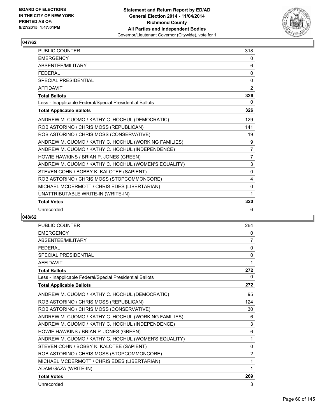

| PUBLIC COUNTER                                           | 318            |
|----------------------------------------------------------|----------------|
| <b>EMERGENCY</b>                                         | 0              |
| ABSENTEE/MILITARY                                        | 6              |
| <b>FEDERAL</b>                                           | $\mathbf{0}$   |
| <b>SPECIAL PRESIDENTIAL</b>                              | 0              |
| <b>AFFIDAVIT</b>                                         | $\overline{2}$ |
| <b>Total Ballots</b>                                     | 326            |
| Less - Inapplicable Federal/Special Presidential Ballots | 0              |
| <b>Total Applicable Ballots</b>                          | 326            |
| ANDREW M. CUOMO / KATHY C. HOCHUL (DEMOCRATIC)           | 129            |
| ROB ASTORINO / CHRIS MOSS (REPUBLICAN)                   | 141            |
| ROB ASTORINO / CHRIS MOSS (CONSERVATIVE)                 | 19             |
| ANDREW M. CUOMO / KATHY C. HOCHUL (WORKING FAMILIES)     | 9              |
| ANDREW M. CUOMO / KATHY C. HOCHUL (INDEPENDENCE)         | 7              |
| HOWIE HAWKINS / BRIAN P. JONES (GREEN)                   | 7              |
| ANDREW M. CUOMO / KATHY C. HOCHUL (WOMEN'S EQUALITY)     | 3              |
| STEVEN COHN / BOBBY K. KALOTEE (SAPIENT)                 | $\Omega$       |
| ROB ASTORINO / CHRIS MOSS (STOPCOMMONCORE)               | 4              |
| MICHAEL MCDERMOTT / CHRIS EDES (LIBERTARIAN)             | $\mathbf{0}$   |
| UNATTRIBUTABLE WRITE-IN (WRITE-IN)                       | 1              |
| <b>Total Votes</b>                                       | 320            |
| Unrecorded                                               | 6              |

| <b>PUBLIC COUNTER</b>                                    | 264            |
|----------------------------------------------------------|----------------|
| <b>EMERGENCY</b>                                         | 0              |
| <b>ABSENTEE/MILITARY</b>                                 | 7              |
| <b>FFDFRAL</b>                                           | $\mathbf{0}$   |
| SPECIAL PRESIDENTIAL                                     | $\mathbf{0}$   |
| <b>AFFIDAVIT</b>                                         | 1              |
| <b>Total Ballots</b>                                     | 272            |
| Less - Inapplicable Federal/Special Presidential Ballots | 0              |
| <b>Total Applicable Ballots</b>                          | 272            |
| ANDREW M. CUOMO / KATHY C. HOCHUL (DEMOCRATIC)           | 95             |
| ROB ASTORINO / CHRIS MOSS (REPUBLICAN)                   | 124            |
| ROB ASTORINO / CHRIS MOSS (CONSERVATIVE)                 | 30             |
| ANDREW M. CUOMO / KATHY C. HOCHUL (WORKING FAMILIES)     | 6              |
| ANDREW M. CUOMO / KATHY C. HOCHUL (INDEPENDENCE)         | 3              |
| HOWIE HAWKINS / BRIAN P. JONES (GREEN)                   | 6              |
| ANDREW M. CUOMO / KATHY C. HOCHUL (WOMEN'S EQUALITY)     | 1              |
| STEVEN COHN / BOBBY K. KALOTEE (SAPIENT)                 | 0              |
| ROB ASTORINO / CHRIS MOSS (STOPCOMMONCORE)               | $\overline{2}$ |
| MICHAEL MCDERMOTT / CHRIS EDES (LIBERTARIAN)             | 1              |
| ADAM GAZA (WRITE-IN)                                     | 1              |
| <b>Total Votes</b>                                       | 269            |
| Unrecorded                                               | 3              |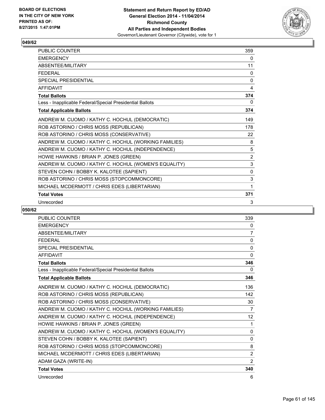

| PUBLIC COUNTER                                           | 359          |
|----------------------------------------------------------|--------------|
| <b>EMERGENCY</b>                                         | 0            |
| ABSENTEE/MILITARY                                        | 11           |
| <b>FEDERAL</b>                                           | 0            |
| <b>SPECIAL PRESIDENTIAL</b>                              | $\mathbf{0}$ |
| <b>AFFIDAVIT</b>                                         | 4            |
| <b>Total Ballots</b>                                     | 374          |
| Less - Inapplicable Federal/Special Presidential Ballots | 0            |
| <b>Total Applicable Ballots</b>                          | 374          |
| ANDREW M. CUOMO / KATHY C. HOCHUL (DEMOCRATIC)           | 149          |
| ROB ASTORINO / CHRIS MOSS (REPUBLICAN)                   | 178          |
| ROB ASTORINO / CHRIS MOSS (CONSERVATIVE)                 | 22           |
| ANDREW M. CUOMO / KATHY C. HOCHUL (WORKING FAMILIES)     | 8            |
| ANDREW M. CUOMO / KATHY C. HOCHUL (INDEPENDENCE)         | 5            |
| HOWIE HAWKINS / BRIAN P. JONES (GREEN)                   | 2            |
| ANDREW M. CUOMO / KATHY C. HOCHUL (WOMEN'S EQUALITY)     | 3            |
| STEVEN COHN / BOBBY K. KALOTEE (SAPIENT)                 | $\mathbf{0}$ |
| ROB ASTORINO / CHRIS MOSS (STOPCOMMONCORE)               | 3            |
| MICHAEL MCDERMOTT / CHRIS EDES (LIBERTARIAN)             | 1            |
| <b>Total Votes</b>                                       | 371          |
| Unrecorded                                               | 3            |

| <b>PUBLIC COUNTER</b>                                    | 339            |
|----------------------------------------------------------|----------------|
| <b>EMERGENCY</b>                                         | 0              |
| <b>ABSENTEF/MILITARY</b>                                 | 7              |
| <b>FEDERAL</b>                                           | 0              |
| <b>SPECIAL PRESIDENTIAL</b>                              | $\mathbf{0}$   |
| <b>AFFIDAVIT</b>                                         | 0              |
| <b>Total Ballots</b>                                     | 346            |
| Less - Inapplicable Federal/Special Presidential Ballots | 0              |
| <b>Total Applicable Ballots</b>                          | 346            |
| ANDREW M. CUOMO / KATHY C. HOCHUL (DEMOCRATIC)           | 136            |
| ROB ASTORINO / CHRIS MOSS (REPUBLICAN)                   | 142            |
| ROB ASTORINO / CHRIS MOSS (CONSERVATIVE)                 | 30             |
| ANDREW M. CUOMO / KATHY C. HOCHUL (WORKING FAMILIES)     | $\overline{7}$ |
| ANDREW M. CUOMO / KATHY C. HOCHUL (INDEPENDENCE)         | 12             |
| HOWIE HAWKINS / BRIAN P. JONES (GREEN)                   | 1              |
| ANDREW M. CUOMO / KATHY C. HOCHUL (WOMEN'S EQUALITY)     | 0              |
| STEVEN COHN / BOBBY K. KALOTEE (SAPIENT)                 | $\mathbf{0}$   |
| ROB ASTORINO / CHRIS MOSS (STOPCOMMONCORE)               | 8              |
| MICHAEL MCDERMOTT / CHRIS EDES (LIBERTARIAN)             | $\overline{2}$ |
| ADAM GAZA (WRITE-IN)                                     | 2              |
| <b>Total Votes</b>                                       | 340            |
| Unrecorded                                               | 6              |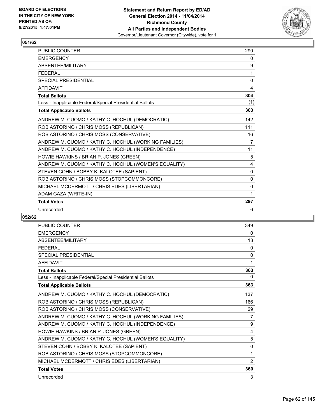

| <b>PUBLIC COUNTER</b>                                    | 290          |
|----------------------------------------------------------|--------------|
| <b>EMERGENCY</b>                                         | 0            |
| <b>ABSENTFF/MILITARY</b>                                 | 9            |
| <b>FFDFRAL</b>                                           | 1            |
| <b>SPECIAL PRESIDENTIAL</b>                              | 0            |
| <b>AFFIDAVIT</b>                                         | 4            |
| <b>Total Ballots</b>                                     | 304          |
| Less - Inapplicable Federal/Special Presidential Ballots | (1)          |
| <b>Total Applicable Ballots</b>                          | 303          |
| ANDREW M. CUOMO / KATHY C. HOCHUL (DEMOCRATIC)           | 142          |
| ROB ASTORINO / CHRIS MOSS (REPUBLICAN)                   | 111          |
| ROB ASTORINO / CHRIS MOSS (CONSERVATIVE)                 | 16           |
| ANDREW M. CUOMO / KATHY C. HOCHUL (WORKING FAMILIES)     | 7            |
| ANDREW M. CUOMO / KATHY C. HOCHUL (INDEPENDENCE)         | 11           |
| HOWIE HAWKINS / BRIAN P. JONES (GREEN)                   | 5            |
| ANDREW M. CUOMO / KATHY C. HOCHUL (WOMEN'S EQUALITY)     | 4            |
| STEVEN COHN / BOBBY K. KALOTEE (SAPIENT)                 | $\mathbf{0}$ |
| ROB ASTORINO / CHRIS MOSS (STOPCOMMONCORE)               | 0            |
| MICHAEL MCDERMOTT / CHRIS EDES (LIBERTARIAN)             | 0            |
| ADAM GAZA (WRITE-IN)                                     | 1            |
| <b>Total Votes</b>                                       | 297          |
| Unrecorded                                               | 6            |

| <b>PUBLIC COUNTER</b>                                    | 349          |
|----------------------------------------------------------|--------------|
| <b>EMERGENCY</b>                                         | 0            |
| <b>ABSENTEE/MILITARY</b>                                 | 13           |
| <b>FFDFRAL</b>                                           | 0            |
| <b>SPECIAL PRESIDENTIAL</b>                              | $\mathbf{0}$ |
| <b>AFFIDAVIT</b>                                         | 1            |
| <b>Total Ballots</b>                                     | 363          |
| Less - Inapplicable Federal/Special Presidential Ballots | 0            |
| <b>Total Applicable Ballots</b>                          | 363          |
| ANDREW M. CUOMO / KATHY C. HOCHUL (DEMOCRATIC)           | 137          |
| ROB ASTORINO / CHRIS MOSS (REPUBLICAN)                   | 166          |
| ROB ASTORINO / CHRIS MOSS (CONSERVATIVE)                 | 29           |
| ANDREW M. CUOMO / KATHY C. HOCHUL (WORKING FAMILIES)     | 7            |
| ANDREW M. CUOMO / KATHY C. HOCHUL (INDEPENDENCE)         | 9            |
| HOWIE HAWKINS / BRIAN P. JONES (GREEN)                   | 4            |
| ANDREW M. CUOMO / KATHY C. HOCHUL (WOMEN'S EQUALITY)     | 5            |
| STEVEN COHN / BOBBY K. KALOTEE (SAPIENT)                 | 0            |
| ROB ASTORINO / CHRIS MOSS (STOPCOMMONCORE)               | 1            |
| MICHAEL MCDERMOTT / CHRIS EDES (LIBERTARIAN)             | 2            |
| <b>Total Votes</b>                                       | 360          |
| Unrecorded                                               | 3            |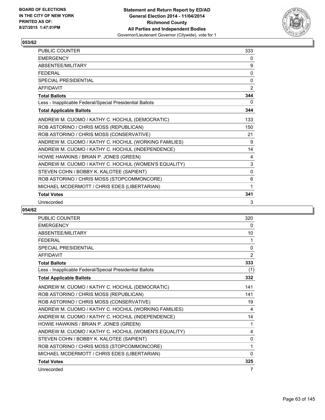

| <b>PUBLIC COUNTER</b>                                    | 333          |
|----------------------------------------------------------|--------------|
| <b>EMERGENCY</b>                                         | 0            |
| ABSENTEE/MILITARY                                        | 9            |
| <b>FEDERAL</b>                                           | 0            |
| <b>SPECIAL PRESIDENTIAL</b>                              | $\Omega$     |
| <b>AFFIDAVIT</b>                                         | 2            |
| <b>Total Ballots</b>                                     | 344          |
| Less - Inapplicable Federal/Special Presidential Ballots | 0            |
| <b>Total Applicable Ballots</b>                          | 344          |
| ANDREW M. CUOMO / KATHY C. HOCHUL (DEMOCRATIC)           | 133          |
| ROB ASTORINO / CHRIS MOSS (REPUBLICAN)                   | 150          |
| ROB ASTORINO / CHRIS MOSS (CONSERVATIVE)                 | 21           |
| ANDREW M. CUOMO / KATHY C. HOCHUL (WORKING FAMILIES)     | 9            |
| ANDREW M. CUOMO / KATHY C. HOCHUL (INDEPENDENCE)         | 14           |
| HOWIE HAWKINS / BRIAN P. JONES (GREEN)                   | 4            |
| ANDREW M. CUOMO / KATHY C. HOCHUL (WOMEN'S EQUALITY)     | 3            |
| STEVEN COHN / BOBBY K. KALOTEE (SAPIENT)                 | $\mathbf{0}$ |
| ROB ASTORINO / CHRIS MOSS (STOPCOMMONCORE)               | 6            |
| MICHAEL MCDERMOTT / CHRIS EDES (LIBERTARIAN)             | 1            |
| <b>Total Votes</b>                                       | 341          |
| Unrecorded                                               | 3            |

| PUBLIC COUNTER                                           | 320 |
|----------------------------------------------------------|-----|
| <b>EMERGENCY</b>                                         | 0   |
| ABSENTEE/MILITARY                                        | 10  |
| <b>FEDERAL</b>                                           | 1   |
| <b>SPECIAL PRESIDENTIAL</b>                              | 0   |
| <b>AFFIDAVIT</b>                                         | 2   |
| <b>Total Ballots</b>                                     | 333 |
| Less - Inapplicable Federal/Special Presidential Ballots | (1) |
| <b>Total Applicable Ballots</b>                          | 332 |
| ANDREW M. CUOMO / KATHY C. HOCHUL (DEMOCRATIC)           | 141 |
| ROB ASTORINO / CHRIS MOSS (REPUBLICAN)                   | 141 |
| ROB ASTORINO / CHRIS MOSS (CONSERVATIVE)                 | 19  |
| ANDREW M. CUOMO / KATHY C. HOCHUL (WORKING FAMILIES)     | 4   |
| ANDREW M. CUOMO / KATHY C. HOCHUL (INDEPENDENCE)         | 14  |
| HOWIE HAWKINS / BRIAN P. JONES (GREEN)                   | 1   |
| ANDREW M. CUOMO / KATHY C. HOCHUL (WOMEN'S EQUALITY)     | 4   |
| STEVEN COHN / BOBBY K. KALOTEE (SAPIENT)                 | 0   |
| ROB ASTORINO / CHRIS MOSS (STOPCOMMONCORE)               | 1   |
| MICHAEL MCDERMOTT / CHRIS EDES (LIBERTARIAN)             | 0   |
| <b>Total Votes</b>                                       | 325 |
| Unrecorded                                               | 7   |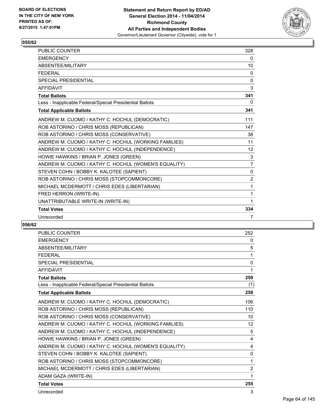

| PUBLIC COUNTER                                           | 328            |
|----------------------------------------------------------|----------------|
| <b>EMERGENCY</b>                                         | $\mathbf{0}$   |
| ABSENTEE/MILITARY                                        | 10             |
| <b>FEDERAL</b>                                           | 0              |
| <b>SPECIAL PRESIDENTIAL</b>                              | $\mathbf{0}$   |
| <b>AFFIDAVIT</b>                                         | 3              |
| <b>Total Ballots</b>                                     | 341            |
| Less - Inapplicable Federal/Special Presidential Ballots | $\Omega$       |
| <b>Total Applicable Ballots</b>                          | 341            |
| ANDREW M. CUOMO / KATHY C. HOCHUL (DEMOCRATIC)           | 111            |
| ROB ASTORINO / CHRIS MOSS (REPUBLICAN)                   | 147            |
| ROB ASTORINO / CHRIS MOSS (CONSERVATIVE)                 | 38             |
| ANDREW M. CUOMO / KATHY C. HOCHUL (WORKING FAMILIES)     | 11             |
| ANDREW M. CUOMO / KATHY C. HOCHUL (INDEPENDENCE)         | 12             |
| HOWIE HAWKINS / BRIAN P. JONES (GREEN)                   | 3              |
| ANDREW M. CUOMO / KATHY C. HOCHUL (WOMEN'S EQUALITY)     | 7              |
| STEVEN COHN / BOBBY K. KALOTEE (SAPIENT)                 | 0              |
| ROB ASTORINO / CHRIS MOSS (STOPCOMMONCORE)               | $\overline{2}$ |
| MICHAEL MCDERMOTT / CHRIS EDES (LIBERTARIAN)             | 1              |
| FRED HERRON (WRITE-IN)                                   | 1              |
| UNATTRIBUTABLE WRITE-IN (WRITE-IN)                       | 1              |
| <b>Total Votes</b>                                       | 334            |
| Unrecorded                                               | 7              |

| <b>PUBLIC COUNTER</b>                                    | 252            |
|----------------------------------------------------------|----------------|
| <b>EMERGENCY</b>                                         | $\Omega$       |
| <b>ABSENTEE/MILITARY</b>                                 | 5              |
| <b>FFDFRAL</b>                                           | 1              |
| <b>SPECIAL PRESIDENTIAL</b>                              | 0              |
| <b>AFFIDAVIT</b>                                         | 1              |
| <b>Total Ballots</b>                                     | 259            |
| Less - Inapplicable Federal/Special Presidential Ballots | (1)            |
| <b>Total Applicable Ballots</b>                          | 258            |
| ANDREW M. CUOMO / KATHY C. HOCHUL (DEMOCRATIC)           | 106            |
| ROB ASTORINO / CHRIS MOSS (REPUBLICAN)                   | 110            |
| ROB ASTORINO / CHRIS MOSS (CONSERVATIVE)                 | 10             |
| ANDREW M. CUOMO / KATHY C. HOCHUL (WORKING FAMILIES)     | 12             |
| ANDREW M. CUOMO / KATHY C. HOCHUL (INDEPENDENCE)         | 5              |
| HOWIE HAWKINS / BRIAN P. JONES (GREEN)                   | 4              |
| ANDREW M. CUOMO / KATHY C. HOCHUL (WOMEN'S EQUALITY)     | 4              |
| STEVEN COHN / BOBBY K. KALOTEE (SAPIENT)                 | 0              |
| ROB ASTORINO / CHRIS MOSS (STOPCOMMONCORE)               | 1              |
| MICHAEL MCDERMOTT / CHRIS EDES (LIBERTARIAN)             | $\overline{2}$ |
| ADAM GAZA (WRITE-IN)                                     | 1              |
| <b>Total Votes</b>                                       | 255            |
| Unrecorded                                               | 3              |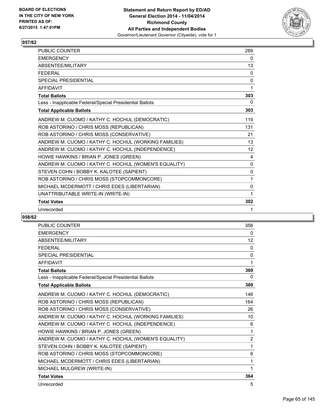

| <b>PUBLIC COUNTER</b>                                    | 289          |
|----------------------------------------------------------|--------------|
| <b>FMFRGFNCY</b>                                         | 0            |
| ABSENTEE/MILITARY                                        | 13           |
| <b>FEDERAL</b>                                           | $\mathbf{0}$ |
| <b>SPECIAL PRESIDENTIAL</b>                              | 0            |
| <b>AFFIDAVIT</b>                                         | 1            |
| <b>Total Ballots</b>                                     | 303          |
| Less - Inapplicable Federal/Special Presidential Ballots | 0            |
| <b>Total Applicable Ballots</b>                          | 303          |
| ANDREW M. CUOMO / KATHY C. HOCHUL (DEMOCRATIC)           | 119          |
| ROB ASTORINO / CHRIS MOSS (REPUBLICAN)                   | 131          |
| ROB ASTORINO / CHRIS MOSS (CONSERVATIVE)                 | 21           |
| ANDREW M. CUOMO / KATHY C. HOCHUL (WORKING FAMILIES)     | 13           |
| ANDREW M. CUOMO / KATHY C. HOCHUL (INDEPENDENCE)         | 12           |
| HOWIE HAWKINS / BRIAN P. JONES (GREEN)                   | 4            |
| ANDREW M. CUOMO / KATHY C. HOCHUL (WOMEN'S EQUALITY)     | $\Omega$     |
| STEVEN COHN / BOBBY K. KALOTEE (SAPIENT)                 | $\Omega$     |
| ROB ASTORINO / CHRIS MOSS (STOPCOMMONCORE)               | 1            |
| MICHAEL MCDERMOTT / CHRIS EDES (LIBERTARIAN)             | 0            |
| UNATTRIBUTABLE WRITE-IN (WRITE-IN)                       | 1            |
| <b>Total Votes</b>                                       | 302          |
| Unrecorded                                               | 1            |

| <b>PUBLIC COUNTER</b>                                    | 356            |
|----------------------------------------------------------|----------------|
| <b>EMERGENCY</b>                                         | 0              |
| ABSENTEE/MILITARY                                        | 12             |
| <b>FFDFRAL</b>                                           | 0              |
| <b>SPECIAL PRESIDENTIAL</b>                              | 0              |
| <b>AFFIDAVIT</b>                                         | 1              |
| <b>Total Ballots</b>                                     | 369            |
| Less - Inapplicable Federal/Special Presidential Ballots | 0              |
| <b>Total Applicable Ballots</b>                          | 369            |
| ANDREW M. CUOMO / KATHY C. HOCHUL (DEMOCRATIC)           | 146            |
| ROB ASTORINO / CHRIS MOSS (REPUBLICAN)                   | 164            |
| ROB ASTORINO / CHRIS MOSS (CONSERVATIVE)                 | 26             |
| ANDREW M. CUOMO / KATHY C. HOCHUL (WORKING FAMILIES)     | 10             |
| ANDREW M. CUOMO / KATHY C. HOCHUL (INDEPENDENCE)         | 6              |
| HOWIE HAWKINS / BRIAN P. JONES (GREEN)                   | 1              |
| ANDREW M. CUOMO / KATHY C. HOCHUL (WOMEN'S EQUALITY)     | $\overline{2}$ |
| STEVEN COHN / BOBBY K. KALOTEE (SAPIENT)                 | 1              |
| ROB ASTORINO / CHRIS MOSS (STOPCOMMONCORE)               | 6              |
| MICHAEL MCDERMOTT / CHRIS EDES (LIBERTARIAN)             | 1              |
| MICHAEL MULGREW (WRITE-IN)                               | 1              |
| <b>Total Votes</b>                                       | 364            |
| Unrecorded                                               | 5              |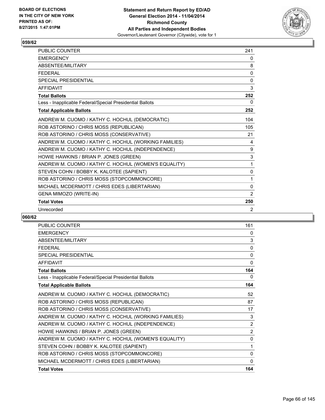

| <b>PUBLIC COUNTER</b>                                    | 241          |
|----------------------------------------------------------|--------------|
| <b>FMFRGFNCY</b>                                         | 0            |
| ABSENTEE/MILITARY                                        | 8            |
| <b>FEDERAL</b>                                           | $\mathbf{0}$ |
| <b>SPECIAL PRESIDENTIAL</b>                              | 0            |
| <b>AFFIDAVIT</b>                                         | 3            |
| <b>Total Ballots</b>                                     | 252          |
| Less - Inapplicable Federal/Special Presidential Ballots | 0            |
| <b>Total Applicable Ballots</b>                          | 252          |
| ANDREW M. CUOMO / KATHY C. HOCHUL (DEMOCRATIC)           | 104          |
| ROB ASTORINO / CHRIS MOSS (REPUBLICAN)                   | 105          |
| ROB ASTORINO / CHRIS MOSS (CONSERVATIVE)                 | 21           |
| ANDREW M. CUOMO / KATHY C. HOCHUL (WORKING FAMILIES)     | 4            |
| ANDREW M. CUOMO / KATHY C. HOCHUL (INDEPENDENCE)         | 9            |
| HOWIE HAWKINS / BRIAN P. JONES (GREEN)                   | 3            |
| ANDREW M. CUOMO / KATHY C. HOCHUL (WOMEN'S EQUALITY)     | 1            |
| STEVEN COHN / BOBBY K. KALOTEE (SAPIENT)                 | $\mathbf{0}$ |
| ROB ASTORINO / CHRIS MOSS (STOPCOMMONCORE)               | 1            |
| MICHAEL MCDERMOTT / CHRIS EDES (LIBERTARIAN)             | 0            |
| GENA MIMOZO (WRITE-IN)                                   | 2            |
| <b>Total Votes</b>                                       | 250          |
| Unrecorded                                               | 2            |

| <b>PUBLIC COUNTER</b>                                    | 161            |
|----------------------------------------------------------|----------------|
| <b>EMERGENCY</b>                                         | 0              |
| <b>ABSENTEE/MILITARY</b>                                 | 3              |
| <b>FFDFRAL</b>                                           | 0              |
| SPECIAL PRESIDENTIAL                                     | 0              |
| <b>AFFIDAVIT</b>                                         | 0              |
| <b>Total Ballots</b>                                     | 164            |
| Less - Inapplicable Federal/Special Presidential Ballots | 0              |
| <b>Total Applicable Ballots</b>                          | 164            |
| ANDREW M. CUOMO / KATHY C. HOCHUL (DEMOCRATIC)           | 52             |
| ROB ASTORINO / CHRIS MOSS (REPUBLICAN)                   | 87             |
| ROB ASTORINO / CHRIS MOSS (CONSERVATIVE)                 | 17             |
| ANDREW M. CUOMO / KATHY C. HOCHUL (WORKING FAMILIES)     | 3              |
| ANDREW M. CUOMO / KATHY C. HOCHUL (INDEPENDENCE)         | 2              |
| HOWIE HAWKINS / BRIAN P. JONES (GREEN)                   | $\overline{2}$ |
| ANDREW M. CUOMO / KATHY C. HOCHUL (WOMEN'S EQUALITY)     | 0              |
| STEVEN COHN / BOBBY K. KALOTEE (SAPIENT)                 | 1              |
| ROB ASTORINO / CHRIS MOSS (STOPCOMMONCORE)               | 0              |
| MICHAEL MCDERMOTT / CHRIS EDES (LIBERTARIAN)             | 0              |
| <b>Total Votes</b>                                       | 164            |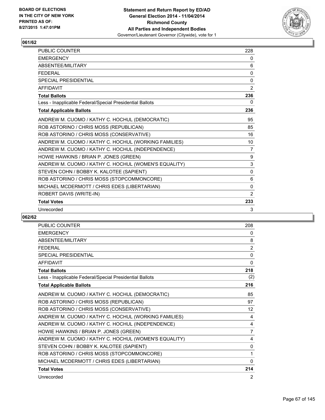

| PUBLIC COUNTER                                           | 228            |
|----------------------------------------------------------|----------------|
| <b>EMERGENCY</b>                                         | 0              |
| <b>ABSENTFF/MILITARY</b>                                 | 6              |
| <b>FFDFRAL</b>                                           | 0              |
| <b>SPECIAL PRESIDENTIAL</b>                              | 0              |
| <b>AFFIDAVIT</b>                                         | $\overline{2}$ |
| <b>Total Ballots</b>                                     | 236            |
| Less - Inapplicable Federal/Special Presidential Ballots | 0              |
| <b>Total Applicable Ballots</b>                          | 236            |
| ANDREW M. CUOMO / KATHY C. HOCHUL (DEMOCRATIC)           | 95             |
| ROB ASTORINO / CHRIS MOSS (REPUBLICAN)                   | 85             |
| ROB ASTORINO / CHRIS MOSS (CONSERVATIVE)                 | 16             |
| ANDREW M. CUOMO / KATHY C. HOCHUL (WORKING FAMILIES)     | 10             |
| ANDREW M. CUOMO / KATHY C. HOCHUL (INDEPENDENCE)         | 7              |
| HOWIE HAWKINS / BRIAN P. JONES (GREEN)                   | 9              |
| ANDREW M. CUOMO / KATHY C. HOCHUL (WOMEN'S EQUALITY)     | 3              |
| STEVEN COHN / BOBBY K. KALOTEE (SAPIENT)                 | $\Omega$       |
| ROB ASTORINO / CHRIS MOSS (STOPCOMMONCORE)               | 6              |
| MICHAEL MCDERMOTT / CHRIS EDES (LIBERTARIAN)             | 0              |
| ROBERT DAVIS (WRITE-IN)                                  | 2              |
| <b>Total Votes</b>                                       | 233            |
| Unrecorded                                               | 3              |

| <b>PUBLIC COUNTER</b>                                    | 208            |
|----------------------------------------------------------|----------------|
| <b>EMERGENCY</b>                                         | 0              |
| <b>ABSENTEE/MILITARY</b>                                 | 8              |
| <b>FFDFRAL</b>                                           | $\overline{2}$ |
| <b>SPECIAL PRESIDENTIAL</b>                              | $\mathbf{0}$   |
| <b>AFFIDAVIT</b>                                         | $\Omega$       |
| <b>Total Ballots</b>                                     | 218            |
| Less - Inapplicable Federal/Special Presidential Ballots | (2)            |
| <b>Total Applicable Ballots</b>                          | 216            |
| ANDREW M. CUOMO / KATHY C. HOCHUL (DEMOCRATIC)           | 85             |
| ROB ASTORINO / CHRIS MOSS (REPUBLICAN)                   | 97             |
| ROB ASTORINO / CHRIS MOSS (CONSERVATIVE)                 | 12             |
| ANDREW M. CUOMO / KATHY C. HOCHUL (WORKING FAMILIES)     | 4              |
| ANDREW M. CUOMO / KATHY C. HOCHUL (INDEPENDENCE)         | 4              |
| HOWIE HAWKINS / BRIAN P. JONES (GREEN)                   | $\overline{7}$ |
| ANDREW M. CUOMO / KATHY C. HOCHUL (WOMEN'S EQUALITY)     | 4              |
| STEVEN COHN / BOBBY K. KALOTEE (SAPIENT)                 | $\mathbf{0}$   |
| ROB ASTORINO / CHRIS MOSS (STOPCOMMONCORE)               | 1              |
| MICHAEL MCDERMOTT / CHRIS EDES (LIBERTARIAN)             | 0              |
| <b>Total Votes</b>                                       | 214            |
| Unrecorded                                               | 2              |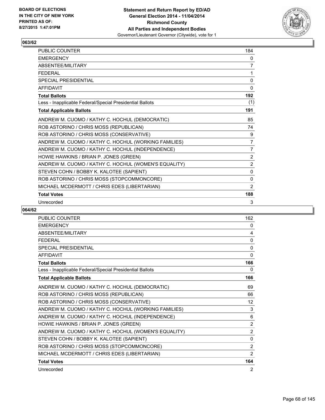

| <b>PUBLIC COUNTER</b>                                    | 184            |
|----------------------------------------------------------|----------------|
| <b>EMERGENCY</b>                                         | 0              |
| ABSENTEE/MILITARY                                        | $\overline{7}$ |
| <b>FEDERAL</b>                                           | 1              |
| <b>SPECIAL PRESIDENTIAL</b>                              | $\mathbf 0$    |
| <b>AFFIDAVIT</b>                                         | 0              |
| <b>Total Ballots</b>                                     | 192            |
| Less - Inapplicable Federal/Special Presidential Ballots | (1)            |
| <b>Total Applicable Ballots</b>                          | 191            |
| ANDREW M. CUOMO / KATHY C. HOCHUL (DEMOCRATIC)           | 85             |
| ROB ASTORINO / CHRIS MOSS (REPUBLICAN)                   | 74             |
| ROB ASTORINO / CHRIS MOSS (CONSERVATIVE)                 | 9              |
| ANDREW M. CUOMO / KATHY C. HOCHUL (WORKING FAMILIES)     | $\overline{7}$ |
| ANDREW M. CUOMO / KATHY C. HOCHUL (INDEPENDENCE)         | 7              |
| HOWIE HAWKINS / BRIAN P. JONES (GREEN)                   | $\overline{2}$ |
| ANDREW M. CUOMO / KATHY C. HOCHUL (WOMEN'S EQUALITY)     | $\overline{2}$ |
| STEVEN COHN / BOBBY K. KALOTEE (SAPIENT)                 | 0              |
| ROB ASTORINO / CHRIS MOSS (STOPCOMMONCORE)               | $\Omega$       |
| MICHAEL MCDERMOTT / CHRIS EDES (LIBERTARIAN)             | 2              |
| <b>Total Votes</b>                                       | 188            |
| Unrecorded                                               | 3              |

| <b>PUBLIC COUNTER</b>                                    | 162               |
|----------------------------------------------------------|-------------------|
| <b>EMERGENCY</b>                                         | 0                 |
| ABSENTEE/MILITARY                                        | 4                 |
| <b>FFDFRAL</b>                                           | 0                 |
| <b>SPECIAL PRESIDENTIAL</b>                              | 0                 |
| <b>AFFIDAVIT</b>                                         | $\mathbf{0}$      |
| <b>Total Ballots</b>                                     | 166               |
| Less - Inapplicable Federal/Special Presidential Ballots | 0                 |
| <b>Total Applicable Ballots</b>                          | 166               |
| ANDREW M. CUOMO / KATHY C. HOCHUL (DEMOCRATIC)           | 69                |
| ROB ASTORINO / CHRIS MOSS (REPUBLICAN)                   | 66                |
| ROB ASTORINO / CHRIS MOSS (CONSERVATIVE)                 | $12 \overline{ }$ |
| ANDREW M. CUOMO / KATHY C. HOCHUL (WORKING FAMILIES)     | 3                 |
| ANDREW M. CUOMO / KATHY C. HOCHUL (INDEPENDENCE)         | 6                 |
| HOWIE HAWKINS / BRIAN P. JONES (GREEN)                   | $\overline{2}$    |
| ANDREW M. CUOMO / KATHY C. HOCHUL (WOMEN'S EQUALITY)     | $\overline{2}$    |
| STEVEN COHN / BOBBY K. KALOTEE (SAPIENT)                 | 0                 |
| ROB ASTORINO / CHRIS MOSS (STOPCOMMONCORE)               | $\overline{2}$    |
| MICHAEL MCDERMOTT / CHRIS EDES (LIBERTARIAN)             | 2                 |
| <b>Total Votes</b>                                       | 164               |
| Unrecorded                                               | 2                 |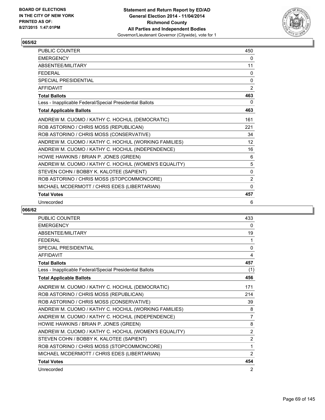

| <b>PUBLIC COUNTER</b>                                    | 450            |
|----------------------------------------------------------|----------------|
| <b>EMERGENCY</b>                                         | 0              |
| ABSENTEE/MILITARY                                        | 11             |
| <b>FEDERAL</b>                                           | 0              |
| <b>SPECIAL PRESIDENTIAL</b>                              | 0              |
| <b>AFFIDAVIT</b>                                         | $\overline{2}$ |
| <b>Total Ballots</b>                                     | 463            |
| Less - Inapplicable Federal/Special Presidential Ballots | 0              |
| <b>Total Applicable Ballots</b>                          | 463            |
| ANDREW M. CUOMO / KATHY C. HOCHUL (DEMOCRATIC)           | 161            |
| ROB ASTORINO / CHRIS MOSS (REPUBLICAN)                   | 221            |
| ROB ASTORINO / CHRIS MOSS (CONSERVATIVE)                 | 34             |
| ANDREW M. CUOMO / KATHY C. HOCHUL (WORKING FAMILIES)     | 12             |
| ANDREW M. CUOMO / KATHY C. HOCHUL (INDEPENDENCE)         | 16             |
| HOWIE HAWKINS / BRIAN P. JONES (GREEN)                   | 6              |
| ANDREW M. CUOMO / KATHY C. HOCHUL (WOMEN'S EQUALITY)     | 5              |
| STEVEN COHN / BOBBY K. KALOTEE (SAPIENT)                 | $\mathbf{0}$   |
| ROB ASTORINO / CHRIS MOSS (STOPCOMMONCORE)               | 2              |
| MICHAEL MCDERMOTT / CHRIS EDES (LIBERTARIAN)             | $\Omega$       |
| <b>Total Votes</b>                                       | 457            |
| Unrecorded                                               | 6              |

| PUBLIC COUNTER                                           | 433            |
|----------------------------------------------------------|----------------|
| <b>EMERGENCY</b>                                         | 0              |
| <b>ABSENTEE/MILITARY</b>                                 | 19             |
| <b>FEDERAL</b>                                           | 1              |
| <b>SPECIAL PRESIDENTIAL</b>                              | 0              |
| <b>AFFIDAVIT</b>                                         | 4              |
| <b>Total Ballots</b>                                     | 457            |
| Less - Inapplicable Federal/Special Presidential Ballots | (1)            |
| <b>Total Applicable Ballots</b>                          | 456            |
| ANDREW M. CUOMO / KATHY C. HOCHUL (DEMOCRATIC)           | 171            |
| ROB ASTORINO / CHRIS MOSS (REPUBLICAN)                   | 214            |
| ROB ASTORINO / CHRIS MOSS (CONSERVATIVE)                 | 39             |
| ANDREW M. CUOMO / KATHY C. HOCHUL (WORKING FAMILIES)     | 8              |
| ANDREW M. CUOMO / KATHY C. HOCHUL (INDEPENDENCE)         | 7              |
| HOWIE HAWKINS / BRIAN P. JONES (GREEN)                   | 8              |
| ANDREW M. CUOMO / KATHY C. HOCHUL (WOMEN'S EQUALITY)     | $\overline{2}$ |
| STEVEN COHN / BOBBY K. KALOTEE (SAPIENT)                 | $\overline{2}$ |
| ROB ASTORINO / CHRIS MOSS (STOPCOMMONCORE)               | 1              |
| MICHAEL MCDERMOTT / CHRIS EDES (LIBERTARIAN)             | $\overline{2}$ |
| <b>Total Votes</b>                                       | 454            |
| Unrecorded                                               | 2              |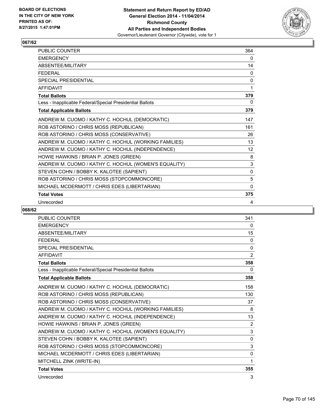

| PUBLIC COUNTER                                           | 364          |
|----------------------------------------------------------|--------------|
| <b>EMERGENCY</b>                                         | 0            |
| ABSENTEE/MILITARY                                        | 14           |
| <b>FEDERAL</b>                                           | 0            |
| <b>SPECIAL PRESIDENTIAL</b>                              | $\mathbf{0}$ |
| <b>AFFIDAVIT</b>                                         | 1            |
| <b>Total Ballots</b>                                     | 379          |
| Less - Inapplicable Federal/Special Presidential Ballots | 0            |
| <b>Total Applicable Ballots</b>                          | 379          |
| ANDREW M. CUOMO / KATHY C. HOCHUL (DEMOCRATIC)           | 147          |
| ROB ASTORINO / CHRIS MOSS (REPUBLICAN)                   | 161          |
| ROB ASTORINO / CHRIS MOSS (CONSERVATIVE)                 | 26           |
| ANDREW M. CUOMO / KATHY C. HOCHUL (WORKING FAMILIES)     | 13           |
| ANDREW M. CUOMO / KATHY C. HOCHUL (INDEPENDENCE)         | 12           |
| HOWIE HAWKINS / BRIAN P. JONES (GREEN)                   | 8            |
| ANDREW M. CUOMO / KATHY C. HOCHUL (WOMEN'S EQUALITY)     | 3            |
| STEVEN COHN / BOBBY K. KALOTEE (SAPIENT)                 | $\Omega$     |
| ROB ASTORINO / CHRIS MOSS (STOPCOMMONCORE)               | 5            |
| MICHAEL MCDERMOTT / CHRIS EDES (LIBERTARIAN)             | $\mathbf{0}$ |
| <b>Total Votes</b>                                       | 375          |
| Unrecorded                                               | 4            |

| <b>PUBLIC COUNTER</b>                                    | 341          |
|----------------------------------------------------------|--------------|
| <b>EMERGENCY</b>                                         | 0            |
| <b>ABSENTEE/MILITARY</b>                                 | 15           |
| <b>FEDERAL</b>                                           | 0            |
| SPECIAL PRESIDENTIAL                                     | $\mathbf{0}$ |
| <b>AFFIDAVIT</b>                                         | 2            |
| <b>Total Ballots</b>                                     | 358          |
| Less - Inapplicable Federal/Special Presidential Ballots | 0            |
| <b>Total Applicable Ballots</b>                          | 358          |
| ANDREW M. CUOMO / KATHY C. HOCHUL (DEMOCRATIC)           | 158          |
| ROB ASTORINO / CHRIS MOSS (REPUBLICAN)                   | 130          |
| ROB ASTORINO / CHRIS MOSS (CONSERVATIVE)                 | 37           |
| ANDREW M. CUOMO / KATHY C. HOCHUL (WORKING FAMILIES)     | 8            |
| ANDREW M. CUOMO / KATHY C. HOCHUL (INDEPENDENCE)         | 13           |
| HOWIE HAWKINS / BRIAN P. JONES (GREEN)                   | 2            |
| ANDREW M. CUOMO / KATHY C. HOCHUL (WOMEN'S EQUALITY)     | 3            |
| STEVEN COHN / BOBBY K. KALOTEE (SAPIENT)                 | $\mathbf{0}$ |
| ROB ASTORINO / CHRIS MOSS (STOPCOMMONCORE)               | 3            |
| MICHAEL MCDERMOTT / CHRIS EDES (LIBERTARIAN)             | 0            |
| MITCHELL ZINK (WRITE-IN)                                 | 1            |
| <b>Total Votes</b>                                       | 355          |
| Unrecorded                                               | 3            |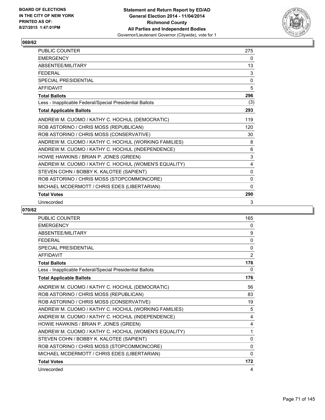

| <b>PUBLIC COUNTER</b>                                    | 275          |
|----------------------------------------------------------|--------------|
| <b>EMERGENCY</b>                                         | 0            |
| ABSENTEE/MILITARY                                        | 13           |
| <b>FFDFRAL</b>                                           | 3            |
| <b>SPECIAL PRESIDENTIAL</b>                              | $\mathbf{0}$ |
| <b>AFFIDAVIT</b>                                         | 5            |
| <b>Total Ballots</b>                                     | 296          |
| Less - Inapplicable Federal/Special Presidential Ballots | (3)          |
| <b>Total Applicable Ballots</b>                          | 293          |
| ANDREW M. CUOMO / KATHY C. HOCHUL (DEMOCRATIC)           | 119          |
| ROB ASTORINO / CHRIS MOSS (REPUBLICAN)                   | 120          |
| ROB ASTORINO / CHRIS MOSS (CONSERVATIVE)                 | 30           |
| ANDREW M. CUOMO / KATHY C. HOCHUL (WORKING FAMILIES)     | 8            |
| ANDREW M. CUOMO / KATHY C. HOCHUL (INDEPENDENCE)         | 6            |
| HOWIE HAWKINS / BRIAN P. JONES (GREEN)                   | 3            |
| ANDREW M. CUOMO / KATHY C. HOCHUL (WOMEN'S EQUALITY)     | 4            |
| STEVEN COHN / BOBBY K. KALOTEE (SAPIENT)                 | $\mathbf{0}$ |
| ROB ASTORINO / CHRIS MOSS (STOPCOMMONCORE)               | 0            |
| MICHAEL MCDERMOTT / CHRIS EDES (LIBERTARIAN)             | $\Omega$     |
| <b>Total Votes</b>                                       | 290          |
| Unrecorded                                               | 3            |

| <b>PUBLIC COUNTER</b>                                    | 165            |
|----------------------------------------------------------|----------------|
| <b>EMERGENCY</b>                                         | 0              |
| ABSENTEE/MILITARY                                        | 9              |
| <b>FEDERAL</b>                                           | $\mathbf{0}$   |
| <b>SPECIAL PRESIDENTIAL</b>                              | 0              |
| <b>AFFIDAVIT</b>                                         | $\overline{2}$ |
| <b>Total Ballots</b>                                     | 176            |
| Less - Inapplicable Federal/Special Presidential Ballots | 0              |
| <b>Total Applicable Ballots</b>                          | 176            |
| ANDREW M. CUOMO / KATHY C. HOCHUL (DEMOCRATIC)           | 56             |
| ROB ASTORINO / CHRIS MOSS (REPUBLICAN)                   | 83             |
| ROB ASTORINO / CHRIS MOSS (CONSERVATIVE)                 | 19             |
| ANDREW M. CUOMO / KATHY C. HOCHUL (WORKING FAMILIES)     | 5              |
| ANDREW M. CUOMO / KATHY C. HOCHUL (INDEPENDENCE)         | 4              |
| HOWIE HAWKINS / BRIAN P. JONES (GREEN)                   | 4              |
| ANDREW M. CUOMO / KATHY C. HOCHUL (WOMEN'S EQUALITY)     | 1              |
| STEVEN COHN / BOBBY K. KALOTEE (SAPIENT)                 | 0              |
| ROB ASTORINO / CHRIS MOSS (STOPCOMMONCORE)               | $\Omega$       |
| MICHAEL MCDERMOTT / CHRIS EDES (LIBERTARIAN)             | 0              |
| <b>Total Votes</b>                                       | 172            |
| Unrecorded                                               | 4              |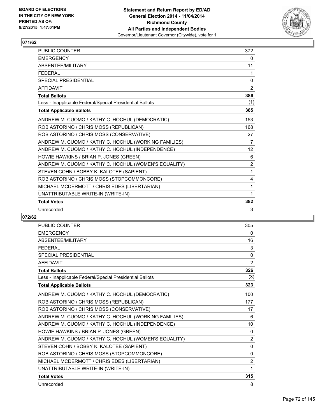

| <b>PUBLIC COUNTER</b>                                    | 372            |
|----------------------------------------------------------|----------------|
| <b>EMERGENCY</b>                                         | 0              |
| ABSENTEE/MILITARY                                        | 11             |
| <b>FEDERAL</b>                                           | 1              |
| <b>SPECIAL PRESIDENTIAL</b>                              | 0              |
| <b>AFFIDAVIT</b>                                         | 2              |
| <b>Total Ballots</b>                                     | 386            |
| Less - Inapplicable Federal/Special Presidential Ballots | (1)            |
| <b>Total Applicable Ballots</b>                          | 385            |
| ANDREW M. CUOMO / KATHY C. HOCHUL (DEMOCRATIC)           | 153            |
| ROB ASTORINO / CHRIS MOSS (REPUBLICAN)                   | 168            |
| ROB ASTORINO / CHRIS MOSS (CONSERVATIVE)                 | 27             |
| ANDREW M. CUOMO / KATHY C. HOCHUL (WORKING FAMILIES)     | 7              |
| ANDREW M. CUOMO / KATHY C. HOCHUL (INDEPENDENCE)         | 12             |
| HOWIE HAWKINS / BRIAN P. JONES (GREEN)                   | 6              |
| ANDREW M. CUOMO / KATHY C. HOCHUL (WOMEN'S EQUALITY)     | $\overline{2}$ |
| STEVEN COHN / BOBBY K. KALOTEE (SAPIENT)                 | $\mathbf{1}$   |
| ROB ASTORINO / CHRIS MOSS (STOPCOMMONCORE)               | 4              |
| MICHAEL MCDERMOTT / CHRIS EDES (LIBERTARIAN)             | 1              |
| UNATTRIBUTABLE WRITE-IN (WRITE-IN)                       | 1              |
| <b>Total Votes</b>                                       | 382            |
| Unrecorded                                               | 3              |

| <b>PUBLIC COUNTER</b>                                    | 305            |
|----------------------------------------------------------|----------------|
| <b>EMERGENCY</b>                                         | 0              |
| <b>ABSENTEE/MILITARY</b>                                 | 16             |
| <b>FFDFRAL</b>                                           | 3              |
| SPECIAL PRESIDENTIAL                                     | $\mathbf{0}$   |
| <b>AFFIDAVIT</b>                                         | $\overline{2}$ |
| <b>Total Ballots</b>                                     | 326            |
| Less - Inapplicable Federal/Special Presidential Ballots | (3)            |
| <b>Total Applicable Ballots</b>                          | 323            |
| ANDREW M. CUOMO / KATHY C. HOCHUL (DEMOCRATIC)           | 100            |
| ROB ASTORINO / CHRIS MOSS (REPUBLICAN)                   | 177            |
| ROB ASTORINO / CHRIS MOSS (CONSERVATIVE)                 | 17             |
| ANDREW M. CUOMO / KATHY C. HOCHUL (WORKING FAMILIES)     | 6              |
| ANDREW M. CUOMO / KATHY C. HOCHUL (INDEPENDENCE)         | 10             |
| HOWIE HAWKINS / BRIAN P. JONES (GREEN)                   | $\mathbf{0}$   |
| ANDREW M. CUOMO / KATHY C. HOCHUL (WOMEN'S EQUALITY)     | 2              |
| STEVEN COHN / BOBBY K. KALOTEE (SAPIENT)                 | $\mathbf{0}$   |
| ROB ASTORINO / CHRIS MOSS (STOPCOMMONCORE)               | 0              |
| MICHAEL MCDERMOTT / CHRIS EDES (LIBERTARIAN)             | $\overline{2}$ |
| UNATTRIBUTABLE WRITE-IN (WRITE-IN)                       | 1              |
| <b>Total Votes</b>                                       | 315            |
| Unrecorded                                               | 8              |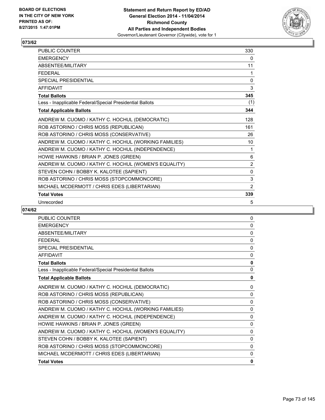

| PUBLIC COUNTER                                           | 330          |
|----------------------------------------------------------|--------------|
| <b>EMERGENCY</b>                                         | 0            |
| ABSENTEE/MILITARY                                        | 11           |
| <b>FFDFRAL</b>                                           | 1            |
| <b>SPECIAL PRESIDENTIAL</b>                              | $\mathbf{0}$ |
| <b>AFFIDAVIT</b>                                         | 3            |
| <b>Total Ballots</b>                                     | 345          |
| Less - Inapplicable Federal/Special Presidential Ballots | (1)          |
| <b>Total Applicable Ballots</b>                          | 344          |
| ANDREW M. CUOMO / KATHY C. HOCHUL (DEMOCRATIC)           | 128          |
| ROB ASTORINO / CHRIS MOSS (REPUBLICAN)                   | 161          |
| ROB ASTORINO / CHRIS MOSS (CONSERVATIVE)                 | 26           |
| ANDREW M. CUOMO / KATHY C. HOCHUL (WORKING FAMILIES)     | 10           |
| ANDREW M. CUOMO / KATHY C. HOCHUL (INDEPENDENCE)         | 1            |
| HOWIE HAWKINS / BRIAN P. JONES (GREEN)                   | 6            |
| ANDREW M. CUOMO / KATHY C. HOCHUL (WOMEN'S EQUALITY)     | 2            |
| STEVEN COHN / BOBBY K. KALOTEE (SAPIENT)                 | $\mathbf{0}$ |
| ROB ASTORINO / CHRIS MOSS (STOPCOMMONCORE)               | 3            |
| MICHAEL MCDERMOTT / CHRIS EDES (LIBERTARIAN)             | 2            |
| <b>Total Votes</b>                                       | 339          |
| Unrecorded                                               | 5            |

| <b>PUBLIC COUNTER</b>                                    | 0            |
|----------------------------------------------------------|--------------|
| <b>EMERGENCY</b>                                         | $\mathbf{0}$ |
| ABSENTEE/MILITARY                                        | 0            |
| <b>FFDFRAL</b>                                           | 0            |
| SPECIAL PRESIDENTIAL                                     | 0            |
| <b>AFFIDAVIT</b>                                         | 0            |
| <b>Total Ballots</b>                                     | $\mathbf{0}$ |
| Less - Inapplicable Federal/Special Presidential Ballots | $\mathbf{0}$ |
| <b>Total Applicable Ballots</b>                          | 0            |
| ANDREW M. CUOMO / KATHY C. HOCHUL (DEMOCRATIC)           | 0            |
| ROB ASTORINO / CHRIS MOSS (REPUBLICAN)                   | $\mathbf{0}$ |
| ROB ASTORINO / CHRIS MOSS (CONSERVATIVE)                 | $\mathbf{0}$ |
| ANDREW M. CUOMO / KATHY C. HOCHUL (WORKING FAMILIES)     | 0            |
| ANDREW M. CUOMO / KATHY C. HOCHUL (INDEPENDENCE)         | 0            |
| HOWIE HAWKINS / BRIAN P. JONES (GREEN)                   | 0            |
| ANDREW M. CUOMO / KATHY C. HOCHUL (WOMEN'S EQUALITY)     | $\mathbf{0}$ |
| STEVEN COHN / BOBBY K. KALOTEE (SAPIENT)                 | $\mathbf{0}$ |
| ROB ASTORINO / CHRIS MOSS (STOPCOMMONCORE)               | $\mathbf{0}$ |
| MICHAEL MCDERMOTT / CHRIS EDES (LIBERTARIAN)             | $\mathbf{0}$ |
| <b>Total Votes</b>                                       | 0            |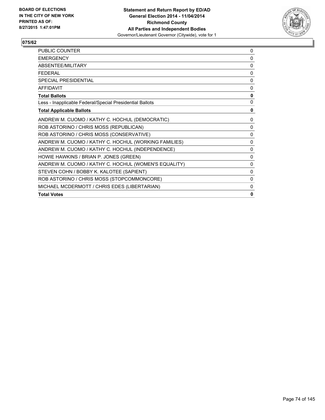

| <b>PUBLIC COUNTER</b>                                    | 0            |
|----------------------------------------------------------|--------------|
| <b>EMERGENCY</b>                                         | 0            |
| ABSENTEF/MILITARY                                        | 0            |
| <b>FFDFRAI</b>                                           | 0            |
| SPECIAL PRESIDENTIAL                                     | $\mathbf{0}$ |
| <b>AFFIDAVIT</b>                                         | $\Omega$     |
| <b>Total Ballots</b>                                     | 0            |
| Less - Inapplicable Federal/Special Presidential Ballots | 0            |
| <b>Total Applicable Ballots</b>                          | 0            |
| ANDREW M. CUOMO / KATHY C. HOCHUL (DEMOCRATIC)           | $\mathbf{0}$ |
| ROB ASTORINO / CHRIS MOSS (REPUBLICAN)                   | 0            |
| ROB ASTORINO / CHRIS MOSS (CONSERVATIVE)                 | $\Omega$     |
| ANDREW M. CUOMO / KATHY C. HOCHUL (WORKING FAMILIES)     | 0            |
| ANDREW M. CUOMO / KATHY C. HOCHUL (INDEPENDENCE)         | $\Omega$     |
| HOWIE HAWKINS / BRIAN P. JONES (GREEN)                   | 0            |
| ANDREW M. CUOMO / KATHY C. HOCHUL (WOMEN'S EQUALITY)     | 0            |
| STEVEN COHN / BOBBY K. KALOTEE (SAPIENT)                 | 0            |
| ROB ASTORINO / CHRIS MOSS (STOPCOMMONCORE)               | 0            |
| MICHAEL MCDERMOTT / CHRIS EDES (LIBERTARIAN)             | 0            |
| <b>Total Votes</b>                                       | 0            |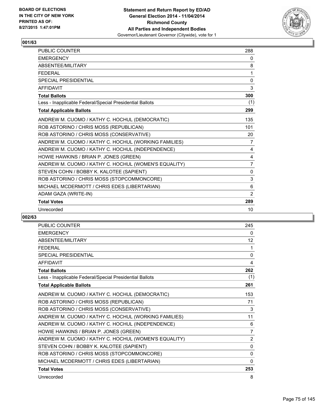

| <b>PUBLIC COUNTER</b>                                    | 288            |
|----------------------------------------------------------|----------------|
| <b>EMERGENCY</b>                                         | 0              |
| ABSENTEE/MILITARY                                        | 8              |
| <b>FFDFRAL</b>                                           | 1              |
| <b>SPECIAL PRESIDENTIAL</b>                              | 0              |
| <b>AFFIDAVIT</b>                                         | 3              |
| <b>Total Ballots</b>                                     | 300            |
| Less - Inapplicable Federal/Special Presidential Ballots | (1)            |
| <b>Total Applicable Ballots</b>                          | 299            |
| ANDREW M. CUOMO / KATHY C. HOCHUL (DEMOCRATIC)           | 135            |
| ROB ASTORINO / CHRIS MOSS (REPUBLICAN)                   | 101            |
| ROB ASTORINO / CHRIS MOSS (CONSERVATIVE)                 | 20             |
| ANDREW M. CUOMO / KATHY C. HOCHUL (WORKING FAMILIES)     | 7              |
| ANDREW M. CUOMO / KATHY C. HOCHUL (INDEPENDENCE)         | 4              |
| HOWIE HAWKINS / BRIAN P. JONES (GREEN)                   | 4              |
| ANDREW M. CUOMO / KATHY C. HOCHUL (WOMEN'S EQUALITY)     | $\overline{7}$ |
| STEVEN COHN / BOBBY K. KALOTEE (SAPIENT)                 | $\Omega$       |
| ROB ASTORINO / CHRIS MOSS (STOPCOMMONCORE)               | 3              |
| MICHAEL MCDERMOTT / CHRIS EDES (LIBERTARIAN)             | 6              |
| ADAM GAZA (WRITE-IN)                                     | 2              |
| <b>Total Votes</b>                                       | 289            |
| Unrecorded                                               | 10             |

| <b>PUBLIC COUNTER</b>                                    | 245          |
|----------------------------------------------------------|--------------|
| <b>EMERGENCY</b>                                         | 0            |
| <b>ABSENTEE/MILITARY</b>                                 | 12           |
| <b>FFDFRAL</b>                                           | 1            |
| <b>SPECIAL PRESIDENTIAL</b>                              | 0            |
| <b>AFFIDAVIT</b>                                         | 4            |
| <b>Total Ballots</b>                                     | 262          |
| Less - Inapplicable Federal/Special Presidential Ballots | (1)          |
| <b>Total Applicable Ballots</b>                          | 261          |
| ANDREW M. CUOMO / KATHY C. HOCHUL (DEMOCRATIC)           | 153          |
| ROB ASTORINO / CHRIS MOSS (REPUBLICAN)                   | 71           |
| ROB ASTORINO / CHRIS MOSS (CONSERVATIVE)                 | 3            |
| ANDREW M. CUOMO / KATHY C. HOCHUL (WORKING FAMILIES)     | 11           |
| ANDREW M. CUOMO / KATHY C. HOCHUL (INDEPENDENCE)         | 6            |
| HOWIE HAWKINS / BRIAN P. JONES (GREEN)                   | 7            |
| ANDREW M. CUOMO / KATHY C. HOCHUL (WOMEN'S EQUALITY)     | 2            |
| STEVEN COHN / BOBBY K. KALOTEE (SAPIENT)                 | 0            |
| ROB ASTORINO / CHRIS MOSS (STOPCOMMONCORE)               | $\Omega$     |
| MICHAEL MCDERMOTT / CHRIS EDES (LIBERTARIAN)             | $\mathbf{0}$ |
| <b>Total Votes</b>                                       | 253          |
| Unrecorded                                               | 8            |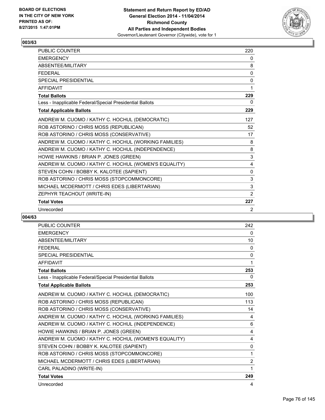

| PUBLIC COUNTER                                           | 220 |
|----------------------------------------------------------|-----|
| <b>EMERGENCY</b>                                         | 0   |
| ABSENTEE/MILITARY                                        | 8   |
| <b>FFDFRAI</b>                                           | 0   |
| <b>SPECIAL PRESIDENTIAL</b>                              | 0   |
| <b>AFFIDAVIT</b>                                         | 1   |
| <b>Total Ballots</b>                                     | 229 |
| Less - Inapplicable Federal/Special Presidential Ballots | 0   |
| <b>Total Applicable Ballots</b>                          | 229 |
| ANDREW M. CUOMO / KATHY C. HOCHUL (DEMOCRATIC)           | 127 |
| ROB ASTORINO / CHRIS MOSS (REPUBLICAN)                   | 52  |
| ROB ASTORINO / CHRIS MOSS (CONSERVATIVE)                 | 17  |
| ANDREW M. CUOMO / KATHY C. HOCHUL (WORKING FAMILIES)     | 8   |
| ANDREW M. CUOMO / KATHY C. HOCHUL (INDEPENDENCE)         | 8   |
| HOWIE HAWKINS / BRIAN P. JONES (GREEN)                   | 3   |
| ANDREW M. CUOMO / KATHY C. HOCHUL (WOMEN'S EQUALITY)     | 4   |
| STEVEN COHN / BOBBY K. KALOTEE (SAPIENT)                 | 0   |
| ROB ASTORINO / CHRIS MOSS (STOPCOMMONCORE)               | 3   |
| MICHAEL MCDERMOTT / CHRIS EDES (LIBERTARIAN)             | 3   |
| ZEPHYR TEACHOUT (WRITE-IN)                               | 2   |
| <b>Total Votes</b>                                       | 227 |
| Unrecorded                                               | 2   |

| <b>PUBLIC COUNTER</b>                                    | 242          |
|----------------------------------------------------------|--------------|
| <b>EMERGENCY</b>                                         | 0            |
| ABSENTEE/MILITARY                                        | 10           |
| <b>FFDFRAL</b>                                           | 0            |
| <b>SPECIAL PRESIDENTIAL</b>                              | $\mathbf{0}$ |
| <b>AFFIDAVIT</b>                                         | 1            |
| <b>Total Ballots</b>                                     | 253          |
| Less - Inapplicable Federal/Special Presidential Ballots | 0            |
| <b>Total Applicable Ballots</b>                          | 253          |
| ANDREW M. CUOMO / KATHY C. HOCHUL (DEMOCRATIC)           | 100          |
| ROB ASTORINO / CHRIS MOSS (REPUBLICAN)                   | 113          |
| ROB ASTORINO / CHRIS MOSS (CONSERVATIVE)                 | 14           |
| ANDREW M. CUOMO / KATHY C. HOCHUL (WORKING FAMILIES)     | 4            |
| ANDREW M. CUOMO / KATHY C. HOCHUL (INDEPENDENCE)         | 6            |
| HOWIE HAWKINS / BRIAN P. JONES (GREEN)                   | 4            |
| ANDREW M. CUOMO / KATHY C. HOCHUL (WOMEN'S EQUALITY)     | 4            |
| STEVEN COHN / BOBBY K. KALOTEE (SAPIENT)                 | $\mathbf{0}$ |
| ROB ASTORINO / CHRIS MOSS (STOPCOMMONCORE)               | 1            |
| MICHAEL MCDERMOTT / CHRIS EDES (LIBERTARIAN)             | 2            |
| CARL PALADINO (WRITE-IN)                                 | 1            |
| <b>Total Votes</b>                                       | 249          |
| Unrecorded                                               | 4            |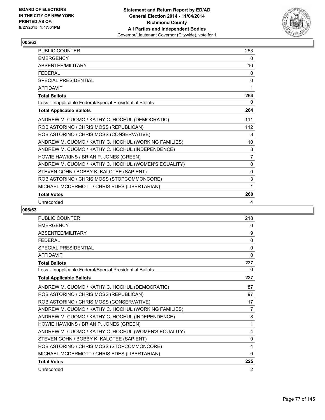

| <b>PUBLIC COUNTER</b>                                    | 253            |
|----------------------------------------------------------|----------------|
| <b>EMERGENCY</b>                                         | 0              |
| ABSENTEE/MILITARY                                        | 10             |
| <b>FEDERAL</b>                                           | 0              |
| <b>SPECIAL PRESIDENTIAL</b>                              | 0              |
| <b>AFFIDAVIT</b>                                         | 1              |
| <b>Total Ballots</b>                                     | 264            |
| Less - Inapplicable Federal/Special Presidential Ballots | 0              |
| <b>Total Applicable Ballots</b>                          | 264            |
| ANDREW M. CUOMO / KATHY C. HOCHUL (DEMOCRATIC)           | 111            |
| ROB ASTORINO / CHRIS MOSS (REPUBLICAN)                   | 112            |
| ROB ASTORINO / CHRIS MOSS (CONSERVATIVE)                 | 8              |
| ANDREW M. CUOMO / KATHY C. HOCHUL (WORKING FAMILIES)     | 10             |
| ANDREW M. CUOMO / KATHY C. HOCHUL (INDEPENDENCE)         | 8              |
| HOWIE HAWKINS / BRIAN P. JONES (GREEN)                   | $\overline{7}$ |
| ANDREW M. CUOMO / KATHY C. HOCHUL (WOMEN'S EQUALITY)     | $\mathbf{0}$   |
| STEVEN COHN / BOBBY K. KALOTEE (SAPIENT)                 | 0              |
| ROB ASTORINO / CHRIS MOSS (STOPCOMMONCORE)               | 3              |
| MICHAEL MCDERMOTT / CHRIS EDES (LIBERTARIAN)             | 1              |
| <b>Total Votes</b>                                       | 260            |
| Unrecorded                                               | 4              |

| PUBLIC COUNTER                                           | 218            |
|----------------------------------------------------------|----------------|
| <b>EMERGENCY</b>                                         | 0              |
| <b>ABSENTEE/MILITARY</b>                                 | 9              |
| <b>FEDERAL</b>                                           | $\mathbf{0}$   |
| <b>SPECIAL PRESIDENTIAL</b>                              | 0              |
| <b>AFFIDAVIT</b>                                         | $\Omega$       |
| <b>Total Ballots</b>                                     | 227            |
| Less - Inapplicable Federal/Special Presidential Ballots | 0              |
| <b>Total Applicable Ballots</b>                          | 227            |
| ANDREW M. CUOMO / KATHY C. HOCHUL (DEMOCRATIC)           | 87             |
| ROB ASTORINO / CHRIS MOSS (REPUBLICAN)                   | 97             |
| ROB ASTORINO / CHRIS MOSS (CONSERVATIVE)                 | 17             |
| ANDREW M. CUOMO / KATHY C. HOCHUL (WORKING FAMILIES)     | $\overline{7}$ |
| ANDREW M. CUOMO / KATHY C. HOCHUL (INDEPENDENCE)         | 8              |
| HOWIE HAWKINS / BRIAN P. JONES (GREEN)                   | 1              |
| ANDREW M. CUOMO / KATHY C. HOCHUL (WOMEN'S EQUALITY)     | 4              |
| STEVEN COHN / BOBBY K. KALOTEE (SAPIENT)                 | 0              |
| ROB ASTORINO / CHRIS MOSS (STOPCOMMONCORE)               | 4              |
| MICHAEL MCDERMOTT / CHRIS EDES (LIBERTARIAN)             | 0              |
| <b>Total Votes</b>                                       | 225            |
| Unrecorded                                               | 2              |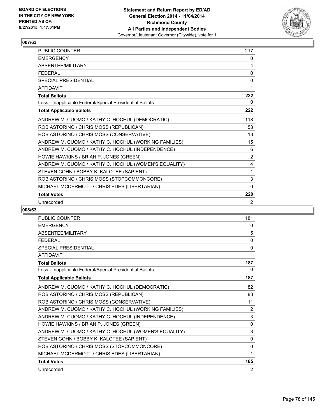

| <b>PUBLIC COUNTER</b>                                    | 217            |
|----------------------------------------------------------|----------------|
| <b>EMERGENCY</b>                                         | 0              |
| ABSENTEE/MILITARY                                        | 4              |
| <b>FEDERAL</b>                                           | 0              |
| <b>SPECIAL PRESIDENTIAL</b>                              | 0              |
| <b>AFFIDAVIT</b>                                         | 1              |
| <b>Total Ballots</b>                                     | 222            |
| Less - Inapplicable Federal/Special Presidential Ballots | 0              |
| <b>Total Applicable Ballots</b>                          | 222            |
| ANDREW M. CUOMO / KATHY C. HOCHUL (DEMOCRATIC)           | 118            |
| ROB ASTORINO / CHRIS MOSS (REPUBLICAN)                   | 58             |
| ROB ASTORINO / CHRIS MOSS (CONSERVATIVE)                 | 13             |
| ANDREW M. CUOMO / KATHY C. HOCHUL (WORKING FAMILIES)     | 15             |
| ANDREW M. CUOMO / KATHY C. HOCHUL (INDEPENDENCE)         | 6              |
| HOWIE HAWKINS / BRIAN P. JONES (GREEN)                   | $\overline{2}$ |
| ANDREW M. CUOMO / KATHY C. HOCHUL (WOMEN'S EQUALITY)     | 4              |
| STEVEN COHN / BOBBY K. KALOTEE (SAPIENT)                 | 1              |
| ROB ASTORINO / CHRIS MOSS (STOPCOMMONCORE)               | 3              |
| MICHAEL MCDERMOTT / CHRIS EDES (LIBERTARIAN)             | $\mathbf{0}$   |
| <b>Total Votes</b>                                       | 220            |
| Unrecorded                                               | 2              |

| <b>PUBLIC COUNTER</b>                                    | 181          |
|----------------------------------------------------------|--------------|
| <b>EMERGENCY</b>                                         | 0            |
| ABSENTEE/MILITARY                                        | 5            |
| <b>FEDERAL</b>                                           | $\mathbf{0}$ |
| <b>SPECIAL PRESIDENTIAL</b>                              | 0            |
| <b>AFFIDAVIT</b>                                         | 1            |
| <b>Total Ballots</b>                                     | 187          |
| Less - Inapplicable Federal/Special Presidential Ballots | 0            |
| <b>Total Applicable Ballots</b>                          | 187          |
| ANDREW M. CUOMO / KATHY C. HOCHUL (DEMOCRATIC)           | 82           |
| ROB ASTORINO / CHRIS MOSS (REPUBLICAN)                   | 83           |
| ROB ASTORINO / CHRIS MOSS (CONSERVATIVE)                 | 11           |
| ANDREW M. CUOMO / KATHY C. HOCHUL (WORKING FAMILIES)     | 2            |
| ANDREW M. CUOMO / KATHY C. HOCHUL (INDEPENDENCE)         | 3            |
| HOWIE HAWKINS / BRIAN P. JONES (GREEN)                   | 0            |
| ANDREW M. CUOMO / KATHY C. HOCHUL (WOMEN'S EQUALITY)     | 3            |
| STEVEN COHN / BOBBY K. KALOTEE (SAPIENT)                 | 0            |
| ROB ASTORINO / CHRIS MOSS (STOPCOMMONCORE)               | $\Omega$     |
| MICHAEL MCDERMOTT / CHRIS EDES (LIBERTARIAN)             | 1            |
| <b>Total Votes</b>                                       | 185          |
| Unrecorded                                               | 2            |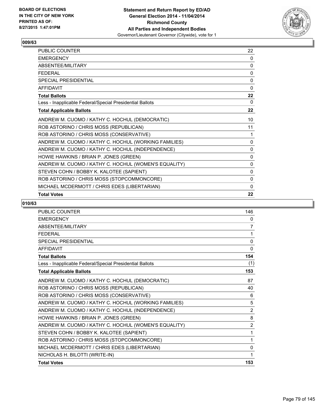

| PUBLIC COUNTER                                           | 22           |
|----------------------------------------------------------|--------------|
| <b>EMERGENCY</b>                                         | 0            |
| ABSENTEE/MILITARY                                        | 0            |
| <b>FEDERAL</b>                                           | 0            |
| <b>SPECIAL PRESIDENTIAL</b>                              | $\mathbf{0}$ |
| <b>AFFIDAVIT</b>                                         | $\Omega$     |
| <b>Total Ballots</b>                                     | 22           |
| Less - Inapplicable Federal/Special Presidential Ballots | 0            |
| <b>Total Applicable Ballots</b>                          | 22           |
| ANDREW M. CUOMO / KATHY C. HOCHUL (DEMOCRATIC)           | 10           |
| ROB ASTORINO / CHRIS MOSS (REPUBLICAN)                   | 11           |
| ROB ASTORINO / CHRIS MOSS (CONSERVATIVE)                 | 1            |
| ANDREW M. CUOMO / KATHY C. HOCHUL (WORKING FAMILIES)     | 0            |
| ANDREW M. CUOMO / KATHY C. HOCHUL (INDEPENDENCE)         | $\Omega$     |
| HOWIE HAWKINS / BRIAN P. JONES (GREEN)                   | 0            |
| ANDREW M. CUOMO / KATHY C. HOCHUL (WOMEN'S EQUALITY)     | 0            |
| STEVEN COHN / BOBBY K. KALOTEE (SAPIENT)                 | 0            |
| ROB ASTORINO / CHRIS MOSS (STOPCOMMONCORE)               | $\Omega$     |
| MICHAEL MCDERMOTT / CHRIS EDES (LIBERTARIAN)             | 0            |
| <b>Total Votes</b>                                       | 22           |

| <b>PUBLIC COUNTER</b>                                    | 146            |
|----------------------------------------------------------|----------------|
| <b>EMERGENCY</b>                                         | 0              |
| <b>ABSENTEE/MILITARY</b>                                 | 7              |
| <b>FEDERAL</b>                                           | 1              |
| <b>SPECIAL PRESIDENTIAL</b>                              | 0              |
| <b>AFFIDAVIT</b>                                         | 0              |
| <b>Total Ballots</b>                                     | 154            |
| Less - Inapplicable Federal/Special Presidential Ballots | (1)            |
| <b>Total Applicable Ballots</b>                          | 153            |
| ANDREW M. CUOMO / KATHY C. HOCHUL (DEMOCRATIC)           | 87             |
| ROB ASTORINO / CHRIS MOSS (REPUBLICAN)                   | 40             |
| ROB ASTORINO / CHRIS MOSS (CONSERVATIVE)                 | 6              |
| ANDREW M. CUOMO / KATHY C. HOCHUL (WORKING FAMILIES)     | 5              |
| ANDREW M. CUOMO / KATHY C. HOCHUL (INDEPENDENCE)         | $\overline{2}$ |
| HOWIE HAWKINS / BRIAN P. JONES (GREEN)                   | 8              |
| ANDREW M. CUOMO / KATHY C. HOCHUL (WOMEN'S EQUALITY)     | $\overline{2}$ |
| STEVEN COHN / BOBBY K. KALOTEE (SAPIENT)                 | $\mathbf{1}$   |
| ROB ASTORINO / CHRIS MOSS (STOPCOMMONCORE)               | 1              |
| MICHAEL MCDERMOTT / CHRIS EDES (LIBERTARIAN)             | $\mathbf{0}$   |
| NICHOLAS H. BILOTTI (WRITE-IN)                           | 1              |
| <b>Total Votes</b>                                       | 153            |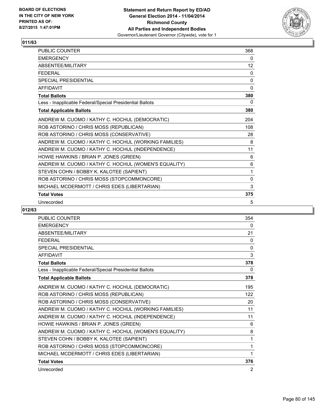

| PUBLIC COUNTER                                           | 368      |
|----------------------------------------------------------|----------|
| <b>EMERGENCY</b>                                         | 0        |
| ABSENTEE/MILITARY                                        | 12       |
| <b>FEDERAL</b>                                           | 0        |
| <b>SPECIAL PRESIDENTIAL</b>                              | $\Omega$ |
| <b>AFFIDAVIT</b>                                         | $\Omega$ |
| <b>Total Ballots</b>                                     | 380      |
| Less - Inapplicable Federal/Special Presidential Ballots | 0        |
| <b>Total Applicable Ballots</b>                          | 380      |
| ANDREW M. CUOMO / KATHY C. HOCHUL (DEMOCRATIC)           | 204      |
| ROB ASTORINO / CHRIS MOSS (REPUBLICAN)                   | 108      |
| ROB ASTORINO / CHRIS MOSS (CONSERVATIVE)                 | 28       |
| ANDREW M. CUOMO / KATHY C. HOCHUL (WORKING FAMILIES)     | 8        |
| ANDREW M. CUOMO / KATHY C. HOCHUL (INDEPENDENCE)         | 11       |
| HOWIE HAWKINS / BRIAN P. JONES (GREEN)                   | 6        |
| ANDREW M. CUOMO / KATHY C. HOCHUL (WOMEN'S EQUALITY)     | 6        |
| STEVEN COHN / BOBBY K. KALOTEE (SAPIENT)                 | 1        |
| ROB ASTORINO / CHRIS MOSS (STOPCOMMONCORE)               | 0        |
| MICHAEL MCDERMOTT / CHRIS EDES (LIBERTARIAN)             | 3        |
| <b>Total Votes</b>                                       | 375      |
| Unrecorded                                               | 5        |

| PUBLIC COUNTER                                           | 354      |
|----------------------------------------------------------|----------|
| <b>EMERGENCY</b>                                         | 0        |
| <b>ABSENTEE/MILITARY</b>                                 | 21       |
| <b>FEDERAL</b>                                           | $\Omega$ |
| <b>SPECIAL PRESIDENTIAL</b>                              | 0        |
| <b>AFFIDAVIT</b>                                         | 3        |
| <b>Total Ballots</b>                                     | 378      |
| Less - Inapplicable Federal/Special Presidential Ballots | 0        |
| <b>Total Applicable Ballots</b>                          | 378      |
| ANDREW M. CUOMO / KATHY C. HOCHUL (DEMOCRATIC)           | 195      |
| ROB ASTORINO / CHRIS MOSS (REPUBLICAN)                   | 122      |
| ROB ASTORINO / CHRIS MOSS (CONSERVATIVE)                 | 20       |
| ANDREW M. CUOMO / KATHY C. HOCHUL (WORKING FAMILIES)     | 11       |
| ANDREW M. CUOMO / KATHY C. HOCHUL (INDEPENDENCE)         | 11       |
| HOWIE HAWKINS / BRIAN P. JONES (GREEN)                   | 6        |
| ANDREW M. CUOMO / KATHY C. HOCHUL (WOMEN'S EQUALITY)     | 8        |
| STEVEN COHN / BOBBY K. KALOTEE (SAPIENT)                 | 1        |
| ROB ASTORINO / CHRIS MOSS (STOPCOMMONCORE)               | 1        |
| MICHAEL MCDERMOTT / CHRIS EDES (LIBERTARIAN)             | 1        |
| <b>Total Votes</b>                                       | 376      |
| Unrecorded                                               | 2        |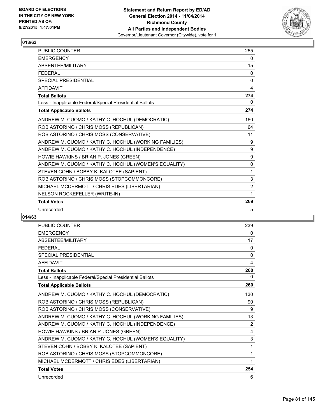

| <b>PUBLIC COUNTER</b>                                    | 255            |
|----------------------------------------------------------|----------------|
| <b>EMERGENCY</b>                                         | 0              |
| <b>ABSENTFF/MILITARY</b>                                 | 15             |
| <b>FFDFRAL</b>                                           | 0              |
| <b>SPECIAL PRESIDENTIAL</b>                              | 0              |
| <b>AFFIDAVIT</b>                                         | 4              |
| <b>Total Ballots</b>                                     | 274            |
| Less - Inapplicable Federal/Special Presidential Ballots | 0              |
| <b>Total Applicable Ballots</b>                          | 274            |
| ANDREW M. CUOMO / KATHY C. HOCHUL (DEMOCRATIC)           | 160            |
| ROB ASTORINO / CHRIS MOSS (REPUBLICAN)                   | 64             |
| ROB ASTORINO / CHRIS MOSS (CONSERVATIVE)                 | 11             |
| ANDREW M. CUOMO / KATHY C. HOCHUL (WORKING FAMILIES)     | 9              |
| ANDREW M. CUOMO / KATHY C. HOCHUL (INDEPENDENCE)         | 9              |
| HOWIE HAWKINS / BRIAN P. JONES (GREEN)                   | 9              |
| ANDREW M. CUOMO / KATHY C. HOCHUL (WOMEN'S EQUALITY)     | 0              |
| STEVEN COHN / BOBBY K. KALOTEE (SAPIENT)                 | 1              |
| ROB ASTORINO / CHRIS MOSS (STOPCOMMONCORE)               | 3              |
| MICHAEL MCDERMOTT / CHRIS EDES (LIBERTARIAN)             | $\overline{2}$ |
| NELSON ROCKEFELLER (WRITE-IN)                            | 1              |
| <b>Total Votes</b>                                       | 269            |
| Unrecorded                                               | 5              |

| <b>PUBLIC COUNTER</b>                                    | 239          |
|----------------------------------------------------------|--------------|
| <b>EMERGENCY</b>                                         | 0            |
| ABSENTEE/MILITARY                                        | 17           |
| <b>FFDFRAL</b>                                           | 0            |
| <b>SPECIAL PRESIDENTIAL</b>                              | $\mathbf{0}$ |
| <b>AFFIDAVIT</b>                                         | 4            |
| <b>Total Ballots</b>                                     | 260          |
| Less - Inapplicable Federal/Special Presidential Ballots | 0            |
| <b>Total Applicable Ballots</b>                          | 260          |
| ANDREW M. CUOMO / KATHY C. HOCHUL (DEMOCRATIC)           | 130          |
| ROB ASTORINO / CHRIS MOSS (REPUBLICAN)                   | 90           |
| ROB ASTORINO / CHRIS MOSS (CONSERVATIVE)                 | 9            |
| ANDREW M. CUOMO / KATHY C. HOCHUL (WORKING FAMILIES)     | 13           |
| ANDREW M. CUOMO / KATHY C. HOCHUL (INDEPENDENCE)         | 2            |
| HOWIE HAWKINS / BRIAN P. JONES (GREEN)                   | 4            |
| ANDREW M. CUOMO / KATHY C. HOCHUL (WOMEN'S EQUALITY)     | 3            |
| STEVEN COHN / BOBBY K. KALOTEE (SAPIENT)                 | 1            |
| ROB ASTORINO / CHRIS MOSS (STOPCOMMONCORE)               | 1            |
| MICHAEL MCDERMOTT / CHRIS EDES (LIBERTARIAN)             | 1            |
| <b>Total Votes</b>                                       | 254          |
| Unrecorded                                               | 6            |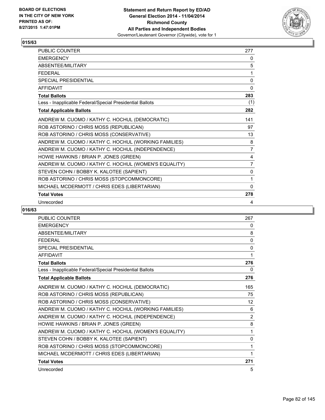

| PUBLIC COUNTER                                           | 277            |
|----------------------------------------------------------|----------------|
| <b>EMERGENCY</b>                                         | 0              |
| ABSENTEE/MILITARY                                        | 5              |
| <b>FEDERAL</b>                                           | 1              |
| <b>SPECIAL PRESIDENTIAL</b>                              | $\Omega$       |
| <b>AFFIDAVIT</b>                                         | $\Omega$       |
| <b>Total Ballots</b>                                     | 283            |
| Less - Inapplicable Federal/Special Presidential Ballots | (1)            |
| <b>Total Applicable Ballots</b>                          | 282            |
| ANDREW M. CUOMO / KATHY C. HOCHUL (DEMOCRATIC)           | 141            |
| ROB ASTORINO / CHRIS MOSS (REPUBLICAN)                   | 97             |
| ROB ASTORINO / CHRIS MOSS (CONSERVATIVE)                 | 13             |
| ANDREW M. CUOMO / KATHY C. HOCHUL (WORKING FAMILIES)     | 8              |
| ANDREW M. CUOMO / KATHY C. HOCHUL (INDEPENDENCE)         | $\overline{7}$ |
| HOWIE HAWKINS / BRIAN P. JONES (GREEN)                   | 4              |
| ANDREW M. CUOMO / KATHY C. HOCHUL (WOMEN'S EQUALITY)     | 7              |
| STEVEN COHN / BOBBY K. KALOTEE (SAPIENT)                 | 0              |
| ROB ASTORINO / CHRIS MOSS (STOPCOMMONCORE)               | 1              |
| MICHAEL MCDERMOTT / CHRIS EDES (LIBERTARIAN)             | $\mathbf{0}$   |
| <b>Total Votes</b>                                       | 278            |
| Unrecorded                                               | 4              |

| PUBLIC COUNTER                                           | 267      |
|----------------------------------------------------------|----------|
| <b>EMERGENCY</b>                                         | 0        |
| ABSENTEE/MILITARY                                        | 8        |
| <b>FEDERAL</b>                                           | $\Omega$ |
| <b>SPECIAL PRESIDENTIAL</b>                              | 0        |
| <b>AFFIDAVIT</b>                                         | 1        |
| <b>Total Ballots</b>                                     | 276      |
| Less - Inapplicable Federal/Special Presidential Ballots | 0        |
| <b>Total Applicable Ballots</b>                          | 276      |
| ANDREW M. CUOMO / KATHY C. HOCHUL (DEMOCRATIC)           | 165      |
| ROB ASTORINO / CHRIS MOSS (REPUBLICAN)                   | 75       |
| ROB ASTORINO / CHRIS MOSS (CONSERVATIVE)                 | 12       |
| ANDREW M. CUOMO / KATHY C. HOCHUL (WORKING FAMILIES)     | 6        |
| ANDREW M. CUOMO / KATHY C. HOCHUL (INDEPENDENCE)         | 2        |
| HOWIE HAWKINS / BRIAN P. JONES (GREEN)                   | 8        |
| ANDREW M. CUOMO / KATHY C. HOCHUL (WOMEN'S EQUALITY)     | 1        |
| STEVEN COHN / BOBBY K. KALOTEE (SAPIENT)                 | 0        |
| ROB ASTORINO / CHRIS MOSS (STOPCOMMONCORE)               | 1        |
| MICHAEL MCDERMOTT / CHRIS EDES (LIBERTARIAN)             | 1        |
| <b>Total Votes</b>                                       | 271      |
| Unrecorded                                               | 5        |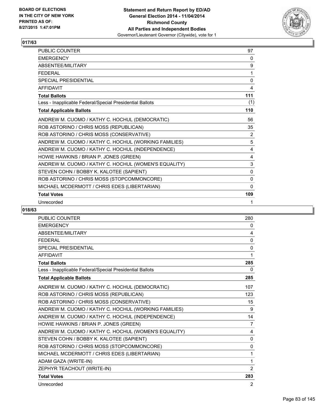

| <b>PUBLIC COUNTER</b>                                    | 97           |
|----------------------------------------------------------|--------------|
| <b>EMERGENCY</b>                                         | 0            |
| ABSENTEE/MILITARY                                        | 9            |
| <b>FEDERAL</b>                                           | 1            |
| <b>SPECIAL PRESIDENTIAL</b>                              | $\mathbf{0}$ |
| <b>AFFIDAVIT</b>                                         | 4            |
| <b>Total Ballots</b>                                     | 111          |
| Less - Inapplicable Federal/Special Presidential Ballots | (1)          |
| <b>Total Applicable Ballots</b>                          | 110          |
| ANDREW M. CUOMO / KATHY C. HOCHUL (DEMOCRATIC)           | 56           |
| ROB ASTORINO / CHRIS MOSS (REPUBLICAN)                   | 35           |
| ROB ASTORINO / CHRIS MOSS (CONSERVATIVE)                 | 2            |
| ANDREW M. CUOMO / KATHY C. HOCHUL (WORKING FAMILIES)     | 5            |
| ANDREW M. CUOMO / KATHY C. HOCHUL (INDEPENDENCE)         | 4            |
| HOWIE HAWKINS / BRIAN P. JONES (GREEN)                   | 4            |
| ANDREW M. CUOMO / KATHY C. HOCHUL (WOMEN'S EQUALITY)     | 3            |
| STEVEN COHN / BOBBY K. KALOTEE (SAPIENT)                 | $\mathbf{0}$ |
| ROB ASTORINO / CHRIS MOSS (STOPCOMMONCORE)               | $\Omega$     |
| MICHAEL MCDERMOTT / CHRIS EDES (LIBERTARIAN)             | 0            |
| <b>Total Votes</b>                                       | 109          |
| Unrecorded                                               | 1            |

| <b>PUBLIC COUNTER</b>                                    | 280      |
|----------------------------------------------------------|----------|
| <b>EMERGENCY</b>                                         | 0        |
| <b>ABSENTEE/MILITARY</b>                                 | 4        |
| <b>FEDERAL</b>                                           | 0        |
| SPECIAL PRESIDENTIAL                                     | $\Omega$ |
| <b>AFFIDAVIT</b>                                         | 1        |
| <b>Total Ballots</b>                                     | 285      |
| Less - Inapplicable Federal/Special Presidential Ballots | 0        |
| <b>Total Applicable Ballots</b>                          | 285      |
| ANDREW M. CUOMO / KATHY C. HOCHUL (DEMOCRATIC)           | 107      |
| ROB ASTORINO / CHRIS MOSS (REPUBLICAN)                   | 123      |
| ROB ASTORINO / CHRIS MOSS (CONSERVATIVE)                 | 15       |
| ANDREW M. CUOMO / KATHY C. HOCHUL (WORKING FAMILIES)     | 9        |
| ANDREW M. CUOMO / KATHY C. HOCHUL (INDEPENDENCE)         | 14       |
| HOWIE HAWKINS / BRIAN P. JONES (GREEN)                   | 7        |
| ANDREW M. CUOMO / KATHY C. HOCHUL (WOMEN'S EQUALITY)     | 4        |
| STEVEN COHN / BOBBY K. KALOTEE (SAPIENT)                 | 0        |
| ROB ASTORINO / CHRIS MOSS (STOPCOMMONCORE)               | 0        |
| MICHAEL MCDERMOTT / CHRIS EDES (LIBERTARIAN)             | 1        |
| ADAM GAZA (WRITE-IN)                                     | 1        |
| ZEPHYR TEACHOUT (WRITE-IN)                               | 2        |
| <b>Total Votes</b>                                       | 283      |
| Unrecorded                                               | 2        |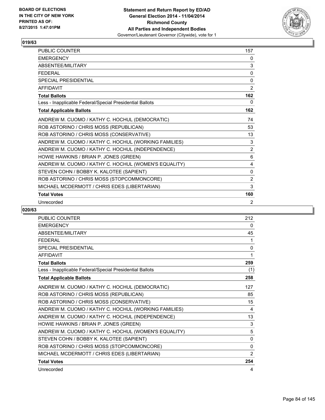

| <b>PUBLIC COUNTER</b>                                    | 157            |
|----------------------------------------------------------|----------------|
| <b>EMERGENCY</b>                                         | 0              |
| ABSENTEE/MILITARY                                        | 3              |
| <b>FEDERAL</b>                                           | 0              |
| <b>SPECIAL PRESIDENTIAL</b>                              | 0              |
| <b>AFFIDAVIT</b>                                         | 2              |
| <b>Total Ballots</b>                                     | 162            |
| Less - Inapplicable Federal/Special Presidential Ballots | 0              |
| <b>Total Applicable Ballots</b>                          | 162            |
| ANDREW M. CUOMO / KATHY C. HOCHUL (DEMOCRATIC)           | 74             |
| ROB ASTORINO / CHRIS MOSS (REPUBLICAN)                   | 53             |
| ROB ASTORINO / CHRIS MOSS (CONSERVATIVE)                 | 13             |
| ANDREW M. CUOMO / KATHY C. HOCHUL (WORKING FAMILIES)     | 3              |
| ANDREW M. CUOMO / KATHY C. HOCHUL (INDEPENDENCE)         | $\overline{2}$ |
| HOWIE HAWKINS / BRIAN P. JONES (GREEN)                   | 6              |
| ANDREW M. CUOMO / KATHY C. HOCHUL (WOMEN'S EQUALITY)     | 4              |
| STEVEN COHN / BOBBY K. KALOTEE (SAPIENT)                 | 0              |
| ROB ASTORINO / CHRIS MOSS (STOPCOMMONCORE)               | 2              |
| MICHAEL MCDERMOTT / CHRIS EDES (LIBERTARIAN)             | 3              |
| <b>Total Votes</b>                                       | 160            |
| Unrecorded                                               | 2              |

| PUBLIC COUNTER                                           | 212            |
|----------------------------------------------------------|----------------|
| <b>EMERGENCY</b>                                         | 0              |
| ABSENTEE/MILITARY                                        | 45             |
| <b>FEDERAL</b>                                           | 1              |
| <b>SPECIAL PRESIDENTIAL</b>                              | 0              |
| <b>AFFIDAVIT</b>                                         | 1              |
| <b>Total Ballots</b>                                     | 259            |
| Less - Inapplicable Federal/Special Presidential Ballots | (1)            |
| <b>Total Applicable Ballots</b>                          | 258            |
| ANDREW M. CUOMO / KATHY C. HOCHUL (DEMOCRATIC)           | 127            |
| ROB ASTORINO / CHRIS MOSS (REPUBLICAN)                   | 85             |
| ROB ASTORINO / CHRIS MOSS (CONSERVATIVE)                 | 15             |
| ANDREW M. CUOMO / KATHY C. HOCHUL (WORKING FAMILIES)     | 4              |
| ANDREW M. CUOMO / KATHY C. HOCHUL (INDEPENDENCE)         | 13             |
| HOWIE HAWKINS / BRIAN P. JONES (GREEN)                   | 3              |
| ANDREW M. CUOMO / KATHY C. HOCHUL (WOMEN'S EQUALITY)     | 5              |
| STEVEN COHN / BOBBY K. KALOTEE (SAPIENT)                 | 0              |
| ROB ASTORINO / CHRIS MOSS (STOPCOMMONCORE)               | $\Omega$       |
| MICHAEL MCDERMOTT / CHRIS EDES (LIBERTARIAN)             | $\overline{2}$ |
| <b>Total Votes</b>                                       | 254            |
| Unrecorded                                               | 4              |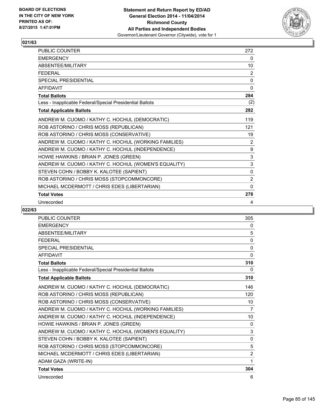

| PUBLIC COUNTER                                           | 272            |
|----------------------------------------------------------|----------------|
| <b>EMERGENCY</b>                                         | 0              |
| ABSENTEE/MILITARY                                        | 10             |
| <b>FEDERAL</b>                                           | 2              |
| <b>SPECIAL PRESIDENTIAL</b>                              | 0              |
| <b>AFFIDAVIT</b>                                         | $\Omega$       |
| <b>Total Ballots</b>                                     | 284            |
| Less - Inapplicable Federal/Special Presidential Ballots | (2)            |
| <b>Total Applicable Ballots</b>                          | 282            |
| ANDREW M. CUOMO / KATHY C. HOCHUL (DEMOCRATIC)           | 119            |
| ROB ASTORINO / CHRIS MOSS (REPUBLICAN)                   | 121            |
| ROB ASTORINO / CHRIS MOSS (CONSERVATIVE)                 | 19             |
| ANDREW M. CUOMO / KATHY C. HOCHUL (WORKING FAMILIES)     | 2              |
| ANDREW M. CUOMO / KATHY C. HOCHUL (INDEPENDENCE)         | 9              |
| HOWIE HAWKINS / BRIAN P. JONES (GREEN)                   | 3              |
| ANDREW M. CUOMO / KATHY C. HOCHUL (WOMEN'S EQUALITY)     | 3              |
| STEVEN COHN / BOBBY K. KALOTEE (SAPIENT)                 | $\mathbf{0}$   |
| ROB ASTORINO / CHRIS MOSS (STOPCOMMONCORE)               | $\overline{2}$ |
| MICHAEL MCDERMOTT / CHRIS EDES (LIBERTARIAN)             | $\mathbf{0}$   |
| <b>Total Votes</b>                                       | 278            |
| Unrecorded                                               | 4              |

| <b>PUBLIC COUNTER</b>                                    | 305            |
|----------------------------------------------------------|----------------|
| <b>EMERGENCY</b>                                         | 0              |
| <b>ABSENTEE/MILITARY</b>                                 | 5              |
| <b>FEDERAL</b>                                           | 0              |
| SPECIAL PRESIDENTIAL                                     | $\mathbf{0}$   |
| <b>AFFIDAVIT</b>                                         | $\mathbf{0}$   |
| <b>Total Ballots</b>                                     | 310            |
| Less - Inapplicable Federal/Special Presidential Ballots | 0              |
| <b>Total Applicable Ballots</b>                          | 310            |
| ANDREW M. CUOMO / KATHY C. HOCHUL (DEMOCRATIC)           | 146            |
| ROB ASTORINO / CHRIS MOSS (REPUBLICAN)                   | 120            |
| ROB ASTORINO / CHRIS MOSS (CONSERVATIVE)                 | 10             |
| ANDREW M. CUOMO / KATHY C. HOCHUL (WORKING FAMILIES)     | 7              |
| ANDREW M. CUOMO / KATHY C. HOCHUL (INDEPENDENCE)         | 10             |
| HOWIE HAWKINS / BRIAN P. JONES (GREEN)                   | 0              |
| ANDREW M. CUOMO / KATHY C. HOCHUL (WOMEN'S EQUALITY)     | 3              |
| STEVEN COHN / BOBBY K. KALOTEE (SAPIENT)                 | $\mathbf{0}$   |
| ROB ASTORINO / CHRIS MOSS (STOPCOMMONCORE)               | 5              |
| MICHAEL MCDERMOTT / CHRIS EDES (LIBERTARIAN)             | $\overline{2}$ |
| ADAM GAZA (WRITE-IN)                                     | 1              |
| <b>Total Votes</b>                                       | 304            |
| Unrecorded                                               | 6              |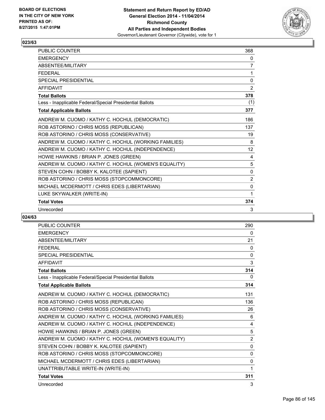

| PUBLIC COUNTER                                           | 368            |
|----------------------------------------------------------|----------------|
| <b>EMERGENCY</b>                                         | 0              |
| ABSENTEE/MILITARY                                        | 7              |
| <b>FFDFRAL</b>                                           | 1              |
| <b>SPECIAL PRESIDENTIAL</b>                              | 0              |
| <b>AFFIDAVIT</b>                                         | $\overline{2}$ |
| <b>Total Ballots</b>                                     | 378            |
| Less - Inapplicable Federal/Special Presidential Ballots | (1)            |
| <b>Total Applicable Ballots</b>                          | 377            |
| ANDREW M. CUOMO / KATHY C. HOCHUL (DEMOCRATIC)           | 186            |
| ROB ASTORINO / CHRIS MOSS (REPUBLICAN)                   | 137            |
| ROB ASTORINO / CHRIS MOSS (CONSERVATIVE)                 | 19             |
| ANDREW M. CUOMO / KATHY C. HOCHUL (WORKING FAMILIES)     | 8              |
| ANDREW M. CUOMO / KATHY C. HOCHUL (INDEPENDENCE)         | 12             |
| HOWIE HAWKINS / BRIAN P. JONES (GREEN)                   | 4              |
| ANDREW M. CUOMO / KATHY C. HOCHUL (WOMEN'S EQUALITY)     | 5              |
| STEVEN COHN / BOBBY K. KALOTEE (SAPIENT)                 | $\Omega$       |
| ROB ASTORINO / CHRIS MOSS (STOPCOMMONCORE)               | 2              |
| MICHAEL MCDERMOTT / CHRIS EDES (LIBERTARIAN)             | 0              |
| LUKE SKYWALKER (WRITE-IN)                                | 1              |
| <b>Total Votes</b>                                       | 374            |
| Unrecorded                                               | 3              |

| <b>PUBLIC COUNTER</b>                                    | 290            |
|----------------------------------------------------------|----------------|
| <b>EMERGENCY</b>                                         | 0              |
| <b>ABSENTEE/MILITARY</b>                                 | 21             |
| <b>FFDFRAL</b>                                           | 0              |
| <b>SPECIAL PRESIDENTIAL</b>                              | $\mathbf{0}$   |
| <b>AFFIDAVIT</b>                                         | 3              |
| <b>Total Ballots</b>                                     | 314            |
| Less - Inapplicable Federal/Special Presidential Ballots | 0              |
| <b>Total Applicable Ballots</b>                          | 314            |
| ANDREW M. CUOMO / KATHY C. HOCHUL (DEMOCRATIC)           | 131            |
| ROB ASTORINO / CHRIS MOSS (REPUBLICAN)                   | 136            |
| ROB ASTORINO / CHRIS MOSS (CONSERVATIVE)                 | 26             |
| ANDREW M. CUOMO / KATHY C. HOCHUL (WORKING FAMILIES)     | 6              |
| ANDREW M. CUOMO / KATHY C. HOCHUL (INDEPENDENCE)         | 4              |
| HOWIE HAWKINS / BRIAN P. JONES (GREEN)                   | 5              |
| ANDREW M. CUOMO / KATHY C. HOCHUL (WOMEN'S EQUALITY)     | $\overline{2}$ |
| STEVEN COHN / BOBBY K. KALOTEE (SAPIENT)                 | $\mathbf{0}$   |
| ROB ASTORINO / CHRIS MOSS (STOPCOMMONCORE)               | $\mathbf{0}$   |
| MICHAEL MCDERMOTT / CHRIS EDES (LIBERTARIAN)             | 0              |
| UNATTRIBUTABLE WRITE-IN (WRITE-IN)                       | 1              |
| <b>Total Votes</b>                                       | 311            |
| Unrecorded                                               | 3              |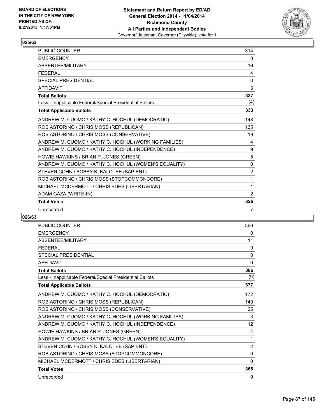

| <b>PUBLIC COUNTER</b>                                    | 314            |
|----------------------------------------------------------|----------------|
| <b>EMERGENCY</b>                                         | 0              |
| ABSENTEE/MILITARY                                        | 16             |
| <b>FFDFRAL</b>                                           | 4              |
| <b>SPECIAL PRESIDENTIAL</b>                              | 0              |
| <b>AFFIDAVIT</b>                                         | 3              |
| <b>Total Ballots</b>                                     | 337            |
| Less - Inapplicable Federal/Special Presidential Ballots | (4)            |
| <b>Total Applicable Ballots</b>                          | 333            |
| ANDREW M. CUOMO / KATHY C. HOCHUL (DEMOCRATIC)           | 148            |
| ROB ASTORINO / CHRIS MOSS (REPUBLICAN)                   | 135            |
| ROB ASTORINO / CHRIS MOSS (CONSERVATIVE)                 | 19             |
| ANDREW M. CUOMO / KATHY C. HOCHUL (WORKING FAMILIES)     | 4              |
| ANDREW M. CUOMO / KATHY C. HOCHUL (INDEPENDENCE)         | 9              |
| HOWIE HAWKINS / BRIAN P. JONES (GREEN)                   | 5              |
| ANDREW M. CUOMO / KATHY C. HOCHUL (WOMEN'S EQUALITY)     | $\mathbf{0}$   |
| STEVEN COHN / BOBBY K. KALOTEE (SAPIENT)                 | $\overline{2}$ |
| ROB ASTORINO / CHRIS MOSS (STOPCOMMONCORE)               | 1              |
| MICHAEL MCDERMOTT / CHRIS EDES (LIBERTARIAN)             | 1              |
| ADAM GAZA (WRITE-IN)                                     | 2              |
| <b>Total Votes</b>                                       | 326            |
| Unrecorded                                               | 7              |

| <b>PUBLIC COUNTER</b>                                    | 366          |
|----------------------------------------------------------|--------------|
| <b>EMERGENCY</b>                                         | 0            |
| <b>ABSENTEE/MILITARY</b>                                 | 11           |
| <b>FFDFRAL</b>                                           | 9            |
| <b>SPECIAL PRESIDENTIAL</b>                              | 0            |
| <b>AFFIDAVIT</b>                                         | $\mathbf{0}$ |
| <b>Total Ballots</b>                                     | 386          |
| Less - Inapplicable Federal/Special Presidential Ballots | (9)          |
| <b>Total Applicable Ballots</b>                          | 377          |
| ANDREW M. CUOMO / KATHY C. HOCHUL (DEMOCRATIC)           | 172          |
| ROB ASTORINO / CHRIS MOSS (REPUBLICAN)                   | 149          |
| ROB ASTORINO / CHRIS MOSS (CONSERVATIVE)                 | 25           |
| ANDREW M. CUOMO / KATHY C. HOCHUL (WORKING FAMILIES)     | 3            |
| ANDREW M. CUOMO / KATHY C. HOCHUL (INDEPENDENCE)         | 12           |
| HOWIE HAWKINS / BRIAN P. JONES (GREEN)                   | 4            |
| ANDREW M. CUOMO / KATHY C. HOCHUL (WOMEN'S EQUALITY)     | 1            |
| STEVEN COHN / BOBBY K. KALOTEE (SAPIENT)                 | 2            |
| ROB ASTORINO / CHRIS MOSS (STOPCOMMONCORE)               | $\Omega$     |
| MICHAEL MCDERMOTT / CHRIS EDES (LIBERTARIAN)             | 0            |
| <b>Total Votes</b>                                       | 368          |
| Unrecorded                                               | 9            |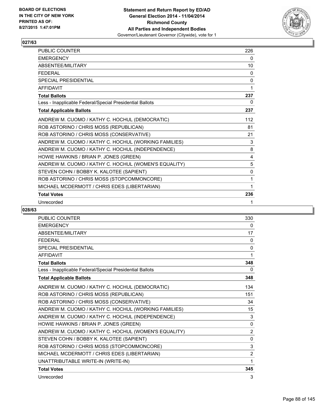

| PUBLIC COUNTER                                           | 226      |
|----------------------------------------------------------|----------|
| <b>EMERGENCY</b>                                         | 0        |
| ABSENTEE/MILITARY                                        | 10       |
| <b>FEDERAL</b>                                           | 0        |
| <b>SPECIAL PRESIDENTIAL</b>                              | $\Omega$ |
| <b>AFFIDAVIT</b>                                         | 1        |
| <b>Total Ballots</b>                                     | 237      |
| Less - Inapplicable Federal/Special Presidential Ballots | 0        |
| <b>Total Applicable Ballots</b>                          | 237      |
| ANDREW M. CUOMO / KATHY C. HOCHUL (DEMOCRATIC)           | 112      |
| ROB ASTORINO / CHRIS MOSS (REPUBLICAN)                   | 81       |
| ROB ASTORINO / CHRIS MOSS (CONSERVATIVE)                 | 21       |
| ANDREW M. CUOMO / KATHY C. HOCHUL (WORKING FAMILIES)     | 3        |
| ANDREW M. CUOMO / KATHY C. HOCHUL (INDEPENDENCE)         | 8        |
| HOWIE HAWKINS / BRIAN P. JONES (GREEN)                   | 4        |
| ANDREW M. CUOMO / KATHY C. HOCHUL (WOMEN'S EQUALITY)     | 5        |
| STEVEN COHN / BOBBY K. KALOTEE (SAPIENT)                 | 0        |
| ROB ASTORINO / CHRIS MOSS (STOPCOMMONCORE)               | 1        |
| MICHAEL MCDERMOTT / CHRIS EDES (LIBERTARIAN)             | 1        |
| <b>Total Votes</b>                                       | 236      |
| Unrecorded                                               | 1        |

| <b>PUBLIC COUNTER</b>                                    | 330            |
|----------------------------------------------------------|----------------|
| <b>EMERGENCY</b>                                         | 0              |
| <b>ABSENTEE/MILITARY</b>                                 | 17             |
| <b>FEDERAL</b>                                           | 0              |
| SPECIAL PRESIDENTIAL                                     | $\mathbf{0}$   |
| <b>AFFIDAVIT</b>                                         | 1              |
| <b>Total Ballots</b>                                     | 348            |
| Less - Inapplicable Federal/Special Presidential Ballots | 0              |
| <b>Total Applicable Ballots</b>                          | 348            |
| ANDREW M. CUOMO / KATHY C. HOCHUL (DEMOCRATIC)           | 134            |
| ROB ASTORINO / CHRIS MOSS (REPUBLICAN)                   | 151            |
| ROB ASTORINO / CHRIS MOSS (CONSERVATIVE)                 | 34             |
| ANDREW M. CUOMO / KATHY C. HOCHUL (WORKING FAMILIES)     | 15             |
| ANDREW M. CUOMO / KATHY C. HOCHUL (INDEPENDENCE)         | 3              |
| HOWIE HAWKINS / BRIAN P. JONES (GREEN)                   | $\mathbf{0}$   |
| ANDREW M. CUOMO / KATHY C. HOCHUL (WOMEN'S EQUALITY)     | $\overline{2}$ |
| STEVEN COHN / BOBBY K. KALOTEE (SAPIENT)                 | $\mathbf{0}$   |
| ROB ASTORINO / CHRIS MOSS (STOPCOMMONCORE)               | 3              |
| MICHAEL MCDERMOTT / CHRIS EDES (LIBERTARIAN)             | $\overline{2}$ |
| UNATTRIBUTABLE WRITE-IN (WRITE-IN)                       | 1              |
| <b>Total Votes</b>                                       | 345            |
| Unrecorded                                               | 3              |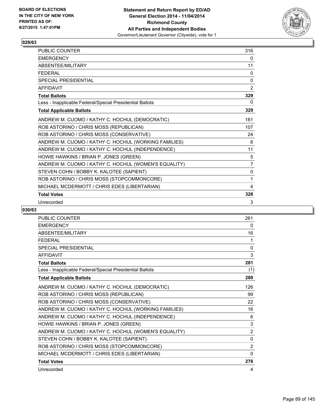

| <b>PUBLIC COUNTER</b>                                    | 316            |
|----------------------------------------------------------|----------------|
| <b>EMERGENCY</b>                                         | 0              |
| ABSENTEE/MILITARY                                        | 11             |
| <b>FEDERAL</b>                                           | 0              |
| <b>SPECIAL PRESIDENTIAL</b>                              | 0              |
| <b>AFFIDAVIT</b>                                         | $\overline{2}$ |
| <b>Total Ballots</b>                                     | 329            |
| Less - Inapplicable Federal/Special Presidential Ballots | 0              |
| <b>Total Applicable Ballots</b>                          | 329            |
| ANDREW M. CUOMO / KATHY C. HOCHUL (DEMOCRATIC)           | 161            |
| ROB ASTORINO / CHRIS MOSS (REPUBLICAN)                   | 107            |
| ROB ASTORINO / CHRIS MOSS (CONSERVATIVE)                 | 24             |
| ANDREW M. CUOMO / KATHY C. HOCHUL (WORKING FAMILIES)     | 6              |
| ANDREW M. CUOMO / KATHY C. HOCHUL (INDEPENDENCE)         | 11             |
| HOWIE HAWKINS / BRIAN P. JONES (GREEN)                   | 5              |
| ANDREW M. CUOMO / KATHY C. HOCHUL (WOMEN'S EQUALITY)     | $\overline{7}$ |
| STEVEN COHN / BOBBY K. KALOTEE (SAPIENT)                 | 0              |
| ROB ASTORINO / CHRIS MOSS (STOPCOMMONCORE)               | 1              |
| MICHAEL MCDERMOTT / CHRIS EDES (LIBERTARIAN)             | 4              |
| <b>Total Votes</b>                                       | 326            |
| Unrecorded                                               | 3              |

| <b>PUBLIC COUNTER</b>                                    | 261            |
|----------------------------------------------------------|----------------|
| <b>EMERGENCY</b>                                         | 0              |
| ABSENTEE/MILITARY                                        | 16             |
| <b>FEDERAL</b>                                           | 1              |
| <b>SPECIAL PRESIDENTIAL</b>                              | $\mathbf{0}$   |
| <b>AFFIDAVIT</b>                                         | 3              |
| <b>Total Ballots</b>                                     | 281            |
| Less - Inapplicable Federal/Special Presidential Ballots | (1)            |
| <b>Total Applicable Ballots</b>                          | 280            |
| ANDREW M. CUOMO / KATHY C. HOCHUL (DEMOCRATIC)           | 126            |
| ROB ASTORINO / CHRIS MOSS (REPUBLICAN)                   | 99             |
| ROB ASTORINO / CHRIS MOSS (CONSERVATIVE)                 | 22             |
| ANDREW M. CUOMO / KATHY C. HOCHUL (WORKING FAMILIES)     | 16             |
| ANDREW M. CUOMO / KATHY C. HOCHUL (INDEPENDENCE)         | 6              |
| HOWIE HAWKINS / BRIAN P. JONES (GREEN)                   | 3              |
| ANDREW M. CUOMO / KATHY C. HOCHUL (WOMEN'S EQUALITY)     | $\overline{2}$ |
| STEVEN COHN / BOBBY K. KALOTEE (SAPIENT)                 | 0              |
| ROB ASTORINO / CHRIS MOSS (STOPCOMMONCORE)               | 2              |
| MICHAEL MCDERMOTT / CHRIS EDES (LIBERTARIAN)             | 0              |
| <b>Total Votes</b>                                       | 276            |
| Unrecorded                                               | 4              |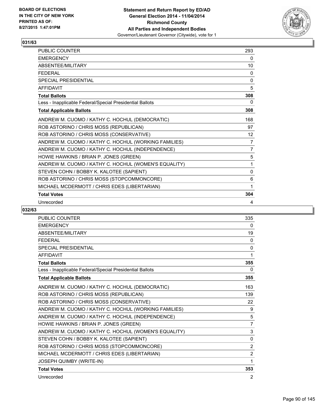

| PUBLIC COUNTER                                           | 293               |
|----------------------------------------------------------|-------------------|
| <b>EMERGENCY</b>                                         | 0                 |
| ABSENTEE/MILITARY                                        | 10                |
| <b>FEDERAL</b>                                           | 0                 |
| <b>SPECIAL PRESIDENTIAL</b>                              | $\Omega$          |
| <b>AFFIDAVIT</b>                                         | 5                 |
| <b>Total Ballots</b>                                     | 308               |
| Less - Inapplicable Federal/Special Presidential Ballots | 0                 |
| <b>Total Applicable Ballots</b>                          | 308               |
| ANDREW M. CUOMO / KATHY C. HOCHUL (DEMOCRATIC)           | 168               |
| ROB ASTORINO / CHRIS MOSS (REPUBLICAN)                   | 97                |
| ROB ASTORINO / CHRIS MOSS (CONSERVATIVE)                 | $12 \overline{ }$ |
| ANDREW M. CUOMO / KATHY C. HOCHUL (WORKING FAMILIES)     | 7                 |
| ANDREW M. CUOMO / KATHY C. HOCHUL (INDEPENDENCE)         | $\overline{7}$    |
| HOWIE HAWKINS / BRIAN P. JONES (GREEN)                   | 5                 |
| ANDREW M. CUOMO / KATHY C. HOCHUL (WOMEN'S EQUALITY)     | 1                 |
| STEVEN COHN / BOBBY K. KALOTEE (SAPIENT)                 | $\mathbf{0}$      |
| ROB ASTORINO / CHRIS MOSS (STOPCOMMONCORE)               | 6                 |
| MICHAEL MCDERMOTT / CHRIS EDES (LIBERTARIAN)             | 1                 |
| <b>Total Votes</b>                                       | 304               |
| Unrecorded                                               | 4                 |

| <b>PUBLIC COUNTER</b>                                    | 335            |
|----------------------------------------------------------|----------------|
| <b>EMERGENCY</b>                                         | 0              |
| <b>ABSENTEE/MILITARY</b>                                 | 19             |
| <b>FEDERAL</b>                                           | 0              |
| SPECIAL PRESIDENTIAL                                     | $\mathbf{0}$   |
| <b>AFFIDAVIT</b>                                         | 1              |
| <b>Total Ballots</b>                                     | 355            |
| Less - Inapplicable Federal/Special Presidential Ballots | 0              |
| <b>Total Applicable Ballots</b>                          | 355            |
| ANDREW M. CUOMO / KATHY C. HOCHUL (DEMOCRATIC)           | 163            |
| ROB ASTORINO / CHRIS MOSS (REPUBLICAN)                   | 139            |
| ROB ASTORINO / CHRIS MOSS (CONSERVATIVE)                 | 22             |
| ANDREW M. CUOMO / KATHY C. HOCHUL (WORKING FAMILIES)     | 9              |
| ANDREW M. CUOMO / KATHY C. HOCHUL (INDEPENDENCE)         | 5              |
| HOWIE HAWKINS / BRIAN P. JONES (GREEN)                   | $\overline{7}$ |
| ANDREW M. CUOMO / KATHY C. HOCHUL (WOMEN'S EQUALITY)     | 3              |
| STEVEN COHN / BOBBY K. KALOTEE (SAPIENT)                 | $\mathbf{0}$   |
| ROB ASTORINO / CHRIS MOSS (STOPCOMMONCORE)               | $\overline{2}$ |
| MICHAEL MCDERMOTT / CHRIS EDES (LIBERTARIAN)             | $\overline{2}$ |
| JOSEPH QUIMBY (WRITE-IN)                                 | 1              |
| <b>Total Votes</b>                                       | 353            |
| Unrecorded                                               | 2              |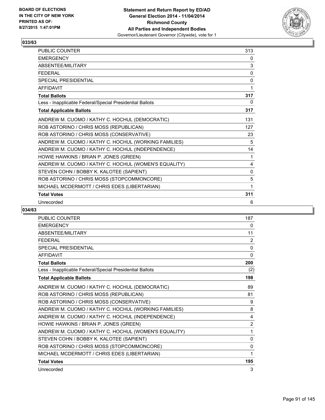

| PUBLIC COUNTER                                           | 313      |
|----------------------------------------------------------|----------|
| <b>EMERGENCY</b>                                         | 0        |
| ABSENTEE/MILITARY                                        | 3        |
| <b>FEDERAL</b>                                           | 0        |
| <b>SPECIAL PRESIDENTIAL</b>                              | $\Omega$ |
| <b>AFFIDAVIT</b>                                         | 1        |
| <b>Total Ballots</b>                                     | 317      |
| Less - Inapplicable Federal/Special Presidential Ballots | 0        |
| <b>Total Applicable Ballots</b>                          | 317      |
| ANDREW M. CUOMO / KATHY C. HOCHUL (DEMOCRATIC)           | 131      |
| ROB ASTORINO / CHRIS MOSS (REPUBLICAN)                   | 127      |
| ROB ASTORINO / CHRIS MOSS (CONSERVATIVE)                 | 23       |
| ANDREW M. CUOMO / KATHY C. HOCHUL (WORKING FAMILIES)     | 5        |
| ANDREW M. CUOMO / KATHY C. HOCHUL (INDEPENDENCE)         | 14       |
| HOWIE HAWKINS / BRIAN P. JONES (GREEN)                   | 1        |
| ANDREW M. CUOMO / KATHY C. HOCHUL (WOMEN'S EQUALITY)     | 4        |
| STEVEN COHN / BOBBY K. KALOTEE (SAPIENT)                 | 0        |
| ROB ASTORINO / CHRIS MOSS (STOPCOMMONCORE)               | 5        |
| MICHAEL MCDERMOTT / CHRIS EDES (LIBERTARIAN)             | 1        |
| <b>Total Votes</b>                                       | 311      |
| Unrecorded                                               | 6        |

| PUBLIC COUNTER                                           | 187            |
|----------------------------------------------------------|----------------|
| <b>EMERGENCY</b>                                         | 0              |
| ABSENTEE/MILITARY                                        | 11             |
| <b>FEDERAL</b>                                           | 2              |
| <b>SPECIAL PRESIDENTIAL</b>                              | $\mathbf 0$    |
| <b>AFFIDAVIT</b>                                         | $\mathbf{0}$   |
| <b>Total Ballots</b>                                     | 200            |
| Less - Inapplicable Federal/Special Presidential Ballots | (2)            |
| <b>Total Applicable Ballots</b>                          | 198            |
| ANDREW M. CUOMO / KATHY C. HOCHUL (DEMOCRATIC)           | 89             |
| ROB ASTORINO / CHRIS MOSS (REPUBLICAN)                   | 81             |
| ROB ASTORINO / CHRIS MOSS (CONSERVATIVE)                 | 9              |
| ANDREW M. CUOMO / KATHY C. HOCHUL (WORKING FAMILIES)     | 8              |
| ANDREW M. CUOMO / KATHY C. HOCHUL (INDEPENDENCE)         | 4              |
| HOWIE HAWKINS / BRIAN P. JONES (GREEN)                   | $\overline{2}$ |
| ANDREW M. CUOMO / KATHY C. HOCHUL (WOMEN'S EQUALITY)     | 1              |
| STEVEN COHN / BOBBY K. KALOTEE (SAPIENT)                 | 0              |
| ROB ASTORINO / CHRIS MOSS (STOPCOMMONCORE)               | $\Omega$       |
| MICHAEL MCDERMOTT / CHRIS EDES (LIBERTARIAN)             | 1              |
| <b>Total Votes</b>                                       | 195            |
| Unrecorded                                               | 3              |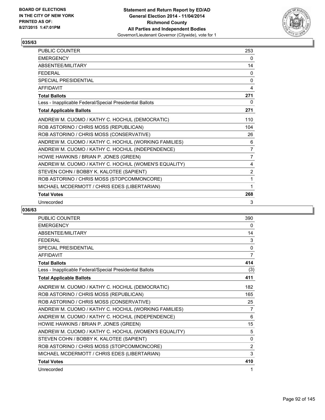

| <b>PUBLIC COUNTER</b>                                    | 253            |
|----------------------------------------------------------|----------------|
| <b>EMERGENCY</b>                                         | 0              |
| ABSENTEE/MILITARY                                        | 14             |
| <b>FEDERAL</b>                                           | 0              |
| <b>SPECIAL PRESIDENTIAL</b>                              | $\mathbf{0}$   |
| <b>AFFIDAVIT</b>                                         | 4              |
| <b>Total Ballots</b>                                     | 271            |
| Less - Inapplicable Federal/Special Presidential Ballots | 0              |
| <b>Total Applicable Ballots</b>                          | 271            |
| ANDREW M. CUOMO / KATHY C. HOCHUL (DEMOCRATIC)           | 110            |
| ROB ASTORINO / CHRIS MOSS (REPUBLICAN)                   | 104            |
| ROB ASTORINO / CHRIS MOSS (CONSERVATIVE)                 | 26             |
| ANDREW M. CUOMO / KATHY C. HOCHUL (WORKING FAMILIES)     | 6              |
| ANDREW M. CUOMO / KATHY C. HOCHUL (INDEPENDENCE)         | 7              |
| HOWIE HAWKINS / BRIAN P. JONES (GREEN)                   | $\overline{7}$ |
| ANDREW M. CUOMO / KATHY C. HOCHUL (WOMEN'S EQUALITY)     | 4              |
| STEVEN COHN / BOBBY K. KALOTEE (SAPIENT)                 | $\overline{2}$ |
| ROB ASTORINO / CHRIS MOSS (STOPCOMMONCORE)               | 1              |
| MICHAEL MCDERMOTT / CHRIS EDES (LIBERTARIAN)             | 1              |
| <b>Total Votes</b>                                       | 268            |
| Unrecorded                                               | 3              |

| <b>PUBLIC COUNTER</b>                                    | 390            |
|----------------------------------------------------------|----------------|
| <b>EMERGENCY</b>                                         | 0              |
| ABSENTEE/MILITARY                                        | 14             |
| <b>FEDERAL</b>                                           | 3              |
| <b>SPECIAL PRESIDENTIAL</b>                              | $\mathbf 0$    |
| <b>AFFIDAVIT</b>                                         | $\overline{7}$ |
| <b>Total Ballots</b>                                     | 414            |
| Less - Inapplicable Federal/Special Presidential Ballots | (3)            |
| <b>Total Applicable Ballots</b>                          | 411            |
| ANDREW M. CUOMO / KATHY C. HOCHUL (DEMOCRATIC)           | 182            |
| ROB ASTORINO / CHRIS MOSS (REPUBLICAN)                   | 165            |
| ROB ASTORINO / CHRIS MOSS (CONSERVATIVE)                 | 25             |
| ANDREW M. CUOMO / KATHY C. HOCHUL (WORKING FAMILIES)     | 7              |
| ANDREW M. CUOMO / KATHY C. HOCHUL (INDEPENDENCE)         | 6              |
| HOWIE HAWKINS / BRIAN P. JONES (GREEN)                   | 15             |
| ANDREW M. CUOMO / KATHY C. HOCHUL (WOMEN'S EQUALITY)     | 5              |
| STEVEN COHN / BOBBY K. KALOTEE (SAPIENT)                 | 0              |
| ROB ASTORINO / CHRIS MOSS (STOPCOMMONCORE)               | 2              |
| MICHAEL MCDERMOTT / CHRIS EDES (LIBERTARIAN)             | 3              |
| <b>Total Votes</b>                                       | 410            |
| Unrecorded                                               | 1              |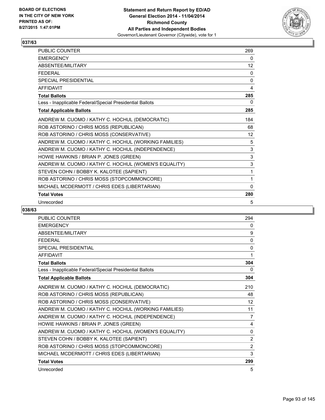

| <b>PUBLIC COUNTER</b>                                    | 269               |
|----------------------------------------------------------|-------------------|
| <b>EMERGENCY</b>                                         | 0                 |
| ABSENTEE/MILITARY                                        | 12                |
| <b>FEDERAL</b>                                           | 0                 |
| <b>SPECIAL PRESIDENTIAL</b>                              | $\mathbf{0}$      |
| <b>AFFIDAVIT</b>                                         | 4                 |
| <b>Total Ballots</b>                                     | 285               |
| Less - Inapplicable Federal/Special Presidential Ballots | 0                 |
| <b>Total Applicable Ballots</b>                          | 285               |
| ANDREW M. CUOMO / KATHY C. HOCHUL (DEMOCRATIC)           | 184               |
| ROB ASTORINO / CHRIS MOSS (REPUBLICAN)                   | 68                |
| ROB ASTORINO / CHRIS MOSS (CONSERVATIVE)                 | $12 \overline{ }$ |
| ANDREW M. CUOMO / KATHY C. HOCHUL (WORKING FAMILIES)     | 5                 |
| ANDREW M. CUOMO / KATHY C. HOCHUL (INDEPENDENCE)         | 3                 |
| HOWIE HAWKINS / BRIAN P. JONES (GREEN)                   | 3                 |
| ANDREW M. CUOMO / KATHY C. HOCHUL (WOMEN'S EQUALITY)     | 3                 |
| STEVEN COHN / BOBBY K. KALOTEE (SAPIENT)                 | 1                 |
| ROB ASTORINO / CHRIS MOSS (STOPCOMMONCORE)               | 1                 |
| MICHAEL MCDERMOTT / CHRIS EDES (LIBERTARIAN)             | $\mathbf{0}$      |
| <b>Total Votes</b>                                       | 280               |
| Unrecorded                                               | 5                 |

| PUBLIC COUNTER                                           | 294            |
|----------------------------------------------------------|----------------|
| <b>EMERGENCY</b>                                         | 0              |
| ABSENTEE/MILITARY                                        | 9              |
| <b>FEDERAL</b>                                           | $\Omega$       |
| <b>SPECIAL PRESIDENTIAL</b>                              | 0              |
| <b>AFFIDAVIT</b>                                         | 1              |
| <b>Total Ballots</b>                                     | 304            |
| Less - Inapplicable Federal/Special Presidential Ballots | 0              |
| <b>Total Applicable Ballots</b>                          | 304            |
| ANDREW M. CUOMO / KATHY C. HOCHUL (DEMOCRATIC)           | 210            |
| ROB ASTORINO / CHRIS MOSS (REPUBLICAN)                   | 48             |
| ROB ASTORINO / CHRIS MOSS (CONSERVATIVE)                 | 12             |
| ANDREW M. CUOMO / KATHY C. HOCHUL (WORKING FAMILIES)     | 11             |
| ANDREW M. CUOMO / KATHY C. HOCHUL (INDEPENDENCE)         | 7              |
| HOWIE HAWKINS / BRIAN P. JONES (GREEN)                   | 4              |
| ANDREW M. CUOMO / KATHY C. HOCHUL (WOMEN'S EQUALITY)     | 0              |
| STEVEN COHN / BOBBY K. KALOTEE (SAPIENT)                 | $\overline{2}$ |
| ROB ASTORINO / CHRIS MOSS (STOPCOMMONCORE)               | 2              |
| MICHAEL MCDERMOTT / CHRIS EDES (LIBERTARIAN)             | 3              |
| <b>Total Votes</b>                                       | 299            |
| Unrecorded                                               | 5              |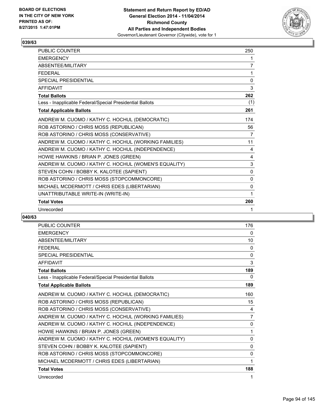

| PUBLIC COUNTER                                           | 250      |
|----------------------------------------------------------|----------|
| <b>EMERGENCY</b>                                         | 1        |
| ABSENTEE/MILITARY                                        | 7        |
| <b>FFDFRAL</b>                                           | 1        |
| <b>SPECIAL PRESIDENTIAL</b>                              | 0        |
| <b>AFFIDAVIT</b>                                         | 3        |
| <b>Total Ballots</b>                                     | 262      |
| Less - Inapplicable Federal/Special Presidential Ballots | (1)      |
| <b>Total Applicable Ballots</b>                          | 261      |
| ANDREW M. CUOMO / KATHY C. HOCHUL (DEMOCRATIC)           | 174      |
| ROB ASTORINO / CHRIS MOSS (REPUBLICAN)                   | 56       |
| ROB ASTORINO / CHRIS MOSS (CONSERVATIVE)                 | 7        |
| ANDREW M. CUOMO / KATHY C. HOCHUL (WORKING FAMILIES)     | 11       |
| ANDREW M. CUOMO / KATHY C. HOCHUL (INDEPENDENCE)         | 4        |
| HOWIE HAWKINS / BRIAN P. JONES (GREEN)                   | 4        |
| ANDREW M. CUOMO / KATHY C. HOCHUL (WOMEN'S EQUALITY)     | 3        |
| STEVEN COHN / BOBBY K. KALOTEE (SAPIENT)                 | $\Omega$ |
| ROB ASTORINO / CHRIS MOSS (STOPCOMMONCORE)               | 0        |
| MICHAEL MCDERMOTT / CHRIS EDES (LIBERTARIAN)             | 0        |
| UNATTRIBUTABLE WRITE-IN (WRITE-IN)                       | 1        |
| <b>Total Votes</b>                                       | 260      |
| Unrecorded                                               | 1        |

| <b>PUBLIC COUNTER</b>                                    | 176            |
|----------------------------------------------------------|----------------|
| <b>EMERGENCY</b>                                         | 0              |
| ABSENTEE/MILITARY                                        | 10             |
| <b>FEDERAL</b>                                           | 0              |
| <b>SPECIAL PRESIDENTIAL</b>                              | 0              |
| <b>AFFIDAVIT</b>                                         | 3              |
| <b>Total Ballots</b>                                     | 189            |
| Less - Inapplicable Federal/Special Presidential Ballots | 0              |
| <b>Total Applicable Ballots</b>                          | 189            |
| ANDREW M. CUOMO / KATHY C. HOCHUL (DEMOCRATIC)           | 160            |
| ROB ASTORINO / CHRIS MOSS (REPUBLICAN)                   | 15             |
| ROB ASTORINO / CHRIS MOSS (CONSERVATIVE)                 | 4              |
| ANDREW M. CUOMO / KATHY C. HOCHUL (WORKING FAMILIES)     | $\overline{7}$ |
| ANDREW M. CUOMO / KATHY C. HOCHUL (INDEPENDENCE)         | 0              |
| HOWIE HAWKINS / BRIAN P. JONES (GREEN)                   | 1              |
| ANDREW M. CUOMO / KATHY C. HOCHUL (WOMEN'S EQUALITY)     | 0              |
| STEVEN COHN / BOBBY K. KALOTEE (SAPIENT)                 | 0              |
| ROB ASTORINO / CHRIS MOSS (STOPCOMMONCORE)               | 0              |
| MICHAEL MCDERMOTT / CHRIS EDES (LIBERTARIAN)             | 1              |
| <b>Total Votes</b>                                       | 188            |
| Unrecorded                                               | 1              |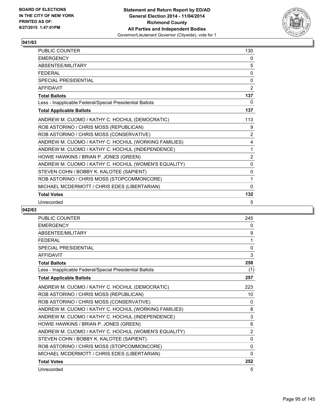

| PUBLIC COUNTER                                           | 130            |
|----------------------------------------------------------|----------------|
| <b>EMERGENCY</b>                                         | 0              |
| ABSENTEE/MILITARY                                        | 5              |
| <b>FEDERAL</b>                                           | 0              |
| <b>SPECIAL PRESIDENTIAL</b>                              | $\Omega$       |
| <b>AFFIDAVIT</b>                                         | $\overline{2}$ |
| <b>Total Ballots</b>                                     | 137            |
| Less - Inapplicable Federal/Special Presidential Ballots | 0              |
| <b>Total Applicable Ballots</b>                          | 137            |
| ANDREW M. CUOMO / KATHY C. HOCHUL (DEMOCRATIC)           | 113            |
| ROB ASTORINO / CHRIS MOSS (REPUBLICAN)                   | 9              |
| ROB ASTORINO / CHRIS MOSS (CONSERVATIVE)                 | 2              |
| ANDREW M. CUOMO / KATHY C. HOCHUL (WORKING FAMILIES)     | 4              |
| ANDREW M. CUOMO / KATHY C. HOCHUL (INDEPENDENCE)         | 1              |
| HOWIE HAWKINS / BRIAN P. JONES (GREEN)                   | $\overline{2}$ |
| ANDREW M. CUOMO / KATHY C. HOCHUL (WOMEN'S EQUALITY)     | $\Omega$       |
| STEVEN COHN / BOBBY K. KALOTEE (SAPIENT)                 | 0              |
| ROB ASTORINO / CHRIS MOSS (STOPCOMMONCORE)               | 1              |
| MICHAEL MCDERMOTT / CHRIS EDES (LIBERTARIAN)             | $\Omega$       |
| <b>Total Votes</b>                                       | 132            |
| Unrecorded                                               | 5              |

| PUBLIC COUNTER                                           | 245            |
|----------------------------------------------------------|----------------|
| <b>EMERGENCY</b>                                         | 0              |
| <b>ABSENTEE/MILITARY</b>                                 | 9              |
| <b>FFDFRAL</b>                                           | 1              |
| <b>SPECIAL PRESIDENTIAL</b>                              | 0              |
| <b>AFFIDAVIT</b>                                         | 3              |
| <b>Total Ballots</b>                                     | 258            |
| Less - Inapplicable Federal/Special Presidential Ballots | (1)            |
| <b>Total Applicable Ballots</b>                          | 257            |
| ANDREW M. CUOMO / KATHY C. HOCHUL (DEMOCRATIC)           | 223            |
| ROB ASTORINO / CHRIS MOSS (REPUBLICAN)                   | 10             |
| ROB ASTORINO / CHRIS MOSS (CONSERVATIVE)                 | 0              |
| ANDREW M. CUOMO / KATHY C. HOCHUL (WORKING FAMILIES)     | 8              |
| ANDREW M. CUOMO / KATHY C. HOCHUL (INDEPENDENCE)         | 3              |
| HOWIE HAWKINS / BRIAN P. JONES (GREEN)                   | 6              |
| ANDREW M. CUOMO / KATHY C. HOCHUL (WOMEN'S EQUALITY)     | $\overline{2}$ |
| STEVEN COHN / BOBBY K. KALOTEE (SAPIENT)                 | $\mathbf{0}$   |
| ROB ASTORINO / CHRIS MOSS (STOPCOMMONCORE)               | 0              |
| MICHAEL MCDERMOTT / CHRIS EDES (LIBERTARIAN)             | $\Omega$       |
| <b>Total Votes</b>                                       | 252            |
| Unrecorded                                               | 5              |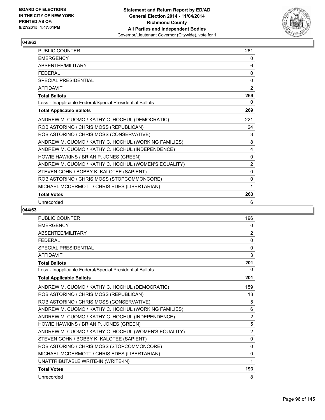

| PUBLIC COUNTER                                           | 261            |
|----------------------------------------------------------|----------------|
| <b>EMERGENCY</b>                                         | 0              |
| ABSENTEE/MILITARY                                        | 6              |
| <b>FEDERAL</b>                                           | 0              |
| <b>SPECIAL PRESIDENTIAL</b>                              | $\Omega$       |
| <b>AFFIDAVIT</b>                                         | $\overline{2}$ |
| <b>Total Ballots</b>                                     | 269            |
| Less - Inapplicable Federal/Special Presidential Ballots | 0              |
| <b>Total Applicable Ballots</b>                          | 269            |
| ANDREW M. CUOMO / KATHY C. HOCHUL (DEMOCRATIC)           | 221            |
| ROB ASTORINO / CHRIS MOSS (REPUBLICAN)                   | 24             |
| ROB ASTORINO / CHRIS MOSS (CONSERVATIVE)                 | 3              |
| ANDREW M. CUOMO / KATHY C. HOCHUL (WORKING FAMILIES)     | 8              |
| ANDREW M. CUOMO / KATHY C. HOCHUL (INDEPENDENCE)         | 4              |
| HOWIE HAWKINS / BRIAN P. JONES (GREEN)                   | 0              |
| ANDREW M. CUOMO / KATHY C. HOCHUL (WOMEN'S EQUALITY)     | 2              |
| STEVEN COHN / BOBBY K. KALOTEE (SAPIENT)                 | 0              |
| ROB ASTORINO / CHRIS MOSS (STOPCOMMONCORE)               | 0              |
| MICHAEL MCDERMOTT / CHRIS EDES (LIBERTARIAN)             | 1              |
| <b>Total Votes</b>                                       | 263            |
| Unrecorded                                               | 6              |

| <b>PUBLIC COUNTER</b>                                    | 196          |
|----------------------------------------------------------|--------------|
| <b>EMERGENCY</b>                                         | 0            |
| <b>ABSENTEE/MILITARY</b>                                 | 2            |
| <b>FEDERAL</b>                                           | $\Omega$     |
| <b>SPECIAL PRESIDENTIAL</b>                              | 0            |
| <b>AFFIDAVIT</b>                                         | 3            |
| <b>Total Ballots</b>                                     | 201          |
| Less - Inapplicable Federal/Special Presidential Ballots | 0            |
| <b>Total Applicable Ballots</b>                          | 201          |
| ANDREW M. CUOMO / KATHY C. HOCHUL (DEMOCRATIC)           | 159          |
| ROB ASTORINO / CHRIS MOSS (REPUBLICAN)                   | 13           |
| ROB ASTORINO / CHRIS MOSS (CONSERVATIVE)                 | 5            |
| ANDREW M. CUOMO / KATHY C. HOCHUL (WORKING FAMILIES)     | 6            |
| ANDREW M. CUOMO / KATHY C. HOCHUL (INDEPENDENCE)         | 2            |
| HOWIE HAWKINS / BRIAN P. JONES (GREEN)                   | 5            |
| ANDREW M. CUOMO / KATHY C. HOCHUL (WOMEN'S EQUALITY)     | 2            |
| STEVEN COHN / BOBBY K. KALOTEE (SAPIENT)                 | $\mathbf{0}$ |
| ROB ASTORINO / CHRIS MOSS (STOPCOMMONCORE)               | $\Omega$     |
| MICHAEL MCDERMOTT / CHRIS EDES (LIBERTARIAN)             | 0            |
| UNATTRIBUTABLE WRITE-IN (WRITE-IN)                       | 1            |
| <b>Total Votes</b>                                       | 193          |
| Unrecorded                                               | 8            |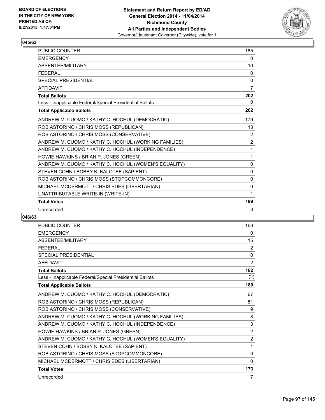

| <b>PUBLIC COUNTER</b>                                    | 185            |
|----------------------------------------------------------|----------------|
| <b>EMERGENCY</b>                                         | 0              |
| ABSENTEE/MILITARY                                        | 10             |
| <b>FFDFRAL</b>                                           | 0              |
| <b>SPECIAL PRESIDENTIAL</b>                              | 0              |
| <b>AFFIDAVIT</b>                                         | 7              |
| <b>Total Ballots</b>                                     | 202            |
| Less - Inapplicable Federal/Special Presidential Ballots | 0              |
| <b>Total Applicable Ballots</b>                          | 202            |
| ANDREW M. CUOMO / KATHY C. HOCHUL (DEMOCRATIC)           | 179            |
| ROB ASTORINO / CHRIS MOSS (REPUBLICAN)                   | 13             |
| ROB ASTORINO / CHRIS MOSS (CONSERVATIVE)                 | 2              |
| ANDREW M. CUOMO / KATHY C. HOCHUL (WORKING FAMILIES)     | $\overline{2}$ |
| ANDREW M. CUOMO / KATHY C. HOCHUL (INDEPENDENCE)         | 1              |
| HOWIE HAWKINS / BRIAN P. JONES (GREEN)                   | 1              |
| ANDREW M. CUOMO / KATHY C. HOCHUL (WOMEN'S EQUALITY)     | $\mathbf{0}$   |
| STEVEN COHN / BOBBY K. KALOTEE (SAPIENT)                 | 0              |
| ROB ASTORINO / CHRIS MOSS (STOPCOMMONCORE)               | 0              |
| MICHAEL MCDERMOTT / CHRIS EDES (LIBERTARIAN)             | 0              |
| UNATTRIBUTABLE WRITE-IN (WRITE-IN)                       | 1              |
| <b>Total Votes</b>                                       | 199            |
| Unrecorded                                               | 3              |

| <b>PUBLIC COUNTER</b>                                    | 163            |
|----------------------------------------------------------|----------------|
| <b>EMERGENCY</b>                                         | 0              |
| <b>ABSENTEE/MILITARY</b>                                 | 15             |
| <b>FFDFRAL</b>                                           | $\overline{2}$ |
| <b>SPECIAL PRESIDENTIAL</b>                              | $\mathbf{0}$   |
| <b>AFFIDAVIT</b>                                         | 2              |
| <b>Total Ballots</b>                                     | 182            |
| Less - Inapplicable Federal/Special Presidential Ballots | (2)            |
| <b>Total Applicable Ballots</b>                          | 180            |
| ANDREW M. CUOMO / KATHY C. HOCHUL (DEMOCRATIC)           | 67             |
| ROB ASTORINO / CHRIS MOSS (REPUBLICAN)                   | 81             |
| ROB ASTORINO / CHRIS MOSS (CONSERVATIVE)                 | 9              |
| ANDREW M. CUOMO / KATHY C. HOCHUL (WORKING FAMILIES)     | 8              |
| ANDREW M. CUOMO / KATHY C. HOCHUL (INDEPENDENCE)         | 3              |
| HOWIE HAWKINS / BRIAN P. JONES (GREEN)                   | $\overline{2}$ |
| ANDREW M. CUOMO / KATHY C. HOCHUL (WOMEN'S EQUALITY)     | $\overline{2}$ |
| STEVEN COHN / BOBBY K. KALOTEE (SAPIENT)                 | 1              |
| ROB ASTORINO / CHRIS MOSS (STOPCOMMONCORE)               | $\Omega$       |
| MICHAEL MCDERMOTT / CHRIS EDES (LIBERTARIAN)             | 0              |
| <b>Total Votes</b>                                       | 173            |
| Unrecorded                                               | 7              |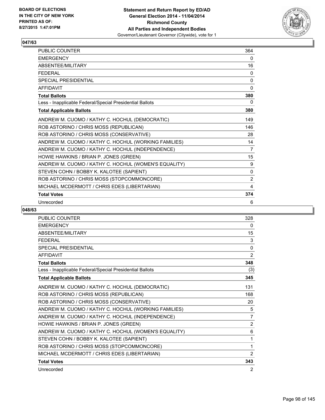

| <b>PUBLIC COUNTER</b>                                    | 364            |
|----------------------------------------------------------|----------------|
| <b>EMERGENCY</b>                                         | 0              |
| ABSENTEE/MILITARY                                        | 16             |
| <b>FEDERAL</b>                                           | 0              |
| <b>SPECIAL PRESIDENTIAL</b>                              | $\mathbf{0}$   |
| <b>AFFIDAVIT</b>                                         | 0              |
| <b>Total Ballots</b>                                     | 380            |
| Less - Inapplicable Federal/Special Presidential Ballots | 0              |
| <b>Total Applicable Ballots</b>                          | 380            |
| ANDREW M. CUOMO / KATHY C. HOCHUL (DEMOCRATIC)           | 149            |
| ROB ASTORINO / CHRIS MOSS (REPUBLICAN)                   | 146            |
| ROB ASTORINO / CHRIS MOSS (CONSERVATIVE)                 | 28             |
| ANDREW M. CUOMO / KATHY C. HOCHUL (WORKING FAMILIES)     | 14             |
| ANDREW M. CUOMO / KATHY C. HOCHUL (INDEPENDENCE)         | 7              |
| HOWIE HAWKINS / BRIAN P. JONES (GREEN)                   | 15             |
| ANDREW M. CUOMO / KATHY C. HOCHUL (WOMEN'S EQUALITY)     | 9              |
| STEVEN COHN / BOBBY K. KALOTEE (SAPIENT)                 | 0              |
| ROB ASTORINO / CHRIS MOSS (STOPCOMMONCORE)               | $\overline{2}$ |
| MICHAEL MCDERMOTT / CHRIS EDES (LIBERTARIAN)             | 4              |
| <b>Total Votes</b>                                       | 374            |
| Unrecorded                                               | 6              |

| PUBLIC COUNTER                                           | 328            |
|----------------------------------------------------------|----------------|
| <b>EMERGENCY</b>                                         | 0              |
| <b>ABSENTEE/MILITARY</b>                                 | 15             |
| <b>FEDERAL</b>                                           | 3              |
| <b>SPECIAL PRESIDENTIAL</b>                              | $\mathbf 0$    |
| <b>AFFIDAVIT</b>                                         | 2              |
| <b>Total Ballots</b>                                     | 348            |
| Less - Inapplicable Federal/Special Presidential Ballots | (3)            |
| <b>Total Applicable Ballots</b>                          | 345            |
| ANDREW M. CUOMO / KATHY C. HOCHUL (DEMOCRATIC)           | 131            |
| ROB ASTORINO / CHRIS MOSS (REPUBLICAN)                   | 168            |
| ROB ASTORINO / CHRIS MOSS (CONSERVATIVE)                 | 20             |
| ANDREW M. CUOMO / KATHY C. HOCHUL (WORKING FAMILIES)     | 5              |
| ANDREW M. CUOMO / KATHY C. HOCHUL (INDEPENDENCE)         | 7              |
| HOWIE HAWKINS / BRIAN P. JONES (GREEN)                   | $\overline{2}$ |
| ANDREW M. CUOMO / KATHY C. HOCHUL (WOMEN'S EQUALITY)     | 6              |
| STEVEN COHN / BOBBY K. KALOTEE (SAPIENT)                 | 1              |
| ROB ASTORINO / CHRIS MOSS (STOPCOMMONCORE)               | 1              |
| MICHAEL MCDERMOTT / CHRIS EDES (LIBERTARIAN)             | $\overline{2}$ |
| <b>Total Votes</b>                                       | 343            |
| Unrecorded                                               | 2              |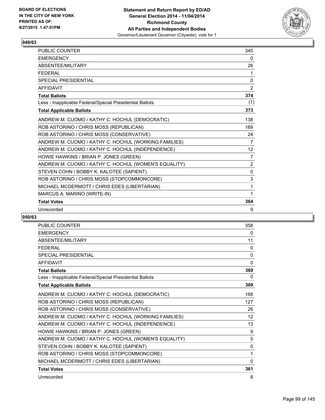

| <b>PUBLIC COUNTER</b>                                    | 345          |
|----------------------------------------------------------|--------------|
| <b>EMERGENCY</b>                                         | 0            |
| ABSENTEE/MILITARY                                        | 26           |
| <b>FFDFRAL</b>                                           | 1            |
| <b>SPECIAL PRESIDENTIAL</b>                              | 0            |
| <b>AFFIDAVIT</b>                                         | 2            |
| <b>Total Ballots</b>                                     | 374          |
| Less - Inapplicable Federal/Special Presidential Ballots | (1)          |
| <b>Total Applicable Ballots</b>                          | 373          |
| ANDREW M. CUOMO / KATHY C. HOCHUL (DEMOCRATIC)           | 138          |
| ROB ASTORINO / CHRIS MOSS (REPUBLICAN)                   | 169          |
| ROB ASTORINO / CHRIS MOSS (CONSERVATIVE)                 | 24           |
| ANDREW M. CUOMO / KATHY C. HOCHUL (WORKING FAMILIES)     | 7            |
| ANDREW M. CUOMO / KATHY C. HOCHUL (INDEPENDENCE)         | 12           |
| HOWIE HAWKINS / BRIAN P. JONES (GREEN)                   | 7            |
| ANDREW M. CUOMO / KATHY C. HOCHUL (WOMEN'S EQUALITY)     | 2            |
| STEVEN COHN / BOBBY K. KALOTEE (SAPIENT)                 | $\mathbf{0}$ |
| ROB ASTORINO / CHRIS MOSS (STOPCOMMONCORE)               | 3            |
| MICHAEL MCDERMOTT / CHRIS EDES (LIBERTARIAN)             | 1            |
| MARCUS A. MARINO (WRITE-IN)                              | 1            |
| <b>Total Votes</b>                                       | 364          |
| Unrecorded                                               | 9            |

| <b>PUBLIC COUNTER</b>                                    | 358          |
|----------------------------------------------------------|--------------|
| <b>EMERGENCY</b>                                         | 0            |
| <b>ABSENTEE/MILITARY</b>                                 | 11           |
| <b>FEDERAL</b>                                           | 0            |
| <b>SPECIAL PRESIDENTIAL</b>                              | $\mathbf{0}$ |
| <b>AFFIDAVIT</b>                                         | 0            |
| <b>Total Ballots</b>                                     | 369          |
| Less - Inapplicable Federal/Special Presidential Ballots | 0            |
| <b>Total Applicable Ballots</b>                          | 369          |
| ANDREW M. CUOMO / KATHY C. HOCHUL (DEMOCRATIC)           | 168          |
| ROB ASTORINO / CHRIS MOSS (REPUBLICAN)                   | 127          |
| ROB ASTORINO / CHRIS MOSS (CONSERVATIVE)                 | 26           |
| ANDREW M. CUOMO / KATHY C. HOCHUL (WORKING FAMILIES)     | 12           |
| ANDREW M. CUOMO / KATHY C. HOCHUL (INDEPENDENCE)         | 13           |
| HOWIE HAWKINS / BRIAN P. JONES (GREEN)                   | 9            |
| ANDREW M. CUOMO / KATHY C. HOCHUL (WOMEN'S EQUALITY)     | 5            |
| STEVEN COHN / BOBBY K. KALOTEE (SAPIENT)                 | 0            |
| ROB ASTORINO / CHRIS MOSS (STOPCOMMONCORE)               | 1            |
| MICHAEL MCDERMOTT / CHRIS EDES (LIBERTARIAN)             | $\mathbf{0}$ |
| <b>Total Votes</b>                                       | 361          |
| Unrecorded                                               | 8            |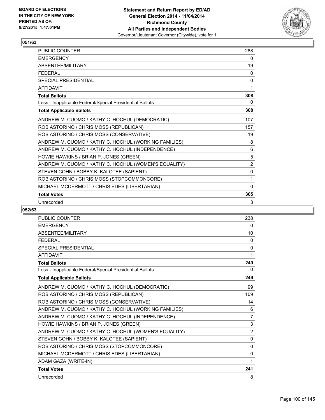

| PUBLIC COUNTER                                           | 288            |
|----------------------------------------------------------|----------------|
| <b>EMERGENCY</b>                                         | 0              |
| ABSENTEE/MILITARY                                        | 19             |
| <b>FEDERAL</b>                                           | 0              |
| <b>SPECIAL PRESIDENTIAL</b>                              | $\Omega$       |
| <b>AFFIDAVIT</b>                                         | 1              |
| <b>Total Ballots</b>                                     | 308            |
| Less - Inapplicable Federal/Special Presidential Ballots | 0              |
| <b>Total Applicable Ballots</b>                          | 308            |
| ANDREW M. CUOMO / KATHY C. HOCHUL (DEMOCRATIC)           | 107            |
| ROB ASTORINO / CHRIS MOSS (REPUBLICAN)                   | 157            |
| ROB ASTORINO / CHRIS MOSS (CONSERVATIVE)                 | 19             |
| ANDREW M. CUOMO / KATHY C. HOCHUL (WORKING FAMILIES)     | 8              |
| ANDREW M. CUOMO / KATHY C. HOCHUL (INDEPENDENCE)         | 6              |
| HOWIE HAWKINS / BRIAN P. JONES (GREEN)                   | 5              |
| ANDREW M. CUOMO / KATHY C. HOCHUL (WOMEN'S EQUALITY)     | $\overline{2}$ |
| STEVEN COHN / BOBBY K. KALOTEE (SAPIENT)                 | $\mathbf 0$    |
| ROB ASTORINO / CHRIS MOSS (STOPCOMMONCORE)               | 1              |
| MICHAEL MCDERMOTT / CHRIS EDES (LIBERTARIAN)             | $\Omega$       |
| <b>Total Votes</b>                                       | 305            |
| Unrecorded                                               | 3              |

| <b>PUBLIC COUNTER</b>                                    | 238            |
|----------------------------------------------------------|----------------|
| <b>EMERGENCY</b>                                         | 0              |
| <b>ABSENTEE/MILITARY</b>                                 | 10             |
| <b>FEDERAL</b>                                           | 0              |
| <b>SPECIAL PRESIDENTIAL</b>                              | 0              |
| <b>AFFIDAVIT</b>                                         | 1              |
| <b>Total Ballots</b>                                     | 249            |
| Less - Inapplicable Federal/Special Presidential Ballots | 0              |
| <b>Total Applicable Ballots</b>                          | 249            |
| ANDREW M. CUOMO / KATHY C. HOCHUL (DEMOCRATIC)           | 99             |
| ROB ASTORINO / CHRIS MOSS (REPUBLICAN)                   | 109            |
| ROB ASTORINO / CHRIS MOSS (CONSERVATIVE)                 | 14             |
| ANDREW M. CUOMO / KATHY C. HOCHUL (WORKING FAMILIES)     | 6              |
| ANDREW M. CUOMO / KATHY C. HOCHUL (INDEPENDENCE)         | $\overline{7}$ |
| HOWIE HAWKINS / BRIAN P. JONES (GREEN)                   | 3              |
| ANDREW M. CUOMO / KATHY C. HOCHUL (WOMEN'S EQUALITY)     | 2              |
| STEVEN COHN / BOBBY K. KALOTEE (SAPIENT)                 | $\mathbf{0}$   |
| ROB ASTORINO / CHRIS MOSS (STOPCOMMONCORE)               | $\Omega$       |
| MICHAEL MCDERMOTT / CHRIS EDES (LIBERTARIAN)             | 0              |
| ADAM GAZA (WRITE-IN)                                     | 1              |
| <b>Total Votes</b>                                       | 241            |
| Unrecorded                                               | 8              |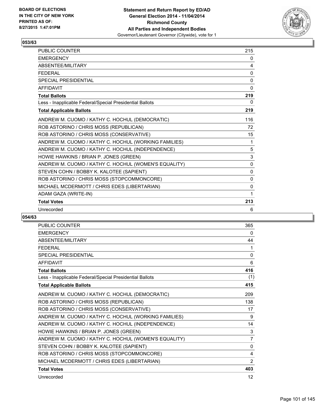

| <b>PUBLIC COUNTER</b>                                    | 215      |
|----------------------------------------------------------|----------|
| <b>EMERGENCY</b>                                         | 0        |
| ABSENTEE/MILITARY                                        | 4        |
| <b>FFDFRAL</b>                                           | 0        |
| SPECIAL PRESIDENTIAL                                     | 0        |
| <b>AFFIDAVIT</b>                                         | 0        |
| <b>Total Ballots</b>                                     | 219      |
| Less - Inapplicable Federal/Special Presidential Ballots | 0        |
| <b>Total Applicable Ballots</b>                          | 219      |
| ANDREW M. CUOMO / KATHY C. HOCHUL (DEMOCRATIC)           | 116      |
| ROB ASTORINO / CHRIS MOSS (REPUBLICAN)                   | 72       |
| ROB ASTORINO / CHRIS MOSS (CONSERVATIVE)                 | 15       |
| ANDREW M. CUOMO / KATHY C. HOCHUL (WORKING FAMILIES)     | 1        |
| ANDREW M. CUOMO / KATHY C. HOCHUL (INDEPENDENCE)         | 5        |
| HOWIE HAWKINS / BRIAN P. JONES (GREEN)                   | 3        |
| ANDREW M. CUOMO / KATHY C. HOCHUL (WOMEN'S EQUALITY)     | $\Omega$ |
| STEVEN COHN / BOBBY K. KALOTEE (SAPIENT)                 | 0        |
| ROB ASTORINO / CHRIS MOSS (STOPCOMMONCORE)               | 0        |
| MICHAEL MCDERMOTT / CHRIS EDES (LIBERTARIAN)             | 0        |
| ADAM GAZA (WRITE-IN)                                     | 1        |
| <b>Total Votes</b>                                       | 213      |
| Unrecorded                                               | 6        |

| <b>PUBLIC COUNTER</b>                                    | 365               |
|----------------------------------------------------------|-------------------|
| <b>EMERGENCY</b>                                         | 0                 |
| <b>ABSENTEE/MILITARY</b>                                 | 44                |
| <b>FFDFRAL</b>                                           | 1                 |
| <b>SPECIAL PRESIDENTIAL</b>                              | 0                 |
| <b>AFFIDAVIT</b>                                         | 6                 |
| <b>Total Ballots</b>                                     | 416               |
| Less - Inapplicable Federal/Special Presidential Ballots | (1)               |
| <b>Total Applicable Ballots</b>                          | 415               |
| ANDREW M. CUOMO / KATHY C. HOCHUL (DEMOCRATIC)           | 209               |
| ROB ASTORINO / CHRIS MOSS (REPUBLICAN)                   | 138               |
| ROB ASTORINO / CHRIS MOSS (CONSERVATIVE)                 | 17                |
| ANDREW M. CUOMO / KATHY C. HOCHUL (WORKING FAMILIES)     | 9                 |
| ANDREW M. CUOMO / KATHY C. HOCHUL (INDEPENDENCE)         | 14                |
| HOWIE HAWKINS / BRIAN P. JONES (GREEN)                   | 3                 |
| ANDREW M. CUOMO / KATHY C. HOCHUL (WOMEN'S EQUALITY)     | $\overline{7}$    |
| STEVEN COHN / BOBBY K. KALOTEE (SAPIENT)                 | $\Omega$          |
| ROB ASTORINO / CHRIS MOSS (STOPCOMMONCORE)               | 4                 |
| MICHAEL MCDERMOTT / CHRIS EDES (LIBERTARIAN)             | 2                 |
| <b>Total Votes</b>                                       | 403               |
| Unrecorded                                               | $12 \overline{ }$ |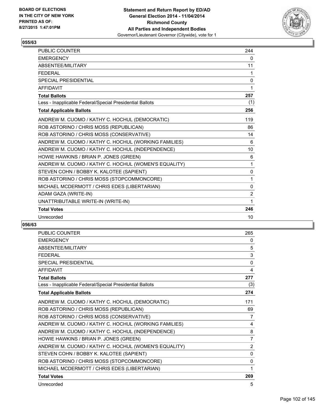

| <b>PUBLIC COUNTER</b>                                    | 244          |
|----------------------------------------------------------|--------------|
| <b>EMERGENCY</b>                                         | $\mathbf{0}$ |
| <b>ABSENTEE/MILITARY</b>                                 | 11           |
| <b>FEDERAL</b>                                           | 1            |
| <b>SPECIAL PRESIDENTIAL</b>                              | 0            |
| <b>AFFIDAVIT</b>                                         | 1            |
| <b>Total Ballots</b>                                     | 257          |
| Less - Inapplicable Federal/Special Presidential Ballots | (1)          |
| <b>Total Applicable Ballots</b>                          | 256          |
| ANDREW M. CUOMO / KATHY C. HOCHUL (DEMOCRATIC)           | 119          |
| ROB ASTORINO / CHRIS MOSS (REPUBLICAN)                   | 86           |
| ROB ASTORINO / CHRIS MOSS (CONSERVATIVE)                 | 14           |
| ANDREW M. CUOMO / KATHY C. HOCHUL (WORKING FAMILIES)     | 6            |
| ANDREW M. CUOMO / KATHY C. HOCHUL (INDEPENDENCE)         | 10           |
| HOWIE HAWKINS / BRIAN P. JONES (GREEN)                   | 6            |
| ANDREW M. CUOMO / KATHY C. HOCHUL (WOMEN'S EQUALITY)     | 1            |
| STEVEN COHN / BOBBY K. KALOTEE (SAPIENT)                 | 0            |
| ROB ASTORINO / CHRIS MOSS (STOPCOMMONCORE)               | 1            |
| MICHAEL MCDERMOTT / CHRIS EDES (LIBERTARIAN)             | $\mathbf 0$  |
| ADAM GAZA (WRITE-IN)                                     | 2            |
| UNATTRIBUTABLE WRITE-IN (WRITE-IN)                       | 1            |
| <b>Total Votes</b>                                       | 246          |
| Unrecorded                                               | 10           |

| <b>PUBLIC COUNTER</b>                                    | 265            |
|----------------------------------------------------------|----------------|
| <b>EMERGENCY</b>                                         | 0              |
| <b>ABSENTEE/MILITARY</b>                                 | 5              |
| <b>FEDERAL</b>                                           | 3              |
| <b>SPECIAL PRESIDENTIAL</b>                              | 0              |
| <b>AFFIDAVIT</b>                                         | 4              |
| <b>Total Ballots</b>                                     | 277            |
| Less - Inapplicable Federal/Special Presidential Ballots | (3)            |
| <b>Total Applicable Ballots</b>                          | 274            |
| ANDREW M. CUOMO / KATHY C. HOCHUL (DEMOCRATIC)           | 171            |
| ROB ASTORINO / CHRIS MOSS (REPUBLICAN)                   | 69             |
| ROB ASTORINO / CHRIS MOSS (CONSERVATIVE)                 | 7              |
| ANDREW M. CUOMO / KATHY C. HOCHUL (WORKING FAMILIES)     | 4              |
| ANDREW M. CUOMO / KATHY C. HOCHUL (INDEPENDENCE)         | 8              |
| HOWIE HAWKINS / BRIAN P. JONES (GREEN)                   | $\overline{7}$ |
| ANDREW M. CUOMO / KATHY C. HOCHUL (WOMEN'S EQUALITY)     | 2              |
| STEVEN COHN / BOBBY K. KALOTEE (SAPIENT)                 | $\mathbf{0}$   |
| ROB ASTORINO / CHRIS MOSS (STOPCOMMONCORE)               | 0              |
| MICHAEL MCDERMOTT / CHRIS EDES (LIBERTARIAN)             | 1              |
| <b>Total Votes</b>                                       | 269            |
| Unrecorded                                               | 5              |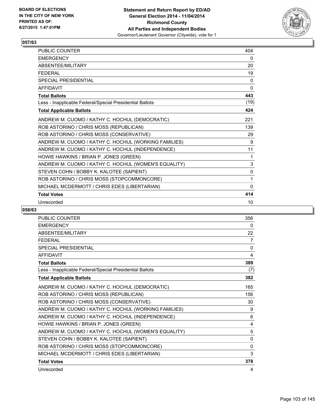

| PUBLIC COUNTER                                           | 404          |
|----------------------------------------------------------|--------------|
| <b>EMERGENCY</b>                                         | 0            |
| ABSENTEE/MILITARY                                        | 20           |
| <b>FFDFRAL</b>                                           | 19           |
| <b>SPECIAL PRESIDENTIAL</b>                              | $\mathbf{0}$ |
| <b>AFFIDAVIT</b>                                         | $\Omega$     |
| <b>Total Ballots</b>                                     | 443          |
| Less - Inapplicable Federal/Special Presidential Ballots | (19)         |
| <b>Total Applicable Ballots</b>                          | 424          |
| ANDREW M. CUOMO / KATHY C. HOCHUL (DEMOCRATIC)           | 221          |
| ROB ASTORINO / CHRIS MOSS (REPUBLICAN)                   | 139          |
| ROB ASTORINO / CHRIS MOSS (CONSERVATIVE)                 | 29           |
| ANDREW M. CUOMO / KATHY C. HOCHUL (WORKING FAMILIES)     | 9            |
| ANDREW M. CUOMO / KATHY C. HOCHUL (INDEPENDENCE)         | 11           |
| HOWIE HAWKINS / BRIAN P. JONES (GREEN)                   | 1            |
| ANDREW M. CUOMO / KATHY C. HOCHUL (WOMEN'S EQUALITY)     | 3            |
| STEVEN COHN / BOBBY K. KALOTEE (SAPIENT)                 | $\Omega$     |
| ROB ASTORINO / CHRIS MOSS (STOPCOMMONCORE)               | 1            |
| MICHAEL MCDERMOTT / CHRIS EDES (LIBERTARIAN)             | $\Omega$     |
| <b>Total Votes</b>                                       | 414          |
| Unrecorded                                               | 10           |

| <b>PUBLIC COUNTER</b>                                    | 356         |
|----------------------------------------------------------|-------------|
| <b>EMERGENCY</b>                                         | 0           |
| ABSENTEE/MILITARY                                        | 22          |
| <b>FEDERAL</b>                                           | 7           |
| <b>SPECIAL PRESIDENTIAL</b>                              | $\mathbf 0$ |
| <b>AFFIDAVIT</b>                                         | 4           |
| <b>Total Ballots</b>                                     | 389         |
| Less - Inapplicable Federal/Special Presidential Ballots | (7)         |
| <b>Total Applicable Ballots</b>                          | 382         |
| ANDREW M. CUOMO / KATHY C. HOCHUL (DEMOCRATIC)           | 165         |
| ROB ASTORINO / CHRIS MOSS (REPUBLICAN)                   | 156         |
| ROB ASTORINO / CHRIS MOSS (CONSERVATIVE)                 | 30          |
| ANDREW M. CUOMO / KATHY C. HOCHUL (WORKING FAMILIES)     | 9           |
| ANDREW M. CUOMO / KATHY C. HOCHUL (INDEPENDENCE)         | 6           |
| HOWIE HAWKINS / BRIAN P. JONES (GREEN)                   | 4           |
| ANDREW M. CUOMO / KATHY C. HOCHUL (WOMEN'S EQUALITY)     | 5           |
| STEVEN COHN / BOBBY K. KALOTEE (SAPIENT)                 | 0           |
| ROB ASTORINO / CHRIS MOSS (STOPCOMMONCORE)               | $\Omega$    |
| MICHAEL MCDERMOTT / CHRIS EDES (LIBERTARIAN)             | 3           |
| <b>Total Votes</b>                                       | 378         |
| Unrecorded                                               | 4           |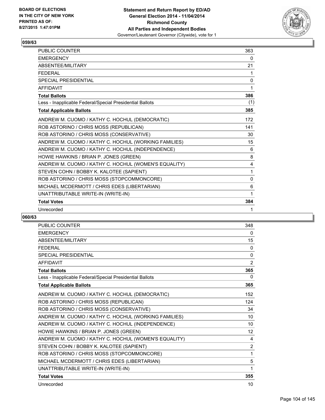

| <b>PUBLIC COUNTER</b>                                    | 363      |
|----------------------------------------------------------|----------|
| <b>EMERGENCY</b>                                         | 0        |
| ABSENTEE/MILITARY                                        | 21       |
| <b>FFDFRAL</b>                                           | 1        |
| <b>SPECIAL PRESIDENTIAL</b>                              | 0        |
| <b>AFFIDAVIT</b>                                         | 1        |
| <b>Total Ballots</b>                                     | 386      |
| Less - Inapplicable Federal/Special Presidential Ballots | (1)      |
| <b>Total Applicable Ballots</b>                          | 385      |
| ANDREW M. CUOMO / KATHY C. HOCHUL (DEMOCRATIC)           | 172      |
| ROB ASTORINO / CHRIS MOSS (REPUBLICAN)                   | 141      |
| ROB ASTORINO / CHRIS MOSS (CONSERVATIVE)                 | 30       |
| ANDREW M. CUOMO / KATHY C. HOCHUL (WORKING FAMILIES)     | 15       |
| ANDREW M. CUOMO / KATHY C. HOCHUL (INDEPENDENCE)         | 6        |
| HOWIE HAWKINS / BRIAN P. JONES (GREEN)                   | 8        |
| ANDREW M. CUOMO / KATHY C. HOCHUL (WOMEN'S EQUALITY)     | 4        |
| STEVEN COHN / BOBBY K. KALOTEE (SAPIENT)                 | 1        |
| ROB ASTORINO / CHRIS MOSS (STOPCOMMONCORE)               | $\Omega$ |
| MICHAEL MCDERMOTT / CHRIS EDES (LIBERTARIAN)             | 6        |
| UNATTRIBUTABLE WRITE-IN (WRITE-IN)                       | 1        |
| <b>Total Votes</b>                                       | 384      |
| Unrecorded                                               | 1        |

| <b>PUBLIC COUNTER</b>                                    | 348            |
|----------------------------------------------------------|----------------|
| <b>EMERGENCY</b>                                         | 0              |
| <b>ABSENTEE/MILITARY</b>                                 | 15             |
| <b>FFDFRAL</b>                                           | $\mathbf{0}$   |
| SPECIAL PRESIDENTIAL                                     | $\mathbf{0}$   |
| <b>AFFIDAVIT</b>                                         | $\overline{2}$ |
| <b>Total Ballots</b>                                     | 365            |
| Less - Inapplicable Federal/Special Presidential Ballots | 0              |
| <b>Total Applicable Ballots</b>                          | 365            |
| ANDREW M. CUOMO / KATHY C. HOCHUL (DEMOCRATIC)           | 152            |
| ROB ASTORINO / CHRIS MOSS (REPUBLICAN)                   | 124            |
| ROB ASTORINO / CHRIS MOSS (CONSERVATIVE)                 | 34             |
| ANDREW M. CUOMO / KATHY C. HOCHUL (WORKING FAMILIES)     | 10             |
| ANDREW M. CUOMO / KATHY C. HOCHUL (INDEPENDENCE)         | 10             |
| HOWIE HAWKINS / BRIAN P. JONES (GREEN)                   | 12             |
| ANDREW M. CUOMO / KATHY C. HOCHUL (WOMEN'S EQUALITY)     | 4              |
| STEVEN COHN / BOBBY K. KALOTEE (SAPIENT)                 | 2              |
| ROB ASTORINO / CHRIS MOSS (STOPCOMMONCORE)               | 1              |
| MICHAEL MCDERMOTT / CHRIS EDES (LIBERTARIAN)             | 5              |
| UNATTRIBUTABLE WRITE-IN (WRITE-IN)                       | 1              |
| <b>Total Votes</b>                                       | 355            |
| Unrecorded                                               | 10             |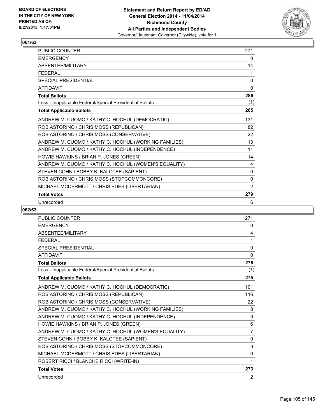

| PUBLIC COUNTER                                           | 271          |
|----------------------------------------------------------|--------------|
| <b>EMERGENCY</b>                                         | 0            |
| ABSENTEE/MILITARY                                        | 14           |
| <b>FEDERAL</b>                                           | 1            |
| <b>SPECIAL PRESIDENTIAL</b>                              | $\mathbf{0}$ |
| <b>AFFIDAVIT</b>                                         | $\Omega$     |
| <b>Total Ballots</b>                                     | 286          |
| Less - Inapplicable Federal/Special Presidential Ballots | (1)          |
| <b>Total Applicable Ballots</b>                          | 285          |
| ANDREW M. CUOMO / KATHY C. HOCHUL (DEMOCRATIC)           | 131          |
| ROB ASTORINO / CHRIS MOSS (REPUBLICAN)                   | 82           |
| ROB ASTORINO / CHRIS MOSS (CONSERVATIVE)                 | 22           |
| ANDREW M. CUOMO / KATHY C. HOCHUL (WORKING FAMILIES)     | 13           |
| ANDREW M. CUOMO / KATHY C. HOCHUL (INDEPENDENCE)         | 11           |
| HOWIE HAWKINS / BRIAN P. JONES (GREEN)                   | 14           |
| ANDREW M. CUOMO / KATHY C. HOCHUL (WOMEN'S EQUALITY)     | 4            |
| STEVEN COHN / BOBBY K. KALOTEE (SAPIENT)                 | 0            |
| ROB ASTORINO / CHRIS MOSS (STOPCOMMONCORE)               | 0            |
| MICHAEL MCDERMOTT / CHRIS EDES (LIBERTARIAN)             | 2            |
| <b>Total Votes</b>                                       | 279          |
| Unrecorded                                               | 6            |

| <b>PUBLIC COUNTER</b>                                    | 271            |
|----------------------------------------------------------|----------------|
| <b>EMERGENCY</b>                                         | 0              |
| <b>ABSENTEE/MILITARY</b>                                 | 4              |
| <b>FEDERAL</b>                                           | 1              |
| SPECIAL PRESIDENTIAL                                     | $\mathbf{0}$   |
| <b>AFFIDAVIT</b>                                         | $\mathbf{0}$   |
| <b>Total Ballots</b>                                     | 276            |
| Less - Inapplicable Federal/Special Presidential Ballots | (1)            |
| <b>Total Applicable Ballots</b>                          | 275            |
| ANDREW M. CUOMO / KATHY C. HOCHUL (DEMOCRATIC)           | 101            |
| ROB ASTORINO / CHRIS MOSS (REPUBLICAN)                   | 116            |
| ROB ASTORINO / CHRIS MOSS (CONSERVATIVE)                 | 22             |
| ANDREW M. CUOMO / KATHY C. HOCHUL (WORKING FAMILIES)     | 8              |
| ANDREW M. CUOMO / KATHY C. HOCHUL (INDEPENDENCE)         | 9              |
| HOWIE HAWKINS / BRIAN P. JONES (GREEN)                   | 6              |
| ANDREW M. CUOMO / KATHY C. HOCHUL (WOMEN'S EQUALITY)     | $\overline{7}$ |
| STEVEN COHN / BOBBY K. KALOTEE (SAPIENT)                 | 0              |
| ROB ASTORINO / CHRIS MOSS (STOPCOMMONCORE)               | 3              |
| MICHAEL MCDERMOTT / CHRIS EDES (LIBERTARIAN)             | 0              |
| ROBERT RICCI / BLANCHE RICCI (WRITE-IN)                  | 1              |
| <b>Total Votes</b>                                       | 273            |
| Unrecorded                                               | 2              |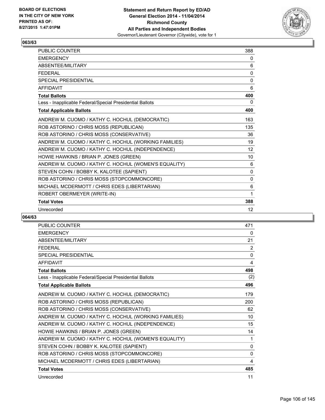

| PUBLIC COUNTER                                           | 388          |
|----------------------------------------------------------|--------------|
| <b>EMERGENCY</b>                                         | 0            |
| <b>ABSENTFF/MILITARY</b>                                 | 6            |
| <b>FFDFRAL</b>                                           | 0            |
| <b>SPECIAL PRESIDENTIAL</b>                              | 0            |
| <b>AFFIDAVIT</b>                                         | 6            |
| <b>Total Ballots</b>                                     | 400          |
| Less - Inapplicable Federal/Special Presidential Ballots | 0            |
| <b>Total Applicable Ballots</b>                          | 400          |
| ANDREW M. CUOMO / KATHY C. HOCHUL (DEMOCRATIC)           | 163          |
| ROB ASTORINO / CHRIS MOSS (REPUBLICAN)                   | 135          |
| ROB ASTORINO / CHRIS MOSS (CONSERVATIVE)                 | 36           |
| ANDREW M. CUOMO / KATHY C. HOCHUL (WORKING FAMILIES)     | 19           |
| ANDREW M. CUOMO / KATHY C. HOCHUL (INDEPENDENCE)         | 12           |
| HOWIE HAWKINS / BRIAN P. JONES (GREEN)                   | 10           |
| ANDREW M. CUOMO / KATHY C. HOCHUL (WOMEN'S EQUALITY)     | 6            |
| STEVEN COHN / BOBBY K. KALOTEE (SAPIENT)                 | 0            |
| ROB ASTORINO / CHRIS MOSS (STOPCOMMONCORE)               | $\mathbf{0}$ |
| MICHAEL MCDERMOTT / CHRIS EDES (LIBERTARIAN)             | 6            |
| ROBERT OBERMEYER (WRITE-IN)                              | 1            |
| <b>Total Votes</b>                                       | 388          |
| Unrecorded                                               | 12           |

| <b>PUBLIC COUNTER</b>                                    | 471 |
|----------------------------------------------------------|-----|
| <b>EMERGENCY</b>                                         | 0   |
| <b>ABSENTEE/MILITARY</b>                                 | 21  |
| <b>FEDERAL</b>                                           | 2   |
| <b>SPECIAL PRESIDENTIAL</b>                              | 0   |
| <b>AFFIDAVIT</b>                                         | 4   |
| <b>Total Ballots</b>                                     | 498 |
| Less - Inapplicable Federal/Special Presidential Ballots | (2) |
| <b>Total Applicable Ballots</b>                          | 496 |
| ANDREW M. CUOMO / KATHY C. HOCHUL (DEMOCRATIC)           | 179 |
| ROB ASTORINO / CHRIS MOSS (REPUBLICAN)                   | 200 |
| ROB ASTORINO / CHRIS MOSS (CONSERVATIVE)                 | 62  |
| ANDREW M. CUOMO / KATHY C. HOCHUL (WORKING FAMILIES)     | 10  |
| ANDREW M. CUOMO / KATHY C. HOCHUL (INDEPENDENCE)         | 15  |
| HOWIE HAWKINS / BRIAN P. JONES (GREEN)                   | 14  |
| ANDREW M. CUOMO / KATHY C. HOCHUL (WOMEN'S EQUALITY)     | 1   |
| STEVEN COHN / BOBBY K. KALOTEE (SAPIENT)                 | 0   |
| ROB ASTORINO / CHRIS MOSS (STOPCOMMONCORE)               | 0   |
| MICHAEL MCDERMOTT / CHRIS EDES (LIBERTARIAN)             | 4   |
| <b>Total Votes</b>                                       | 485 |
| Unrecorded                                               | 11  |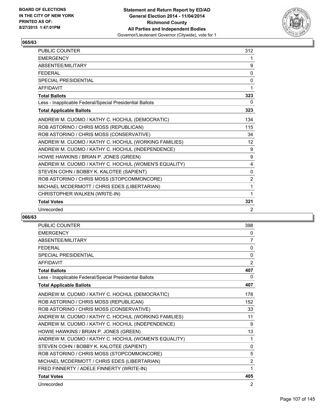

| <b>PUBLIC COUNTER</b>                                    | 312               |
|----------------------------------------------------------|-------------------|
| <b>EMERGENCY</b>                                         | 1                 |
| <b>ABSENTFF/MILITARY</b>                                 | 9                 |
| <b>FFDFRAL</b>                                           | 0                 |
| <b>SPECIAL PRESIDENTIAL</b>                              | 0                 |
| <b>AFFIDAVIT</b>                                         | 1                 |
| <b>Total Ballots</b>                                     | 323               |
| Less - Inapplicable Federal/Special Presidential Ballots | 0                 |
| <b>Total Applicable Ballots</b>                          | 323               |
| ANDREW M. CUOMO / KATHY C. HOCHUL (DEMOCRATIC)           | 134               |
| ROB ASTORINO / CHRIS MOSS (REPUBLICAN)                   | 115               |
| ROB ASTORINO / CHRIS MOSS (CONSERVATIVE)                 | 34                |
| ANDREW M. CUOMO / KATHY C. HOCHUL (WORKING FAMILIES)     | $12 \overline{ }$ |
| ANDREW M. CUOMO / KATHY C. HOCHUL (INDEPENDENCE)         | 9                 |
| HOWIE HAWKINS / BRIAN P. JONES (GREEN)                   | 9                 |
| ANDREW M. CUOMO / KATHY C. HOCHUL (WOMEN'S EQUALITY)     | 4                 |
| STEVEN COHN / BOBBY K. KALOTEE (SAPIENT)                 | $\mathbf{0}$      |
| ROB ASTORINO / CHRIS MOSS (STOPCOMMONCORE)               | 2                 |
| MICHAEL MCDERMOTT / CHRIS EDES (LIBERTARIAN)             | 1                 |
| CHRISTOPHER WALKEN (WRITE-IN)                            | 1                 |
| <b>Total Votes</b>                                       | 321               |
| Unrecorded                                               | 2                 |

| <b>PUBLIC COUNTER</b>                                    | 398            |
|----------------------------------------------------------|----------------|
| <b>EMERGENCY</b>                                         | 0              |
| <b>ABSENTEE/MILITARY</b>                                 | 7              |
| <b>FFDFRAL</b>                                           | 0              |
| SPECIAL PRESIDENTIAL                                     | 0              |
| <b>AFFIDAVIT</b>                                         | $\overline{2}$ |
| <b>Total Ballots</b>                                     | 407            |
| Less - Inapplicable Federal/Special Presidential Ballots | 0              |
| <b>Total Applicable Ballots</b>                          | 407            |
| ANDREW M. CUOMO / KATHY C. HOCHUL (DEMOCRATIC)           | 178            |
| ROB ASTORINO / CHRIS MOSS (REPUBLICAN)                   | 152            |
| ROB ASTORINO / CHRIS MOSS (CONSERVATIVE)                 | 33             |
| ANDREW M. CUOMO / KATHY C. HOCHUL (WORKING FAMILIES)     | 11             |
| ANDREW M. CUOMO / KATHY C. HOCHUL (INDEPENDENCE)         | 9              |
| HOWIE HAWKINS / BRIAN P. JONES (GREEN)                   | 13             |
| ANDREW M. CUOMO / KATHY C. HOCHUL (WOMEN'S EQUALITY)     | 1              |
| STEVEN COHN / BOBBY K. KALOTEE (SAPIENT)                 | 0              |
| ROB ASTORINO / CHRIS MOSS (STOPCOMMONCORE)               | 5              |
| MICHAEL MCDERMOTT / CHRIS EDES (LIBERTARIAN)             | $\overline{2}$ |
| FRED FINNERTY / ADELE FINNERTY (WRITE-IN)                | 1              |
| <b>Total Votes</b>                                       | 405            |
| Unrecorded                                               | 2              |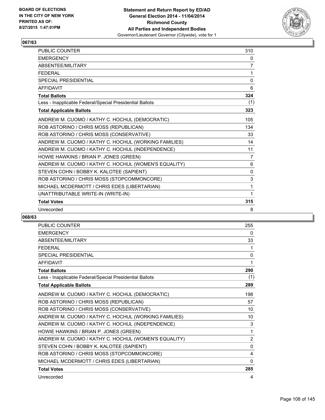

| <b>PUBLIC COUNTER</b>                                    | 310          |
|----------------------------------------------------------|--------------|
| <b>EMERGENCY</b>                                         | 0            |
| ABSENTEE/MILITARY                                        | 7            |
| <b>FFDFRAL</b>                                           | 1            |
| <b>SPECIAL PRESIDENTIAL</b>                              | 0            |
| <b>AFFIDAVIT</b>                                         | 6            |
| <b>Total Ballots</b>                                     | 324          |
| Less - Inapplicable Federal/Special Presidential Ballots | (1)          |
| <b>Total Applicable Ballots</b>                          | 323          |
| ANDREW M. CUOMO / KATHY C. HOCHUL (DEMOCRATIC)           | 105          |
| ROB ASTORINO / CHRIS MOSS (REPUBLICAN)                   | 134          |
| ROB ASTORINO / CHRIS MOSS (CONSERVATIVE)                 | 33           |
| ANDREW M. CUOMO / KATHY C. HOCHUL (WORKING FAMILIES)     | 14           |
| ANDREW M. CUOMO / KATHY C. HOCHUL (INDEPENDENCE)         | 11           |
| HOWIE HAWKINS / BRIAN P. JONES (GREEN)                   | 7            |
| ANDREW M. CUOMO / KATHY C. HOCHUL (WOMEN'S EQUALITY)     | 6            |
| STEVEN COHN / BOBBY K. KALOTEE (SAPIENT)                 | $\mathbf{0}$ |
| ROB ASTORINO / CHRIS MOSS (STOPCOMMONCORE)               | 3            |
| MICHAEL MCDERMOTT / CHRIS EDES (LIBERTARIAN)             | 1            |
| UNATTRIBUTABLE WRITE-IN (WRITE-IN)                       | 1            |
| <b>Total Votes</b>                                       | 315          |
| Unrecorded                                               | 8            |

| <b>PUBLIC COUNTER</b>                                    | 255            |
|----------------------------------------------------------|----------------|
| <b>EMERGENCY</b>                                         | 0              |
| <b>ABSENTEE/MILITARY</b>                                 | 33             |
| <b>FFDFRAL</b>                                           | 1              |
| <b>SPECIAL PRESIDENTIAL</b>                              | $\mathbf{0}$   |
| <b>AFFIDAVIT</b>                                         | 1              |
| <b>Total Ballots</b>                                     | 290            |
| Less - Inapplicable Federal/Special Presidential Ballots | (1)            |
| <b>Total Applicable Ballots</b>                          | 289            |
| ANDREW M. CUOMO / KATHY C. HOCHUL (DEMOCRATIC)           | 198            |
| ROB ASTORINO / CHRIS MOSS (REPUBLICAN)                   | 57             |
| ROB ASTORINO / CHRIS MOSS (CONSERVATIVE)                 | 10             |
| ANDREW M. CUOMO / KATHY C. HOCHUL (WORKING FAMILIES)     | 10             |
| ANDREW M. CUOMO / KATHY C. HOCHUL (INDEPENDENCE)         | 3              |
| HOWIE HAWKINS / BRIAN P. JONES (GREEN)                   | 1              |
| ANDREW M. CUOMO / KATHY C. HOCHUL (WOMEN'S EQUALITY)     | $\overline{2}$ |
| STEVEN COHN / BOBBY K. KALOTEE (SAPIENT)                 | $\mathbf{0}$   |
| ROB ASTORINO / CHRIS MOSS (STOPCOMMONCORE)               | 4              |
| MICHAEL MCDERMOTT / CHRIS EDES (LIBERTARIAN)             | $\mathbf{0}$   |
| <b>Total Votes</b>                                       | 285            |
| Unrecorded                                               | 4              |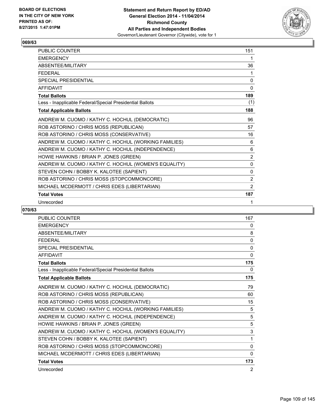

| PUBLIC COUNTER                                           | 151            |
|----------------------------------------------------------|----------------|
| <b>EMERGENCY</b>                                         | 1              |
| ABSENTEE/MILITARY                                        | 36             |
| <b>FEDERAL</b>                                           | 1              |
| <b>SPECIAL PRESIDENTIAL</b>                              | $\mathbf{0}$   |
| <b>AFFIDAVIT</b>                                         | $\Omega$       |
| <b>Total Ballots</b>                                     | 189            |
| Less - Inapplicable Federal/Special Presidential Ballots | (1)            |
| <b>Total Applicable Ballots</b>                          | 188            |
| ANDREW M. CUOMO / KATHY C. HOCHUL (DEMOCRATIC)           | 96             |
| ROB ASTORINO / CHRIS MOSS (REPUBLICAN)                   | 57             |
| ROB ASTORINO / CHRIS MOSS (CONSERVATIVE)                 | 16             |
| ANDREW M. CUOMO / KATHY C. HOCHUL (WORKING FAMILIES)     | 6              |
| ANDREW M. CUOMO / KATHY C. HOCHUL (INDEPENDENCE)         | 6              |
| HOWIE HAWKINS / BRIAN P. JONES (GREEN)                   | $\overline{2}$ |
| ANDREW M. CUOMO / KATHY C. HOCHUL (WOMEN'S EQUALITY)     | $\mathbf{0}$   |
| STEVEN COHN / BOBBY K. KALOTEE (SAPIENT)                 | 0              |
| ROB ASTORINO / CHRIS MOSS (STOPCOMMONCORE)               | 2              |
| MICHAEL MCDERMOTT / CHRIS EDES (LIBERTARIAN)             | 2              |
| <b>Total Votes</b>                                       | 187            |
| Unrecorded                                               | 1              |

| PUBLIC COUNTER                                           | 167          |
|----------------------------------------------------------|--------------|
| <b>EMERGENCY</b>                                         | 0            |
| ABSENTEE/MILITARY                                        | 8            |
| <b>FEDERAL</b>                                           | $\Omega$     |
| <b>SPECIAL PRESIDENTIAL</b>                              | 0            |
| <b>AFFIDAVIT</b>                                         | $\mathbf{0}$ |
| <b>Total Ballots</b>                                     | 175          |
| Less - Inapplicable Federal/Special Presidential Ballots | 0            |
| <b>Total Applicable Ballots</b>                          | 175          |
| ANDREW M. CUOMO / KATHY C. HOCHUL (DEMOCRATIC)           | 79           |
| ROB ASTORINO / CHRIS MOSS (REPUBLICAN)                   | 60           |
| ROB ASTORINO / CHRIS MOSS (CONSERVATIVE)                 | 15           |
| ANDREW M. CUOMO / KATHY C. HOCHUL (WORKING FAMILIES)     | 5            |
| ANDREW M. CUOMO / KATHY C. HOCHUL (INDEPENDENCE)         | 5            |
| HOWIE HAWKINS / BRIAN P. JONES (GREEN)                   | 5            |
| ANDREW M. CUOMO / KATHY C. HOCHUL (WOMEN'S EQUALITY)     | 3            |
| STEVEN COHN / BOBBY K. KALOTEE (SAPIENT)                 | 1            |
| ROB ASTORINO / CHRIS MOSS (STOPCOMMONCORE)               | $\Omega$     |
| MICHAEL MCDERMOTT / CHRIS EDES (LIBERTARIAN)             | 0            |
| <b>Total Votes</b>                                       | 173          |
| Unrecorded                                               | 2            |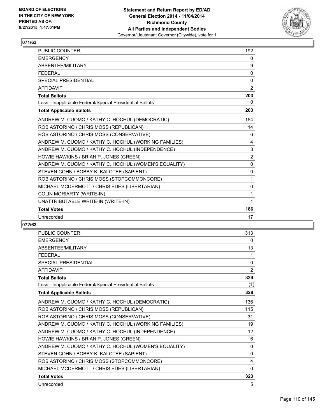

| <b>PUBLIC COUNTER</b>                                    | 192          |
|----------------------------------------------------------|--------------|
| <b>EMERGENCY</b>                                         | $\mathbf{0}$ |
| ABSENTEE/MILITARY                                        | 9            |
| <b>FFDFRAL</b>                                           | 0            |
| SPECIAL PRESIDENTIAL                                     | 0            |
| <b>AFFIDAVIT</b>                                         | $\mathbf{2}$ |
| <b>Total Ballots</b>                                     | 203          |
| Less - Inapplicable Federal/Special Presidential Ballots | 0            |
| <b>Total Applicable Ballots</b>                          | 203          |
| ANDREW M. CUOMO / KATHY C. HOCHUL (DEMOCRATIC)           | 154          |
| ROB ASTORINO / CHRIS MOSS (REPUBLICAN)                   | 14           |
| ROB ASTORINO / CHRIS MOSS (CONSERVATIVE)                 | 6            |
| ANDREW M. CUOMO / KATHY C. HOCHUL (WORKING FAMILIES)     | 4            |
| ANDREW M. CUOMO / KATHY C. HOCHUL (INDEPENDENCE)         | 3            |
| HOWIE HAWKINS / BRIAN P. JONES (GREEN)                   | $\mathbf{2}$ |
| ANDREW M. CUOMO / KATHY C. HOCHUL (WOMEN'S EQUALITY)     | 0            |
| STEVEN COHN / BOBBY K. KALOTEE (SAPIENT)                 | 0            |
| ROB ASTORINO / CHRIS MOSS (STOPCOMMONCORE)               | 1            |
| MICHAEL MCDERMOTT / CHRIS EDES (LIBERTARIAN)             | $\mathbf 0$  |
| COLIN MORIARTY (WRITE-IN)                                | 1            |
| UNATTRIBUTABLE WRITE-IN (WRITE-IN)                       | 1            |
| <b>Total Votes</b>                                       | 186          |
| Unrecorded                                               | 17           |

| <b>PUBLIC COUNTER</b>                                    | 313            |
|----------------------------------------------------------|----------------|
| <b>EMERGENCY</b>                                         | 0              |
| <b>ABSENTEE/MILITARY</b>                                 | 13             |
| <b>FEDERAL</b>                                           | 1              |
| <b>SPECIAL PRESIDENTIAL</b>                              | $\mathbf{0}$   |
| <b>AFFIDAVIT</b>                                         | $\overline{2}$ |
| <b>Total Ballots</b>                                     | 329            |
| Less - Inapplicable Federal/Special Presidential Ballots | (1)            |
| <b>Total Applicable Ballots</b>                          | 328            |
| ANDREW M. CUOMO / KATHY C. HOCHUL (DEMOCRATIC)           | 136            |
| ROB ASTORINO / CHRIS MOSS (REPUBLICAN)                   | 115            |
| ROB ASTORINO / CHRIS MOSS (CONSERVATIVE)                 | 31             |
| ANDREW M. CUOMO / KATHY C. HOCHUL (WORKING FAMILIES)     | 19             |
| ANDREW M. CUOMO / KATHY C. HOCHUL (INDEPENDENCE)         | 12             |
| HOWIE HAWKINS / BRIAN P. JONES (GREEN)                   | 6              |
| ANDREW M. CUOMO / KATHY C. HOCHUL (WOMEN'S EQUALITY)     | 0              |
| STEVEN COHN / BOBBY K. KALOTEE (SAPIENT)                 | 0              |
| ROB ASTORINO / CHRIS MOSS (STOPCOMMONCORE)               | 4              |
| MICHAEL MCDERMOTT / CHRIS EDES (LIBERTARIAN)             | $\mathbf{0}$   |
| <b>Total Votes</b>                                       | 323            |
| Unrecorded                                               | 5              |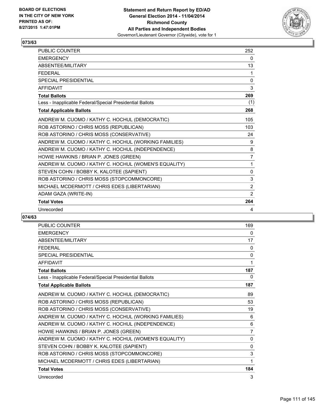

| <b>PUBLIC COUNTER</b>                                    | 252            |
|----------------------------------------------------------|----------------|
| <b>EMERGENCY</b>                                         | 0              |
| ABSENTEE/MILITARY                                        | 13             |
| <b>FFDFRAL</b>                                           | 1              |
| <b>SPECIAL PRESIDENTIAL</b>                              | 0              |
| <b>AFFIDAVIT</b>                                         | 3              |
| <b>Total Ballots</b>                                     | 269            |
| Less - Inapplicable Federal/Special Presidential Ballots | (1)            |
| <b>Total Applicable Ballots</b>                          | 268            |
| ANDREW M. CUOMO / KATHY C. HOCHUL (DEMOCRATIC)           | 105            |
| ROB ASTORINO / CHRIS MOSS (REPUBLICAN)                   | 103            |
| ROB ASTORINO / CHRIS MOSS (CONSERVATIVE)                 | 24             |
| ANDREW M. CUOMO / KATHY C. HOCHUL (WORKING FAMILIES)     | 9              |
| ANDREW M. CUOMO / KATHY C. HOCHUL (INDEPENDENCE)         | 8              |
| HOWIE HAWKINS / BRIAN P. JONES (GREEN)                   | $\overline{7}$ |
| ANDREW M. CUOMO / KATHY C. HOCHUL (WOMEN'S EQUALITY)     | 1              |
| STEVEN COHN / BOBBY K. KALOTEE (SAPIENT)                 | $\mathbf{0}$   |
| ROB ASTORINO / CHRIS MOSS (STOPCOMMONCORE)               | 3              |
| MICHAEL MCDERMOTT / CHRIS EDES (LIBERTARIAN)             | 2              |
| ADAM GAZA (WRITE-IN)                                     | 2              |
| <b>Total Votes</b>                                       | 264            |
| Unrecorded                                               | 4              |

| <b>PUBLIC COUNTER</b>                                    | 169            |
|----------------------------------------------------------|----------------|
| <b>EMERGENCY</b>                                         | 0              |
| ABSENTEE/MILITARY                                        | 17             |
| <b>FFDFRAL</b>                                           | 0              |
| <b>SPECIAL PRESIDENTIAL</b>                              | $\mathbf{0}$   |
| <b>AFFIDAVIT</b>                                         | 1              |
| <b>Total Ballots</b>                                     | 187            |
| Less - Inapplicable Federal/Special Presidential Ballots | 0              |
| <b>Total Applicable Ballots</b>                          | 187            |
| ANDREW M. CUOMO / KATHY C. HOCHUL (DEMOCRATIC)           | 89             |
| ROB ASTORINO / CHRIS MOSS (REPUBLICAN)                   | 53             |
| ROB ASTORINO / CHRIS MOSS (CONSERVATIVE)                 | 19             |
| ANDREW M. CUOMO / KATHY C. HOCHUL (WORKING FAMILIES)     | 6              |
| ANDREW M. CUOMO / KATHY C. HOCHUL (INDEPENDENCE)         | 6              |
| HOWIE HAWKINS / BRIAN P. JONES (GREEN)                   | $\overline{7}$ |
| ANDREW M. CUOMO / KATHY C. HOCHUL (WOMEN'S EQUALITY)     | $\Omega$       |
| STEVEN COHN / BOBBY K. KALOTEE (SAPIENT)                 | $\mathbf{0}$   |
| ROB ASTORINO / CHRIS MOSS (STOPCOMMONCORE)               | 3              |
| MICHAEL MCDERMOTT / CHRIS EDES (LIBERTARIAN)             | 1              |
| <b>Total Votes</b>                                       | 184            |
| Unrecorded                                               | 3              |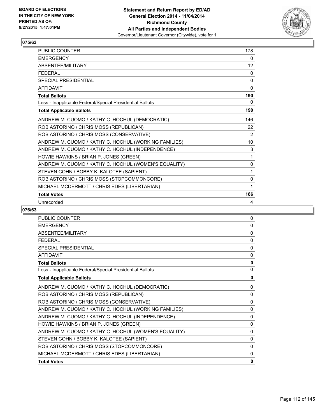

| <b>PUBLIC COUNTER</b>                                    | 178          |
|----------------------------------------------------------|--------------|
| <b>EMERGENCY</b>                                         | 0            |
| ABSENTEE/MILITARY                                        | 12           |
| <b>FFDFRAL</b>                                           | 0            |
| SPECIAL PRESIDENTIAL                                     | $\mathbf{0}$ |
| <b>AFFIDAVIT</b>                                         | $\Omega$     |
| <b>Total Ballots</b>                                     | 190          |
| Less - Inapplicable Federal/Special Presidential Ballots | 0            |
| <b>Total Applicable Ballots</b>                          | 190          |
| ANDREW M. CUOMO / KATHY C. HOCHUL (DEMOCRATIC)           | 146          |
| ROB ASTORINO / CHRIS MOSS (REPUBLICAN)                   | 22           |
| ROB ASTORINO / CHRIS MOSS (CONSERVATIVE)                 | 2            |
| ANDREW M. CUOMO / KATHY C. HOCHUL (WORKING FAMILIES)     | 10           |
| ANDREW M. CUOMO / KATHY C. HOCHUL (INDEPENDENCE)         | 3            |
| HOWIE HAWKINS / BRIAN P. JONES (GREEN)                   | 1            |
| ANDREW M. CUOMO / KATHY C. HOCHUL (WOMEN'S EQUALITY)     | $\mathbf{0}$ |
| STEVEN COHN / BOBBY K. KALOTEE (SAPIENT)                 | 1            |
| ROB ASTORINO / CHRIS MOSS (STOPCOMMONCORE)               | 0            |
| MICHAEL MCDERMOTT / CHRIS EDES (LIBERTARIAN)             | 1            |
| <b>Total Votes</b>                                       | 186          |
| Unrecorded                                               | 4            |

| PUBLIC COUNTER                                           | 0        |
|----------------------------------------------------------|----------|
| <b>EMERGENCY</b>                                         | 0        |
| ABSENTEE/MILITARY                                        | $\Omega$ |
| <b>FEDERAL</b>                                           | 0        |
| <b>SPECIAL PRESIDENTIAL</b>                              | 0        |
| <b>AFFIDAVIT</b>                                         | 0        |
| <b>Total Ballots</b>                                     | 0        |
| Less - Inapplicable Federal/Special Presidential Ballots | $\Omega$ |
| <b>Total Applicable Ballots</b>                          | 0        |
| ANDREW M. CUOMO / KATHY C. HOCHUL (DEMOCRATIC)           | 0        |
| ROB ASTORINO / CHRIS MOSS (REPUBLICAN)                   | 0        |
| ROB ASTORINO / CHRIS MOSS (CONSERVATIVE)                 | $\Omega$ |
| ANDREW M. CUOMO / KATHY C. HOCHUL (WORKING FAMILIES)     | 0        |
| ANDREW M. CUOMO / KATHY C. HOCHUL (INDEPENDENCE)         | 0        |
| HOWIE HAWKINS / BRIAN P. JONES (GREEN)                   | $\Omega$ |
| ANDREW M. CUOMO / KATHY C. HOCHUL (WOMEN'S EQUALITY)     | 0        |
| STEVEN COHN / BOBBY K. KALOTEE (SAPIENT)                 | 0        |
| ROB ASTORINO / CHRIS MOSS (STOPCOMMONCORE)               | $\Omega$ |
| MICHAEL MCDERMOTT / CHRIS EDES (LIBERTARIAN)             | 0        |
| <b>Total Votes</b>                                       | 0        |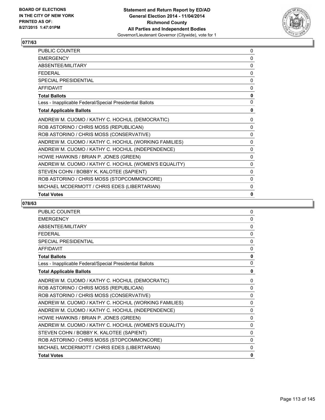

| <b>PUBLIC COUNTER</b>                                    | 0            |
|----------------------------------------------------------|--------------|
| <b>EMERGENCY</b>                                         | 0            |
| ABSENTEE/MILITARY                                        | 0            |
| <b>FFDFRAI</b>                                           | 0            |
| <b>SPECIAL PRESIDENTIAL</b>                              | $\mathbf{0}$ |
| AFFIDAVIT                                                | 0            |
| <b>Total Ballots</b>                                     | $\mathbf 0$  |
| Less - Inapplicable Federal/Special Presidential Ballots | $\mathbf{0}$ |
| <b>Total Applicable Ballots</b>                          | 0            |
| ANDREW M. CUOMO / KATHY C. HOCHUL (DEMOCRATIC)           | $\Omega$     |
| ROB ASTORINO / CHRIS MOSS (REPUBLICAN)                   | 0            |
| ROB ASTORINO / CHRIS MOSS (CONSERVATIVE)                 | $\Omega$     |
| ANDREW M. CUOMO / KATHY C. HOCHUL (WORKING FAMILIES)     | $\Omega$     |
| ANDREW M. CUOMO / KATHY C. HOCHUL (INDEPENDENCE)         | $\mathbf{0}$ |
| HOWIE HAWKINS / BRIAN P. JONES (GREEN)                   | 0            |
| ANDREW M. CUOMO / KATHY C. HOCHUL (WOMEN'S EQUALITY)     | 0            |
| STEVEN COHN / BOBBY K. KALOTEE (SAPIENT)                 | 0            |
| ROB ASTORINO / CHRIS MOSS (STOPCOMMONCORE)               | $\Omega$     |
| MICHAEL MCDERMOTT / CHRIS EDES (LIBERTARIAN)             | 0            |
| <b>Total Votes</b>                                       | 0            |

| <b>PUBLIC COUNTER</b>                                    | $\mathbf{0}$ |
|----------------------------------------------------------|--------------|
| <b>EMERGENCY</b>                                         | $\mathbf{0}$ |
| ABSENTEE/MILITARY                                        | $\Omega$     |
| <b>FEDERAL</b>                                           | $\mathbf{0}$ |
| SPECIAL PRESIDENTIAL                                     | 0            |
| <b>AFFIDAVIT</b>                                         | 0            |
| <b>Total Ballots</b>                                     | $\mathbf{0}$ |
| Less - Inapplicable Federal/Special Presidential Ballots | $\mathbf{0}$ |
| <b>Total Applicable Ballots</b>                          | 0            |
| ANDREW M. CUOMO / KATHY C. HOCHUL (DEMOCRATIC)           | $\mathbf{0}$ |
| ROB ASTORINO / CHRIS MOSS (REPUBLICAN)                   | 0            |
| ROB ASTORINO / CHRIS MOSS (CONSERVATIVE)                 | $\Omega$     |
| ANDREW M. CUOMO / KATHY C. HOCHUL (WORKING FAMILIES)     | $\mathbf{0}$ |
| ANDREW M. CUOMO / KATHY C. HOCHUL (INDEPENDENCE)         | $\Omega$     |
| HOWIE HAWKINS / BRIAN P. JONES (GREEN)                   | $\Omega$     |
| ANDREW M. CUOMO / KATHY C. HOCHUL (WOMEN'S EQUALITY)     | $\mathbf{0}$ |
| STEVEN COHN / BOBBY K. KALOTEE (SAPIENT)                 | $\Omega$     |
| ROB ASTORINO / CHRIS MOSS (STOPCOMMONCORE)               | $\Omega$     |
| MICHAEL MCDERMOTT / CHRIS EDES (LIBERTARIAN)             | 0            |
| <b>Total Votes</b>                                       | 0            |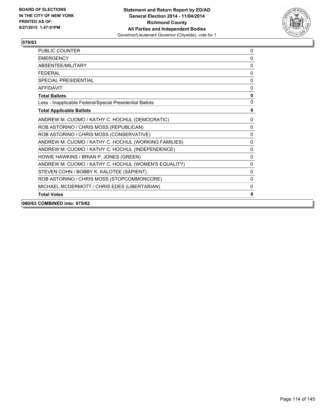

| 080/63 COMBINED into: 075/62                             |              |
|----------------------------------------------------------|--------------|
| <b>Total Votes</b>                                       | 0            |
| MICHAEL MCDERMOTT / CHRIS EDES (LIBERTARIAN)             | 0            |
| ROB ASTORINO / CHRIS MOSS (STOPCOMMONCORE)               | 0            |
| STEVEN COHN / BOBBY K. KALOTEE (SAPIENT)                 | $\mathbf{0}$ |
| ANDREW M. CUOMO / KATHY C. HOCHUL (WOMEN'S EQUALITY)     | $\mathbf{0}$ |
| HOWIE HAWKINS / BRIAN P. JONES (GREEN)                   | $\mathbf{0}$ |
| ANDREW M. CUOMO / KATHY C. HOCHUL (INDEPENDENCE)         | 0            |
| ANDREW M. CUOMO / KATHY C. HOCHUL (WORKING FAMILIES)     | 0            |
| ROB ASTORINO / CHRIS MOSS (CONSERVATIVE)                 | 0            |
| ROB ASTORINO / CHRIS MOSS (REPUBLICAN)                   | 0            |
| ANDREW M. CUOMO / KATHY C. HOCHUL (DEMOCRATIC)           | $\mathbf{0}$ |
| <b>Total Applicable Ballots</b>                          | 0            |
| Less - Inapplicable Federal/Special Presidential Ballots | 0            |
| <b>Total Ballots</b>                                     | 0            |
| <b>AFFIDAVIT</b>                                         | 0            |
| <b>SPECIAL PRESIDENTIAL</b>                              | 0            |
| <b>FEDERAL</b>                                           | 0            |
| <b>ABSENTEF/MILITARY</b>                                 | 0            |
| <b>EMERGENCY</b>                                         | 0            |
| <b>PUBLIC COUNTER</b>                                    | 0            |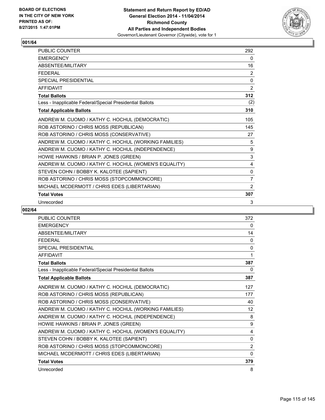

| <b>PUBLIC COUNTER</b>                                    | 292          |
|----------------------------------------------------------|--------------|
| <b>EMERGENCY</b>                                         | 0            |
| ABSENTEE/MILITARY                                        | 16           |
| <b>FEDERAL</b>                                           | 2            |
| <b>SPECIAL PRESIDENTIAL</b>                              | $\Omega$     |
| <b>AFFIDAVIT</b>                                         | 2            |
| <b>Total Ballots</b>                                     | 312          |
| Less - Inapplicable Federal/Special Presidential Ballots | (2)          |
| <b>Total Applicable Ballots</b>                          | 310          |
| ANDREW M. CUOMO / KATHY C. HOCHUL (DEMOCRATIC)           | 105          |
| ROB ASTORINO / CHRIS MOSS (REPUBLICAN)                   | 145          |
| ROB ASTORINO / CHRIS MOSS (CONSERVATIVE)                 | 27           |
| ANDREW M. CUOMO / KATHY C. HOCHUL (WORKING FAMILIES)     | 5            |
| ANDREW M. CUOMO / KATHY C. HOCHUL (INDEPENDENCE)         | 9            |
| HOWIE HAWKINS / BRIAN P. JONES (GREEN)                   | 3            |
| ANDREW M. CUOMO / KATHY C. HOCHUL (WOMEN'S EQUALITY)     | 4            |
| STEVEN COHN / BOBBY K. KALOTEE (SAPIENT)                 | $\mathbf{0}$ |
| ROB ASTORINO / CHRIS MOSS (STOPCOMMONCORE)               | 7            |
| MICHAEL MCDERMOTT / CHRIS EDES (LIBERTARIAN)             | 2            |
| <b>Total Votes</b>                                       | 307          |
| Unrecorded                                               | 3            |

| PUBLIC COUNTER                                           | 372      |
|----------------------------------------------------------|----------|
| <b>EMERGENCY</b>                                         | 0        |
| ABSENTEE/MILITARY                                        | 14       |
| <b>FEDERAL</b>                                           | $\Omega$ |
| <b>SPECIAL PRESIDENTIAL</b>                              | 0        |
| <b>AFFIDAVIT</b>                                         | 1        |
| <b>Total Ballots</b>                                     | 387      |
| Less - Inapplicable Federal/Special Presidential Ballots | 0        |
| <b>Total Applicable Ballots</b>                          | 387      |
| ANDREW M. CUOMO / KATHY C. HOCHUL (DEMOCRATIC)           | 127      |
| ROB ASTORINO / CHRIS MOSS (REPUBLICAN)                   | 177      |
| ROB ASTORINO / CHRIS MOSS (CONSERVATIVE)                 | 40       |
| ANDREW M. CUOMO / KATHY C. HOCHUL (WORKING FAMILIES)     | 12       |
| ANDREW M. CUOMO / KATHY C. HOCHUL (INDEPENDENCE)         | 8        |
| HOWIE HAWKINS / BRIAN P. JONES (GREEN)                   | 9        |
| ANDREW M. CUOMO / KATHY C. HOCHUL (WOMEN'S EQUALITY)     | 4        |
| STEVEN COHN / BOBBY K. KALOTEE (SAPIENT)                 | 0        |
| ROB ASTORINO / CHRIS MOSS (STOPCOMMONCORE)               | 2        |
| MICHAEL MCDERMOTT / CHRIS EDES (LIBERTARIAN)             | 0        |
| <b>Total Votes</b>                                       | 379      |
| Unrecorded                                               | 8        |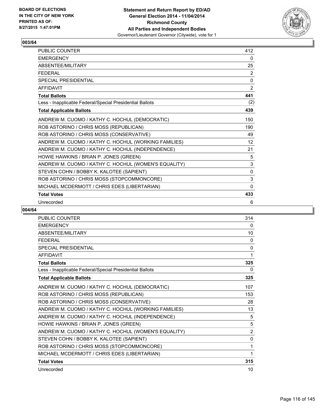

| PUBLIC COUNTER                                           | 412               |
|----------------------------------------------------------|-------------------|
| <b>EMERGENCY</b>                                         | 0                 |
| ABSENTEE/MILITARY                                        | 25                |
| <b>FEDERAL</b>                                           | 2                 |
| <b>SPECIAL PRESIDENTIAL</b>                              | 0                 |
| <b>AFFIDAVIT</b>                                         | $\overline{2}$    |
| <b>Total Ballots</b>                                     | 441               |
| Less - Inapplicable Federal/Special Presidential Ballots | (2)               |
| <b>Total Applicable Ballots</b>                          | 439               |
| ANDREW M. CUOMO / KATHY C. HOCHUL (DEMOCRATIC)           | 150               |
| ROB ASTORINO / CHRIS MOSS (REPUBLICAN)                   | 190               |
| ROB ASTORINO / CHRIS MOSS (CONSERVATIVE)                 | 49                |
| ANDREW M. CUOMO / KATHY C. HOCHUL (WORKING FAMILIES)     | $12 \overline{ }$ |
| ANDREW M. CUOMO / KATHY C. HOCHUL (INDEPENDENCE)         | 21                |
| HOWIE HAWKINS / BRIAN P. JONES (GREEN)                   | 5                 |
| ANDREW M. CUOMO / KATHY C. HOCHUL (WOMEN'S EQUALITY)     | 3                 |
| STEVEN COHN / BOBBY K. KALOTEE (SAPIENT)                 | $\mathbf{0}$      |
| ROB ASTORINO / CHRIS MOSS (STOPCOMMONCORE)               | 3                 |
| MICHAEL MCDERMOTT / CHRIS EDES (LIBERTARIAN)             | $\Omega$          |
| <b>Total Votes</b>                                       | 433               |
| Unrecorded                                               | 6                 |

| <b>PUBLIC COUNTER</b>                                    | 314            |
|----------------------------------------------------------|----------------|
| <b>EMERGENCY</b>                                         | 0              |
| ABSENTEE/MILITARY                                        | 10             |
| <b>FFDFRAI</b>                                           | 0              |
| <b>SPECIAL PRESIDENTIAL</b>                              | 0              |
| <b>AFFIDAVIT</b>                                         | 1              |
| <b>Total Ballots</b>                                     | 325            |
| Less - Inapplicable Federal/Special Presidential Ballots | 0              |
| <b>Total Applicable Ballots</b>                          | 325            |
| ANDREW M. CUOMO / KATHY C. HOCHUL (DEMOCRATIC)           | 107            |
| ROB ASTORINO / CHRIS MOSS (REPUBLICAN)                   | 153            |
| ROB ASTORINO / CHRIS MOSS (CONSERVATIVE)                 | 28             |
| ANDREW M. CUOMO / KATHY C. HOCHUL (WORKING FAMILIES)     | 13             |
| ANDREW M. CUOMO / KATHY C. HOCHUL (INDEPENDENCE)         | 5              |
| HOWIE HAWKINS / BRIAN P. JONES (GREEN)                   | 5              |
| ANDREW M. CUOMO / KATHY C. HOCHUL (WOMEN'S EQUALITY)     | $\overline{2}$ |
| STEVEN COHN / BOBBY K. KALOTEE (SAPIENT)                 | 0              |
| ROB ASTORINO / CHRIS MOSS (STOPCOMMONCORE)               | 1              |
| MICHAEL MCDERMOTT / CHRIS EDES (LIBERTARIAN)             | 1              |
| <b>Total Votes</b>                                       | 315            |
| Unrecorded                                               | 10             |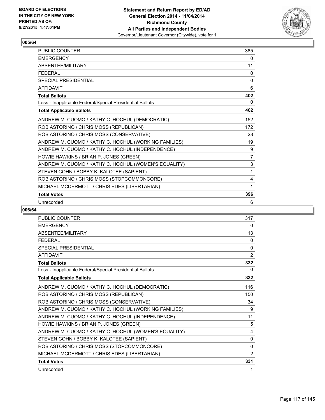

| <b>PUBLIC COUNTER</b>                                    | 385            |
|----------------------------------------------------------|----------------|
| <b>EMERGENCY</b>                                         | 0              |
| ABSENTEE/MILITARY                                        | 11             |
| <b>FEDERAL</b>                                           | 0              |
| <b>SPECIAL PRESIDENTIAL</b>                              | $\mathbf{0}$   |
| <b>AFFIDAVIT</b>                                         | 6              |
| <b>Total Ballots</b>                                     | 402            |
| Less - Inapplicable Federal/Special Presidential Ballots | 0              |
| <b>Total Applicable Ballots</b>                          | 402            |
| ANDREW M. CUOMO / KATHY C. HOCHUL (DEMOCRATIC)           | 152            |
| ROB ASTORINO / CHRIS MOSS (REPUBLICAN)                   | 172            |
| ROB ASTORINO / CHRIS MOSS (CONSERVATIVE)                 | 28             |
| ANDREW M. CUOMO / KATHY C. HOCHUL (WORKING FAMILIES)     | 19             |
| ANDREW M. CUOMO / KATHY C. HOCHUL (INDEPENDENCE)         | 9              |
| HOWIE HAWKINS / BRIAN P. JONES (GREEN)                   | $\overline{7}$ |
| ANDREW M. CUOMO / KATHY C. HOCHUL (WOMEN'S EQUALITY)     | 3              |
| STEVEN COHN / BOBBY K. KALOTEE (SAPIENT)                 | 1              |
| ROB ASTORINO / CHRIS MOSS (STOPCOMMONCORE)               | 4              |
| MICHAEL MCDERMOTT / CHRIS EDES (LIBERTARIAN)             | 1              |
| <b>Total Votes</b>                                       | 396            |
| Unrecorded                                               | 6              |

| <b>PUBLIC COUNTER</b>                                    | 317            |
|----------------------------------------------------------|----------------|
| <b>EMERGENCY</b>                                         | 0              |
| ABSENTEE/MILITARY                                        | 13             |
| <b>FEDERAL</b>                                           | 0              |
| <b>SPECIAL PRESIDENTIAL</b>                              | 0              |
| <b>AFFIDAVIT</b>                                         | $\overline{2}$ |
| <b>Total Ballots</b>                                     | 332            |
| Less - Inapplicable Federal/Special Presidential Ballots | 0              |
| <b>Total Applicable Ballots</b>                          | 332            |
| ANDREW M. CUOMO / KATHY C. HOCHUL (DEMOCRATIC)           | 116            |
| ROB ASTORINO / CHRIS MOSS (REPUBLICAN)                   | 150            |
| ROB ASTORINO / CHRIS MOSS (CONSERVATIVE)                 | 34             |
| ANDREW M. CUOMO / KATHY C. HOCHUL (WORKING FAMILIES)     | 9              |
| ANDREW M. CUOMO / KATHY C. HOCHUL (INDEPENDENCE)         | 11             |
| HOWIE HAWKINS / BRIAN P. JONES (GREEN)                   | 5              |
| ANDREW M. CUOMO / KATHY C. HOCHUL (WOMEN'S EQUALITY)     | 4              |
| STEVEN COHN / BOBBY K. KALOTEE (SAPIENT)                 | 0              |
| ROB ASTORINO / CHRIS MOSS (STOPCOMMONCORE)               | $\Omega$       |
| MICHAEL MCDERMOTT / CHRIS EDES (LIBERTARIAN)             | 2              |
| <b>Total Votes</b>                                       | 331            |
| Unrecorded                                               | 1              |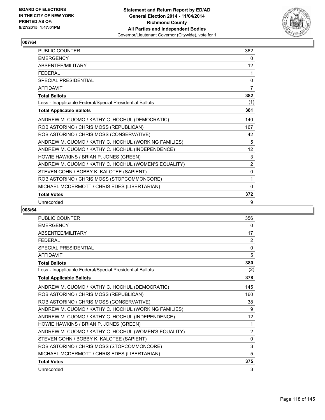

| PUBLIC COUNTER                                           | 362               |
|----------------------------------------------------------|-------------------|
| <b>EMERGENCY</b>                                         | 0                 |
| ABSENTEE/MILITARY                                        | $12 \overline{ }$ |
| <b>FEDERAL</b>                                           | 1                 |
| <b>SPECIAL PRESIDENTIAL</b>                              | $\mathbf{0}$      |
| <b>AFFIDAVIT</b>                                         | $\overline{7}$    |
| <b>Total Ballots</b>                                     | 382               |
| Less - Inapplicable Federal/Special Presidential Ballots | (1)               |
| <b>Total Applicable Ballots</b>                          | 381               |
| ANDREW M. CUOMO / KATHY C. HOCHUL (DEMOCRATIC)           | 140               |
| ROB ASTORINO / CHRIS MOSS (REPUBLICAN)                   | 167               |
| ROB ASTORINO / CHRIS MOSS (CONSERVATIVE)                 | 42                |
| ANDREW M. CUOMO / KATHY C. HOCHUL (WORKING FAMILIES)     | 5                 |
| ANDREW M. CUOMO / KATHY C. HOCHUL (INDEPENDENCE)         | 12                |
| HOWIE HAWKINS / BRIAN P. JONES (GREEN)                   | 3                 |
| ANDREW M. CUOMO / KATHY C. HOCHUL (WOMEN'S EQUALITY)     | 2                 |
| STEVEN COHN / BOBBY K. KALOTEE (SAPIENT)                 | 0                 |
| ROB ASTORINO / CHRIS MOSS (STOPCOMMONCORE)               | 1                 |
| MICHAEL MCDERMOTT / CHRIS EDES (LIBERTARIAN)             | $\mathbf{0}$      |
| <b>Total Votes</b>                                       | 372               |
| Unrecorded                                               | 9                 |

| PUBLIC COUNTER                                           | 356               |
|----------------------------------------------------------|-------------------|
| <b>EMERGENCY</b>                                         | 0                 |
| <b>ABSENTEE/MILITARY</b>                                 | 17                |
| <b>FEDERAL</b>                                           | 2                 |
| <b>SPECIAL PRESIDENTIAL</b>                              | $\mathbf 0$       |
| <b>AFFIDAVIT</b>                                         | 5                 |
| <b>Total Ballots</b>                                     | 380               |
| Less - Inapplicable Federal/Special Presidential Ballots | (2)               |
| <b>Total Applicable Ballots</b>                          | 378               |
| ANDREW M. CUOMO / KATHY C. HOCHUL (DEMOCRATIC)           | 145               |
| ROB ASTORINO / CHRIS MOSS (REPUBLICAN)                   | 160               |
| ROB ASTORINO / CHRIS MOSS (CONSERVATIVE)                 | 38                |
| ANDREW M. CUOMO / KATHY C. HOCHUL (WORKING FAMILIES)     | 9                 |
| ANDREW M. CUOMO / KATHY C. HOCHUL (INDEPENDENCE)         | $12 \overline{ }$ |
| HOWIE HAWKINS / BRIAN P. JONES (GREEN)                   | 1                 |
| ANDREW M. CUOMO / KATHY C. HOCHUL (WOMEN'S EQUALITY)     | $\overline{2}$    |
| STEVEN COHN / BOBBY K. KALOTEE (SAPIENT)                 | 0                 |
| ROB ASTORINO / CHRIS MOSS (STOPCOMMONCORE)               | 3                 |
| MICHAEL MCDERMOTT / CHRIS EDES (LIBERTARIAN)             | 5                 |
| <b>Total Votes</b>                                       | 375               |
| Unrecorded                                               | 3                 |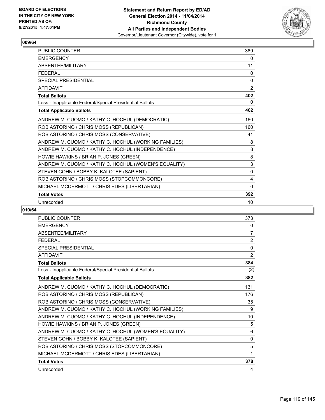

| <b>PUBLIC COUNTER</b>                                    | 389          |
|----------------------------------------------------------|--------------|
| <b>EMERGENCY</b>                                         | 0            |
| ABSENTEE/MILITARY                                        | 11           |
| <b>FEDERAL</b>                                           | 0            |
| <b>SPECIAL PRESIDENTIAL</b>                              | $\mathbf{0}$ |
| <b>AFFIDAVIT</b>                                         | 2            |
| <b>Total Ballots</b>                                     | 402          |
| Less - Inapplicable Federal/Special Presidential Ballots | 0            |
| <b>Total Applicable Ballots</b>                          | 402          |
| ANDREW M. CUOMO / KATHY C. HOCHUL (DEMOCRATIC)           | 160          |
| ROB ASTORINO / CHRIS MOSS (REPUBLICAN)                   | 160          |
| ROB ASTORINO / CHRIS MOSS (CONSERVATIVE)                 | 41           |
| ANDREW M. CUOMO / KATHY C. HOCHUL (WORKING FAMILIES)     | 8            |
| ANDREW M. CUOMO / KATHY C. HOCHUL (INDEPENDENCE)         | 8            |
| HOWIE HAWKINS / BRIAN P. JONES (GREEN)                   | 8            |
| ANDREW M. CUOMO / KATHY C. HOCHUL (WOMEN'S EQUALITY)     | 3            |
| STEVEN COHN / BOBBY K. KALOTEE (SAPIENT)                 | 0            |
| ROB ASTORINO / CHRIS MOSS (STOPCOMMONCORE)               | 4            |
| MICHAEL MCDERMOTT / CHRIS EDES (LIBERTARIAN)             | $\mathbf{0}$ |
| <b>Total Votes</b>                                       | 392          |
| Unrecorded                                               | 10           |

| PUBLIC COUNTER                                           | 373         |
|----------------------------------------------------------|-------------|
| <b>EMERGENCY</b>                                         | 0           |
| <b>ABSENTEE/MILITARY</b>                                 | 7           |
| <b>FEDERAL</b>                                           | 2           |
| <b>SPECIAL PRESIDENTIAL</b>                              | $\mathbf 0$ |
| <b>AFFIDAVIT</b>                                         | 2           |
| <b>Total Ballots</b>                                     | 384         |
| Less - Inapplicable Federal/Special Presidential Ballots | (2)         |
| <b>Total Applicable Ballots</b>                          | 382         |
| ANDREW M. CUOMO / KATHY C. HOCHUL (DEMOCRATIC)           | 131         |
| ROB ASTORINO / CHRIS MOSS (REPUBLICAN)                   | 176         |
| ROB ASTORINO / CHRIS MOSS (CONSERVATIVE)                 | 35          |
| ANDREW M. CUOMO / KATHY C. HOCHUL (WORKING FAMILIES)     | 9           |
| ANDREW M. CUOMO / KATHY C. HOCHUL (INDEPENDENCE)         | 10          |
| HOWIE HAWKINS / BRIAN P. JONES (GREEN)                   | 5           |
| ANDREW M. CUOMO / KATHY C. HOCHUL (WOMEN'S EQUALITY)     | 6           |
| STEVEN COHN / BOBBY K. KALOTEE (SAPIENT)                 | 0           |
| ROB ASTORINO / CHRIS MOSS (STOPCOMMONCORE)               | 5           |
| MICHAEL MCDERMOTT / CHRIS EDES (LIBERTARIAN)             | 1           |
| <b>Total Votes</b>                                       | 378         |
| Unrecorded                                               | 4           |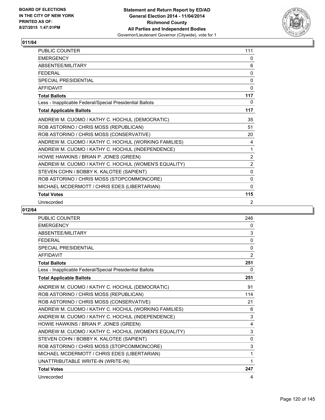

| <b>PUBLIC COUNTER</b>                                    | 111            |
|----------------------------------------------------------|----------------|
| <b>EMERGENCY</b>                                         | 0              |
| ABSENTEE/MILITARY                                        | 6              |
| <b>FEDERAL</b>                                           | 0              |
| <b>SPECIAL PRESIDENTIAL</b>                              | 0              |
| <b>AFFIDAVIT</b>                                         | 0              |
| <b>Total Ballots</b>                                     | 117            |
| Less - Inapplicable Federal/Special Presidential Ballots | 0              |
| <b>Total Applicable Ballots</b>                          | 117            |
| ANDREW M. CUOMO / KATHY C. HOCHUL (DEMOCRATIC)           | 35             |
| ROB ASTORINO / CHRIS MOSS (REPUBLICAN)                   | 51             |
| ROB ASTORINO / CHRIS MOSS (CONSERVATIVE)                 | 20             |
| ANDREW M. CUOMO / KATHY C. HOCHUL (WORKING FAMILIES)     | 4              |
| ANDREW M. CUOMO / KATHY C. HOCHUL (INDEPENDENCE)         | 1              |
| HOWIE HAWKINS / BRIAN P. JONES (GREEN)                   | $\overline{2}$ |
| ANDREW M. CUOMO / KATHY C. HOCHUL (WOMEN'S EQUALITY)     | $\overline{2}$ |
| STEVEN COHN / BOBBY K. KALOTEE (SAPIENT)                 | 0              |
| ROB ASTORINO / CHRIS MOSS (STOPCOMMONCORE)               | $\Omega$       |
| MICHAEL MCDERMOTT / CHRIS EDES (LIBERTARIAN)             | $\mathbf{0}$   |
| <b>Total Votes</b>                                       | 115            |
| Unrecorded                                               | 2              |

| <b>PUBLIC COUNTER</b>                                    | 246      |
|----------------------------------------------------------|----------|
| <b>EMERGENCY</b>                                         | 0        |
| ABSENTEE/MILITARY                                        | 3        |
| <b>FEDERAL</b>                                           | 0        |
| SPECIAL PRESIDENTIAL                                     | $\Omega$ |
| <b>AFFIDAVIT</b>                                         | 2        |
| <b>Total Ballots</b>                                     | 251      |
| Less - Inapplicable Federal/Special Presidential Ballots | 0        |
| <b>Total Applicable Ballots</b>                          | 251      |
| ANDREW M. CUOMO / KATHY C. HOCHUL (DEMOCRATIC)           | 91       |
| ROB ASTORINO / CHRIS MOSS (REPUBLICAN)                   | 114      |
| ROB ASTORINO / CHRIS MOSS (CONSERVATIVE)                 | 21       |
| ANDREW M. CUOMO / KATHY C. HOCHUL (WORKING FAMILIES)     | 6        |
| ANDREW M. CUOMO / KATHY C. HOCHUL (INDEPENDENCE)         | 3        |
| HOWIE HAWKINS / BRIAN P. JONES (GREEN)                   | 4        |
| ANDREW M. CUOMO / KATHY C. HOCHUL (WOMEN'S EQUALITY)     | 3        |
| STEVEN COHN / BOBBY K. KALOTEE (SAPIENT)                 | 0        |
| ROB ASTORINO / CHRIS MOSS (STOPCOMMONCORE)               | 3        |
| MICHAEL MCDERMOTT / CHRIS EDES (LIBERTARIAN)             | 1        |
| UNATTRIBUTABLE WRITE-IN (WRITE-IN)                       | 1        |
| <b>Total Votes</b>                                       | 247      |
| Unrecorded                                               | 4        |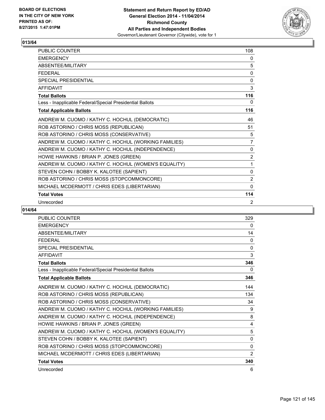

| <b>PUBLIC COUNTER</b>                                    | 108            |
|----------------------------------------------------------|----------------|
| <b>EMERGENCY</b>                                         | 0              |
| ABSENTEE/MILITARY                                        | 5              |
| <b>FEDERAL</b>                                           | 0              |
| <b>SPECIAL PRESIDENTIAL</b>                              | 0              |
| <b>AFFIDAVIT</b>                                         | 3              |
| <b>Total Ballots</b>                                     | 116            |
| Less - Inapplicable Federal/Special Presidential Ballots | 0              |
| <b>Total Applicable Ballots</b>                          | 116            |
| ANDREW M. CUOMO / KATHY C. HOCHUL (DEMOCRATIC)           | 46             |
| ROB ASTORINO / CHRIS MOSS (REPUBLICAN)                   | 51             |
| ROB ASTORINO / CHRIS MOSS (CONSERVATIVE)                 | 5              |
| ANDREW M. CUOMO / KATHY C. HOCHUL (WORKING FAMILIES)     | $\overline{7}$ |
| ANDREW M. CUOMO / KATHY C. HOCHUL (INDEPENDENCE)         | 0              |
| HOWIE HAWKINS / BRIAN P. JONES (GREEN)                   | $\overline{2}$ |
| ANDREW M. CUOMO / KATHY C. HOCHUL (WOMEN'S EQUALITY)     | 1              |
| STEVEN COHN / BOBBY K. KALOTEE (SAPIENT)                 | 0              |
| ROB ASTORINO / CHRIS MOSS (STOPCOMMONCORE)               | $\overline{2}$ |
| MICHAEL MCDERMOTT / CHRIS EDES (LIBERTARIAN)             | $\Omega$       |
| <b>Total Votes</b>                                       | 114            |
| Unrecorded                                               | 2              |

| PUBLIC COUNTER                                           | 329            |
|----------------------------------------------------------|----------------|
| <b>EMERGENCY</b>                                         | 0              |
| <b>ABSENTEE/MILITARY</b>                                 | 14             |
| <b>FEDERAL</b>                                           | $\Omega$       |
| <b>SPECIAL PRESIDENTIAL</b>                              | 0              |
| <b>AFFIDAVIT</b>                                         | 3              |
| <b>Total Ballots</b>                                     | 346            |
| Less - Inapplicable Federal/Special Presidential Ballots | 0              |
| <b>Total Applicable Ballots</b>                          | 346            |
| ANDREW M. CUOMO / KATHY C. HOCHUL (DEMOCRATIC)           | 144            |
| ROB ASTORINO / CHRIS MOSS (REPUBLICAN)                   | 134            |
| ROB ASTORINO / CHRIS MOSS (CONSERVATIVE)                 | 34             |
| ANDREW M. CUOMO / KATHY C. HOCHUL (WORKING FAMILIES)     | 9              |
| ANDREW M. CUOMO / KATHY C. HOCHUL (INDEPENDENCE)         | 8              |
| HOWIE HAWKINS / BRIAN P. JONES (GREEN)                   | 4              |
| ANDREW M. CUOMO / KATHY C. HOCHUL (WOMEN'S EQUALITY)     | 5              |
| STEVEN COHN / BOBBY K. KALOTEE (SAPIENT)                 | 0              |
| ROB ASTORINO / CHRIS MOSS (STOPCOMMONCORE)               | $\Omega$       |
| MICHAEL MCDERMOTT / CHRIS EDES (LIBERTARIAN)             | $\overline{2}$ |
| <b>Total Votes</b>                                       | 340            |
| Unrecorded                                               | 6              |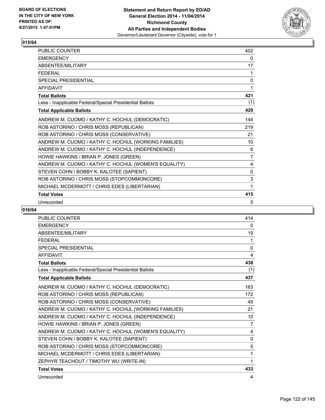

| PUBLIC COUNTER                                           | 402            |
|----------------------------------------------------------|----------------|
| <b>EMERGENCY</b>                                         | 0              |
| ABSENTEE/MILITARY                                        | 17             |
| <b>FEDERAL</b>                                           | 1              |
| <b>SPECIAL PRESIDENTIAL</b>                              | 0              |
| <b>AFFIDAVIT</b>                                         | 1              |
| <b>Total Ballots</b>                                     | 421            |
| Less - Inapplicable Federal/Special Presidential Ballots | (1)            |
| <b>Total Applicable Ballots</b>                          | 420            |
| ANDREW M. CUOMO / KATHY C. HOCHUL (DEMOCRATIC)           | 144            |
| ROB ASTORINO / CHRIS MOSS (REPUBLICAN)                   | 219            |
| ROB ASTORINO / CHRIS MOSS (CONSERVATIVE)                 | 21             |
| ANDREW M. CUOMO / KATHY C. HOCHUL (WORKING FAMILIES)     | 10             |
| ANDREW M. CUOMO / KATHY C. HOCHUL (INDEPENDENCE)         | 6              |
| HOWIE HAWKINS / BRIAN P. JONES (GREEN)                   | $\overline{7}$ |
| ANDREW M. CUOMO / KATHY C. HOCHUL (WOMEN'S EQUALITY)     | 4              |
| STEVEN COHN / BOBBY K. KALOTEE (SAPIENT)                 | 0              |
| ROB ASTORINO / CHRIS MOSS (STOPCOMMONCORE)               | 3              |
| MICHAEL MCDERMOTT / CHRIS EDES (LIBERTARIAN)             | 1              |
| <b>Total Votes</b>                                       | 415            |
| Unrecorded                                               | 5              |

| <b>PUBLIC COUNTER</b>                                    | 414          |
|----------------------------------------------------------|--------------|
| <b>EMERGENCY</b>                                         | $\mathbf{0}$ |
| ABSENTEE/MILITARY                                        | 19           |
| <b>FEDERAL</b>                                           | 1            |
| <b>SPECIAL PRESIDENTIAL</b>                              | 0            |
| <b>AFFIDAVIT</b>                                         | 4            |
| <b>Total Ballots</b>                                     | 438          |
| Less - Inapplicable Federal/Special Presidential Ballots | (1)          |
| <b>Total Applicable Ballots</b>                          | 437          |
| ANDREW M. CUOMO / KATHY C. HOCHUL (DEMOCRATIC)           | 163          |
| ROB ASTORINO / CHRIS MOSS (REPUBLICAN)                   | 172          |
| ROB ASTORINO / CHRIS MOSS (CONSERVATIVE)                 | 49           |
| ANDREW M. CUOMO / KATHY C. HOCHUL (WORKING FAMILIES)     | 21           |
| ANDREW M. CUOMO / KATHY C. HOCHUL (INDEPENDENCE)         | 10           |
| HOWIE HAWKINS / BRIAN P. JONES (GREEN)                   | 7            |
| ANDREW M. CUOMO / KATHY C. HOCHUL (WOMEN'S EQUALITY)     | 4            |
| STEVEN COHN / BOBBY K. KALOTEE (SAPIENT)                 | 0            |
| ROB ASTORINO / CHRIS MOSS (STOPCOMMONCORE)               | 5            |
| MICHAEL MCDERMOTT / CHRIS EDES (LIBERTARIAN)             | 1            |
| ZEPHYR TEACHOUT / TIMOTHY WU (WRITE-IN)                  | 1            |
| <b>Total Votes</b>                                       | 433          |
| Unrecorded                                               | 4            |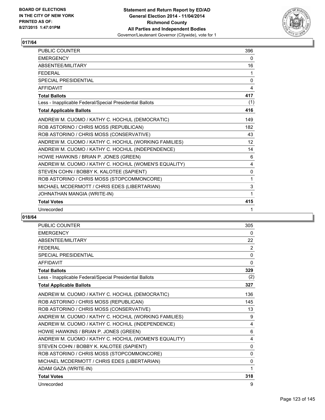

| PUBLIC COUNTER                                           | 396 |
|----------------------------------------------------------|-----|
| <b>EMERGENCY</b>                                         | 0   |
| <b>ABSENTFF/MILITARY</b>                                 | 16  |
| <b>FFDFRAL</b>                                           | 1   |
| <b>SPECIAL PRESIDENTIAL</b>                              | 0   |
| <b>AFFIDAVIT</b>                                         | 4   |
| <b>Total Ballots</b>                                     | 417 |
| Less - Inapplicable Federal/Special Presidential Ballots | (1) |
| <b>Total Applicable Ballots</b>                          | 416 |
| ANDREW M. CUOMO / KATHY C. HOCHUL (DEMOCRATIC)           | 149 |
| ROB ASTORINO / CHRIS MOSS (REPUBLICAN)                   | 182 |
| ROB ASTORINO / CHRIS MOSS (CONSERVATIVE)                 | 43  |
| ANDREW M. CUOMO / KATHY C. HOCHUL (WORKING FAMILIES)     | 12  |
| ANDREW M. CUOMO / KATHY C. HOCHUL (INDEPENDENCE)         | 14  |
| HOWIE HAWKINS / BRIAN P. JONES (GREEN)                   | 6   |
| ANDREW M. CUOMO / KATHY C. HOCHUL (WOMEN'S EQUALITY)     | 4   |
| STEVEN COHN / BOBBY K. KALOTEE (SAPIENT)                 | 0   |
| ROB ASTORINO / CHRIS MOSS (STOPCOMMONCORE)               | 1   |
| MICHAEL MCDERMOTT / CHRIS EDES (LIBERTARIAN)             | 3   |
| JOHNATHAN MANGIA (WRITE-IN)                              | 1   |
| <b>Total Votes</b>                                       | 415 |
| Unrecorded                                               | 1   |

| <b>PUBLIC COUNTER</b>                                    | 305          |
|----------------------------------------------------------|--------------|
| <b>EMERGENCY</b>                                         | 0            |
| ABSENTEE/MILITARY                                        | 22           |
| <b>FFDFRAL</b>                                           | 2            |
| <b>SPECIAL PRESIDENTIAL</b>                              | 0            |
| <b>AFFIDAVIT</b>                                         | 0            |
| <b>Total Ballots</b>                                     | 329          |
| Less - Inapplicable Federal/Special Presidential Ballots | (2)          |
| <b>Total Applicable Ballots</b>                          | 327          |
| ANDREW M. CUOMO / KATHY C. HOCHUL (DEMOCRATIC)           | 136          |
| ROB ASTORINO / CHRIS MOSS (REPUBLICAN)                   | 145          |
| ROB ASTORINO / CHRIS MOSS (CONSERVATIVE)                 | 13           |
| ANDREW M. CUOMO / KATHY C. HOCHUL (WORKING FAMILIES)     | 9            |
| ANDREW M. CUOMO / KATHY C. HOCHUL (INDEPENDENCE)         | 4            |
| HOWIE HAWKINS / BRIAN P. JONES (GREEN)                   | 6            |
| ANDREW M. CUOMO / KATHY C. HOCHUL (WOMEN'S EQUALITY)     | 4            |
| STEVEN COHN / BOBBY K. KALOTEE (SAPIENT)                 | 0            |
| ROB ASTORINO / CHRIS MOSS (STOPCOMMONCORE)               | $\mathbf{0}$ |
| MICHAEL MCDERMOTT / CHRIS EDES (LIBERTARIAN)             | $\mathbf{0}$ |
| ADAM GAZA (WRITE-IN)                                     | 1            |
| <b>Total Votes</b>                                       | 318          |
| Unrecorded                                               | 9            |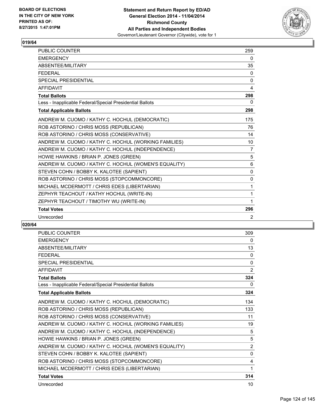

| PUBLIC COUNTER                                           | 259            |
|----------------------------------------------------------|----------------|
| <b>EMERGENCY</b>                                         | 0              |
| ABSENTEE/MILITARY                                        | 35             |
| <b>FEDERAL</b>                                           | 0              |
| <b>SPECIAL PRESIDENTIAL</b>                              | 0              |
| <b>AFFIDAVIT</b>                                         | 4              |
| <b>Total Ballots</b>                                     | 298            |
| Less - Inapplicable Federal/Special Presidential Ballots | $\Omega$       |
| <b>Total Applicable Ballots</b>                          | 298            |
| ANDREW M. CUOMO / KATHY C. HOCHUL (DEMOCRATIC)           | 175            |
| ROB ASTORINO / CHRIS MOSS (REPUBLICAN)                   | 76             |
| ROB ASTORINO / CHRIS MOSS (CONSERVATIVE)                 | 14             |
| ANDREW M. CUOMO / KATHY C. HOCHUL (WORKING FAMILIES)     | 10             |
| ANDREW M. CUOMO / KATHY C. HOCHUL (INDEPENDENCE)         | $\overline{7}$ |
| HOWIE HAWKINS / BRIAN P. JONES (GREEN)                   | 5              |
| ANDREW M. CUOMO / KATHY C. HOCHUL (WOMEN'S EQUALITY)     | 6              |
| STEVEN COHN / BOBBY K. KALOTEE (SAPIENT)                 | $\mathbf{0}$   |
| ROB ASTORINO / CHRIS MOSS (STOPCOMMONCORE)               | 0              |
| MICHAEL MCDERMOTT / CHRIS EDES (LIBERTARIAN)             | 1              |
| ZEPHYR TEACHOUT / KATHY HOCHUL (WRITE-IN)                | 1              |
| ZEPHYR TEACHOUT / TIMOTHY WU (WRITE-IN)                  | 1              |
| <b>Total Votes</b>                                       | 296            |
| Unrecorded                                               | 2              |

| <b>PUBLIC COUNTER</b>                                    | 309            |
|----------------------------------------------------------|----------------|
| <b>EMERGENCY</b>                                         | 0              |
| <b>ABSENTEE/MILITARY</b>                                 | 13             |
| <b>FEDERAL</b>                                           | 0              |
| <b>SPECIAL PRESIDENTIAL</b>                              | $\mathbf{0}$   |
| <b>AFFIDAVIT</b>                                         | $\overline{2}$ |
| <b>Total Ballots</b>                                     | 324            |
| Less - Inapplicable Federal/Special Presidential Ballots | 0              |
| <b>Total Applicable Ballots</b>                          | 324            |
| ANDREW M. CUOMO / KATHY C. HOCHUL (DEMOCRATIC)           | 134            |
| ROB ASTORINO / CHRIS MOSS (REPUBLICAN)                   | 133            |
| ROB ASTORINO / CHRIS MOSS (CONSERVATIVE)                 | 11             |
| ANDREW M. CUOMO / KATHY C. HOCHUL (WORKING FAMILIES)     | 19             |
| ANDREW M. CUOMO / KATHY C. HOCHUL (INDEPENDENCE)         | 5              |
| HOWIE HAWKINS / BRIAN P. JONES (GREEN)                   | 5              |
| ANDREW M. CUOMO / KATHY C. HOCHUL (WOMEN'S EQUALITY)     | $\overline{2}$ |
| STEVEN COHN / BOBBY K. KALOTEE (SAPIENT)                 | $\mathbf{0}$   |
| ROB ASTORINO / CHRIS MOSS (STOPCOMMONCORE)               | 4              |
| MICHAEL MCDERMOTT / CHRIS EDES (LIBERTARIAN)             | 1              |
| <b>Total Votes</b>                                       | 314            |
| Unrecorded                                               | 10             |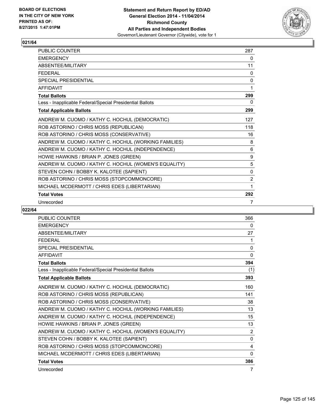

| <b>PUBLIC COUNTER</b>                                    | 287            |
|----------------------------------------------------------|----------------|
| <b>EMERGENCY</b>                                         | 0              |
| ABSENTEE/MILITARY                                        | 11             |
| <b>FEDERAL</b>                                           | 0              |
| <b>SPECIAL PRESIDENTIAL</b>                              | 0              |
| <b>AFFIDAVIT</b>                                         | 1              |
| <b>Total Ballots</b>                                     | 299            |
| Less - Inapplicable Federal/Special Presidential Ballots | 0              |
| <b>Total Applicable Ballots</b>                          | 299            |
| ANDREW M. CUOMO / KATHY C. HOCHUL (DEMOCRATIC)           | 127            |
| ROB ASTORINO / CHRIS MOSS (REPUBLICAN)                   | 118            |
| ROB ASTORINO / CHRIS MOSS (CONSERVATIVE)                 | 16             |
| ANDREW M. CUOMO / KATHY C. HOCHUL (WORKING FAMILIES)     | 8              |
| ANDREW M. CUOMO / KATHY C. HOCHUL (INDEPENDENCE)         | 6              |
| HOWIE HAWKINS / BRIAN P. JONES (GREEN)                   | 9              |
| ANDREW M. CUOMO / KATHY C. HOCHUL (WOMEN'S EQUALITY)     | 5              |
| STEVEN COHN / BOBBY K. KALOTEE (SAPIENT)                 | $\mathbf{0}$   |
| ROB ASTORINO / CHRIS MOSS (STOPCOMMONCORE)               | $\overline{2}$ |
| MICHAEL MCDERMOTT / CHRIS EDES (LIBERTARIAN)             | 1              |
| <b>Total Votes</b>                                       | 292            |
| Unrecorded                                               | 7              |

| PUBLIC COUNTER                                           | 366            |
|----------------------------------------------------------|----------------|
| <b>EMERGENCY</b>                                         | 0              |
| <b>ABSENTEE/MILITARY</b>                                 | 27             |
| <b>FEDERAL</b>                                           | 1              |
| <b>SPECIAL PRESIDENTIAL</b>                              | $\mathbf 0$    |
| <b>AFFIDAVIT</b>                                         | $\mathbf{0}$   |
| <b>Total Ballots</b>                                     | 394            |
| Less - Inapplicable Federal/Special Presidential Ballots | (1)            |
| <b>Total Applicable Ballots</b>                          | 393            |
| ANDREW M. CUOMO / KATHY C. HOCHUL (DEMOCRATIC)           | 160            |
| ROB ASTORINO / CHRIS MOSS (REPUBLICAN)                   | 141            |
| ROB ASTORINO / CHRIS MOSS (CONSERVATIVE)                 | 38             |
| ANDREW M. CUOMO / KATHY C. HOCHUL (WORKING FAMILIES)     | 13             |
| ANDREW M. CUOMO / KATHY C. HOCHUL (INDEPENDENCE)         | 15             |
| HOWIE HAWKINS / BRIAN P. JONES (GREEN)                   | 13             |
| ANDREW M. CUOMO / KATHY C. HOCHUL (WOMEN'S EQUALITY)     | $\overline{2}$ |
| STEVEN COHN / BOBBY K. KALOTEE (SAPIENT)                 | 0              |
| ROB ASTORINO / CHRIS MOSS (STOPCOMMONCORE)               | 4              |
| MICHAEL MCDERMOTT / CHRIS EDES (LIBERTARIAN)             | 0              |
| <b>Total Votes</b>                                       | 386            |
| Unrecorded                                               | 7              |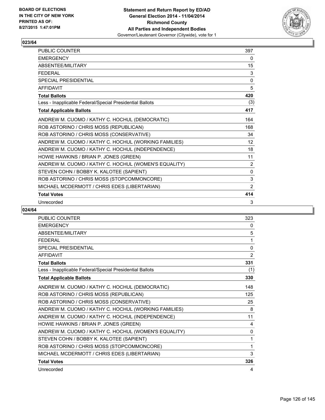

| <b>PUBLIC COUNTER</b>                                    | 397            |
|----------------------------------------------------------|----------------|
| <b>EMERGENCY</b>                                         | 0              |
| ABSENTEE/MILITARY                                        | 15             |
| <b>FEDERAL</b>                                           | 3              |
| <b>SPECIAL PRESIDENTIAL</b>                              | 0              |
| <b>AFFIDAVIT</b>                                         | 5              |
| <b>Total Ballots</b>                                     | 420            |
| Less - Inapplicable Federal/Special Presidential Ballots | (3)            |
| <b>Total Applicable Ballots</b>                          | 417            |
| ANDREW M. CUOMO / KATHY C. HOCHUL (DEMOCRATIC)           | 164            |
| ROB ASTORINO / CHRIS MOSS (REPUBLICAN)                   | 168            |
| ROB ASTORINO / CHRIS MOSS (CONSERVATIVE)                 | 34             |
| ANDREW M. CUOMO / KATHY C. HOCHUL (WORKING FAMILIES)     | 12             |
| ANDREW M. CUOMO / KATHY C. HOCHUL (INDEPENDENCE)         | 18             |
| HOWIE HAWKINS / BRIAN P. JONES (GREEN)                   | 11             |
| ANDREW M. CUOMO / KATHY C. HOCHUL (WOMEN'S EQUALITY)     | $\overline{2}$ |
| STEVEN COHN / BOBBY K. KALOTEE (SAPIENT)                 | 0              |
| ROB ASTORINO / CHRIS MOSS (STOPCOMMONCORE)               | 3              |
| MICHAEL MCDERMOTT / CHRIS EDES (LIBERTARIAN)             | 2              |
| <b>Total Votes</b>                                       | 414            |
| Unrecorded                                               | 3              |

| PUBLIC COUNTER                                           | 323         |
|----------------------------------------------------------|-------------|
| <b>EMERGENCY</b>                                         | 0           |
| ABSENTEE/MILITARY                                        | 5           |
| <b>FEDERAL</b>                                           | 1           |
| <b>SPECIAL PRESIDENTIAL</b>                              | $\mathbf 0$ |
| <b>AFFIDAVIT</b>                                         | 2           |
| <b>Total Ballots</b>                                     | 331         |
| Less - Inapplicable Federal/Special Presidential Ballots | (1)         |
| <b>Total Applicable Ballots</b>                          | 330         |
| ANDREW M. CUOMO / KATHY C. HOCHUL (DEMOCRATIC)           | 148         |
| ROB ASTORINO / CHRIS MOSS (REPUBLICAN)                   | 125         |
| ROB ASTORINO / CHRIS MOSS (CONSERVATIVE)                 | 25          |
| ANDREW M. CUOMO / KATHY C. HOCHUL (WORKING FAMILIES)     | 8           |
| ANDREW M. CUOMO / KATHY C. HOCHUL (INDEPENDENCE)         | 11          |
| HOWIE HAWKINS / BRIAN P. JONES (GREEN)                   | 4           |
| ANDREW M. CUOMO / KATHY C. HOCHUL (WOMEN'S EQUALITY)     | 0           |
| STEVEN COHN / BOBBY K. KALOTEE (SAPIENT)                 | 1           |
| ROB ASTORINO / CHRIS MOSS (STOPCOMMONCORE)               | 1           |
| MICHAEL MCDERMOTT / CHRIS EDES (LIBERTARIAN)             | 3           |
| <b>Total Votes</b>                                       | 326         |
| Unrecorded                                               | 4           |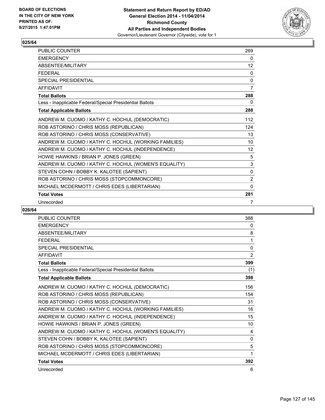

| <b>PUBLIC COUNTER</b>                                    | 269            |
|----------------------------------------------------------|----------------|
| <b>EMERGENCY</b>                                         | 0              |
| ABSENTEE/MILITARY                                        | 12             |
| <b>FEDERAL</b>                                           | 0              |
| <b>SPECIAL PRESIDENTIAL</b>                              | 0              |
| <b>AFFIDAVIT</b>                                         | $\overline{7}$ |
| <b>Total Ballots</b>                                     | 288            |
| Less - Inapplicable Federal/Special Presidential Ballots | 0              |
| <b>Total Applicable Ballots</b>                          | 288            |
| ANDREW M. CUOMO / KATHY C. HOCHUL (DEMOCRATIC)           | 112            |
| ROB ASTORINO / CHRIS MOSS (REPUBLICAN)                   | 124            |
| ROB ASTORINO / CHRIS MOSS (CONSERVATIVE)                 | 13             |
| ANDREW M. CUOMO / KATHY C. HOCHUL (WORKING FAMILIES)     | 10             |
| ANDREW M. CUOMO / KATHY C. HOCHUL (INDEPENDENCE)         | 12             |
| HOWIE HAWKINS / BRIAN P. JONES (GREEN)                   | 5              |
| ANDREW M. CUOMO / KATHY C. HOCHUL (WOMEN'S EQUALITY)     | 3              |
| STEVEN COHN / BOBBY K. KALOTEE (SAPIENT)                 | 0              |
| ROB ASTORINO / CHRIS MOSS (STOPCOMMONCORE)               | $\overline{2}$ |
| MICHAEL MCDERMOTT / CHRIS EDES (LIBERTARIAN)             | $\Omega$       |
| <b>Total Votes</b>                                       | 281            |
| Unrecorded                                               | 7              |

| PUBLIC COUNTER                                           | 388         |
|----------------------------------------------------------|-------------|
| <b>EMERGENCY</b>                                         | 0           |
| ABSENTEE/MILITARY                                        | 8           |
| <b>FEDERAL</b>                                           | 1           |
| <b>SPECIAL PRESIDENTIAL</b>                              | $\mathbf 0$ |
| <b>AFFIDAVIT</b>                                         | 2           |
| <b>Total Ballots</b>                                     | 399         |
| Less - Inapplicable Federal/Special Presidential Ballots | (1)         |
| <b>Total Applicable Ballots</b>                          | 398         |
| ANDREW M. CUOMO / KATHY C. HOCHUL (DEMOCRATIC)           | 156         |
| ROB ASTORINO / CHRIS MOSS (REPUBLICAN)                   | 154         |
| ROB ASTORINO / CHRIS MOSS (CONSERVATIVE)                 | 31          |
| ANDREW M. CUOMO / KATHY C. HOCHUL (WORKING FAMILIES)     | 16          |
| ANDREW M. CUOMO / KATHY C. HOCHUL (INDEPENDENCE)         | 15          |
| HOWIE HAWKINS / BRIAN P. JONES (GREEN)                   | 10          |
| ANDREW M. CUOMO / KATHY C. HOCHUL (WOMEN'S EQUALITY)     | 4           |
| STEVEN COHN / BOBBY K. KALOTEE (SAPIENT)                 | 0           |
| ROB ASTORINO / CHRIS MOSS (STOPCOMMONCORE)               | 5           |
| MICHAEL MCDERMOTT / CHRIS EDES (LIBERTARIAN)             | 1           |
| <b>Total Votes</b>                                       | 392         |
| Unrecorded                                               | 6           |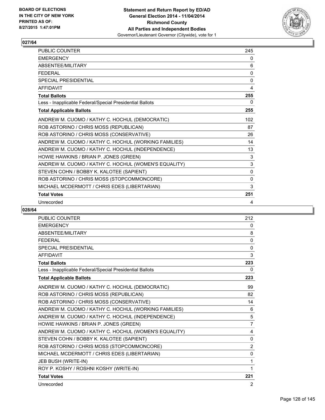

| <b>PUBLIC COUNTER</b>                                    | 245          |
|----------------------------------------------------------|--------------|
| <b>EMERGENCY</b>                                         | 0            |
| ABSENTEE/MILITARY                                        | 6            |
| <b>FEDERAL</b>                                           | 0            |
| <b>SPECIAL PRESIDENTIAL</b>                              | $\mathbf{0}$ |
| <b>AFFIDAVIT</b>                                         | 4            |
| <b>Total Ballots</b>                                     | 255          |
| Less - Inapplicable Federal/Special Presidential Ballots | 0            |
| <b>Total Applicable Ballots</b>                          | 255          |
| ANDREW M. CUOMO / KATHY C. HOCHUL (DEMOCRATIC)           | 102          |
| ROB ASTORINO / CHRIS MOSS (REPUBLICAN)                   | 87           |
| ROB ASTORINO / CHRIS MOSS (CONSERVATIVE)                 | 26           |
| ANDREW M. CUOMO / KATHY C. HOCHUL (WORKING FAMILIES)     | 14           |
| ANDREW M. CUOMO / KATHY C. HOCHUL (INDEPENDENCE)         | 13           |
| HOWIE HAWKINS / BRIAN P. JONES (GREEN)                   | 3            |
| ANDREW M. CUOMO / KATHY C. HOCHUL (WOMEN'S EQUALITY)     | 3            |
| STEVEN COHN / BOBBY K. KALOTEE (SAPIENT)                 | $\mathbf{0}$ |
| ROB ASTORINO / CHRIS MOSS (STOPCOMMONCORE)               | 0            |
| MICHAEL MCDERMOTT / CHRIS EDES (LIBERTARIAN)             | 3            |
| <b>Total Votes</b>                                       | 251          |
| Unrecorded                                               | 4            |

| PUBLIC COUNTER                                           | 212            |
|----------------------------------------------------------|----------------|
| <b>EMERGENCY</b>                                         | 0              |
| <b>ABSENTEE/MILITARY</b>                                 | 8              |
| <b>FEDERAL</b>                                           | $\mathbf{0}$   |
| <b>SPECIAL PRESIDENTIAL</b>                              | 0              |
| <b>AFFIDAVIT</b>                                         | 3              |
| <b>Total Ballots</b>                                     | 223            |
| Less - Inapplicable Federal/Special Presidential Ballots | 0              |
| <b>Total Applicable Ballots</b>                          | 223            |
| ANDREW M. CUOMO / KATHY C. HOCHUL (DEMOCRATIC)           | 99             |
| ROB ASTORINO / CHRIS MOSS (REPUBLICAN)                   | 82             |
| ROB ASTORINO / CHRIS MOSS (CONSERVATIVE)                 | 14             |
| ANDREW M. CUOMO / KATHY C. HOCHUL (WORKING FAMILIES)     | 6              |
| ANDREW M. CUOMO / KATHY C. HOCHUL (INDEPENDENCE)         | 5              |
| HOWIE HAWKINS / BRIAN P. JONES (GREEN)                   | $\overline{7}$ |
| ANDREW M. CUOMO / KATHY C. HOCHUL (WOMEN'S EQUALITY)     | 4              |
| STEVEN COHN / BOBBY K. KALOTEE (SAPIENT)                 | $\mathbf 0$    |
| ROB ASTORINO / CHRIS MOSS (STOPCOMMONCORE)               | $\overline{2}$ |
| MICHAEL MCDERMOTT / CHRIS EDES (LIBERTARIAN)             | 0              |
| JEB BUSH (WRITE-IN)                                      | 1              |
| ROY P. KOSHY / ROSHNI KOSHY (WRITE-IN)                   | 1              |
| <b>Total Votes</b>                                       | 221            |
| Unrecorded                                               | 2              |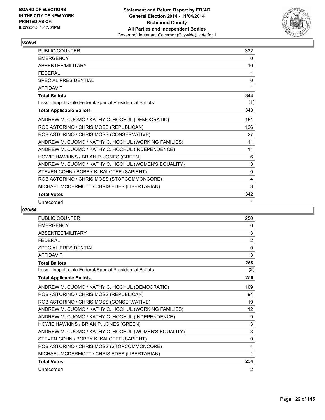

| <b>PUBLIC COUNTER</b>                                    | 332         |
|----------------------------------------------------------|-------------|
| <b>EMERGENCY</b>                                         | 0           |
| ABSENTEE/MILITARY                                        | 10          |
| <b>FEDERAL</b>                                           | 1           |
| <b>SPECIAL PRESIDENTIAL</b>                              | $\mathbf 0$ |
| <b>AFFIDAVIT</b>                                         | 1           |
| <b>Total Ballots</b>                                     | 344         |
| Less - Inapplicable Federal/Special Presidential Ballots | (1)         |
| <b>Total Applicable Ballots</b>                          | 343         |
| ANDREW M. CUOMO / KATHY C. HOCHUL (DEMOCRATIC)           | 151         |
| ROB ASTORINO / CHRIS MOSS (REPUBLICAN)                   | 126         |
| ROB ASTORINO / CHRIS MOSS (CONSERVATIVE)                 | 27          |
| ANDREW M. CUOMO / KATHY C. HOCHUL (WORKING FAMILIES)     | 11          |
| ANDREW M. CUOMO / KATHY C. HOCHUL (INDEPENDENCE)         | 11          |
| HOWIE HAWKINS / BRIAN P. JONES (GREEN)                   | 6           |
| ANDREW M. CUOMO / KATHY C. HOCHUL (WOMEN'S EQUALITY)     | 3           |
| STEVEN COHN / BOBBY K. KALOTEE (SAPIENT)                 | 0           |
| ROB ASTORINO / CHRIS MOSS (STOPCOMMONCORE)               | 4           |
| MICHAEL MCDERMOTT / CHRIS EDES (LIBERTARIAN)             | 3           |
| <b>Total Votes</b>                                       | 342         |
| Unrecorded                                               | 1           |

| PUBLIC COUNTER                                           | 250         |
|----------------------------------------------------------|-------------|
| <b>EMERGENCY</b>                                         | 0           |
| ABSENTEE/MILITARY                                        | 3           |
| <b>FEDERAL</b>                                           | 2           |
| <b>SPECIAL PRESIDENTIAL</b>                              | $\mathbf 0$ |
| <b>AFFIDAVIT</b>                                         | 3           |
| <b>Total Ballots</b>                                     | 258         |
| Less - Inapplicable Federal/Special Presidential Ballots | (2)         |
| <b>Total Applicable Ballots</b>                          | 256         |
| ANDREW M. CUOMO / KATHY C. HOCHUL (DEMOCRATIC)           | 109         |
| ROB ASTORINO / CHRIS MOSS (REPUBLICAN)                   | 94          |
| ROB ASTORINO / CHRIS MOSS (CONSERVATIVE)                 | 19          |
| ANDREW M. CUOMO / KATHY C. HOCHUL (WORKING FAMILIES)     | 12          |
| ANDREW M. CUOMO / KATHY C. HOCHUL (INDEPENDENCE)         | 9           |
| HOWIE HAWKINS / BRIAN P. JONES (GREEN)                   | 3           |
| ANDREW M. CUOMO / KATHY C. HOCHUL (WOMEN'S EQUALITY)     | 3           |
| STEVEN COHN / BOBBY K. KALOTEE (SAPIENT)                 | 0           |
| ROB ASTORINO / CHRIS MOSS (STOPCOMMONCORE)               | 4           |
| MICHAEL MCDERMOTT / CHRIS EDES (LIBERTARIAN)             | 1           |
| <b>Total Votes</b>                                       | 254         |
| Unrecorded                                               | 2           |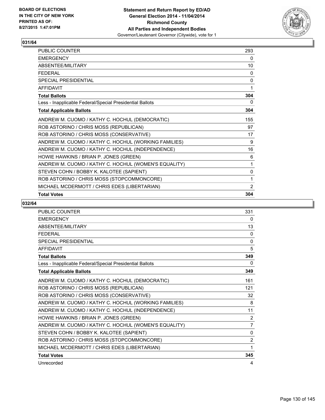

| <b>PUBLIC COUNTER</b>                                    | 293 |
|----------------------------------------------------------|-----|
| <b>EMERGENCY</b>                                         | 0   |
| ABSENTEE/MILITARY                                        | 10  |
| <b>FFDFRAL</b>                                           | 0   |
| <b>SPECIAL PRESIDENTIAL</b>                              | 0   |
| AFFIDAVIT                                                | 1   |
| <b>Total Ballots</b>                                     | 304 |
| Less - Inapplicable Federal/Special Presidential Ballots | 0   |
| <b>Total Applicable Ballots</b>                          | 304 |
| ANDREW M. CUOMO / KATHY C. HOCHUL (DEMOCRATIC)           | 155 |
| ROB ASTORINO / CHRIS MOSS (REPUBLICAN)                   | 97  |
| ROB ASTORINO / CHRIS MOSS (CONSERVATIVE)                 | 17  |
| ANDREW M. CUOMO / KATHY C. HOCHUL (WORKING FAMILIES)     | 9   |
| ANDREW M. CUOMO / KATHY C. HOCHUL (INDEPENDENCE)         | 16  |
| HOWIE HAWKINS / BRIAN P. JONES (GREEN)                   | 6   |
| ANDREW M. CUOMO / KATHY C. HOCHUL (WOMEN'S EQUALITY)     | 1   |
| STEVEN COHN / BOBBY K. KALOTEE (SAPIENT)                 | 0   |
| ROB ASTORINO / CHRIS MOSS (STOPCOMMONCORE)               | 1   |
| MICHAEL MCDERMOTT / CHRIS EDES (LIBERTARIAN)             | 2   |
| <b>Total Votes</b>                                       | 304 |

| <b>PUBLIC COUNTER</b>                                    | 331            |
|----------------------------------------------------------|----------------|
| <b>EMERGENCY</b>                                         | $\Omega$       |
| ABSENTEE/MILITARY                                        | 13             |
| <b>FFDFRAI</b>                                           | $\mathbf{0}$   |
| <b>SPECIAL PRESIDENTIAL</b>                              | 0              |
| <b>AFFIDAVIT</b>                                         | 5              |
| <b>Total Ballots</b>                                     | 349            |
| Less - Inapplicable Federal/Special Presidential Ballots | 0              |
| <b>Total Applicable Ballots</b>                          | 349            |
| ANDREW M. CUOMO / KATHY C. HOCHUL (DEMOCRATIC)           | 161            |
| ROB ASTORINO / CHRIS MOSS (REPUBLICAN)                   | 121            |
| ROB ASTORINO / CHRIS MOSS (CONSERVATIVE)                 | 32             |
| ANDREW M. CUOMO / KATHY C. HOCHUL (WORKING FAMILIES)     | 8              |
| ANDREW M. CUOMO / KATHY C. HOCHUL (INDEPENDENCE)         | 11             |
| HOWIE HAWKINS / BRIAN P. JONES (GREEN)                   | 2              |
| ANDREW M. CUOMO / KATHY C. HOCHUL (WOMEN'S EQUALITY)     | $\overline{7}$ |
| STEVEN COHN / BOBBY K. KALOTEE (SAPIENT)                 | $\mathbf{0}$   |
| ROB ASTORINO / CHRIS MOSS (STOPCOMMONCORE)               | $\overline{2}$ |
| MICHAEL MCDERMOTT / CHRIS EDES (LIBERTARIAN)             | $\mathbf{1}$   |
| <b>Total Votes</b>                                       | 345            |
| Unrecorded                                               | 4              |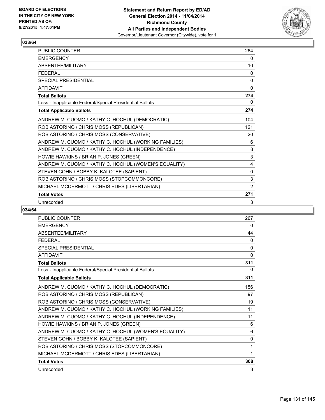

| <b>PUBLIC COUNTER</b>                                    | 264          |
|----------------------------------------------------------|--------------|
| <b>EMERGENCY</b>                                         | 0            |
| ABSENTEE/MILITARY                                        | 10           |
| <b>FEDERAL</b>                                           | 0            |
| <b>SPECIAL PRESIDENTIAL</b>                              | 0            |
| <b>AFFIDAVIT</b>                                         | 0            |
| <b>Total Ballots</b>                                     | 274          |
| Less - Inapplicable Federal/Special Presidential Ballots | 0            |
| <b>Total Applicable Ballots</b>                          | 274          |
| ANDREW M. CUOMO / KATHY C. HOCHUL (DEMOCRATIC)           | 104          |
| ROB ASTORINO / CHRIS MOSS (REPUBLICAN)                   | 121          |
| ROB ASTORINO / CHRIS MOSS (CONSERVATIVE)                 | 20           |
| ANDREW M. CUOMO / KATHY C. HOCHUL (WORKING FAMILIES)     | 6            |
| ANDREW M. CUOMO / KATHY C. HOCHUL (INDEPENDENCE)         | 8            |
| HOWIE HAWKINS / BRIAN P. JONES (GREEN)                   | 3            |
| ANDREW M. CUOMO / KATHY C. HOCHUL (WOMEN'S EQUALITY)     | 4            |
| STEVEN COHN / BOBBY K. KALOTEE (SAPIENT)                 | $\mathbf{0}$ |
| ROB ASTORINO / CHRIS MOSS (STOPCOMMONCORE)               | 3            |
| MICHAEL MCDERMOTT / CHRIS EDES (LIBERTARIAN)             | 2            |
| <b>Total Votes</b>                                       | 271          |
| Unrecorded                                               | 3            |

| PUBLIC COUNTER                                           | 267          |
|----------------------------------------------------------|--------------|
| <b>EMERGENCY</b>                                         | 0            |
| ABSENTEE/MILITARY                                        | 44           |
| <b>FEDERAL</b>                                           | 0            |
| <b>SPECIAL PRESIDENTIAL</b>                              | 0            |
| <b>AFFIDAVIT</b>                                         | $\mathbf{0}$ |
| <b>Total Ballots</b>                                     | 311          |
| Less - Inapplicable Federal/Special Presidential Ballots | 0            |
| <b>Total Applicable Ballots</b>                          | 311          |
| ANDREW M. CUOMO / KATHY C. HOCHUL (DEMOCRATIC)           | 156          |
| ROB ASTORINO / CHRIS MOSS (REPUBLICAN)                   | 97           |
| ROB ASTORINO / CHRIS MOSS (CONSERVATIVE)                 | 19           |
| ANDREW M. CUOMO / KATHY C. HOCHUL (WORKING FAMILIES)     | 11           |
| ANDREW M. CUOMO / KATHY C. HOCHUL (INDEPENDENCE)         | 11           |
| HOWIE HAWKINS / BRIAN P. JONES (GREEN)                   | 6            |
| ANDREW M. CUOMO / KATHY C. HOCHUL (WOMEN'S EQUALITY)     | 6            |
| STEVEN COHN / BOBBY K. KALOTEE (SAPIENT)                 | 0            |
| ROB ASTORINO / CHRIS MOSS (STOPCOMMONCORE)               | 1            |
| MICHAEL MCDERMOTT / CHRIS EDES (LIBERTARIAN)             | 1            |
| <b>Total Votes</b>                                       | 308          |
| Unrecorded                                               | 3            |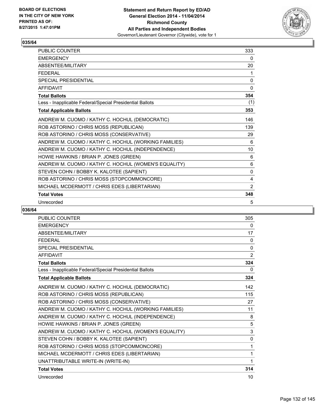

| <b>PUBLIC COUNTER</b>                                    | 333 |
|----------------------------------------------------------|-----|
| <b>EMERGENCY</b>                                         | 0   |
| ABSENTEE/MILITARY                                        | 20  |
| <b>FEDERAL</b>                                           | 1   |
| <b>SPECIAL PRESIDENTIAL</b>                              | 0   |
| <b>AFFIDAVIT</b>                                         | 0   |
| <b>Total Ballots</b>                                     | 354 |
| Less - Inapplicable Federal/Special Presidential Ballots | (1) |
| <b>Total Applicable Ballots</b>                          | 353 |
| ANDREW M. CUOMO / KATHY C. HOCHUL (DEMOCRATIC)           | 146 |
| ROB ASTORINO / CHRIS MOSS (REPUBLICAN)                   | 139 |
| ROB ASTORINO / CHRIS MOSS (CONSERVATIVE)                 | 29  |
| ANDREW M. CUOMO / KATHY C. HOCHUL (WORKING FAMILIES)     | 6   |
| ANDREW M. CUOMO / KATHY C. HOCHUL (INDEPENDENCE)         | 10  |
| HOWIE HAWKINS / BRIAN P. JONES (GREEN)                   | 6   |
| ANDREW M. CUOMO / KATHY C. HOCHUL (WOMEN'S EQUALITY)     | 6   |
| STEVEN COHN / BOBBY K. KALOTEE (SAPIENT)                 | 0   |
| ROB ASTORINO / CHRIS MOSS (STOPCOMMONCORE)               | 4   |
| MICHAEL MCDERMOTT / CHRIS EDES (LIBERTARIAN)             | 2   |
| <b>Total Votes</b>                                       | 348 |
| Unrecorded                                               | 5   |

| <b>PUBLIC COUNTER</b>                                    | 305          |
|----------------------------------------------------------|--------------|
| <b>EMERGENCY</b>                                         | 0            |
| <b>ABSENTEE/MILITARY</b>                                 | 17           |
| <b>FEDERAL</b>                                           | 0            |
| <b>SPECIAL PRESIDENTIAL</b>                              | $\mathbf{0}$ |
| <b>AFFIDAVIT</b>                                         | 2            |
| <b>Total Ballots</b>                                     | 324          |
| Less - Inapplicable Federal/Special Presidential Ballots | 0            |
| <b>Total Applicable Ballots</b>                          | 324          |
| ANDREW M. CUOMO / KATHY C. HOCHUL (DEMOCRATIC)           | 142          |
| ROB ASTORINO / CHRIS MOSS (REPUBLICAN)                   | 115          |
| ROB ASTORINO / CHRIS MOSS (CONSERVATIVE)                 | 27           |
| ANDREW M. CUOMO / KATHY C. HOCHUL (WORKING FAMILIES)     | 11           |
| ANDREW M. CUOMO / KATHY C. HOCHUL (INDEPENDENCE)         | 8            |
| HOWIE HAWKINS / BRIAN P. JONES (GREEN)                   | 5            |
| ANDREW M. CUOMO / KATHY C. HOCHUL (WOMEN'S EQUALITY)     | 3            |
| STEVEN COHN / BOBBY K. KALOTEE (SAPIENT)                 | 0            |
| ROB ASTORINO / CHRIS MOSS (STOPCOMMONCORE)               | 1            |
| MICHAEL MCDERMOTT / CHRIS EDES (LIBERTARIAN)             | 1            |
| UNATTRIBUTABLE WRITE-IN (WRITE-IN)                       | 1            |
| <b>Total Votes</b>                                       | 314          |
| Unrecorded                                               | 10           |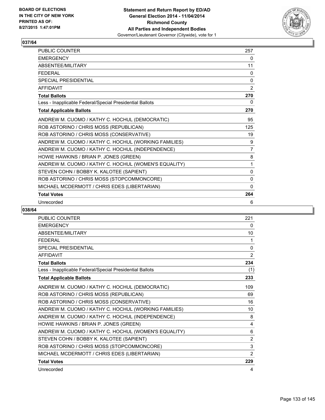

| <b>PUBLIC COUNTER</b>                                    | 257          |
|----------------------------------------------------------|--------------|
| <b>EMERGENCY</b>                                         | 0            |
| ABSENTEE/MILITARY                                        | 11           |
| <b>FEDERAL</b>                                           | 0            |
| <b>SPECIAL PRESIDENTIAL</b>                              | $\mathbf{0}$ |
| <b>AFFIDAVIT</b>                                         | 2            |
| <b>Total Ballots</b>                                     | 270          |
| Less - Inapplicable Federal/Special Presidential Ballots | 0            |
| <b>Total Applicable Ballots</b>                          | 270          |
| ANDREW M. CUOMO / KATHY C. HOCHUL (DEMOCRATIC)           | 95           |
| ROB ASTORINO / CHRIS MOSS (REPUBLICAN)                   | 125          |
| ROB ASTORINO / CHRIS MOSS (CONSERVATIVE)                 | 19           |
| ANDREW M. CUOMO / KATHY C. HOCHUL (WORKING FAMILIES)     | 9            |
| ANDREW M. CUOMO / KATHY C. HOCHUL (INDEPENDENCE)         | 7            |
| HOWIE HAWKINS / BRIAN P. JONES (GREEN)                   | 8            |
| ANDREW M. CUOMO / KATHY C. HOCHUL (WOMEN'S EQUALITY)     | 1            |
| STEVEN COHN / BOBBY K. KALOTEE (SAPIENT)                 | $\mathbf{0}$ |
| ROB ASTORINO / CHRIS MOSS (STOPCOMMONCORE)               | 0            |
| MICHAEL MCDERMOTT / CHRIS EDES (LIBERTARIAN)             | $\mathbf{0}$ |
| <b>Total Votes</b>                                       | 264          |
| Unrecorded                                               | 6            |

| PUBLIC COUNTER                                           | 221            |
|----------------------------------------------------------|----------------|
| <b>EMERGENCY</b>                                         | 0              |
| <b>ABSENTEE/MILITARY</b>                                 | 10             |
| <b>FEDERAL</b>                                           | 1              |
| <b>SPECIAL PRESIDENTIAL</b>                              | 0              |
| <b>AFFIDAVIT</b>                                         | 2              |
| <b>Total Ballots</b>                                     | 234            |
| Less - Inapplicable Federal/Special Presidential Ballots | (1)            |
| <b>Total Applicable Ballots</b>                          | 233            |
| ANDREW M. CUOMO / KATHY C. HOCHUL (DEMOCRATIC)           | 109            |
| ROB ASTORINO / CHRIS MOSS (REPUBLICAN)                   | 69             |
| ROB ASTORINO / CHRIS MOSS (CONSERVATIVE)                 | 16             |
| ANDREW M. CUOMO / KATHY C. HOCHUL (WORKING FAMILIES)     | 10             |
| ANDREW M. CUOMO / KATHY C. HOCHUL (INDEPENDENCE)         | 8              |
| HOWIE HAWKINS / BRIAN P. JONES (GREEN)                   | 4              |
| ANDREW M. CUOMO / KATHY C. HOCHUL (WOMEN'S EQUALITY)     | 6              |
| STEVEN COHN / BOBBY K. KALOTEE (SAPIENT)                 | $\overline{2}$ |
| ROB ASTORINO / CHRIS MOSS (STOPCOMMONCORE)               | 3              |
| MICHAEL MCDERMOTT / CHRIS EDES (LIBERTARIAN)             | $\overline{2}$ |
| <b>Total Votes</b>                                       | 229            |
| Unrecorded                                               | 4              |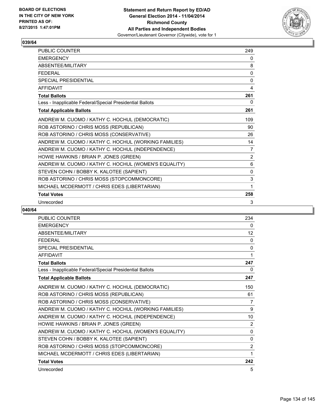

| <b>PUBLIC COUNTER</b>                                    | 249            |
|----------------------------------------------------------|----------------|
| <b>EMERGENCY</b>                                         | 0              |
| ABSENTEE/MILITARY                                        | 8              |
| <b>FEDERAL</b>                                           | 0              |
| <b>SPECIAL PRESIDENTIAL</b>                              | $\mathbf{0}$   |
| <b>AFFIDAVIT</b>                                         | 4              |
| <b>Total Ballots</b>                                     | 261            |
| Less - Inapplicable Federal/Special Presidential Ballots | 0              |
| <b>Total Applicable Ballots</b>                          | 261            |
| ANDREW M. CUOMO / KATHY C. HOCHUL (DEMOCRATIC)           | 109            |
| ROB ASTORINO / CHRIS MOSS (REPUBLICAN)                   | 90             |
| ROB ASTORINO / CHRIS MOSS (CONSERVATIVE)                 | 26             |
| ANDREW M. CUOMO / KATHY C. HOCHUL (WORKING FAMILIES)     | 14             |
| ANDREW M. CUOMO / KATHY C. HOCHUL (INDEPENDENCE)         | 7              |
| HOWIE HAWKINS / BRIAN P. JONES (GREEN)                   | $\overline{2}$ |
| ANDREW M. CUOMO / KATHY C. HOCHUL (WOMEN'S EQUALITY)     | 6              |
| STEVEN COHN / BOBBY K. KALOTEE (SAPIENT)                 | 0              |
| ROB ASTORINO / CHRIS MOSS (STOPCOMMONCORE)               | 3              |
| MICHAEL MCDERMOTT / CHRIS EDES (LIBERTARIAN)             | 1              |
| <b>Total Votes</b>                                       | 258            |
| Unrecorded                                               | 3              |

| PUBLIC COUNTER                                           | 234            |
|----------------------------------------------------------|----------------|
| <b>EMERGENCY</b>                                         | 0              |
| <b>ABSENTEE/MILITARY</b>                                 | 12             |
| <b>FFDFRAL</b>                                           | 0              |
| <b>SPECIAL PRESIDENTIAL</b>                              | 0              |
| <b>AFFIDAVIT</b>                                         | 1              |
| <b>Total Ballots</b>                                     | 247            |
| Less - Inapplicable Federal/Special Presidential Ballots | 0              |
| <b>Total Applicable Ballots</b>                          | 247            |
| ANDREW M. CUOMO / KATHY C. HOCHUL (DEMOCRATIC)           | 150            |
| ROB ASTORINO / CHRIS MOSS (REPUBLICAN)                   | 61             |
| ROB ASTORINO / CHRIS MOSS (CONSERVATIVE)                 | 7              |
| ANDREW M. CUOMO / KATHY C. HOCHUL (WORKING FAMILIES)     | 9              |
| ANDREW M. CUOMO / KATHY C. HOCHUL (INDEPENDENCE)         | 10             |
| HOWIE HAWKINS / BRIAN P. JONES (GREEN)                   | $\overline{2}$ |
| ANDREW M. CUOMO / KATHY C. HOCHUL (WOMEN'S EQUALITY)     | 0              |
| STEVEN COHN / BOBBY K. KALOTEE (SAPIENT)                 | 0              |
| ROB ASTORINO / CHRIS MOSS (STOPCOMMONCORE)               | $\overline{2}$ |
| MICHAEL MCDERMOTT / CHRIS EDES (LIBERTARIAN)             | 1              |
| <b>Total Votes</b>                                       | 242            |
| Unrecorded                                               | 5              |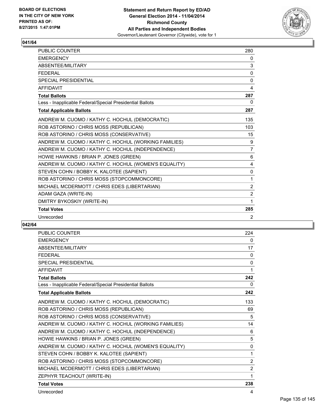

| <b>PUBLIC COUNTER</b>                                    | 280            |
|----------------------------------------------------------|----------------|
| <b>EMERGENCY</b>                                         | $\mathbf{0}$   |
| ABSENTEE/MILITARY                                        | 3              |
| <b>FEDERAL</b>                                           | 0              |
| <b>SPECIAL PRESIDENTIAL</b>                              | 0              |
| <b>AFFIDAVIT</b>                                         | 4              |
| <b>Total Ballots</b>                                     | 287            |
| Less - Inapplicable Federal/Special Presidential Ballots | 0              |
| <b>Total Applicable Ballots</b>                          | 287            |
| ANDREW M. CUOMO / KATHY C. HOCHUL (DEMOCRATIC)           | 135            |
| ROB ASTORINO / CHRIS MOSS (REPUBLICAN)                   | 103            |
| ROB ASTORINO / CHRIS MOSS (CONSERVATIVE)                 | 15             |
| ANDREW M. CUOMO / KATHY C. HOCHUL (WORKING FAMILIES)     | 9              |
| ANDREW M. CUOMO / KATHY C. HOCHUL (INDEPENDENCE)         | $\overline{7}$ |
| HOWIE HAWKINS / BRIAN P. JONES (GREEN)                   | 6              |
| ANDREW M. CUOMO / KATHY C. HOCHUL (WOMEN'S EQUALITY)     | 4              |
| STEVEN COHN / BOBBY K. KALOTEE (SAPIENT)                 | 0              |
| ROB ASTORINO / CHRIS MOSS (STOPCOMMONCORE)               | 1              |
| MICHAEL MCDERMOTT / CHRIS EDES (LIBERTARIAN)             | 2              |
| ADAM GAZA (WRITE-IN)                                     | $\overline{2}$ |
| DMITRY BYKOSKIY (WRITE-IN)                               | 1              |
| <b>Total Votes</b>                                       | 285            |
| Unrecorded                                               | 2              |

| <b>PUBLIC COUNTER</b>                                    | 224            |
|----------------------------------------------------------|----------------|
| <b>EMERGENCY</b>                                         | 0              |
| ABSENTEE/MILITARY                                        | 17             |
| <b>FFDFRAL</b>                                           | $\mathbf{0}$   |
| <b>SPECIAL PRESIDENTIAL</b>                              | $\mathbf{0}$   |
| <b>AFFIDAVIT</b>                                         | 1              |
| <b>Total Ballots</b>                                     | 242            |
| Less - Inapplicable Federal/Special Presidential Ballots | 0              |
| <b>Total Applicable Ballots</b>                          | 242            |
| ANDREW M. CUOMO / KATHY C. HOCHUL (DEMOCRATIC)           | 133            |
| ROB ASTORINO / CHRIS MOSS (REPUBLICAN)                   | 69             |
| ROB ASTORINO / CHRIS MOSS (CONSERVATIVE)                 | 5              |
| ANDREW M. CUOMO / KATHY C. HOCHUL (WORKING FAMILIES)     | 14             |
| ANDREW M. CUOMO / KATHY C. HOCHUL (INDEPENDENCE)         | 6              |
| HOWIE HAWKINS / BRIAN P. JONES (GREEN)                   | 5              |
| ANDREW M. CUOMO / KATHY C. HOCHUL (WOMEN'S EQUALITY)     | 0              |
| STEVEN COHN / BOBBY K. KALOTEE (SAPIENT)                 | 1              |
| ROB ASTORINO / CHRIS MOSS (STOPCOMMONCORE)               | $\overline{2}$ |
| MICHAEL MCDERMOTT / CHRIS EDES (LIBERTARIAN)             | $\overline{2}$ |
| ZEPHYR TEACHOUT (WRITE-IN)                               | 1              |
| <b>Total Votes</b>                                       | 238            |
| Unrecorded                                               | 4              |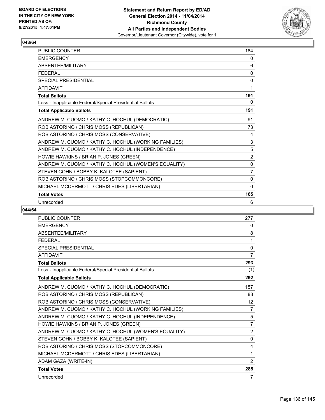

| PUBLIC COUNTER                                           | 184            |
|----------------------------------------------------------|----------------|
| <b>EMERGENCY</b>                                         | 0              |
| ABSENTEE/MILITARY                                        | 6              |
| <b>FEDERAL</b>                                           | 0              |
| <b>SPECIAL PRESIDENTIAL</b>                              | $\Omega$       |
| <b>AFFIDAVIT</b>                                         | 1              |
| <b>Total Ballots</b>                                     | 191            |
| Less - Inapplicable Federal/Special Presidential Ballots | 0              |
| <b>Total Applicable Ballots</b>                          | 191            |
| ANDREW M. CUOMO / KATHY C. HOCHUL (DEMOCRATIC)           | 91             |
| ROB ASTORINO / CHRIS MOSS (REPUBLICAN)                   | 73             |
| ROB ASTORINO / CHRIS MOSS (CONSERVATIVE)                 | 4              |
| ANDREW M. CUOMO / KATHY C. HOCHUL (WORKING FAMILIES)     | 3              |
| ANDREW M. CUOMO / KATHY C. HOCHUL (INDEPENDENCE)         | 5              |
| HOWIE HAWKINS / BRIAN P. JONES (GREEN)                   | $\overline{2}$ |
| ANDREW M. CUOMO / KATHY C. HOCHUL (WOMEN'S EQUALITY)     | 0              |
| STEVEN COHN / BOBBY K. KALOTEE (SAPIENT)                 | $\overline{7}$ |
| ROB ASTORINO / CHRIS MOSS (STOPCOMMONCORE)               | 0              |
| MICHAEL MCDERMOTT / CHRIS EDES (LIBERTARIAN)             | $\Omega$       |
| <b>Total Votes</b>                                       | 185            |
| Unrecorded                                               | 6              |

| <b>PUBLIC COUNTER</b>                                    | 277               |
|----------------------------------------------------------|-------------------|
| <b>EMERGENCY</b>                                         | 0                 |
| <b>ABSENTEE/MILITARY</b>                                 | 8                 |
| <b>FEDERAL</b>                                           | 1                 |
| <b>SPECIAL PRESIDENTIAL</b>                              | 0                 |
| <b>AFFIDAVIT</b>                                         | $\overline{7}$    |
| <b>Total Ballots</b>                                     | 293               |
| Less - Inapplicable Federal/Special Presidential Ballots | (1)               |
| <b>Total Applicable Ballots</b>                          | 292               |
| ANDREW M. CUOMO / KATHY C. HOCHUL (DEMOCRATIC)           | 157               |
| ROB ASTORINO / CHRIS MOSS (REPUBLICAN)                   | 88                |
| ROB ASTORINO / CHRIS MOSS (CONSERVATIVE)                 | $12 \overline{ }$ |
| ANDREW M. CUOMO / KATHY C. HOCHUL (WORKING FAMILIES)     | $\overline{7}$    |
| ANDREW M. CUOMO / KATHY C. HOCHUL (INDEPENDENCE)         | 5                 |
| HOWIE HAWKINS / BRIAN P. JONES (GREEN)                   | 7                 |
| ANDREW M. CUOMO / KATHY C. HOCHUL (WOMEN'S EQUALITY)     | $\overline{2}$    |
| STEVEN COHN / BOBBY K. KALOTEE (SAPIENT)                 | $\mathbf{0}$      |
| ROB ASTORINO / CHRIS MOSS (STOPCOMMONCORE)               | 4                 |
| MICHAEL MCDERMOTT / CHRIS EDES (LIBERTARIAN)             | 1                 |
| ADAM GAZA (WRITE-IN)                                     | 2                 |
| <b>Total Votes</b>                                       | 285               |
| Unrecorded                                               | 7                 |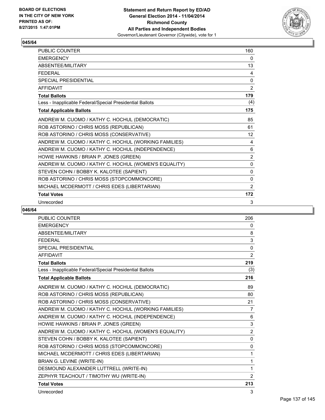

| <b>PUBLIC COUNTER</b>                                    | 160            |
|----------------------------------------------------------|----------------|
| <b>EMERGENCY</b>                                         | 0              |
| ABSENTEE/MILITARY                                        | 13             |
| <b>FEDERAL</b>                                           | 4              |
| <b>SPECIAL PRESIDENTIAL</b>                              | 0              |
| <b>AFFIDAVIT</b>                                         | 2              |
| <b>Total Ballots</b>                                     | 179            |
| Less - Inapplicable Federal/Special Presidential Ballots | (4)            |
| <b>Total Applicable Ballots</b>                          | 175            |
| ANDREW M. CUOMO / KATHY C. HOCHUL (DEMOCRATIC)           | 85             |
| ROB ASTORINO / CHRIS MOSS (REPUBLICAN)                   | 61             |
| ROB ASTORINO / CHRIS MOSS (CONSERVATIVE)                 | 12             |
| ANDREW M. CUOMO / KATHY C. HOCHUL (WORKING FAMILIES)     | 4              |
| ANDREW M. CUOMO / KATHY C. HOCHUL (INDEPENDENCE)         | 6              |
| HOWIE HAWKINS / BRIAN P. JONES (GREEN)                   | $\overline{2}$ |
| ANDREW M. CUOMO / KATHY C. HOCHUL (WOMEN'S EQUALITY)     | 0              |
| STEVEN COHN / BOBBY K. KALOTEE (SAPIENT)                 | $\mathbf{0}$   |
| ROB ASTORINO / CHRIS MOSS (STOPCOMMONCORE)               | $\Omega$       |
| MICHAEL MCDERMOTT / CHRIS EDES (LIBERTARIAN)             | 2              |
| <b>Total Votes</b>                                       | 172            |
| Unrecorded                                               | 3              |

| PUBLIC COUNTER                                           | 206            |
|----------------------------------------------------------|----------------|
| <b>EMERGENCY</b>                                         | 0              |
| ABSENTEE/MILITARY                                        | 8              |
| <b>FEDERAL</b>                                           | 3              |
| <b>SPECIAL PRESIDENTIAL</b>                              | $\mathbf 0$    |
| <b>AFFIDAVIT</b>                                         | $\overline{2}$ |
| <b>Total Ballots</b>                                     | 219            |
| Less - Inapplicable Federal/Special Presidential Ballots | (3)            |
| <b>Total Applicable Ballots</b>                          | 216            |
| ANDREW M. CUOMO / KATHY C. HOCHUL (DEMOCRATIC)           | 89             |
| ROB ASTORINO / CHRIS MOSS (REPUBLICAN)                   | 80             |
| ROB ASTORINO / CHRIS MOSS (CONSERVATIVE)                 | 21             |
| ANDREW M. CUOMO / KATHY C. HOCHUL (WORKING FAMILIES)     | $\overline{7}$ |
| ANDREW M. CUOMO / KATHY C. HOCHUL (INDEPENDENCE)         | 6              |
| HOWIE HAWKINS / BRIAN P. JONES (GREEN)                   | $\mathbf{3}$   |
| ANDREW M. CUOMO / KATHY C. HOCHUL (WOMEN'S EQUALITY)     | $\overline{2}$ |
| STEVEN COHN / BOBBY K. KALOTEE (SAPIENT)                 | 0              |
| ROB ASTORINO / CHRIS MOSS (STOPCOMMONCORE)               | $\mathbf 0$    |
| MICHAEL MCDERMOTT / CHRIS EDES (LIBERTARIAN)             | 1              |
| BRIAN G. LEVINE (WRITE-IN)                               | 1              |
| DESMOUND ALEXANDER LUTTRELL (WRITE-IN)                   | 1              |
| ZEPHYR TEACHOUT / TIMOTHY WU (WRITE-IN)                  | 2              |
| <b>Total Votes</b>                                       | 213            |
| Unrecorded                                               | 3              |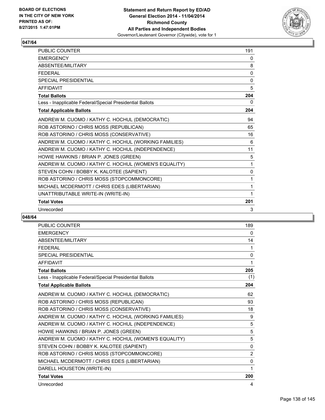

| <b>PUBLIC COUNTER</b>                                    | 191      |
|----------------------------------------------------------|----------|
| <b>EMERGENCY</b>                                         | 0        |
| ABSENTEE/MILITARY                                        | 8        |
| <b>FEDERAL</b>                                           | $\Omega$ |
| SPECIAL PRESIDENTIAL                                     | 0        |
| <b>AFFIDAVIT</b>                                         | 5        |
| <b>Total Ballots</b>                                     | 204      |
| Less - Inapplicable Federal/Special Presidential Ballots | 0        |
| <b>Total Applicable Ballots</b>                          | 204      |
| ANDREW M. CUOMO / KATHY C. HOCHUL (DEMOCRATIC)           | 94       |
| ROB ASTORINO / CHRIS MOSS (REPUBLICAN)                   | 65       |
| ROB ASTORINO / CHRIS MOSS (CONSERVATIVE)                 | 16       |
| ANDREW M. CUOMO / KATHY C. HOCHUL (WORKING FAMILIES)     | 6        |
| ANDREW M. CUOMO / KATHY C. HOCHUL (INDEPENDENCE)         | 11       |
| HOWIE HAWKINS / BRIAN P. JONES (GREEN)                   | 5        |
| ANDREW M. CUOMO / KATHY C. HOCHUL (WOMEN'S EQUALITY)     | 1        |
| STEVEN COHN / BOBBY K. KALOTEE (SAPIENT)                 | 0        |
| ROB ASTORINO / CHRIS MOSS (STOPCOMMONCORE)               | 1        |
| MICHAEL MCDERMOTT / CHRIS EDES (LIBERTARIAN)             | 1        |
| UNATTRIBUTABLE WRITE-IN (WRITE-IN)                       | 1        |
| <b>Total Votes</b>                                       | 201      |
| Unrecorded                                               | 3        |

| <b>PUBLIC COUNTER</b>                                    | 189            |
|----------------------------------------------------------|----------------|
| <b>EMERGENCY</b>                                         | 0              |
| ABSENTEE/MILITARY                                        | 14             |
| <b>FFDFRAL</b>                                           | 1              |
| <b>SPECIAL PRESIDENTIAL</b>                              | 0              |
| <b>AFFIDAVIT</b>                                         | 1              |
| <b>Total Ballots</b>                                     | 205            |
| Less - Inapplicable Federal/Special Presidential Ballots | (1)            |
| <b>Total Applicable Ballots</b>                          | 204            |
| ANDREW M. CUOMO / KATHY C. HOCHUL (DEMOCRATIC)           | 62             |
| ROB ASTORINO / CHRIS MOSS (REPUBLICAN)                   | 93             |
| ROB ASTORINO / CHRIS MOSS (CONSERVATIVE)                 | 18             |
| ANDREW M. CUOMO / KATHY C. HOCHUL (WORKING FAMILIES)     | 9              |
| ANDREW M. CUOMO / KATHY C. HOCHUL (INDEPENDENCE)         | 5              |
| HOWIE HAWKINS / BRIAN P. JONES (GREEN)                   | 5              |
| ANDREW M. CUOMO / KATHY C. HOCHUL (WOMEN'S EQUALITY)     | 5              |
| STEVEN COHN / BOBBY K. KALOTEE (SAPIENT)                 | $\mathbf{0}$   |
| ROB ASTORINO / CHRIS MOSS (STOPCOMMONCORE)               | $\overline{2}$ |
| MICHAEL MCDERMOTT / CHRIS EDES (LIBERTARIAN)             | $\mathbf{0}$   |
| DARELL HOUSETON (WRITE-IN)                               | 1              |
| <b>Total Votes</b>                                       | 200            |
| Unrecorded                                               | 4              |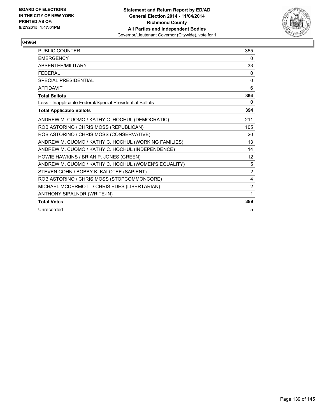

| <b>PUBLIC COUNTER</b>                                    | 355            |
|----------------------------------------------------------|----------------|
| <b>EMERGENCY</b>                                         | 0              |
| <b>ABSENTEE/MILITARY</b>                                 | 33             |
| <b>FEDERAL</b>                                           | 0              |
| SPECIAL PRESIDENTIAL                                     | $\mathbf{0}$   |
| <b>AFFIDAVIT</b>                                         | 6              |
| <b>Total Ballots</b>                                     | 394            |
| Less - Inapplicable Federal/Special Presidential Ballots | 0              |
| <b>Total Applicable Ballots</b>                          | 394            |
| ANDREW M. CUOMO / KATHY C. HOCHUL (DEMOCRATIC)           | 211            |
| ROB ASTORINO / CHRIS MOSS (REPUBLICAN)                   | 105            |
| ROB ASTORINO / CHRIS MOSS (CONSERVATIVE)                 | 20             |
| ANDREW M. CUOMO / KATHY C. HOCHUL (WORKING FAMILIES)     | 13             |
| ANDREW M. CUOMO / KATHY C. HOCHUL (INDEPENDENCE)         | 14             |
| HOWIE HAWKINS / BRIAN P. JONES (GREEN)                   | 12             |
| ANDREW M. CUOMO / KATHY C. HOCHUL (WOMEN'S EQUALITY)     | 5              |
| STEVEN COHN / BOBBY K. KALOTEE (SAPIENT)                 | 2              |
| ROB ASTORINO / CHRIS MOSS (STOPCOMMONCORE)               | 4              |
| MICHAEL MCDERMOTT / CHRIS EDES (LIBERTARIAN)             | $\overline{2}$ |
| ANTHONY SIPALNDR (WRITE-IN)                              | 1              |
| <b>Total Votes</b>                                       | 389            |
| Unrecorded                                               | 5              |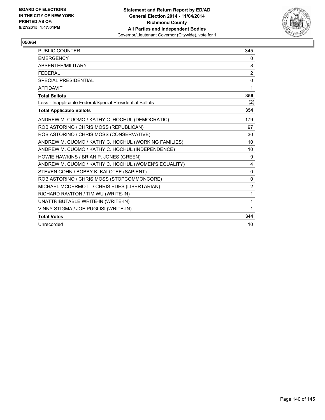

| <b>PUBLIC COUNTER</b>                                    | 345          |
|----------------------------------------------------------|--------------|
| <b>EMERGENCY</b>                                         | $\mathbf{0}$ |
| ABSENTEE/MILITARY                                        | 8            |
| <b>FEDERAL</b>                                           | 2            |
| <b>SPECIAL PRESIDENTIAL</b>                              | 0            |
| <b>AFFIDAVIT</b>                                         | 1            |
| <b>Total Ballots</b>                                     | 356          |
| Less - Inapplicable Federal/Special Presidential Ballots | (2)          |
| <b>Total Applicable Ballots</b>                          | 354          |
| ANDREW M. CUOMO / KATHY C. HOCHUL (DEMOCRATIC)           | 179          |
| ROB ASTORINO / CHRIS MOSS (REPUBLICAN)                   | 97           |
| ROB ASTORINO / CHRIS MOSS (CONSERVATIVE)                 | 30           |
| ANDREW M. CUOMO / KATHY C. HOCHUL (WORKING FAMILIES)     | 10           |
| ANDREW M. CUOMO / KATHY C. HOCHUL (INDEPENDENCE)         | 10           |
| HOWIE HAWKINS / BRIAN P. JONES (GREEN)                   | 9            |
| ANDREW M. CUOMO / KATHY C. HOCHUL (WOMEN'S EQUALITY)     | 4            |
| STEVEN COHN / BOBBY K. KALOTEE (SAPIENT)                 | 0            |
| ROB ASTORINO / CHRIS MOSS (STOPCOMMONCORE)               | 0            |
| MICHAEL MCDERMOTT / CHRIS EDES (LIBERTARIAN)             | 2            |
| RICHARD RAVITON / TIM WU (WRITE-IN)                      | 1            |
| UNATTRIBUTABLE WRITE-IN (WRITE-IN)                       | 1            |
| VINNY STIGMA / JOE PUGLISI (WRITE-IN)                    | 1            |
| <b>Total Votes</b>                                       | 344          |
| Unrecorded                                               | 10           |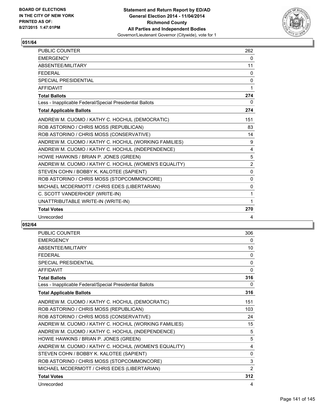

| <b>PUBLIC COUNTER</b>                                    | 262            |
|----------------------------------------------------------|----------------|
| <b>EMERGENCY</b>                                         | 0              |
| ABSENTEE/MILITARY                                        | 11             |
| <b>FEDERAL</b>                                           | 0              |
| <b>SPECIAL PRESIDENTIAL</b>                              | $\mathbf 0$    |
| <b>AFFIDAVIT</b>                                         | 1              |
| <b>Total Ballots</b>                                     | 274            |
| Less - Inapplicable Federal/Special Presidential Ballots | $\mathbf{0}$   |
| <b>Total Applicable Ballots</b>                          | 274            |
| ANDREW M. CUOMO / KATHY C. HOCHUL (DEMOCRATIC)           | 151            |
| ROB ASTORINO / CHRIS MOSS (REPUBLICAN)                   | 83             |
| ROB ASTORINO / CHRIS MOSS (CONSERVATIVE)                 | 14             |
| ANDREW M. CUOMO / KATHY C. HOCHUL (WORKING FAMILIES)     | 9              |
| ANDREW M. CUOMO / KATHY C. HOCHUL (INDEPENDENCE)         | 4              |
| HOWIE HAWKINS / BRIAN P. JONES (GREEN)                   | 5              |
| ANDREW M. CUOMO / KATHY C. HOCHUL (WOMEN'S EQUALITY)     | $\overline{2}$ |
| STEVEN COHN / BOBBY K. KALOTEE (SAPIENT)                 | 0              |
| ROB ASTORINO / CHRIS MOSS (STOPCOMMONCORE)               | 0              |
| MICHAEL MCDERMOTT / CHRIS EDES (LIBERTARIAN)             | 0              |
| C. SCOTT VANDERHOEF (WRITE-IN)                           | 1              |
| UNATTRIBUTABLE WRITE-IN (WRITE-IN)                       | 1              |
| <b>Total Votes</b>                                       | 270            |
| Unrecorded                                               | 4              |

| <b>PUBLIC COUNTER</b>                                    | 306          |
|----------------------------------------------------------|--------------|
| <b>EMERGENCY</b>                                         | 0            |
| ABSENTEE/MILITARY                                        | 10           |
| <b>FEDERAL</b>                                           | 0            |
| <b>SPECIAL PRESIDENTIAL</b>                              | $\mathbf{0}$ |
| <b>AFFIDAVIT</b>                                         | 0            |
| <b>Total Ballots</b>                                     | 316          |
| Less - Inapplicable Federal/Special Presidential Ballots | 0            |
| <b>Total Applicable Ballots</b>                          | 316          |
| ANDREW M. CUOMO / KATHY C. HOCHUL (DEMOCRATIC)           | 151          |
| ROB ASTORINO / CHRIS MOSS (REPUBLICAN)                   | 103          |
| ROB ASTORINO / CHRIS MOSS (CONSERVATIVE)                 | 24           |
| ANDREW M. CUOMO / KATHY C. HOCHUL (WORKING FAMILIES)     | 15           |
| ANDREW M. CUOMO / KATHY C. HOCHUL (INDEPENDENCE)         | 5            |
| HOWIE HAWKINS / BRIAN P. JONES (GREEN)                   | 5            |
| ANDREW M. CUOMO / KATHY C. HOCHUL (WOMEN'S EQUALITY)     | 4            |
| STEVEN COHN / BOBBY K. KALOTEE (SAPIENT)                 | 0            |
| ROB ASTORINO / CHRIS MOSS (STOPCOMMONCORE)               | 3            |
| MICHAEL MCDERMOTT / CHRIS EDES (LIBERTARIAN)             | 2            |
| <b>Total Votes</b>                                       | 312          |
| Unrecorded                                               | 4            |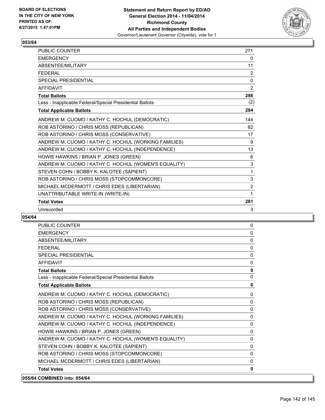

| PUBLIC COUNTER                                           | 271            |
|----------------------------------------------------------|----------------|
| <b>EMERGENCY</b>                                         | 0              |
| ABSENTEE/MILITARY                                        | 11             |
| <b>FEDERAL</b>                                           | 2              |
| <b>SPECIAL PRESIDENTIAL</b>                              | $\Omega$       |
| <b>AFFIDAVIT</b>                                         | $\overline{2}$ |
| <b>Total Ballots</b>                                     | 286            |
| Less - Inapplicable Federal/Special Presidential Ballots | (2)            |
| <b>Total Applicable Ballots</b>                          | 284            |
| ANDREW M. CUOMO / KATHY C. HOCHUL (DEMOCRATIC)           | 144            |
| ROB ASTORINO / CHRIS MOSS (REPUBLICAN)                   | 82             |
| ROB ASTORINO / CHRIS MOSS (CONSERVATIVE)                 | 17             |
| ANDREW M. CUOMO / KATHY C. HOCHUL (WORKING FAMILIES)     | 9              |
| ANDREW M. CUOMO / KATHY C. HOCHUL (INDEPENDENCE)         | 13             |
| HOWIE HAWKINS / BRIAN P. JONES (GREEN)                   | 6              |
| ANDREW M. CUOMO / KATHY C. HOCHUL (WOMEN'S EQUALITY)     | 3              |
| STEVEN COHN / BOBBY K. KALOTEE (SAPIENT)                 | 1              |
| ROB ASTORINO / CHRIS MOSS (STOPCOMMONCORE)               | 3              |
| MICHAEL MCDERMOTT / CHRIS EDES (LIBERTARIAN)             | $\overline{2}$ |
| UNATTRIBUTABLE WRITE-IN (WRITE-IN)                       | 1              |
| <b>Total Votes</b>                                       | 281            |
| Unrecorded                                               | 3              |

| <b>PUBLIC COUNTER</b>                                    | 0            |
|----------------------------------------------------------|--------------|
| <b>EMERGENCY</b>                                         | $\mathbf{0}$ |
| ABSENTEE/MILITARY                                        | $\mathbf{0}$ |
| <b>FFDFRAL</b>                                           | $\mathbf{0}$ |
| <b>SPECIAL PRESIDENTIAL</b>                              | $\Omega$     |
| <b>AFFIDAVIT</b>                                         | $\Omega$     |
| <b>Total Ballots</b>                                     | $\mathbf 0$  |
| Less - Inapplicable Federal/Special Presidential Ballots | $\Omega$     |
| <b>Total Applicable Ballots</b>                          | $\mathbf 0$  |
| ANDREW M. CUOMO / KATHY C. HOCHUL (DEMOCRATIC)           | $\Omega$     |
| ROB ASTORINO / CHRIS MOSS (REPUBLICAN)                   | $\Omega$     |
| ROB ASTORINO / CHRIS MOSS (CONSERVATIVE)                 | $\mathbf{0}$ |
| ANDREW M. CUOMO / KATHY C. HOCHUL (WORKING FAMILIES)     | $\Omega$     |
| ANDREW M. CUOMO / KATHY C. HOCHUL (INDEPENDENCE)         | $\Omega$     |
| HOWIE HAWKINS / BRIAN P. JONES (GREEN)                   | $\Omega$     |
| ANDREW M. CUOMO / KATHY C. HOCHUL (WOMEN'S EQUALITY)     | $\mathbf{0}$ |
| STEVEN COHN / BOBBY K. KALOTEE (SAPIENT)                 | $\Omega$     |
| ROB ASTORINO / CHRIS MOSS (STOPCOMMONCORE)               | $\Omega$     |
| MICHAEL MCDERMOTT / CHRIS EDES (LIBERTARIAN)             | $\Omega$     |
| <b>Total Votes</b>                                       | 0            |
| 055/64 COMBINED into: 054/64                             |              |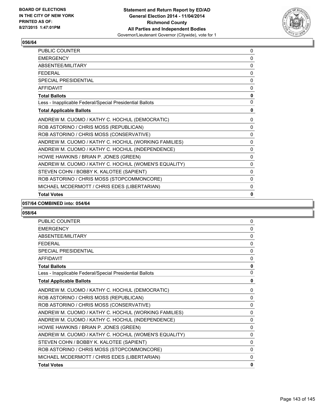

| <b>PUBLIC COUNTER</b>                                    | 0            |
|----------------------------------------------------------|--------------|
| <b>EMERGENCY</b>                                         | 0            |
| ABSENTEE/MILITARY                                        | 0            |
| <b>FFDFRAI</b>                                           | 0            |
| <b>SPECIAL PRESIDENTIAL</b>                              | $\mathbf{0}$ |
| <b>AFFIDAVIT</b>                                         | 0            |
| <b>Total Ballots</b>                                     | 0            |
| Less - Inapplicable Federal/Special Presidential Ballots | 0            |
| <b>Total Applicable Ballots</b>                          | 0            |
| ANDREW M. CUOMO / KATHY C. HOCHUL (DEMOCRATIC)           | 0            |
| ROB ASTORINO / CHRIS MOSS (REPUBLICAN)                   | 0            |
| ROB ASTORINO / CHRIS MOSS (CONSERVATIVE)                 | $\Omega$     |
| ANDREW M. CUOMO / KATHY C. HOCHUL (WORKING FAMILIES)     | 0            |
| ANDREW M. CUOMO / KATHY C. HOCHUL (INDEPENDENCE)         | 0            |
| HOWIE HAWKINS / BRIAN P. JONES (GREEN)                   | 0            |
| ANDREW M. CUOMO / KATHY C. HOCHUL (WOMEN'S EQUALITY)     | 0            |
| STEVEN COHN / BOBBY K. KALOTEE (SAPIENT)                 | 0            |
| ROB ASTORINO / CHRIS MOSS (STOPCOMMONCORE)               | $\Omega$     |
| MICHAEL MCDERMOTT / CHRIS EDES (LIBERTARIAN)             | 0            |
| <b>Total Votes</b>                                       | 0            |

#### **057/64 COMBINED into: 054/64**

| <b>PUBLIC COUNTER</b>                                    | 0 |
|----------------------------------------------------------|---|
| <b>EMERGENCY</b>                                         | 0 |
| <b>ABSENTEE/MILITARY</b>                                 | 0 |
| <b>FFDFRAL</b>                                           | 0 |
| SPECIAL PRESIDENTIAL                                     | 0 |
| <b>AFFIDAVIT</b>                                         | 0 |
| <b>Total Ballots</b>                                     | 0 |
| Less - Inapplicable Federal/Special Presidential Ballots | 0 |
| <b>Total Applicable Ballots</b>                          | 0 |
| ANDREW M. CUOMO / KATHY C. HOCHUL (DEMOCRATIC)           | 0 |
| ROB ASTORINO / CHRIS MOSS (REPUBLICAN)                   | 0 |
| ROB ASTORINO / CHRIS MOSS (CONSERVATIVE)                 | 0 |
| ANDREW M. CUOMO / KATHY C. HOCHUL (WORKING FAMILIES)     | 0 |
| ANDREW M. CUOMO / KATHY C. HOCHUL (INDEPENDENCE)         | 0 |
| HOWIE HAWKINS / BRIAN P. JONES (GREEN)                   | 0 |
| ANDREW M. CUOMO / KATHY C. HOCHUL (WOMEN'S EQUALITY)     | 0 |
| STEVEN COHN / BOBBY K. KALOTEE (SAPIENT)                 | 0 |
| ROB ASTORINO / CHRIS MOSS (STOPCOMMONCORE)               | 0 |
| MICHAEL MCDERMOTT / CHRIS EDES (LIBERTARIAN)             | 0 |
| <b>Total Votes</b>                                       | 0 |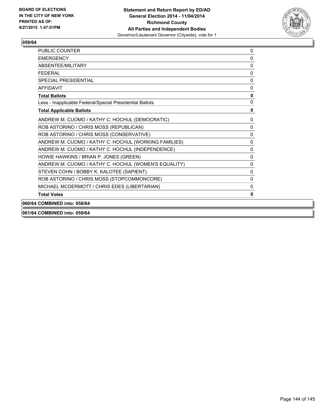

| <b>PUBLIC COUNTER</b>                                    | 0           |
|----------------------------------------------------------|-------------|
| <b>EMERGENCY</b>                                         | 0           |
| <b>ABSENTFF/MILITARY</b>                                 | 0           |
| <b>FFDFRAL</b>                                           | 0           |
| <b>SPECIAL PRESIDENTIAL</b>                              | 0           |
| <b>AFFIDAVIT</b>                                         | 0           |
| <b>Total Ballots</b>                                     | 0           |
| Less - Inapplicable Federal/Special Presidential Ballots | 0           |
| <b>Total Applicable Ballots</b>                          | 0           |
| ANDREW M. CUOMO / KATHY C. HOCHUL (DEMOCRATIC)           | 0           |
| ROB ASTORINO / CHRIS MOSS (REPUBLICAN)                   | $\mathbf 0$ |
| ROB ASTORINO / CHRIS MOSS (CONSERVATIVE)                 | 0           |
| ANDREW M. CUOMO / KATHY C. HOCHUL (WORKING FAMILIES)     | 0           |
| ANDREW M. CUOMO / KATHY C. HOCHUL (INDEPENDENCE)         | 0           |
| HOWIE HAWKINS / BRIAN P. JONES (GREEN)                   | $\mathbf 0$ |
| ANDREW M. CUOMO / KATHY C. HOCHUL (WOMEN'S EQUALITY)     | 0           |
| STEVEN COHN / BOBBY K. KALOTEE (SAPIENT)                 | 0           |
| ROB ASTORINO / CHRIS MOSS (STOPCOMMONCORE)               | 0           |
| MICHAEL MCDERMOTT / CHRIS EDES (LIBERTARIAN)             | 0           |
| <b>Total Votes</b>                                       | 0           |
| 060/64 COMBINED into: 058/64                             |             |

**061/64 COMBINED into: 059/64**